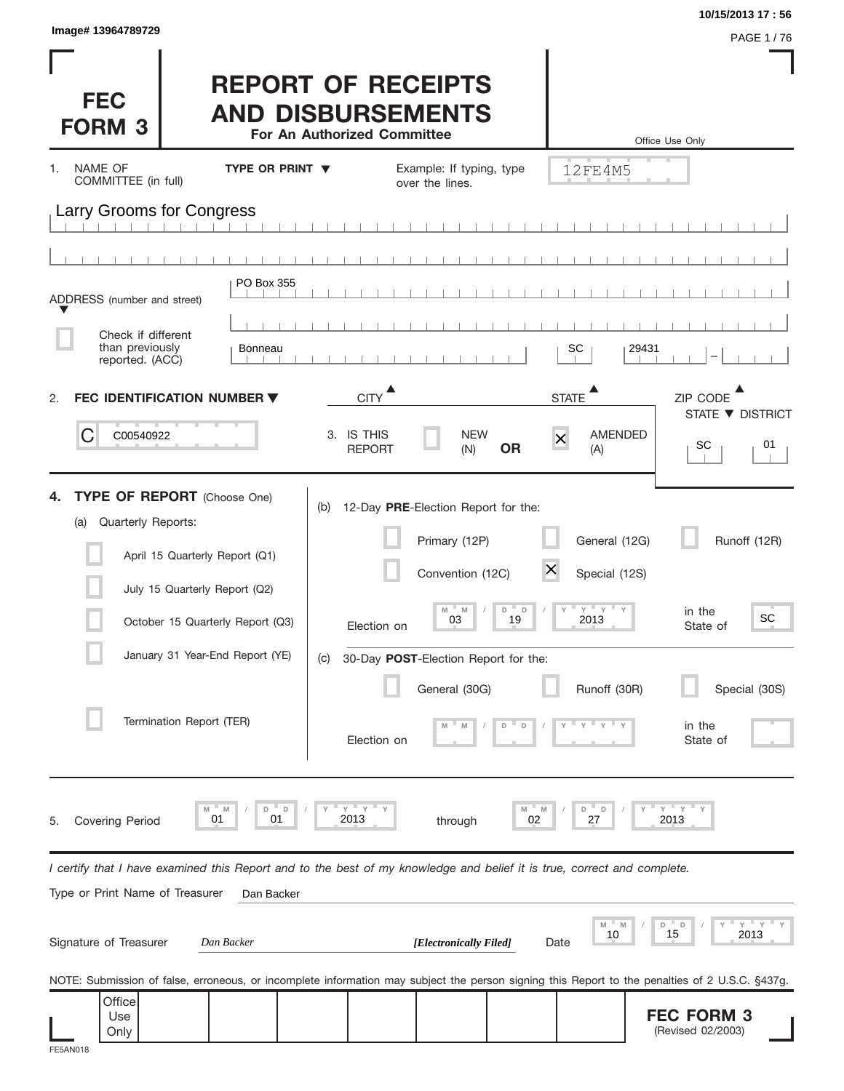| Image# 13964789729                                                                                                                                                                                                                    |                                                                                      |                                                                                                                                                                                                      |                                                                                   | 10/15/2013 17:56<br>PAGE 1/76                                                   |
|---------------------------------------------------------------------------------------------------------------------------------------------------------------------------------------------------------------------------------------|--------------------------------------------------------------------------------------|------------------------------------------------------------------------------------------------------------------------------------------------------------------------------------------------------|-----------------------------------------------------------------------------------|---------------------------------------------------------------------------------|
| <b>FEC</b><br><b>FORM 3</b>                                                                                                                                                                                                           | <b>REPORT OF RECEIPTS</b><br><b>AND DISBURSEMENTS</b><br>For An Authorized Committee |                                                                                                                                                                                                      |                                                                                   | Office Use Only                                                                 |
| NAME OF<br>1.<br>COMMITTEE (in full)                                                                                                                                                                                                  | <b>TYPE OR PRINT V</b>                                                               | Example: If typing, type<br>over the lines.                                                                                                                                                          | 12FE4M5                                                                           |                                                                                 |
| Larry Grooms for Congress                                                                                                                                                                                                             |                                                                                      |                                                                                                                                                                                                      |                                                                                   |                                                                                 |
|                                                                                                                                                                                                                                       |                                                                                      |                                                                                                                                                                                                      |                                                                                   |                                                                                 |
| ADDRESS (number and street)                                                                                                                                                                                                           | PO Box 355                                                                           |                                                                                                                                                                                                      |                                                                                   |                                                                                 |
| Check if different                                                                                                                                                                                                                    |                                                                                      |                                                                                                                                                                                                      |                                                                                   |                                                                                 |
| than previously<br>reported. (ACC)                                                                                                                                                                                                    | <b>Bonneau</b>                                                                       |                                                                                                                                                                                                      | SC                                                                                | 29431                                                                           |
| <b>FEC IDENTIFICATION NUMBER ▼</b><br>2.                                                                                                                                                                                              |                                                                                      | <b>CITY</b>                                                                                                                                                                                          | $\blacktriangle$<br><b>STATE</b>                                                  | ZIP CODE                                                                        |
| C<br>C00540922                                                                                                                                                                                                                        | 3. IS THIS                                                                           | <b>NEW</b><br><b>OR</b><br><b>REPORT</b><br>(N)                                                                                                                                                      | <b>AMENDED</b><br>$\overline{\mathsf{x}}$<br>(A)                                  | STATE ▼ DISTRICT<br>SC<br>01                                                    |
| <b>TYPE OF REPORT</b> (Choose One)<br>Quarterly Reports:<br>(a)<br>April 15 Quarterly Report (Q1)<br>July 15 Quarterly Report (Q2)<br>October 15 Quarterly Report (Q3)<br>January 31 Year-End Report (YE)<br>Termination Report (TER) | (b)<br>(C)                                                                           | 12-Day PRE-Election Report for the:<br>Primary (12P)<br>Convention (12C)<br>M<br>M<br>D<br>$\Box$<br>03<br>19<br>Election on<br>30-Day POST-Election Report for the:<br>General (30G)<br>Election on | General (12G)<br>$\times$<br>Special (12S)<br>$Y = Y = Y$<br>2013<br>Runoff (30R) | Runoff (12R)<br>in the<br>SC<br>State of<br>Special (30S)<br>in the<br>State of |
| M<br>01<br><b>Covering Period</b><br>5.                                                                                                                                                                                               | $Y = Y$<br>D<br>D<br>M<br>01<br>2013                                                 | M<br>through                                                                                                                                                                                         | D<br>M<br>D<br>27<br>02                                                           | ΞY.<br>Y<br>2013                                                                |
| I certify that I have examined this Report and to the best of my knowledge and belief it is true, correct and complete.<br>Type or Print Name of Treasurer                                                                            | Dan Backer                                                                           |                                                                                                                                                                                                      |                                                                                   |                                                                                 |
| Signature of Treasurer                                                                                                                                                                                                                | Dan Backer                                                                           | [Electronically Filed]                                                                                                                                                                               | M<br>M<br>10<br>Date                                                              | ™ Y<br>Y<br>D<br>- D<br>15<br>2013                                              |
| NOTE: Submission of false, erroneous, or incomplete information may subject the person signing this Report to the penalties of 2 U.S.C. §437g.                                                                                        |                                                                                      |                                                                                                                                                                                                      |                                                                                   |                                                                                 |
| Office<br>Use<br>Only<br>FE5AN018                                                                                                                                                                                                     |                                                                                      |                                                                                                                                                                                                      |                                                                                   | <b>FEC FORM 3</b><br>(Revised 02/2003)                                          |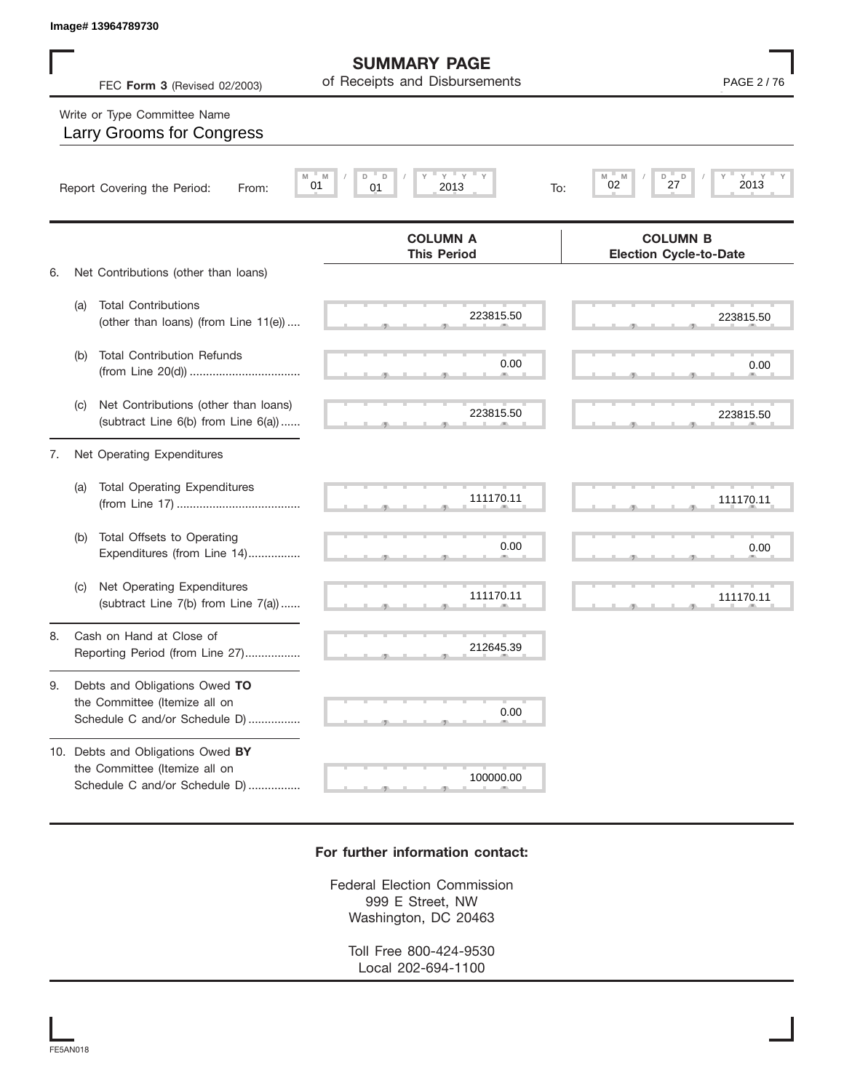|    | Image# 13964789730          |                                                                                                     |                                                      |                                                          |
|----|-----------------------------|-----------------------------------------------------------------------------------------------------|------------------------------------------------------|----------------------------------------------------------|
|    |                             | FEC Form 3 (Revised 02/2003)                                                                        | <b>SUMMARY PAGE</b><br>of Receipts and Disbursements | PAGE 2/76                                                |
|    |                             | Write or Type Committee Name<br><b>Larry Grooms for Congress</b>                                    |                                                      |                                                          |
|    | Report Covering the Period: | From:                                                                                               | Y<br>ΞY.<br>D<br>D<br>M<br>01<br>01<br>2013<br>To:   | $Y - Y$<br>$Y =$<br>M<br>D<br>M<br>D<br>2013<br>27<br>02 |
| 6. |                             | Net Contributions (other than loans)                                                                | <b>COLUMN A</b><br><b>This Period</b>                | <b>COLUMN B</b><br><b>Election Cycle-to-Date</b>         |
|    | (a)                         | <b>Total Contributions</b><br>(other than loans) (from Line 11(e))                                  | 223815.50                                            | 223815.50                                                |
|    | (b)                         | <b>Total Contribution Refunds</b>                                                                   | 0.00                                                 | 0.00                                                     |
|    | (C)                         | Net Contributions (other than loans)<br>(subtract Line 6(b) from Line 6(a))                         | 223815.50                                            | 223815.50                                                |
| 7. |                             | Net Operating Expenditures                                                                          |                                                      |                                                          |
|    | (a)                         | <b>Total Operating Expenditures</b>                                                                 | 111170.11                                            | 111170.11                                                |
|    | (b)                         | Total Offsets to Operating<br>Expenditures (from Line 14)                                           | 0.00                                                 | 0.00                                                     |
|    | (C)                         | Net Operating Expenditures<br>(subtract Line 7(b) from Line 7(a))                                   | 111170.11                                            | 111170.11                                                |
| 8. |                             | Cash on Hand at Close of<br>Reporting Period (from Line 27)                                         | 212645.39                                            |                                                          |
| 9. |                             | Debts and Obligations Owed TO<br>the Committee (Itemize all on<br>Schedule C and/or Schedule D)     | 0.00                                                 |                                                          |
|    |                             | 10. Debts and Obligations Owed BY<br>the Committee (Itemize all on<br>Schedule C and/or Schedule D) | 100000.00                                            |                                                          |

## **For further information contact:**

Federal Election Commission 999 E Street, NW Washington, DC 20463

> Toll Free 800-424-9530 Local 202-694-1100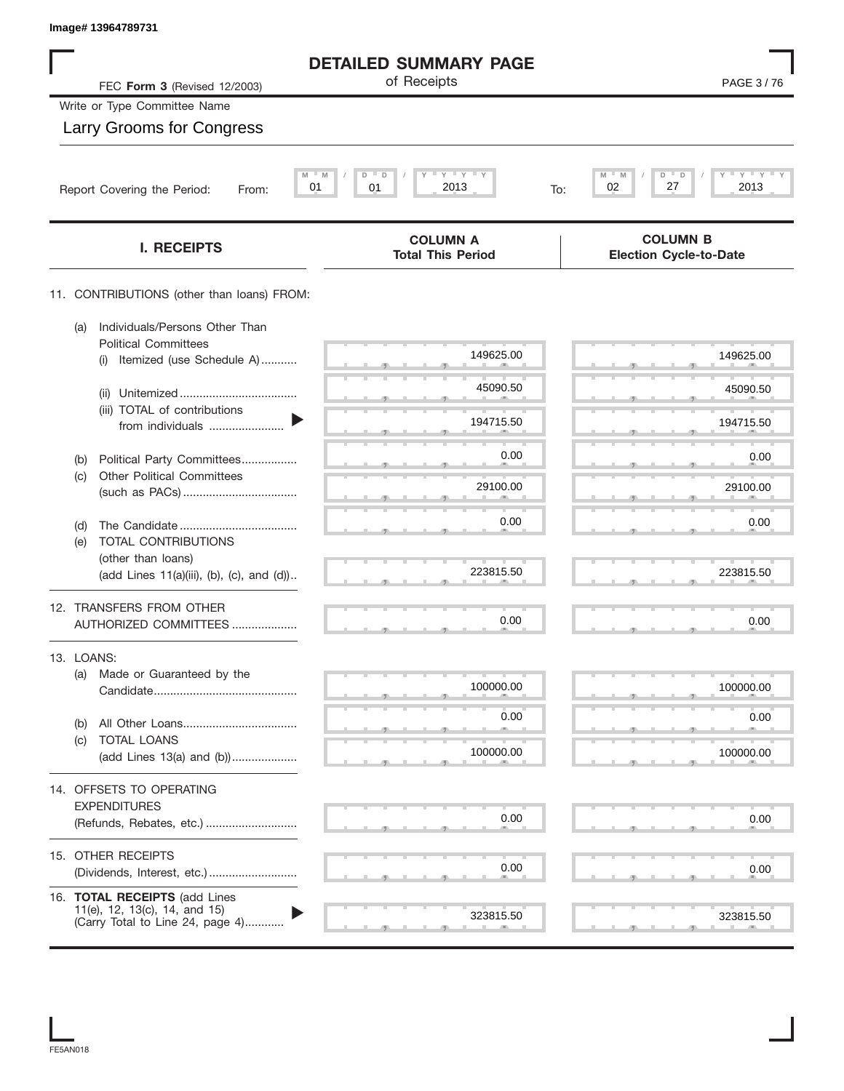| Image# 13964789731                                                   |                                             |                                                  |
|----------------------------------------------------------------------|---------------------------------------------|--------------------------------------------------|
|                                                                      | <b>DETAILED SUMMARY PAGE</b>                |                                                  |
| FEC Form 3 (Revised 12/2003)                                         | of Receipts                                 | PAGE 3/76                                        |
| Write or Type Committee Name                                         |                                             |                                                  |
| Larry Grooms for Congress                                            |                                             |                                                  |
| M                                                                    | $Y$ $Y$ $Y$<br>M<br>D<br>D                  | $Y'$ $Y'$ $Y$<br>M<br>D                          |
| 01<br>Report Covering the Period:<br>From:                           | 01<br>2013<br>To:                           | 27<br>02<br>2013                                 |
| <b>I. RECEIPTS</b>                                                   | <b>COLUMN A</b><br><b>Total This Period</b> | <b>COLUMN B</b><br><b>Election Cycle-to-Date</b> |
| 11. CONTRIBUTIONS (other than loans) FROM:                           |                                             |                                                  |
| Individuals/Persons Other Than<br>(a)<br><b>Political Committees</b> |                                             |                                                  |
| Itemized (use Schedule A)<br>(i)                                     | 149625.00                                   | 149625.00                                        |
| (ii)                                                                 | 45090.50                                    | 45090.50                                         |
| (iii) TOTAL of contributions<br>from individuals                     | 194715.50                                   | 194715.50                                        |
| Political Party Committees<br>(b)                                    | 0.00                                        | 0.00                                             |
| <b>Other Political Committees</b><br>(c)                             | 29100.00                                    | 29100.00                                         |
|                                                                      |                                             |                                                  |
| (d)<br>TOTAL CONTRIBUTIONS<br>(e)                                    | 0.00                                        | 0.00                                             |
| (other than loans)<br>(add Lines 11(a)(iii), (b), (c), and (d))      | 223815.50                                   | 223815.50                                        |
|                                                                      |                                             |                                                  |
| 12. TRANSFERS FROM OTHER<br>AUTHORIZED COMMITTEES                    | 0.00                                        | 0.00                                             |
| 13. LOANS:                                                           |                                             |                                                  |
| Made or Guaranteed by the<br>(a)                                     | 100000.00                                   | 100000.00                                        |
|                                                                      |                                             |                                                  |
| (b)                                                                  | 0.00                                        | 0.00                                             |
| TOTAL LOANS<br>(c)<br>(add Lines 13(a) and (b))                      | 100000.00                                   | 100000.00                                        |
| 14. OFFSETS TO OPERATING                                             |                                             |                                                  |
| <b>EXPENDITURES</b>                                                  |                                             |                                                  |
| (Refunds, Rebates, etc.)                                             | 0.00                                        | 0.00                                             |
| 15. OTHER RECEIPTS                                                   |                                             |                                                  |
|                                                                      | 0.00                                        | 0.00                                             |
| 16. TOTAL RECEIPTS (add Lines<br>11(e), 12, 13(c), 14, and 15)       | 323815.50                                   | 323815.50                                        |
| (Carry Total to Line 24, page 4)                                     |                                             |                                                  |

FE5AN018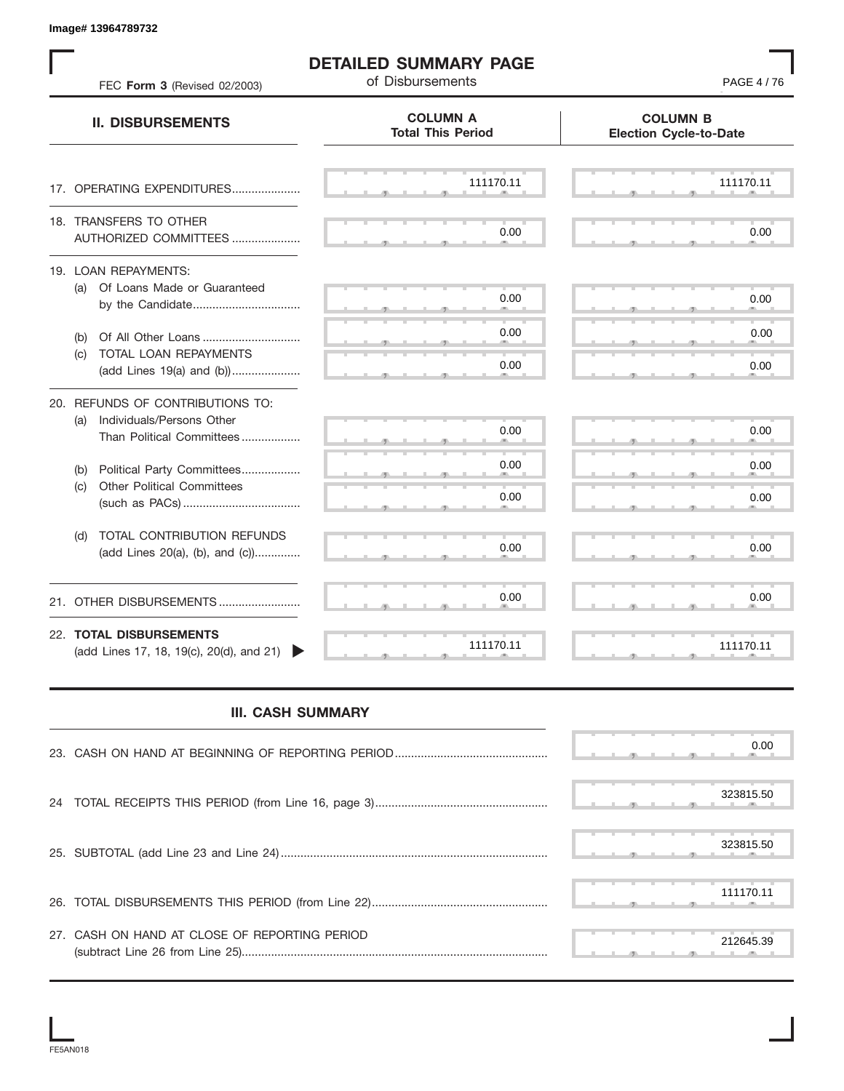S S S , , . S S S , , . S S S , , . S S S , , . S S S , , . S S S , , .  $\overline{S}$  s  $\overline{S}$  ,  $\overline{S}$  ,  $\overline{S}$  ,  $\overline{S}$  ,  $\overline{S}$  ,  $\overline{S}$  ,  $\overline{S}$  ,  $\overline{S}$  ,  $\overline{S}$  ,  $\overline{S}$  ,  $\overline{S}$  ,  $\overline{S}$  ,  $\overline{S}$  ,  $\overline{S}$  ,  $\overline{S}$  ,  $\overline{S}$  ,  $\overline{S}$  ,  $\overline{S}$  ,  $\overline{S}$  , S S S , , . S S S , , . S S S , , . S S S , , . S S S , , . S S S , , . S S S , , . S S S , , . S S S , , . S S S , , . S S S , , . S S S , , . S S S S S S **COLUMN B Election Cycle-to-Date COLUMN A Total This Period** 17. OPERATING EXPENDITURES.................... 18. TRANSFERS TO OTHER AUTHORIZED COMMITTEES ..................... 19. LOAN REPAYMENTS: (a) Of Loans Made or Guaranteed by the Candidate ................................. (b) Of All Other Loans .............................. (c) TOTAL LOAN REPAYMENTS (add Lines 19(a) and (b)) ..................... 20. REFUNDS OF CONTRIBUTIONS TO: (a) Individuals/Persons Other Than Political Committees ................. (b) Political Party Committees.................. (c) Other Political Committees (such as PACs) .................................... (d) TOTAL CONTRIBUTION REFUNDS (add Lines 20(a), (b), and (c)).............. 21. OTHER DISBURSEMENTS ......................... 22. **TOTAL DISBURSEMENTS**   $(add$  Lines 17, 18, 19 $(c)$ , 20 $(d)$ , and 21) **II. DISBURSEMENTS** FEC **Form 3** (Revised 02/2003) **of Disbursements FEC <b>Form 3** (Revised 02/2003) , , . , , . **221 221 DYALED SUMMARY PAGE**<br>
PROFER USE ART 2012 AND ANY PAGE 4 212 COURN 1<br>
11. DISSURSEMENTS<br>
12. DEVICE OF PERTINT RESPONSENTS<br>
21. DEVICE OF PERTING PROPERTY AND COURN COURNER COURNER (201)<br>
21. DEVICE OF PERTING PR

**DETAILED SUMMARY PAGE**

## **III. CASH SUMMARY**

|                                               | 0.00      |
|-----------------------------------------------|-----------|
|                                               | 323815.50 |
|                                               |           |
|                                               | 323815.50 |
|                                               | 111170.11 |
| 27. CASH ON HAND AT CLOSE OF REPORTING PERIOD | 212645.39 |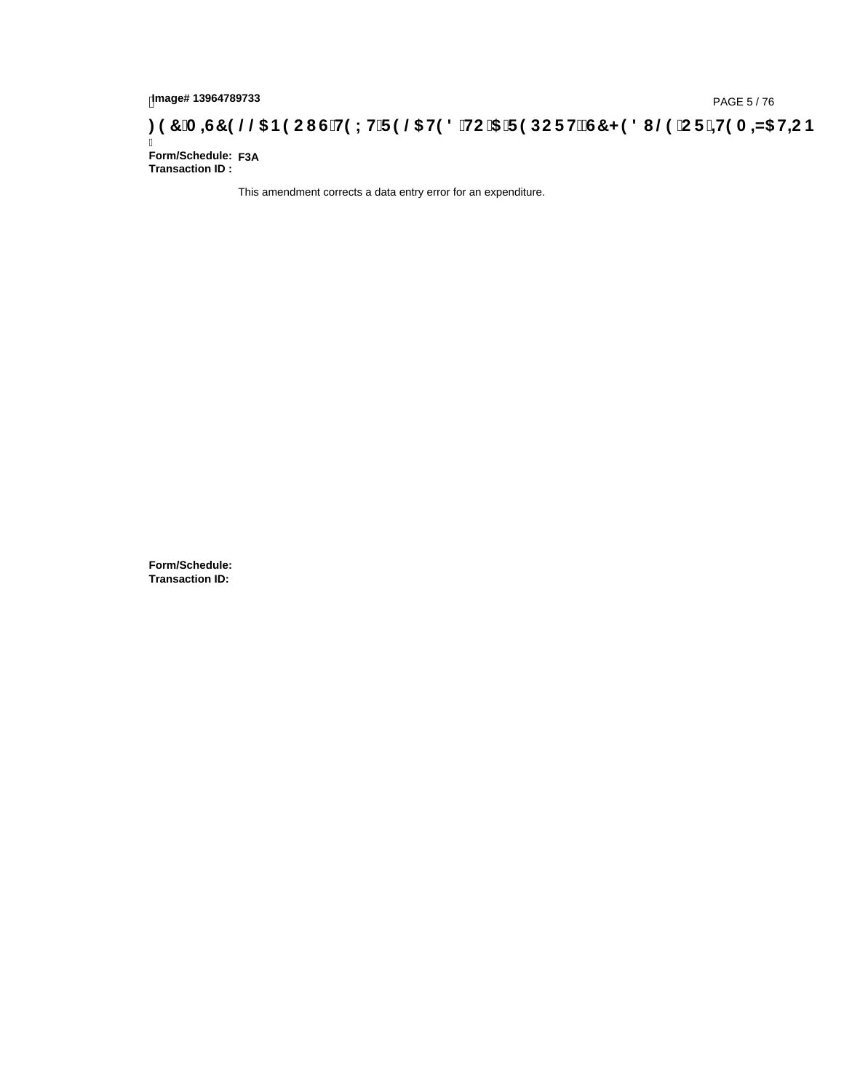## page#13964789733<br>Denge#13964789733<br>**Denge Benedict Computer of High Lines of High Autors of High Autors of High Autors of High Autors of High Autor**

Ī **Form/Schedule: F3ATransaction ID :** 

This amendment corrects a data entry error for an expenditure.

**Form/Schedule: Transaction ID:**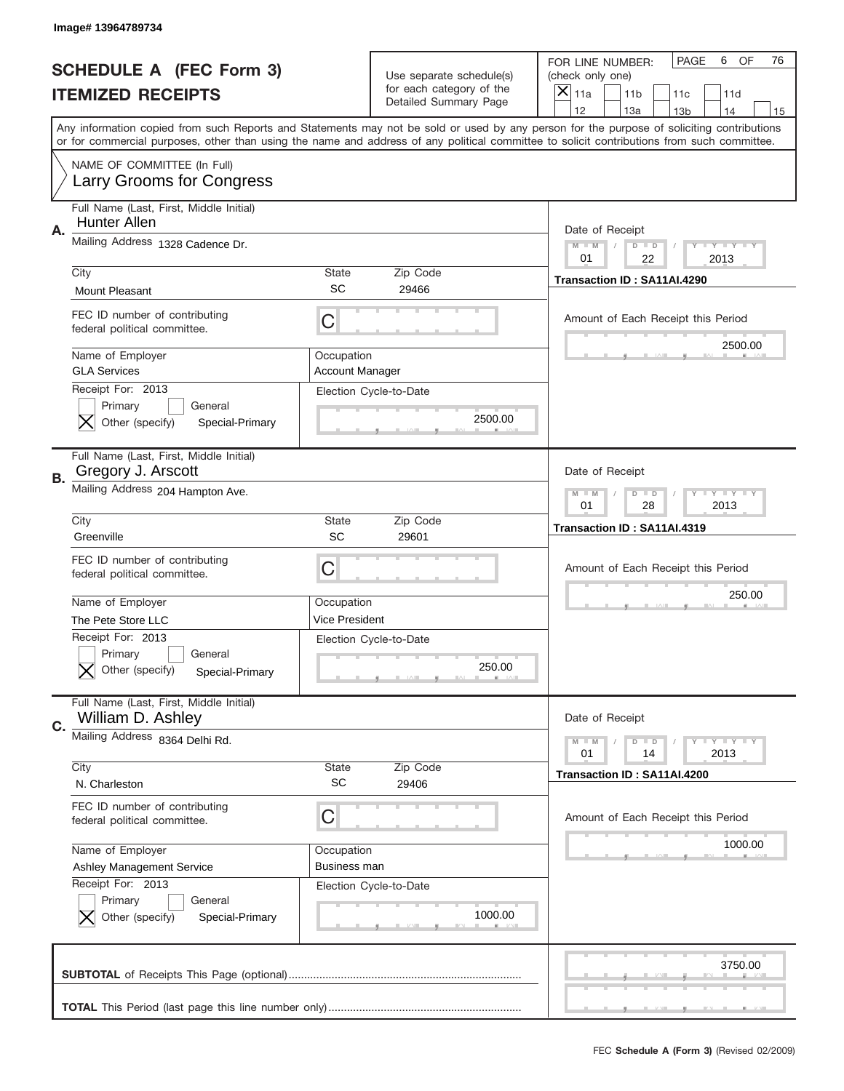|    | Image# 13964789734                                                                                  |                                      |                                                                               |                                                                                                                                                                                                                                                                                                                                     |
|----|-----------------------------------------------------------------------------------------------------|--------------------------------------|-------------------------------------------------------------------------------|-------------------------------------------------------------------------------------------------------------------------------------------------------------------------------------------------------------------------------------------------------------------------------------------------------------------------------------|
|    | <b>SCHEDULE A (FEC Form 3)</b><br><b>ITEMIZED RECEIPTS</b>                                          |                                      | Use separate schedule(s)<br>for each category of the<br>Detailed Summary Page | PAGE<br>OF<br>6<br>76<br>FOR LINE NUMBER:<br>(check only one)<br>×<br>11a<br>11 <sub>b</sub><br>11c<br>11d                                                                                                                                                                                                                          |
|    |                                                                                                     |                                      |                                                                               | 12<br>13a<br>14<br>13 <sub>b</sub><br>15<br>Any information copied from such Reports and Statements may not be sold or used by any person for the purpose of soliciting contributions<br>or for commercial purposes, other than using the name and address of any political committee to solicit contributions from such committee. |
|    | NAME OF COMMITTEE (In Full)<br>Larry Grooms for Congress                                            |                                      |                                                                               |                                                                                                                                                                                                                                                                                                                                     |
| Α. | Full Name (Last, First, Middle Initial)<br><b>Hunter Allen</b>                                      |                                      |                                                                               | Date of Receipt                                                                                                                                                                                                                                                                                                                     |
|    | Mailing Address 1328 Cadence Dr.                                                                    |                                      |                                                                               | $M - M$<br><b>LEY LEY LEY</b><br>$D$ $D$<br>01<br>22<br>2013                                                                                                                                                                                                                                                                        |
|    | City<br><b>Mount Pleasant</b>                                                                       | State<br>SC                          | Zip Code<br>29466                                                             | Transaction ID: SA11AI.4290                                                                                                                                                                                                                                                                                                         |
|    | FEC ID number of contributing<br>federal political committee.                                       | C                                    |                                                                               | Amount of Each Receipt this Period                                                                                                                                                                                                                                                                                                  |
|    | Name of Employer<br><b>GLA Services</b>                                                             | Occupation<br><b>Account Manager</b> |                                                                               | 2500.00                                                                                                                                                                                                                                                                                                                             |
|    | Receipt For: 2013<br>Primary<br>General<br>Other (specify)<br>Special-Primary                       |                                      | Election Cycle-to-Date<br>2500.00                                             |                                                                                                                                                                                                                                                                                                                                     |
| В. | Full Name (Last, First, Middle Initial)<br>Gregory J. Arscott                                       |                                      |                                                                               | Date of Receipt                                                                                                                                                                                                                                                                                                                     |
|    | Mailing Address 204 Hampton Ave.                                                                    |                                      |                                                                               | $M$ M<br><b>LYLYLY</b><br>$D$ $D$<br>01<br>28<br>2013                                                                                                                                                                                                                                                                               |
|    | City<br>Greenville                                                                                  | State<br>SC                          | Zip Code<br>29601                                                             | Transaction ID: SA11AI.4319                                                                                                                                                                                                                                                                                                         |
|    | FEC ID number of contributing                                                                       |                                      |                                                                               |                                                                                                                                                                                                                                                                                                                                     |
|    | federal political committee.                                                                        | C                                    |                                                                               | Amount of Each Receipt this Period                                                                                                                                                                                                                                                                                                  |
|    | Name of Employer                                                                                    | Occupation                           |                                                                               | 250.00                                                                                                                                                                                                                                                                                                                              |
|    | The Pete Store LLC<br>Receipt For: 2013<br>General<br>Primary<br>Other (specify)<br>Special-Primary | Vice President                       | Election Cycle-to-Date<br>250.00                                              |                                                                                                                                                                                                                                                                                                                                     |
|    | Full Name (Last, First, Middle Initial)<br>William D. Ashley                                        |                                      |                                                                               | Date of Receipt                                                                                                                                                                                                                                                                                                                     |
| C. | Mailing Address 8364 Delhi Rd.                                                                      |                                      |                                                                               | <b>LYLYLY</b><br>$M - M$<br>$\overline{D}$<br>$\Box$<br>01<br>2013<br>14                                                                                                                                                                                                                                                            |
|    | City<br>N. Charleston                                                                               | <b>State</b><br><b>SC</b>            | Zip Code<br>29406                                                             | Transaction ID: SA11AI.4200                                                                                                                                                                                                                                                                                                         |
|    | FEC ID number of contributing<br>federal political committee.                                       | C                                    |                                                                               | Amount of Each Receipt this Period                                                                                                                                                                                                                                                                                                  |
|    | Name of Employer<br>Ashley Management Service                                                       | Occupation<br>Business man           |                                                                               | 1000.00                                                                                                                                                                                                                                                                                                                             |
|    | Receipt For: 2013<br>Primary<br>General<br>Other (specify)<br>Special-Primary                       |                                      | Election Cycle-to-Date<br>1000.00                                             |                                                                                                                                                                                                                                                                                                                                     |
|    |                                                                                                     |                                      |                                                                               | 3750.00                                                                                                                                                                                                                                                                                                                             |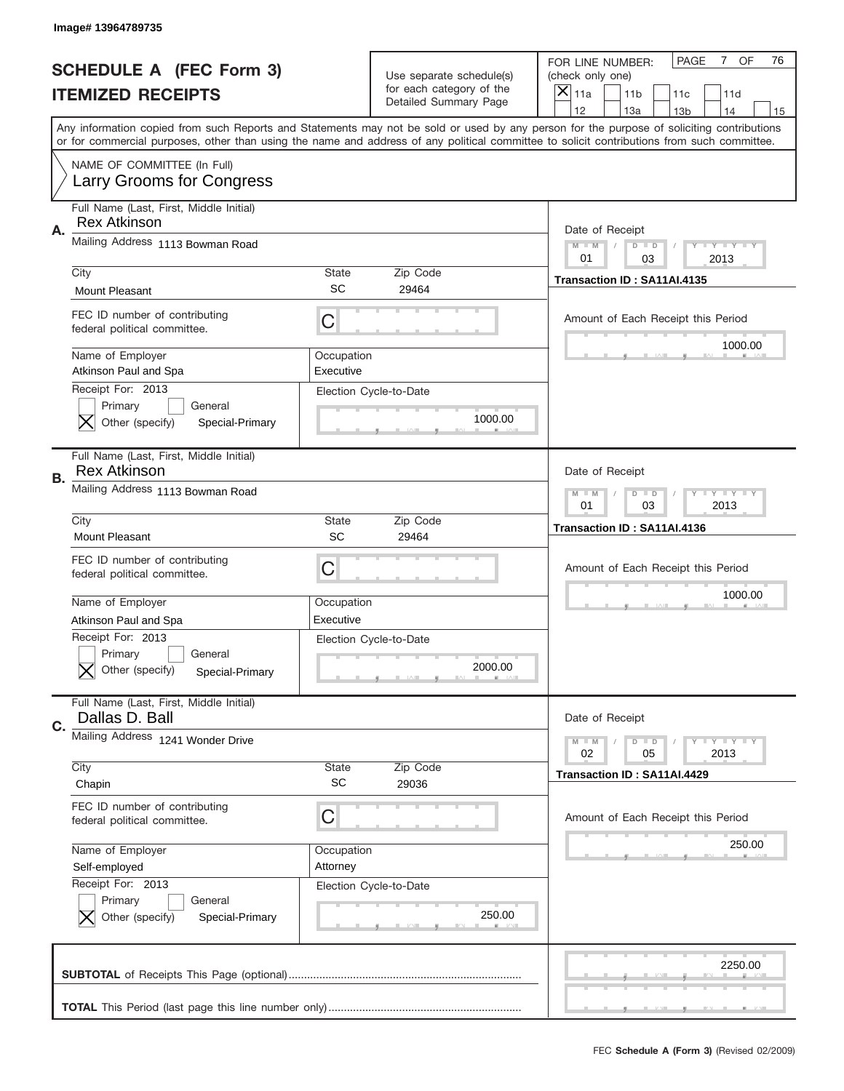|    | Image# 13964789735                                                            |                           |                                                   |                                                                                                                                                                                                                                                                                                                                     |
|----|-------------------------------------------------------------------------------|---------------------------|---------------------------------------------------|-------------------------------------------------------------------------------------------------------------------------------------------------------------------------------------------------------------------------------------------------------------------------------------------------------------------------------------|
|    | <b>SCHEDULE A (FEC Form 3)</b>                                                |                           | Use separate schedule(s)                          | OF<br><b>PAGE</b><br>$7^{\circ}$<br>76<br>FOR LINE NUMBER:<br>(check only one)                                                                                                                                                                                                                                                      |
|    | <b>ITEMIZED RECEIPTS</b>                                                      |                           | for each category of the<br>Detailed Summary Page | ×<br>11a<br>11 <sub>b</sub><br>11c<br>11d                                                                                                                                                                                                                                                                                           |
|    |                                                                               |                           |                                                   | 12<br>13a<br>14<br>13 <sub>b</sub><br>15<br>Any information copied from such Reports and Statements may not be sold or used by any person for the purpose of soliciting contributions<br>or for commercial purposes, other than using the name and address of any political committee to solicit contributions from such committee. |
|    | NAME OF COMMITTEE (In Full)<br>Larry Grooms for Congress                      |                           |                                                   |                                                                                                                                                                                                                                                                                                                                     |
| Α. | Full Name (Last, First, Middle Initial)<br><b>Rex Atkinson</b>                |                           |                                                   | Date of Receipt                                                                                                                                                                                                                                                                                                                     |
|    | Mailing Address 1113 Bowman Road                                              |                           |                                                   | $M - M$<br><b>LEY LEY LEY</b><br>$D$ $D$<br>01<br>2013<br>03                                                                                                                                                                                                                                                                        |
|    | City<br><b>Mount Pleasant</b>                                                 | State<br>SC               | Zip Code<br>29464                                 | Transaction ID: SA11AI.4135                                                                                                                                                                                                                                                                                                         |
|    | FEC ID number of contributing<br>federal political committee.                 | C                         |                                                   | Amount of Each Receipt this Period<br>1000.00                                                                                                                                                                                                                                                                                       |
|    | Name of Employer<br>Atkinson Paul and Spa                                     | Occupation<br>Executive   |                                                   |                                                                                                                                                                                                                                                                                                                                     |
|    | Receipt For: 2013<br>Primary<br>General<br>Other (specify)<br>Special-Primary |                           | Election Cycle-to-Date<br>1000.00                 |                                                                                                                                                                                                                                                                                                                                     |
| В. | Full Name (Last, First, Middle Initial)<br><b>Rex Atkinson</b>                |                           |                                                   | Date of Receipt                                                                                                                                                                                                                                                                                                                     |
|    | Mailing Address 1113 Bowman Road                                              |                           |                                                   | <b>LY LY LY</b><br>$M$ M<br>$D$ $D$<br>01<br>03<br>2013                                                                                                                                                                                                                                                                             |
|    | City<br>Mount Pleasant                                                        | State<br>SC               | Zip Code<br>29464                                 | Transaction ID: SA11AI.4136                                                                                                                                                                                                                                                                                                         |
|    | FEC ID number of contributing<br>federal political committee.                 | C                         |                                                   | Amount of Each Receipt this Period                                                                                                                                                                                                                                                                                                  |
|    | Name of Employer<br>Atkinson Paul and Spa                                     | Occupation<br>Executive   |                                                   | 1000.00                                                                                                                                                                                                                                                                                                                             |
|    | Receipt For: 2013                                                             |                           | Election Cycle-to-Date                            |                                                                                                                                                                                                                                                                                                                                     |
|    | General<br>Primary<br>Other (specify)<br>Special-Primary                      |                           | 2000.00                                           |                                                                                                                                                                                                                                                                                                                                     |
| C. | Full Name (Last, First, Middle Initial)<br>Dallas D. Ball                     |                           |                                                   | Date of Receipt                                                                                                                                                                                                                                                                                                                     |
|    | Mailing Address 1241 Wonder Drive                                             |                           |                                                   | <b>LYLYLY</b><br>$M - M$<br>$D$ $D$<br>02<br>05<br>2013                                                                                                                                                                                                                                                                             |
|    | City<br>Chapin                                                                | <b>State</b><br><b>SC</b> | Zip Code<br>29036                                 | Transaction ID: SA11AI.4429                                                                                                                                                                                                                                                                                                         |
|    | FEC ID number of contributing<br>federal political committee.                 | C                         |                                                   | Amount of Each Receipt this Period                                                                                                                                                                                                                                                                                                  |
|    | Name of Employer<br>Self-employed                                             | Occupation<br>Attorney    |                                                   | 250.00                                                                                                                                                                                                                                                                                                                              |
|    | Receipt For: 2013<br>Primary<br>General<br>Other (specify)<br>Special-Primary |                           | Election Cycle-to-Date<br>250.00                  |                                                                                                                                                                                                                                                                                                                                     |
|    |                                                                               |                           |                                                   | 2250.00                                                                                                                                                                                                                                                                                                                             |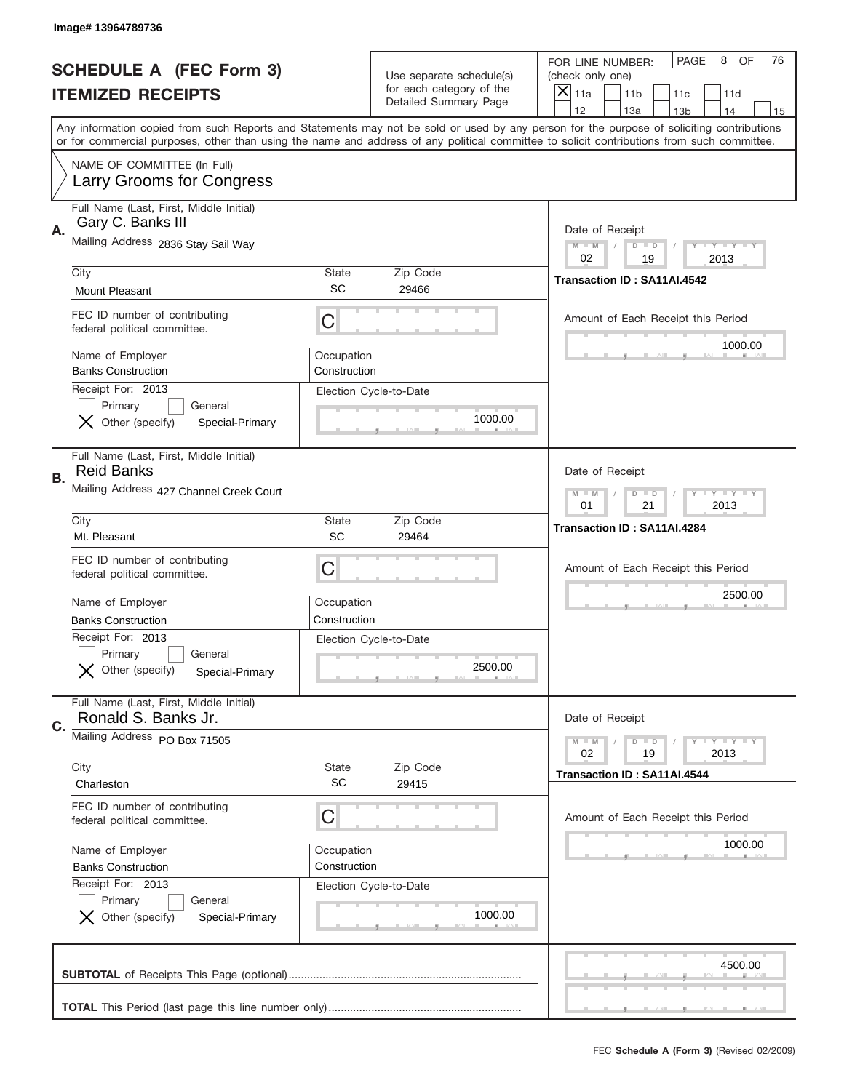|    | Image#13964789736                                                             |                            |                                                                               |                                                                                                                                                                                                                                                                                                                                     |
|----|-------------------------------------------------------------------------------|----------------------------|-------------------------------------------------------------------------------|-------------------------------------------------------------------------------------------------------------------------------------------------------------------------------------------------------------------------------------------------------------------------------------------------------------------------------------|
|    | <b>SCHEDULE A (FEC Form 3)</b><br><b>ITEMIZED RECEIPTS</b>                    |                            | Use separate schedule(s)<br>for each category of the<br>Detailed Summary Page | PAGE<br>OF<br>8<br>76<br>FOR LINE NUMBER:<br>(check only one)<br>×<br>11a<br>11 <sub>b</sub><br>11c<br>11d                                                                                                                                                                                                                          |
|    |                                                                               |                            |                                                                               | 12<br>13a<br>14<br>13 <sub>b</sub><br>15<br>Any information copied from such Reports and Statements may not be sold or used by any person for the purpose of soliciting contributions<br>or for commercial purposes, other than using the name and address of any political committee to solicit contributions from such committee. |
|    | NAME OF COMMITTEE (In Full)<br>Larry Grooms for Congress                      |                            |                                                                               |                                                                                                                                                                                                                                                                                                                                     |
| Α. | Full Name (Last, First, Middle Initial)<br>Gary C. Banks III                  |                            |                                                                               | Date of Receipt                                                                                                                                                                                                                                                                                                                     |
|    | Mailing Address 2836 Stay Sail Way                                            |                            |                                                                               | $M - M$<br><b>LEY LEY LEY</b><br>$D$ $D$<br>02<br>19<br>2013                                                                                                                                                                                                                                                                        |
|    | City<br><b>Mount Pleasant</b>                                                 | State<br>SC                | Zip Code<br>29466                                                             | Transaction ID: SA11AI.4542                                                                                                                                                                                                                                                                                                         |
|    | FEC ID number of contributing<br>federal political committee.                 | C                          |                                                                               | Amount of Each Receipt this Period                                                                                                                                                                                                                                                                                                  |
|    | Name of Employer<br><b>Banks Construction</b>                                 | Occupation<br>Construction |                                                                               | 1000.00                                                                                                                                                                                                                                                                                                                             |
|    | Receipt For: 2013<br>Primary<br>General<br>Other (specify)<br>Special-Primary |                            | Election Cycle-to-Date<br>1000.00                                             |                                                                                                                                                                                                                                                                                                                                     |
| В. | Full Name (Last, First, Middle Initial)<br><b>Reid Banks</b>                  |                            |                                                                               | Date of Receipt                                                                                                                                                                                                                                                                                                                     |
|    | Mailing Address 427 Channel Creek Court                                       |                            | <b>LYLYLY</b><br>$M - M$<br>$D$ $D$<br>01<br>21<br>2013                       |                                                                                                                                                                                                                                                                                                                                     |
|    | City<br>Mt. Pleasant                                                          | State<br>SC                | Zip Code<br>29464                                                             | Transaction ID: SA11AI.4284                                                                                                                                                                                                                                                                                                         |
|    |                                                                               |                            |                                                                               |                                                                                                                                                                                                                                                                                                                                     |
|    | FEC ID number of contributing<br>federal political committee.                 | C                          |                                                                               | Amount of Each Receipt this Period                                                                                                                                                                                                                                                                                                  |
|    | Name of Employer                                                              | Occupation                 |                                                                               | 2500.00                                                                                                                                                                                                                                                                                                                             |
|    | <b>Banks Construction</b>                                                     | Construction               |                                                                               |                                                                                                                                                                                                                                                                                                                                     |
|    | Receipt For: 2013<br>General<br>Primary<br>Other (specify)<br>Special-Primary |                            | Election Cycle-to-Date<br>2500.00                                             |                                                                                                                                                                                                                                                                                                                                     |
|    | Full Name (Last, First, Middle Initial)<br>Ronald S. Banks Jr.                |                            |                                                                               | Date of Receipt                                                                                                                                                                                                                                                                                                                     |
| C. | Mailing Address PO Box 71505                                                  |                            |                                                                               | <b>LYLYLY</b><br>$M - M$<br>$D$ $D$<br>02<br>2013<br>19                                                                                                                                                                                                                                                                             |
|    | City<br>Charleston                                                            | <b>State</b><br><b>SC</b>  | Zip Code<br>29415                                                             | Transaction ID: SA11AI.4544                                                                                                                                                                                                                                                                                                         |
|    | FEC ID number of contributing<br>federal political committee.                 | C                          |                                                                               | Amount of Each Receipt this Period                                                                                                                                                                                                                                                                                                  |
|    | Name of Employer<br><b>Banks Construction</b>                                 | Occupation<br>Construction |                                                                               | 1000.00                                                                                                                                                                                                                                                                                                                             |
|    | Receipt For: 2013<br>Primary<br>General<br>Other (specify)<br>Special-Primary |                            | Election Cycle-to-Date<br>1000.00                                             |                                                                                                                                                                                                                                                                                                                                     |
|    |                                                                               |                            |                                                                               | 4500.00                                                                                                                                                                                                                                                                                                                             |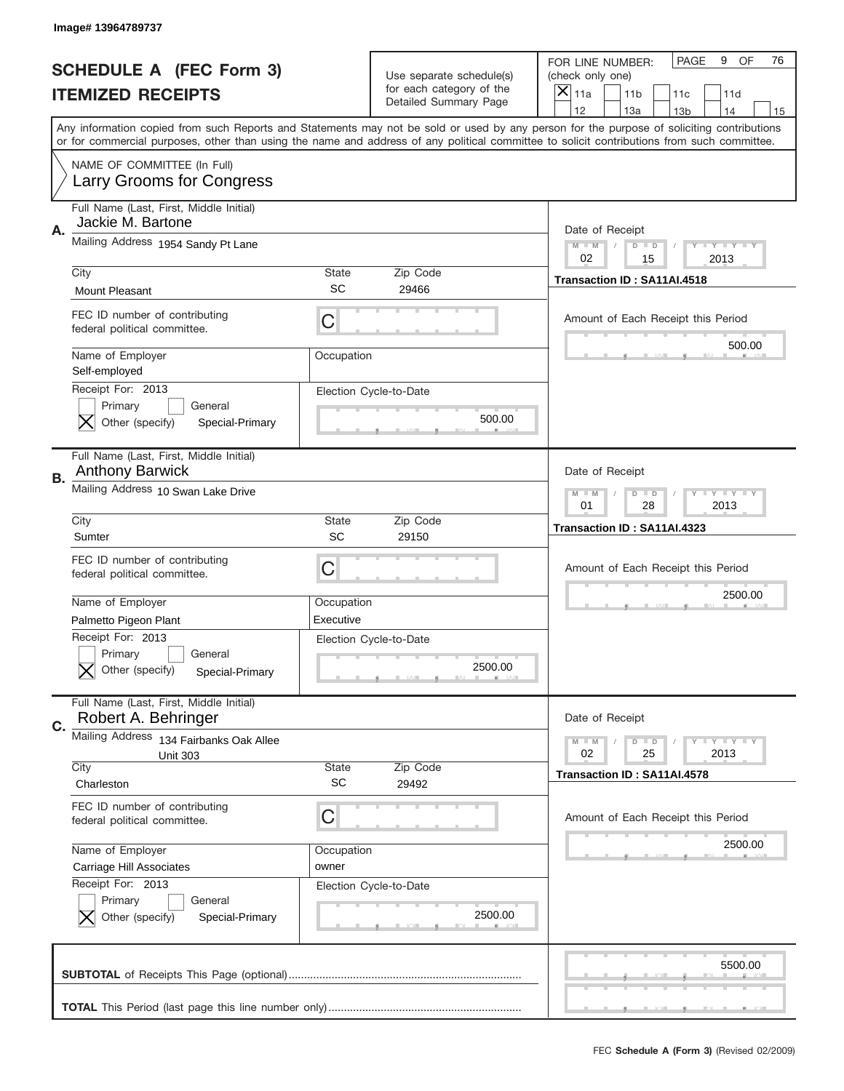|    | Image# 13964789737                                                                                        |                           |                                                   |                                                                                                                                                                                                                                                                                                                                     |
|----|-----------------------------------------------------------------------------------------------------------|---------------------------|---------------------------------------------------|-------------------------------------------------------------------------------------------------------------------------------------------------------------------------------------------------------------------------------------------------------------------------------------------------------------------------------------|
|    | <b>SCHEDULE A (FEC Form 3)</b>                                                                            |                           | Use separate schedule(s)                          | PAGE<br>OF<br>9<br>76<br>FOR LINE NUMBER:<br>(check only one)                                                                                                                                                                                                                                                                       |
|    | <b>ITEMIZED RECEIPTS</b>                                                                                  |                           | for each category of the<br>Detailed Summary Page | ×<br>11a<br>11 <sub>b</sub><br>11c<br>11d                                                                                                                                                                                                                                                                                           |
|    |                                                                                                           |                           |                                                   | 12<br>13a<br>14<br>13 <sub>b</sub><br>15<br>Any information copied from such Reports and Statements may not be sold or used by any person for the purpose of soliciting contributions<br>or for commercial purposes, other than using the name and address of any political committee to solicit contributions from such committee. |
|    | NAME OF COMMITTEE (In Full)<br>Larry Grooms for Congress                                                  |                           |                                                   |                                                                                                                                                                                                                                                                                                                                     |
| Α. | Full Name (Last, First, Middle Initial)<br>Jackie M. Bartone                                              |                           |                                                   | Date of Receipt                                                                                                                                                                                                                                                                                                                     |
|    | Mailing Address 1954 Sandy Pt Lane                                                                        |                           |                                                   | $M - M$<br><b>LEY LEY LEY</b><br>$D$ $D$<br>02<br>15<br>2013                                                                                                                                                                                                                                                                        |
|    | City<br><b>Mount Pleasant</b>                                                                             | State<br>SC               | Zip Code<br>29466                                 | Transaction ID: SA11AI.4518                                                                                                                                                                                                                                                                                                         |
|    | FEC ID number of contributing<br>federal political committee.                                             | C                         |                                                   | Amount of Each Receipt this Period                                                                                                                                                                                                                                                                                                  |
|    | Name of Employer<br>Self-employed                                                                         | Occupation                |                                                   | 500.00                                                                                                                                                                                                                                                                                                                              |
|    | Receipt For: 2013<br>Primary<br>General<br>Other (specify)<br>Special-Primary                             |                           | Election Cycle-to-Date<br>500.00                  |                                                                                                                                                                                                                                                                                                                                     |
| В. | Full Name (Last, First, Middle Initial)<br><b>Anthony Barwick</b>                                         |                           |                                                   | Date of Receipt                                                                                                                                                                                                                                                                                                                     |
|    | Mailing Address 10 Swan Lake Drive                                                                        |                           |                                                   | $M$ M<br><b>LYLYLY</b><br>$D$ $D$<br>01<br>28<br>2013                                                                                                                                                                                                                                                                               |
|    | City<br>Sumter                                                                                            | State<br>SC               | Zip Code<br>29150                                 | Transaction ID: SA11AI.4323                                                                                                                                                                                                                                                                                                         |
|    | FEC ID number of contributing<br>federal political committee.                                             | C                         |                                                   | Amount of Each Receipt this Period                                                                                                                                                                                                                                                                                                  |
|    | Name of Employer                                                                                          | Occupation                |                                                   | 2500.00                                                                                                                                                                                                                                                                                                                             |
|    | Palmetto Pigeon Plant<br>Receipt For: 2013<br>General<br>Primary<br>Other (specify)<br>Special-Primary    | Executive                 | Election Cycle-to-Date<br>2500.00                 |                                                                                                                                                                                                                                                                                                                                     |
|    | Full Name (Last, First, Middle Initial)                                                                   |                           |                                                   |                                                                                                                                                                                                                                                                                                                                     |
| C. | Robert A. Behringer                                                                                       |                           |                                                   | Date of Receipt                                                                                                                                                                                                                                                                                                                     |
|    | Mailing Address 134 Fairbanks Oak Allee<br><b>Unit 303</b>                                                |                           |                                                   | $I - Y - I - Y - I - Y$<br>$M - M$<br>$D$ $D$<br>02<br>25<br>2013                                                                                                                                                                                                                                                                   |
|    | City<br>Charleston                                                                                        | <b>State</b><br><b>SC</b> | Zip Code<br>29492                                 | Transaction ID: SA11AI.4578                                                                                                                                                                                                                                                                                                         |
|    | FEC ID number of contributing<br>federal political committee.                                             | C                         |                                                   | Amount of Each Receipt this Period                                                                                                                                                                                                                                                                                                  |
|    | Name of Employer                                                                                          | Occupation                |                                                   | 2500.00                                                                                                                                                                                                                                                                                                                             |
|    | Carriage Hill Associates<br>Receipt For: 2013<br>Primary<br>General<br>Other (specify)<br>Special-Primary | owner                     | Election Cycle-to-Date<br>2500.00                 |                                                                                                                                                                                                                                                                                                                                     |
|    |                                                                                                           |                           |                                                   | 5500.00                                                                                                                                                                                                                                                                                                                             |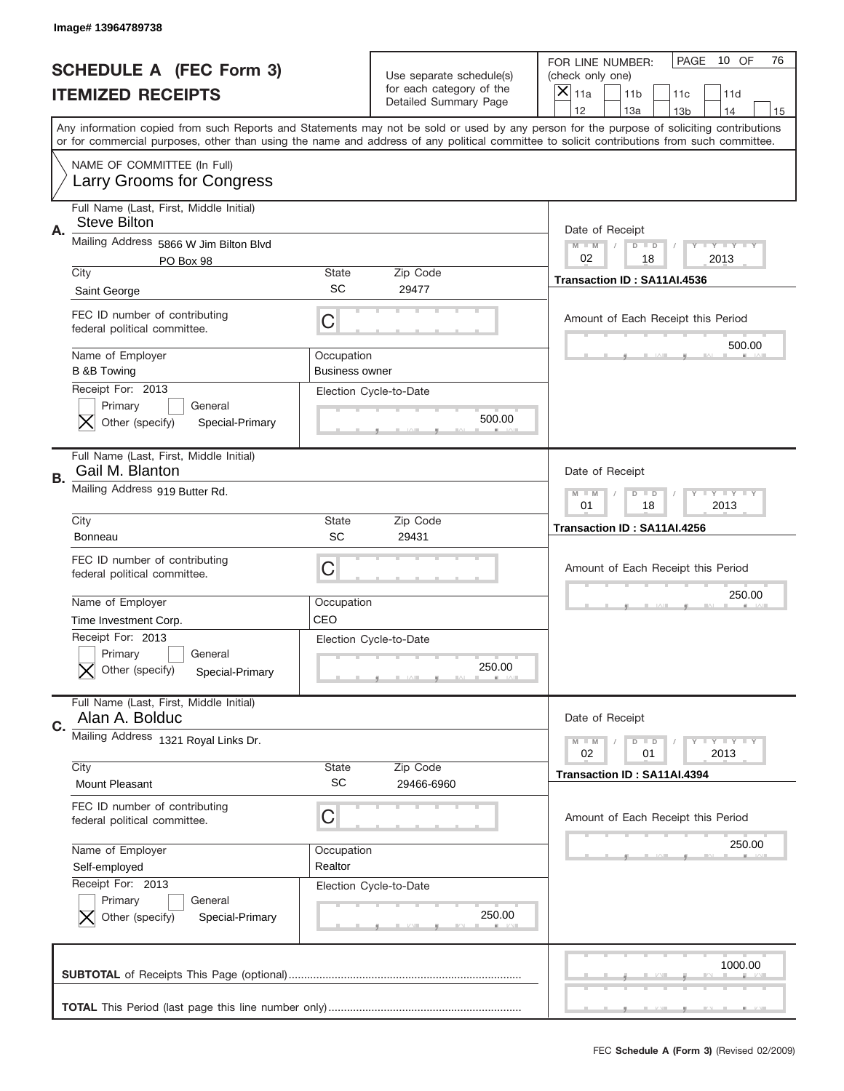|    | Image# 13964789738                                                                                     |                                     |                                                                               |                                                                                                                                                                                                                                                                                         |
|----|--------------------------------------------------------------------------------------------------------|-------------------------------------|-------------------------------------------------------------------------------|-----------------------------------------------------------------------------------------------------------------------------------------------------------------------------------------------------------------------------------------------------------------------------------------|
|    | <b>SCHEDULE A (FEC Form 3)</b><br><b>ITEMIZED RECEIPTS</b>                                             |                                     | Use separate schedule(s)<br>for each category of the<br>Detailed Summary Page | PAGE<br>10 OF<br>76<br>FOR LINE NUMBER:<br>(check only one)<br>×<br>11a<br>11 <sub>b</sub><br>11c<br>11d<br>12<br>13a<br>14<br>13 <sub>b</sub><br>15                                                                                                                                    |
|    |                                                                                                        |                                     |                                                                               | Any information copied from such Reports and Statements may not be sold or used by any person for the purpose of soliciting contributions<br>or for commercial purposes, other than using the name and address of any political committee to solicit contributions from such committee. |
|    | NAME OF COMMITTEE (In Full)<br>Larry Grooms for Congress                                               |                                     |                                                                               |                                                                                                                                                                                                                                                                                         |
| А. | Full Name (Last, First, Middle Initial)<br><b>Steve Bilton</b>                                         |                                     |                                                                               | Date of Receipt                                                                                                                                                                                                                                                                         |
|    | Mailing Address 5866 W Jim Bilton Blvd<br>PO Box 98<br>City                                            | State                               | Zip Code                                                                      | $M - M$<br><b>LYLYLY</b><br>$D$ $D$<br>02<br>2013<br>18                                                                                                                                                                                                                                 |
|    | Saint George                                                                                           | SC                                  | 29477                                                                         | Transaction ID: SA11AI.4536                                                                                                                                                                                                                                                             |
|    | FEC ID number of contributing<br>federal political committee.                                          | C                                   |                                                                               | Amount of Each Receipt this Period                                                                                                                                                                                                                                                      |
|    | Name of Employer<br><b>B &amp;B Towing</b>                                                             | Occupation<br><b>Business owner</b> |                                                                               | 500.00                                                                                                                                                                                                                                                                                  |
|    | Receipt For: 2013<br>Primary<br>General<br>Other (specify)<br>Special-Primary                          |                                     | Election Cycle-to-Date<br>500.00                                              |                                                                                                                                                                                                                                                                                         |
| В. | Full Name (Last, First, Middle Initial)<br>Gail M. Blanton                                             |                                     |                                                                               | Date of Receipt                                                                                                                                                                                                                                                                         |
|    | Mailing Address 919 Butter Rd.                                                                         |                                     |                                                                               | <b>LY LY LY</b><br>$M$ M<br>$D$ $D$<br>01<br>18<br>2013                                                                                                                                                                                                                                 |
|    | City<br><b>Bonneau</b>                                                                                 | State<br>SC                         | Zip Code<br>29431                                                             | Transaction ID: SA11AI.4256                                                                                                                                                                                                                                                             |
|    |                                                                                                        |                                     |                                                                               |                                                                                                                                                                                                                                                                                         |
|    | FEC ID number of contributing<br>federal political committee.                                          | C                                   |                                                                               | Amount of Each Receipt this Period                                                                                                                                                                                                                                                      |
|    | Name of Employer                                                                                       | Occupation                          |                                                                               | 250.00                                                                                                                                                                                                                                                                                  |
|    | Time Investment Corp.<br>Receipt For: 2013<br>General<br>Primary<br>Other (specify)<br>Special-Primary | CEO                                 | Election Cycle-to-Date<br>250.00                                              |                                                                                                                                                                                                                                                                                         |
| C. | Full Name (Last, First, Middle Initial)<br>Alan A. Bolduc                                              |                                     |                                                                               | Date of Receipt                                                                                                                                                                                                                                                                         |
|    | Mailing Address 1321 Royal Links Dr.                                                                   |                                     |                                                                               | $I - Y - I - Y - I - Y$<br>$M - M$<br>$D$ $D$<br>02<br>2013<br>01                                                                                                                                                                                                                       |
|    | City<br><b>Mount Pleasant</b>                                                                          | <b>State</b><br>SC                  | Zip Code<br>29466-6960                                                        | Transaction ID: SA11AI.4394                                                                                                                                                                                                                                                             |
|    | FEC ID number of contributing<br>federal political committee.                                          | C                                   |                                                                               | Amount of Each Receipt this Period                                                                                                                                                                                                                                                      |
|    | Name of Employer<br>Self-employed                                                                      | Occupation<br>Realtor               |                                                                               | 250.00                                                                                                                                                                                                                                                                                  |
|    | Receipt For: 2013<br>Primary<br>General<br>Other (specify)<br>Special-Primary                          |                                     | Election Cycle-to-Date<br>250.00                                              |                                                                                                                                                                                                                                                                                         |
|    |                                                                                                        |                                     |                                                                               | 1000.00                                                                                                                                                                                                                                                                                 |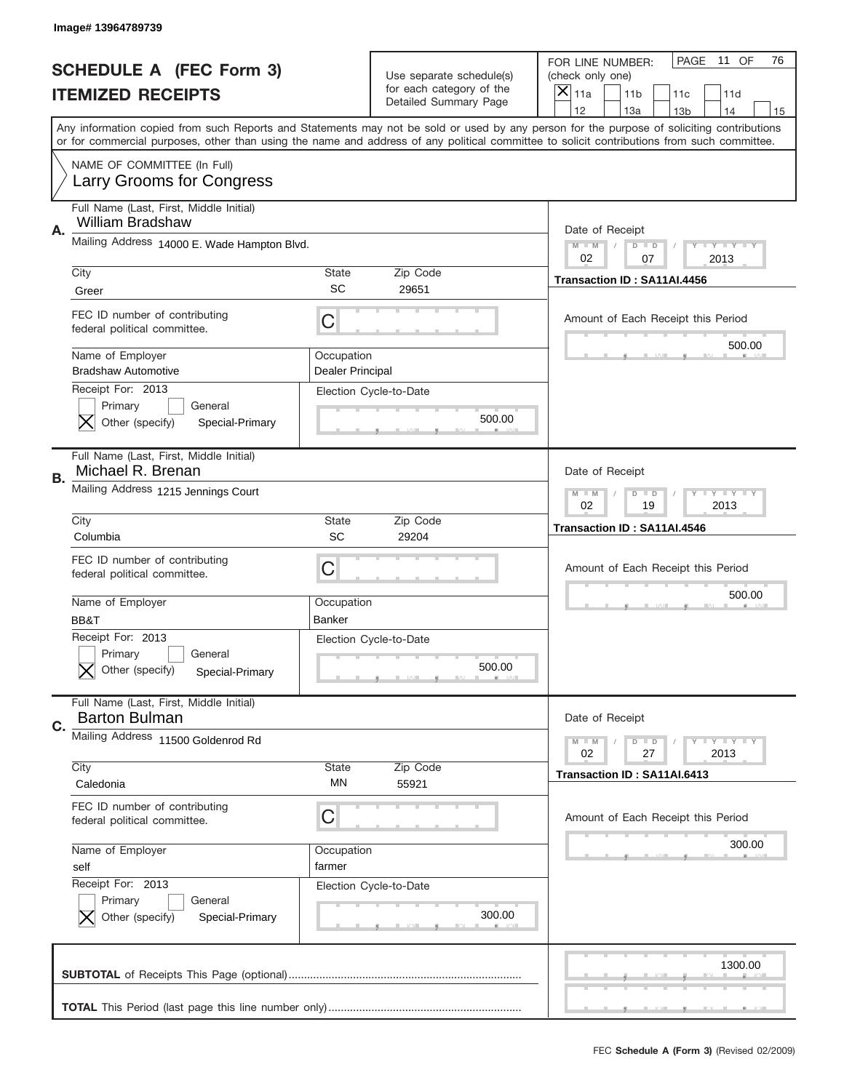|    | Image# 13964789739                                                            |                                |                                                   |                                                                                                                                                                                                                                                                                                                                     |
|----|-------------------------------------------------------------------------------|--------------------------------|---------------------------------------------------|-------------------------------------------------------------------------------------------------------------------------------------------------------------------------------------------------------------------------------------------------------------------------------------------------------------------------------------|
|    | <b>SCHEDULE A (FEC Form 3)</b>                                                |                                | Use separate schedule(s)                          | PAGE<br>11 OF<br>76<br>FOR LINE NUMBER:<br>(check only one)                                                                                                                                                                                                                                                                         |
|    | <b>ITEMIZED RECEIPTS</b>                                                      |                                | for each category of the<br>Detailed Summary Page | $\times$<br>11a<br>11 <sub>b</sub><br>11c<br>11d                                                                                                                                                                                                                                                                                    |
|    |                                                                               |                                |                                                   | 12<br>13a<br>14<br>13 <sub>b</sub><br>15<br>Any information copied from such Reports and Statements may not be sold or used by any person for the purpose of soliciting contributions<br>or for commercial purposes, other than using the name and address of any political committee to solicit contributions from such committee. |
|    | NAME OF COMMITTEE (In Full)<br>Larry Grooms for Congress                      |                                |                                                   |                                                                                                                                                                                                                                                                                                                                     |
| Α. | Full Name (Last, First, Middle Initial)<br><b>William Bradshaw</b>            |                                |                                                   | Date of Receipt                                                                                                                                                                                                                                                                                                                     |
|    | Mailing Address 14000 E. Wade Hampton Blvd.                                   |                                |                                                   | <b>LYLYLY</b><br>$M - M$<br>$D$ $D$<br>02<br>07<br>2013                                                                                                                                                                                                                                                                             |
|    | City<br>Greer                                                                 | <b>State</b><br>SC             | Zip Code<br>29651                                 | Transaction ID: SA11AI.4456                                                                                                                                                                                                                                                                                                         |
|    | FEC ID number of contributing<br>federal political committee.                 | C                              |                                                   | Amount of Each Receipt this Period<br>500.00                                                                                                                                                                                                                                                                                        |
|    | Name of Employer<br><b>Bradshaw Automotive</b>                                | Occupation<br>Dealer Principal |                                                   |                                                                                                                                                                                                                                                                                                                                     |
|    | Receipt For: 2013<br>Primary<br>General<br>Other (specify)<br>Special-Primary |                                | Election Cycle-to-Date<br>500.00                  |                                                                                                                                                                                                                                                                                                                                     |
| В. | Full Name (Last, First, Middle Initial)<br>Michael R. Brenan                  |                                |                                                   | Date of Receipt                                                                                                                                                                                                                                                                                                                     |
|    | Mailing Address 1215 Jennings Court                                           |                                |                                                   | <b>LY LY LY</b><br>$M - M$<br>$D$ $D$<br>02<br>19<br>2013                                                                                                                                                                                                                                                                           |
|    | City<br>Columbia                                                              | <b>State</b><br>SC             | Zip Code<br>29204                                 | Transaction ID: SA11AI.4546                                                                                                                                                                                                                                                                                                         |
|    | FEC ID number of contributing<br>federal political committee.                 | С                              |                                                   | Amount of Each Receipt this Period                                                                                                                                                                                                                                                                                                  |
|    | Name of Employer<br>BB&T                                                      | Occupation<br>Banker           |                                                   | 500.00                                                                                                                                                                                                                                                                                                                              |
|    | Receipt For: 2013<br>General<br>Primary                                       |                                | Election Cycle-to-Date                            |                                                                                                                                                                                                                                                                                                                                     |
|    | Other (specify)<br>Special-Primary                                            |                                | 500.00                                            |                                                                                                                                                                                                                                                                                                                                     |
| C. | Full Name (Last, First, Middle Initial)<br><b>Barton Bulman</b>               |                                |                                                   | Date of Receipt                                                                                                                                                                                                                                                                                                                     |
|    | Mailing Address 11500 Goldenrod Rd                                            |                                |                                                   | <b>LYLYLY</b><br>$M - M$<br>$D$ $D$<br>02<br>27<br>2013                                                                                                                                                                                                                                                                             |
|    | City<br>Caledonia                                                             | <b>State</b><br>ΜN             | Zip Code<br>55921                                 | Transaction ID: SA11AI.6413                                                                                                                                                                                                                                                                                                         |
|    | FEC ID number of contributing<br>federal political committee.                 | С                              |                                                   | Amount of Each Receipt this Period                                                                                                                                                                                                                                                                                                  |
|    | Name of Employer<br>self                                                      | Occupation<br>farmer           |                                                   | 300.00                                                                                                                                                                                                                                                                                                                              |
|    | Receipt For: 2013<br>Primary<br>General<br>Other (specify)<br>Special-Primary |                                | Election Cycle-to-Date<br>300.00                  |                                                                                                                                                                                                                                                                                                                                     |
|    |                                                                               |                                |                                                   | 1300.00                                                                                                                                                                                                                                                                                                                             |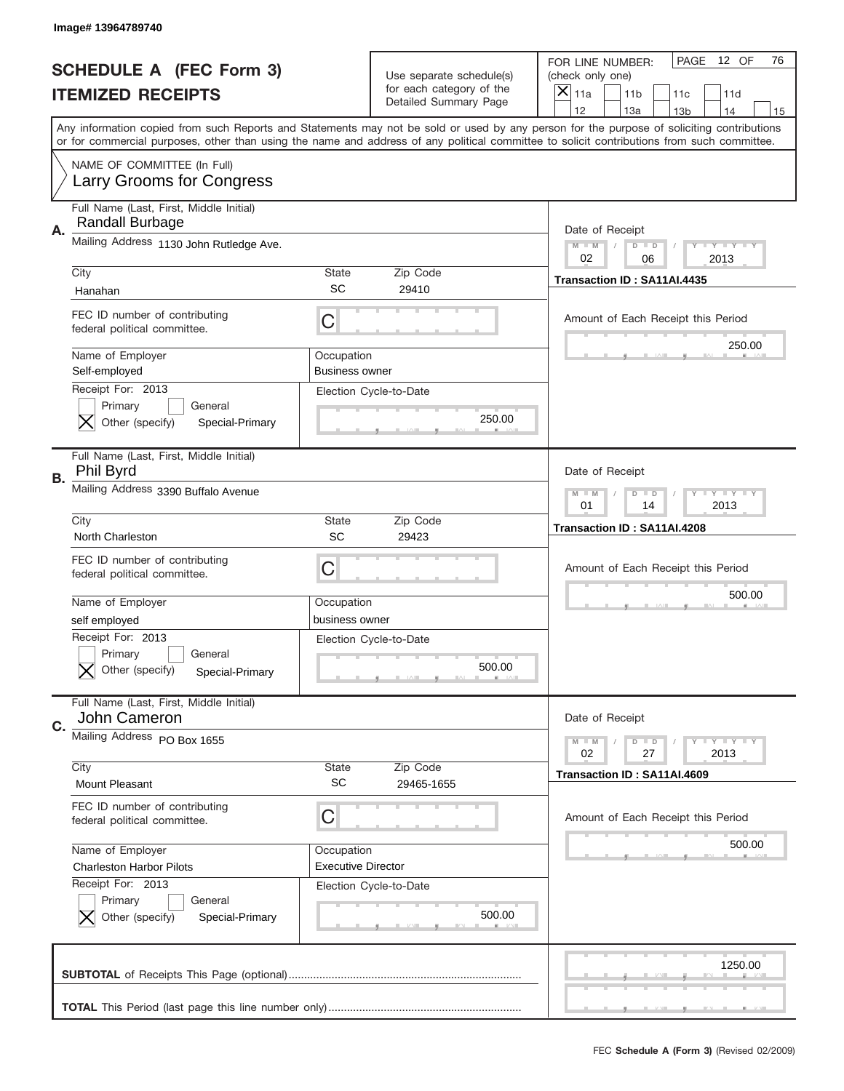|    | Image#13964789740                                                             |                                                       |                                                                               |                                                                                                                                                                                                                                                                                                                                     |
|----|-------------------------------------------------------------------------------|-------------------------------------------------------|-------------------------------------------------------------------------------|-------------------------------------------------------------------------------------------------------------------------------------------------------------------------------------------------------------------------------------------------------------------------------------------------------------------------------------|
|    | <b>SCHEDULE A (FEC Form 3)</b><br><b>ITEMIZED RECEIPTS</b>                    |                                                       | Use separate schedule(s)<br>for each category of the<br>Detailed Summary Page | PAGE<br>12 OF<br>76<br>FOR LINE NUMBER:<br>(check only one)<br>×<br>11a<br>11 <sub>b</sub><br>11c<br>11d                                                                                                                                                                                                                            |
|    |                                                                               |                                                       |                                                                               | 12<br>13a<br>14<br>13 <sub>b</sub><br>15<br>Any information copied from such Reports and Statements may not be sold or used by any person for the purpose of soliciting contributions<br>or for commercial purposes, other than using the name and address of any political committee to solicit contributions from such committee. |
|    | NAME OF COMMITTEE (In Full)<br>Larry Grooms for Congress                      |                                                       |                                                                               |                                                                                                                                                                                                                                                                                                                                     |
| Α. | Full Name (Last, First, Middle Initial)<br>Randall Burbage                    |                                                       |                                                                               | Date of Receipt                                                                                                                                                                                                                                                                                                                     |
|    | Mailing Address 1130 John Rutledge Ave.                                       |                                                       |                                                                               | $M - M$<br><b>LYLYLY</b><br>$D$ $D$<br>02                                                                                                                                                                                                                                                                                           |
|    | City<br>Hanahan                                                               | State<br>SC                                           | Zip Code<br>29410                                                             | 06<br>2013<br>Transaction ID: SA11AI.4435                                                                                                                                                                                                                                                                                           |
|    | FEC ID number of contributing<br>federal political committee.                 | C                                                     |                                                                               | Amount of Each Receipt this Period                                                                                                                                                                                                                                                                                                  |
|    | Name of Employer<br>Self-employed                                             | Occupation<br><b>Business owner</b>                   |                                                                               | 250.00                                                                                                                                                                                                                                                                                                                              |
|    | Receipt For: 2013<br>Primary<br>General<br>Other (specify)<br>Special-Primary |                                                       | Election Cycle-to-Date<br>250.00                                              |                                                                                                                                                                                                                                                                                                                                     |
| В. | Full Name (Last, First, Middle Initial)<br>Phil Byrd                          |                                                       |                                                                               | Date of Receipt                                                                                                                                                                                                                                                                                                                     |
|    | Mailing Address 3390 Buffalo Avenue                                           | $M$ M<br><b>LYLYLY</b><br>$D$ $D$<br>01<br>14<br>2013 |                                                                               |                                                                                                                                                                                                                                                                                                                                     |
|    | City<br>North Charleston                                                      | State<br>SC                                           | Zip Code<br>29423                                                             | Transaction ID: SA11AI.4208                                                                                                                                                                                                                                                                                                         |
|    | FEC ID number of contributing                                                 | C                                                     |                                                                               | Amount of Each Receipt this Period                                                                                                                                                                                                                                                                                                  |
|    | federal political committee.                                                  |                                                       |                                                                               |                                                                                                                                                                                                                                                                                                                                     |
|    | Name of Employer                                                              | Occupation                                            |                                                                               | 500.00                                                                                                                                                                                                                                                                                                                              |
|    | self employed                                                                 | business owner                                        |                                                                               |                                                                                                                                                                                                                                                                                                                                     |
|    | Receipt For: 2013<br>General<br>Primary<br>Other (specify)<br>Special-Primary |                                                       | Election Cycle-to-Date<br>500.00                                              |                                                                                                                                                                                                                                                                                                                                     |
|    | Full Name (Last, First, Middle Initial)<br>John Cameron                       |                                                       |                                                                               | Date of Receipt                                                                                                                                                                                                                                                                                                                     |
|    | Mailing Address PO Box 1655                                                   |                                                       |                                                                               | $I - Y - I - Y - I - Y$<br>$M - M$<br>$D$ $D$<br>02<br>2013<br>27                                                                                                                                                                                                                                                                   |
| C. | City<br><b>Mount Pleasant</b>                                                 | State<br><b>SC</b>                                    | Zip Code<br>29465-1655                                                        | Transaction ID: SA11AI.4609                                                                                                                                                                                                                                                                                                         |
|    | FEC ID number of contributing<br>federal political committee.                 | C                                                     |                                                                               | Amount of Each Receipt this Period                                                                                                                                                                                                                                                                                                  |
|    | Name of Employer<br><b>Charleston Harbor Pilots</b>                           | Occupation<br><b>Executive Director</b>               |                                                                               | 500.00                                                                                                                                                                                                                                                                                                                              |
|    | Receipt For: 2013<br>Primary<br>General<br>Other (specify)<br>Special-Primary |                                                       | Election Cycle-to-Date<br>500.00                                              |                                                                                                                                                                                                                                                                                                                                     |
|    |                                                                               |                                                       |                                                                               | 1250.00                                                                                                                                                                                                                                                                                                                             |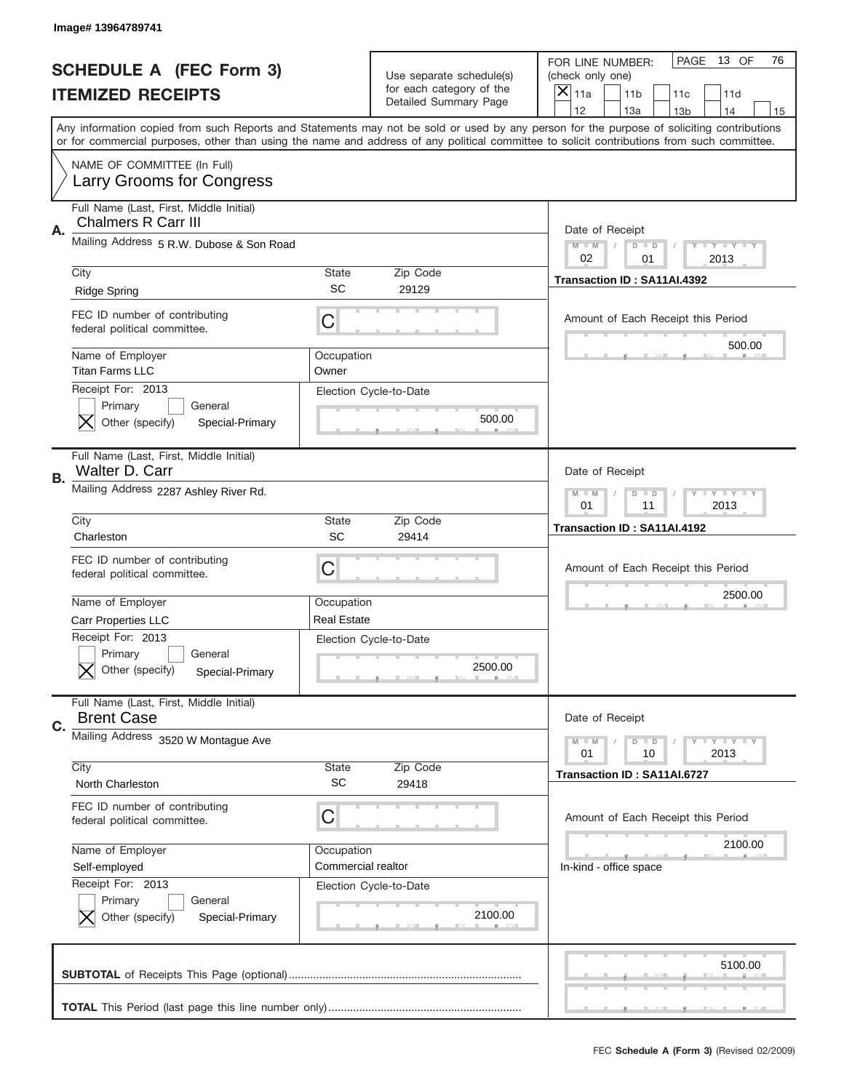|           | Image# 13964789741                                                            |                           |                                                      |                                                                                                                                                                                                                                                                                                                                     |
|-----------|-------------------------------------------------------------------------------|---------------------------|------------------------------------------------------|-------------------------------------------------------------------------------------------------------------------------------------------------------------------------------------------------------------------------------------------------------------------------------------------------------------------------------------|
|           | <b>SCHEDULE A (FEC Form 3)</b>                                                |                           | Use separate schedule(s)<br>for each category of the | PAGE<br>13 OF<br>76<br>FOR LINE NUMBER:<br>(check only one)                                                                                                                                                                                                                                                                         |
|           | <b>ITEMIZED RECEIPTS</b>                                                      |                           | Detailed Summary Page                                | $\overline{X} _{11a}$<br>11 <sub>b</sub><br>11c<br>11d                                                                                                                                                                                                                                                                              |
|           |                                                                               |                           |                                                      | 12<br>13a<br>14<br>13 <sub>b</sub><br>15<br>Any information copied from such Reports and Statements may not be sold or used by any person for the purpose of soliciting contributions<br>or for commercial purposes, other than using the name and address of any political committee to solicit contributions from such committee. |
|           | NAME OF COMMITTEE (In Full)<br>Larry Grooms for Congress                      |                           |                                                      |                                                                                                                                                                                                                                                                                                                                     |
| Α.        | Full Name (Last, First, Middle Initial)<br>Chalmers R Carr III                |                           |                                                      | Date of Receipt                                                                                                                                                                                                                                                                                                                     |
|           | Mailing Address 5 R.W. Dubose & Son Road                                      |                           |                                                      | $M$ $M$<br>$D$ $D$<br>Y FY FY FY<br>02<br>2013<br>01                                                                                                                                                                                                                                                                                |
|           | City<br><b>Ridge Spring</b>                                                   | State<br>SC               | Zip Code<br>29129                                    | Transaction ID: SA11AI.4392                                                                                                                                                                                                                                                                                                         |
|           | FEC ID number of contributing<br>federal political committee.                 | C                         |                                                      | Amount of Each Receipt this Period<br>500.00                                                                                                                                                                                                                                                                                        |
|           | Name of Employer<br><b>Titan Farms LLC</b>                                    | Occupation<br>Owner       |                                                      |                                                                                                                                                                                                                                                                                                                                     |
|           | Receipt For: 2013<br>Primary<br>General<br>Other (specify)<br>Special-Primary |                           | Election Cycle-to-Date<br>500.00                     |                                                                                                                                                                                                                                                                                                                                     |
| <b>B.</b> | Full Name (Last, First, Middle Initial)<br>Walter D. Carr                     |                           |                                                      | Date of Receipt                                                                                                                                                                                                                                                                                                                     |
|           | Mailing Address 2287 Ashley River Rd.                                         |                           |                                                      | $D$ $D$<br>Y I Y I Y I Y<br>$M - M$<br>01<br>11<br>2013                                                                                                                                                                                                                                                                             |
|           | City<br>Charleston                                                            | <b>State</b><br><b>SC</b> | Zip Code<br>29414                                    | Transaction ID: SA11AI.4192                                                                                                                                                                                                                                                                                                         |
|           | FEC ID number of contributing<br>federal political committee.                 | C                         |                                                      | Amount of Each Receipt this Period                                                                                                                                                                                                                                                                                                  |
|           | Name of Employer                                                              | Occupation                |                                                      | 2500.00                                                                                                                                                                                                                                                                                                                             |
|           | Carr Properties LLC                                                           | <b>Real Estate</b>        |                                                      |                                                                                                                                                                                                                                                                                                                                     |
|           | Receipt For: 2013<br>General<br>Primary<br>Other (specify)<br>Special-Primary |                           | Election Cycle-to-Date<br>2500.00                    |                                                                                                                                                                                                                                                                                                                                     |
| C.        | Full Name (Last, First, Middle Initial)<br><b>Brent Case</b>                  |                           |                                                      | Date of Receipt                                                                                                                                                                                                                                                                                                                     |
|           | Mailing Address 3520 W Montague Ave                                           |                           |                                                      | <b>LYLYLY</b><br>$M - M$<br>$D$ $D$<br>01<br>2013<br>10                                                                                                                                                                                                                                                                             |
|           | City<br>North Charleston                                                      | <b>State</b><br><b>SC</b> | Zip Code<br>29418                                    | Transaction ID: SA11AI.6727                                                                                                                                                                                                                                                                                                         |
|           | FEC ID number of contributing<br>federal political committee.                 | C                         |                                                      | Amount of Each Receipt this Period                                                                                                                                                                                                                                                                                                  |
|           | Name of Employer                                                              | Occupation                |                                                      | 2100.00                                                                                                                                                                                                                                                                                                                             |
|           | Self-employed                                                                 | Commercial realtor        |                                                      | In-kind - office space                                                                                                                                                                                                                                                                                                              |
|           | Receipt For: 2013<br>Primary<br>General<br>Other (specify)<br>Special-Primary |                           | Election Cycle-to-Date<br>2100.00                    |                                                                                                                                                                                                                                                                                                                                     |
|           |                                                                               |                           |                                                      | 5100.00                                                                                                                                                                                                                                                                                                                             |
|           |                                                                               |                           |                                                      |                                                                                                                                                                                                                                                                                                                                     |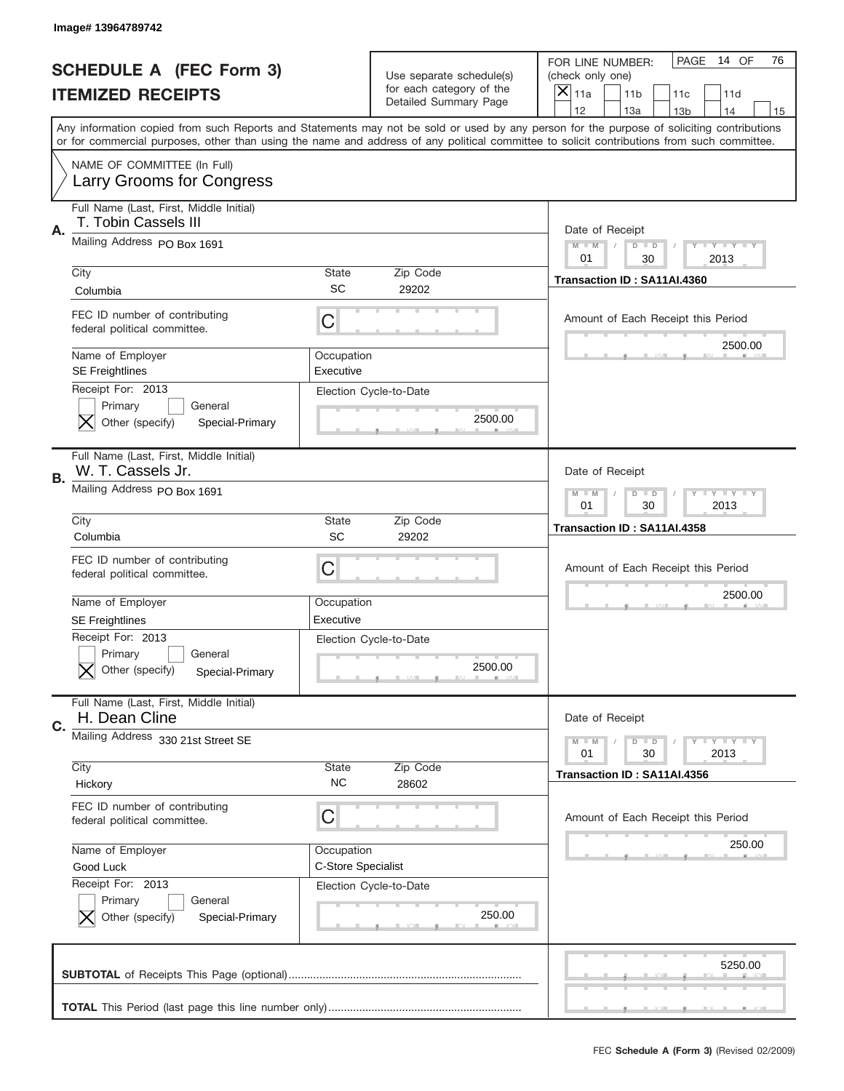|    | Image# 13964789742                                                            |                                  |                                                   |                                                                                                                                                                                                                                                                                                                                     |
|----|-------------------------------------------------------------------------------|----------------------------------|---------------------------------------------------|-------------------------------------------------------------------------------------------------------------------------------------------------------------------------------------------------------------------------------------------------------------------------------------------------------------------------------------|
|    | <b>SCHEDULE A (FEC Form 3)</b>                                                |                                  | Use separate schedule(s)                          | PAGE<br>14 OF<br>76<br>FOR LINE NUMBER:<br>(check only one)                                                                                                                                                                                                                                                                         |
|    | <b>ITEMIZED RECEIPTS</b>                                                      |                                  | for each category of the<br>Detailed Summary Page | ×<br>11a<br>11 <sub>b</sub><br>11c<br>11d                                                                                                                                                                                                                                                                                           |
|    |                                                                               |                                  |                                                   | 12<br>13a<br>14<br>13 <sub>b</sub><br>15<br>Any information copied from such Reports and Statements may not be sold or used by any person for the purpose of soliciting contributions<br>or for commercial purposes, other than using the name and address of any political committee to solicit contributions from such committee. |
|    | NAME OF COMMITTEE (In Full)<br>Larry Grooms for Congress                      |                                  |                                                   |                                                                                                                                                                                                                                                                                                                                     |
| Α. | Full Name (Last, First, Middle Initial)<br>T. Tobin Cassels III               |                                  |                                                   | Date of Receipt                                                                                                                                                                                                                                                                                                                     |
|    | Mailing Address PO Box 1691                                                   |                                  |                                                   | $M - M$<br><b>LYLYLY</b><br>$D$ $D$<br>01<br>30<br>2013                                                                                                                                                                                                                                                                             |
|    | City<br>Columbia                                                              | State<br>SC                      | Zip Code<br>29202                                 | Transaction ID: SA11AI.4360                                                                                                                                                                                                                                                                                                         |
|    | FEC ID number of contributing<br>federal political committee.                 | C                                |                                                   | Amount of Each Receipt this Period<br>2500.00                                                                                                                                                                                                                                                                                       |
|    | Name of Employer<br><b>SE Freightlines</b>                                    | Occupation<br>Executive          |                                                   |                                                                                                                                                                                                                                                                                                                                     |
|    | Receipt For: 2013<br>Primary<br>General<br>Other (specify)<br>Special-Primary |                                  | Election Cycle-to-Date<br>2500.00                 |                                                                                                                                                                                                                                                                                                                                     |
| В. | Full Name (Last, First, Middle Initial)<br>W. T. Cassels Jr.                  |                                  |                                                   | Date of Receipt                                                                                                                                                                                                                                                                                                                     |
|    | Mailing Address PO Box 1691                                                   |                                  |                                                   | $M - M$<br><b>LYLYLY</b><br>$D$ $D$<br>01<br>30<br>2013                                                                                                                                                                                                                                                                             |
|    | City<br>Columbia                                                              | State<br>SC                      | Zip Code<br>29202                                 | Transaction ID: SA11AI.4358                                                                                                                                                                                                                                                                                                         |
|    | FEC ID number of contributing<br>federal political committee.                 | C                                |                                                   | Amount of Each Receipt this Period                                                                                                                                                                                                                                                                                                  |
|    | Name of Employer<br><b>SE Freightlines</b>                                    | Occupation<br>Executive          |                                                   | 2500.00                                                                                                                                                                                                                                                                                                                             |
|    | Receipt For: 2013<br>General<br>Primary<br>Other (specify)<br>Special-Primary |                                  | Election Cycle-to-Date<br>2500.00                 |                                                                                                                                                                                                                                                                                                                                     |
| C. | Full Name (Last, First, Middle Initial)<br>H. Dean Cline                      |                                  |                                                   | Date of Receipt                                                                                                                                                                                                                                                                                                                     |
|    | Mailing Address 330 21st Street SE                                            |                                  |                                                   | <b>LYLYLY</b><br>$M - M$<br>$D$ $D$                                                                                                                                                                                                                                                                                                 |
|    |                                                                               |                                  |                                                   | 01<br>2013<br>30                                                                                                                                                                                                                                                                                                                    |
|    | City<br>Hickory                                                               | State<br>NC.                     | Zip Code<br>28602                                 | Transaction ID: SA11AI.4356                                                                                                                                                                                                                                                                                                         |
|    | FEC ID number of contributing<br>federal political committee.                 | С                                |                                                   | Amount of Each Receipt this Period                                                                                                                                                                                                                                                                                                  |
|    | Name of Employer<br>Good Luck                                                 | Occupation<br>C-Store Specialist |                                                   | 250.00                                                                                                                                                                                                                                                                                                                              |
|    | Receipt For: 2013<br>Primary<br>General<br>Other (specify)<br>Special-Primary |                                  | Election Cycle-to-Date<br>250.00                  |                                                                                                                                                                                                                                                                                                                                     |
|    |                                                                               |                                  |                                                   | 5250.00                                                                                                                                                                                                                                                                                                                             |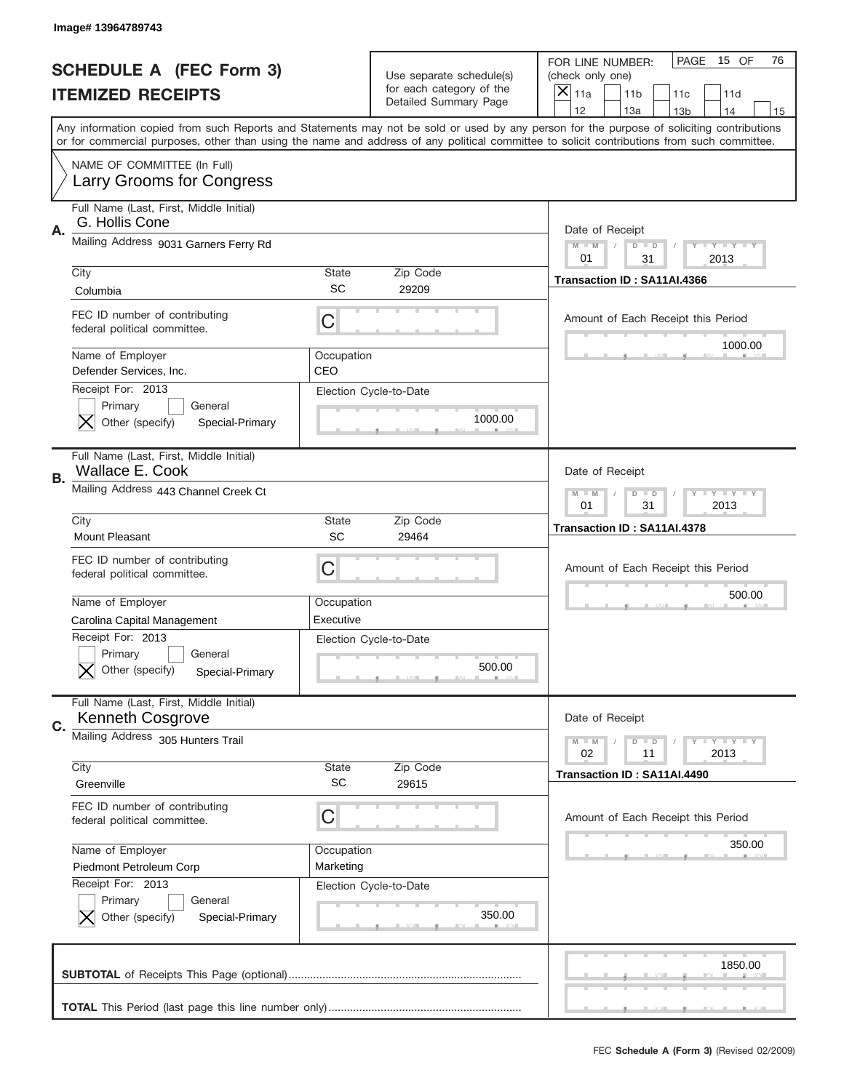|    | Image# 13964789743                                                            |                           |                                                                               |                                                                                                                                                                                                                                                                                                                         |
|----|-------------------------------------------------------------------------------|---------------------------|-------------------------------------------------------------------------------|-------------------------------------------------------------------------------------------------------------------------------------------------------------------------------------------------------------------------------------------------------------------------------------------------------------------------|
|    | <b>SCHEDULE A (FEC Form 3)</b><br><b>ITEMIZED RECEIPTS</b>                    |                           | Use separate schedule(s)<br>for each category of the<br>Detailed Summary Page | PAGE<br>15 OF<br>76<br>FOR LINE NUMBER:<br>(check only one)<br>×<br>11a<br>11 <sub>b</sub><br>11c<br>11d<br>12<br>14                                                                                                                                                                                                    |
|    |                                                                               |                           |                                                                               | 13a<br>13 <sub>b</sub><br>15<br>Any information copied from such Reports and Statements may not be sold or used by any person for the purpose of soliciting contributions<br>or for commercial purposes, other than using the name and address of any political committee to solicit contributions from such committee. |
|    | NAME OF COMMITTEE (In Full)<br>Larry Grooms for Congress                      |                           |                                                                               |                                                                                                                                                                                                                                                                                                                         |
| Α. | Full Name (Last, First, Middle Initial)<br>G. Hollis Cone                     |                           |                                                                               | Date of Receipt                                                                                                                                                                                                                                                                                                         |
|    | Mailing Address 9031 Garners Ferry Rd                                         |                           |                                                                               | $M - M$<br><b>LEY LEY LEY</b><br>$D$ $D$<br>01<br>31<br>2013                                                                                                                                                                                                                                                            |
|    | City<br>Columbia                                                              | State<br>SC               | Zip Code<br>29209                                                             | Transaction ID: SA11AI.4366                                                                                                                                                                                                                                                                                             |
|    | FEC ID number of contributing<br>federal political committee.                 | C                         |                                                                               | Amount of Each Receipt this Period                                                                                                                                                                                                                                                                                      |
|    | Name of Employer<br>Defender Services, Inc.                                   | Occupation<br>CEO         |                                                                               | 1000.00                                                                                                                                                                                                                                                                                                                 |
|    | Receipt For: 2013<br>Primary<br>General<br>Other (specify)<br>Special-Primary |                           | Election Cycle-to-Date<br>1000.00                                             |                                                                                                                                                                                                                                                                                                                         |
| В. | Full Name (Last, First, Middle Initial)<br><b>Wallace E. Cook</b>             |                           |                                                                               | Date of Receipt                                                                                                                                                                                                                                                                                                         |
|    | Mailing Address 443 Channel Creek Ct                                          |                           |                                                                               | <b>LYLYLY</b><br>$M - M$<br>$D$ $D$<br>01<br>31<br>2013                                                                                                                                                                                                                                                                 |
|    | City<br><b>Mount Pleasant</b>                                                 | State<br>SC               | Zip Code<br>29464                                                             | Transaction ID: SA11AI.4378                                                                                                                                                                                                                                                                                             |
|    |                                                                               |                           |                                                                               |                                                                                                                                                                                                                                                                                                                         |
|    | FEC ID number of contributing<br>federal political committee.                 | C                         |                                                                               | Amount of Each Receipt this Period                                                                                                                                                                                                                                                                                      |
|    | Name of Employer<br>Carolina Capital Management                               | Occupation<br>Executive   |                                                                               | 500.00                                                                                                                                                                                                                                                                                                                  |
|    | Receipt For: 2013<br>General<br>Primary<br>Other (specify)<br>Special-Primary |                           | Election Cycle-to-Date<br>500.00                                              |                                                                                                                                                                                                                                                                                                                         |
|    | Full Name (Last, First, Middle Initial)<br><b>Kenneth Cosgrove</b>            |                           |                                                                               | Date of Receipt                                                                                                                                                                                                                                                                                                         |
| C. | Mailing Address 305 Hunters Trail                                             |                           |                                                                               | <b>LYLYLY</b><br>$M - M$<br>$D$ $D$<br>02<br>2013<br>11                                                                                                                                                                                                                                                                 |
|    | City<br>Greenville                                                            | <b>State</b><br><b>SC</b> | Zip Code<br>29615                                                             | Transaction ID: SA11AI.4490                                                                                                                                                                                                                                                                                             |
|    | FEC ID number of contributing<br>federal political committee.                 | C                         |                                                                               | Amount of Each Receipt this Period                                                                                                                                                                                                                                                                                      |
|    | Name of Employer<br>Piedmont Petroleum Corp                                   | Occupation<br>Marketing   |                                                                               | 350.00                                                                                                                                                                                                                                                                                                                  |
|    | Receipt For: 2013<br>Primary<br>General<br>Other (specify)<br>Special-Primary |                           | Election Cycle-to-Date<br>350.00                                              |                                                                                                                                                                                                                                                                                                                         |
|    |                                                                               |                           |                                                                               | 1850.00                                                                                                                                                                                                                                                                                                                 |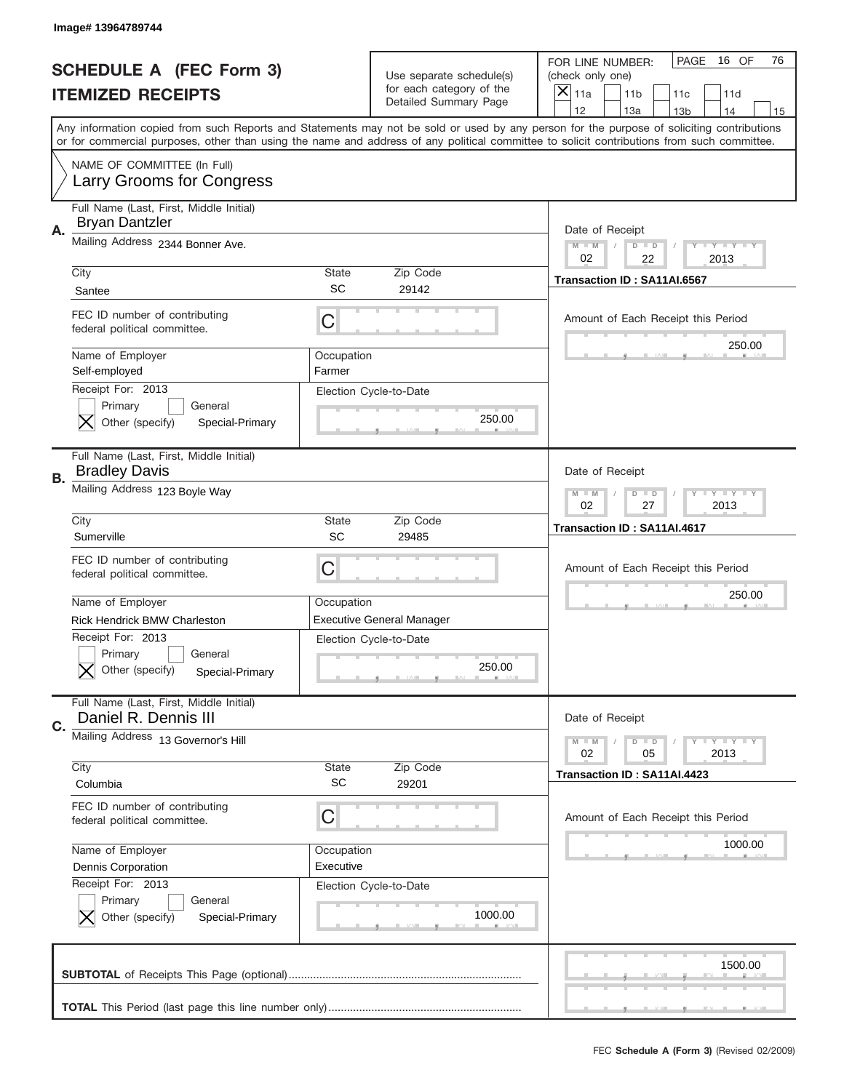|    | Image# 13964789744                                                                                                   |                           |                                                                                      |                                                                                                                                                                                                                                                                                                                                     |
|----|----------------------------------------------------------------------------------------------------------------------|---------------------------|--------------------------------------------------------------------------------------|-------------------------------------------------------------------------------------------------------------------------------------------------------------------------------------------------------------------------------------------------------------------------------------------------------------------------------------|
|    | <b>SCHEDULE A (FEC Form 3)</b><br><b>ITEMIZED RECEIPTS</b>                                                           |                           | Use separate schedule(s)<br>for each category of the<br><b>Detailed Summary Page</b> | PAGE<br>16 OF<br>76<br>FOR LINE NUMBER:<br>(check only one)<br>×<br>11a<br>11 <sub>b</sub><br>11c<br>11d                                                                                                                                                                                                                            |
|    |                                                                                                                      |                           |                                                                                      | 12<br>13a<br>14<br>13 <sub>b</sub><br>15<br>Any information copied from such Reports and Statements may not be sold or used by any person for the purpose of soliciting contributions<br>or for commercial purposes, other than using the name and address of any political committee to solicit contributions from such committee. |
|    | NAME OF COMMITTEE (In Full)<br>Larry Grooms for Congress                                                             |                           |                                                                                      |                                                                                                                                                                                                                                                                                                                                     |
| Α. | Full Name (Last, First, Middle Initial)<br><b>Bryan Dantzler</b>                                                     |                           |                                                                                      | Date of Receipt                                                                                                                                                                                                                                                                                                                     |
|    | Mailing Address 2344 Bonner Ave.                                                                                     |                           |                                                                                      | $M - M$<br><b>LEY LEY LEY</b><br>$D$ $D$                                                                                                                                                                                                                                                                                            |
|    | City<br>Santee                                                                                                       | State<br>SC               | Zip Code<br>29142                                                                    | 02<br>22<br>2013<br>Transaction ID: SA11AI.6567                                                                                                                                                                                                                                                                                     |
|    | FEC ID number of contributing<br>federal political committee.                                                        | C                         |                                                                                      | Amount of Each Receipt this Period                                                                                                                                                                                                                                                                                                  |
|    | Name of Employer<br>Self-employed                                                                                    | Occupation<br>Farmer      |                                                                                      | 250.00                                                                                                                                                                                                                                                                                                                              |
|    | Receipt For: 2013<br>Primary<br>General<br>Other (specify)<br>Special-Primary                                        |                           | Election Cycle-to-Date<br>250.00                                                     |                                                                                                                                                                                                                                                                                                                                     |
| В. | Full Name (Last, First, Middle Initial)<br><b>Bradley Davis</b>                                                      |                           |                                                                                      | Date of Receipt                                                                                                                                                                                                                                                                                                                     |
|    | Mailing Address 123 Boyle Way                                                                                        |                           |                                                                                      | $M$ M<br>$D$ $D$<br><b>LYLYLY</b><br>02<br>27<br>2013                                                                                                                                                                                                                                                                               |
|    | City<br>Sumerville                                                                                                   | State<br>SC               | Zip Code<br>29485                                                                    | Transaction ID: SA11AI.4617                                                                                                                                                                                                                                                                                                         |
|    | FEC ID number of contributing<br>federal political committee.                                                        | C                         |                                                                                      | Amount of Each Receipt this Period                                                                                                                                                                                                                                                                                                  |
|    |                                                                                                                      |                           |                                                                                      | 250.00                                                                                                                                                                                                                                                                                                                              |
|    | Name of Employer                                                                                                     | Occupation                |                                                                                      |                                                                                                                                                                                                                                                                                                                                     |
|    | <b>Rick Hendrick BMW Charleston</b><br>Receipt For: 2013<br>General<br>Primary<br>Other (specify)<br>Special-Primary |                           | <b>Executive General Manager</b><br>Election Cycle-to-Date<br>250.00                 |                                                                                                                                                                                                                                                                                                                                     |
|    | Full Name (Last, First, Middle Initial)<br>Daniel R. Dennis III                                                      |                           |                                                                                      | Date of Receipt                                                                                                                                                                                                                                                                                                                     |
|    | Mailing Address 13 Governor's Hill                                                                                   |                           |                                                                                      | $I - Y - I - Y - I - Y$<br>$M - M$<br>$D$ $D$<br>02<br>05<br>2013                                                                                                                                                                                                                                                                   |
|    | City<br>Columbia                                                                                                     | <b>State</b><br><b>SC</b> | Zip Code<br>29201                                                                    | Transaction ID: SA11AI.4423                                                                                                                                                                                                                                                                                                         |
|    | FEC ID number of contributing<br>federal political committee.                                                        | C                         |                                                                                      | Amount of Each Receipt this Period                                                                                                                                                                                                                                                                                                  |
|    | Name of Employer<br>Dennis Corporation                                                                               | Occupation<br>Executive   |                                                                                      | 1000.00                                                                                                                                                                                                                                                                                                                             |
| C. | Receipt For: 2013<br>Primary<br>General<br>Other (specify)<br>Special-Primary                                        |                           | Election Cycle-to-Date<br>1000.00                                                    |                                                                                                                                                                                                                                                                                                                                     |
|    |                                                                                                                      |                           |                                                                                      | 1500.00                                                                                                                                                                                                                                                                                                                             |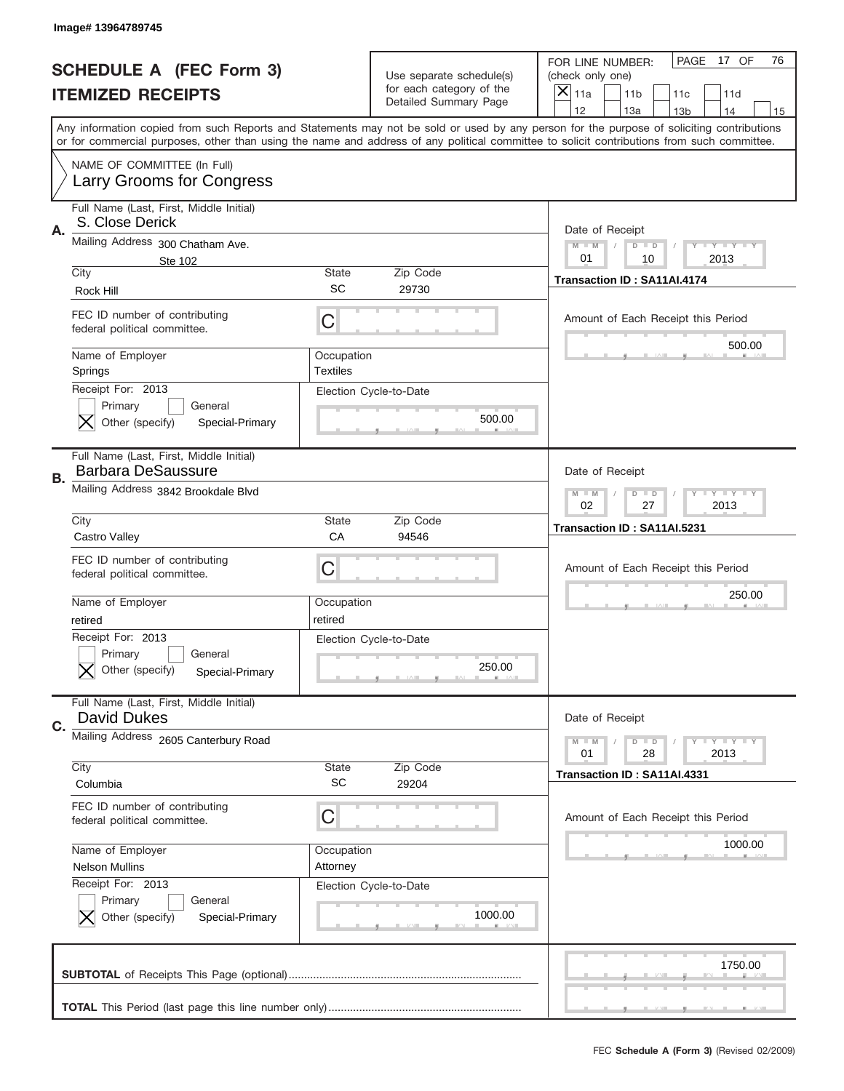|           | <b>SCHEDULE A (FEC Form 3)</b><br><b>ITEMIZED RECEIPTS</b>                    |                               | Use separate schedule(s)<br>for each category of the<br>Detailed Summary Page | PAGE<br>17 OF<br>76<br>FOR LINE NUMBER:<br>(check only one)<br>×<br>11a<br>11 <sub>b</sub><br>11c<br>11d<br>12<br>13a<br>14<br>13 <sub>b</sub><br>15                                                                                                                                    |
|-----------|-------------------------------------------------------------------------------|-------------------------------|-------------------------------------------------------------------------------|-----------------------------------------------------------------------------------------------------------------------------------------------------------------------------------------------------------------------------------------------------------------------------------------|
|           |                                                                               |                               |                                                                               | Any information copied from such Reports and Statements may not be sold or used by any person for the purpose of soliciting contributions<br>or for commercial purposes, other than using the name and address of any political committee to solicit contributions from such committee. |
|           | NAME OF COMMITTEE (In Full)<br>Larry Grooms for Congress                      |                               |                                                                               |                                                                                                                                                                                                                                                                                         |
| Α.        | Full Name (Last, First, Middle Initial)<br>S. Close Derick                    |                               |                                                                               | Date of Receipt                                                                                                                                                                                                                                                                         |
|           | Mailing Address 300 Chatham Ave.<br>Ste 102                                   |                               |                                                                               | $M - M$<br><b>LYLYLY</b><br>$D$ $D$<br>01<br>2013<br>10                                                                                                                                                                                                                                 |
|           | City<br>Rock Hill                                                             | State<br>SC                   | Zip Code<br>29730                                                             | Transaction ID: SA11AI.4174                                                                                                                                                                                                                                                             |
|           | FEC ID number of contributing<br>federal political committee.                 | C                             |                                                                               | Amount of Each Receipt this Period                                                                                                                                                                                                                                                      |
|           | Name of Employer<br>Springs                                                   | Occupation<br><b>Textiles</b> |                                                                               | 500.00                                                                                                                                                                                                                                                                                  |
|           | Receipt For: 2013<br>Primary<br>General<br>Other (specify)<br>Special-Primary |                               | Election Cycle-to-Date<br>500.00                                              |                                                                                                                                                                                                                                                                                         |
| <b>B.</b> | Full Name (Last, First, Middle Initial)<br><b>Barbara DeSaussure</b>          |                               |                                                                               | Date of Receipt                                                                                                                                                                                                                                                                         |
|           | Mailing Address 3842 Brookdale Blvd                                           |                               |                                                                               | $M - M$<br>$D$ $D$<br><b>LYLYLY</b><br>02<br>27<br>2013                                                                                                                                                                                                                                 |
|           | City<br>Castro Valley                                                         | State<br>CA                   | Zip Code<br>94546                                                             | Transaction ID: SA11AI.5231                                                                                                                                                                                                                                                             |
|           | FEC ID number of contributing                                                 |                               |                                                                               |                                                                                                                                                                                                                                                                                         |
|           | federal political committee.                                                  | C                             |                                                                               | Amount of Each Receipt this Period                                                                                                                                                                                                                                                      |
|           | Name of Employer<br>retired                                                   | Occupation<br>retired         |                                                                               | 250.00                                                                                                                                                                                                                                                                                  |
|           | Receipt For: 2013<br>General<br>Primary<br>Other (specify)<br>Special-Primary |                               | Election Cycle-to-Date<br>250.00                                              |                                                                                                                                                                                                                                                                                         |
|           | Full Name (Last, First, Middle Initial)<br><b>David Dukes</b>                 |                               |                                                                               | Date of Receipt                                                                                                                                                                                                                                                                         |
|           | Mailing Address 2605 Canterbury Road                                          |                               |                                                                               | <b>LYLYLY</b><br>$M - M$<br>$D$ $D$<br>01<br>2013<br>28                                                                                                                                                                                                                                 |
| C.        | City<br>Columbia                                                              | State<br>SC                   | Zip Code<br>29204                                                             | Transaction ID: SA11AI.4331                                                                                                                                                                                                                                                             |
|           | FEC ID number of contributing<br>federal political committee.                 | С                             |                                                                               | Amount of Each Receipt this Period                                                                                                                                                                                                                                                      |
|           | Name of Employer<br><b>Nelson Mullins</b>                                     | Occupation<br>Attorney        |                                                                               | 1000.00                                                                                                                                                                                                                                                                                 |
|           | Receipt For: 2013<br>Primary<br>General<br>Other (specify)<br>Special-Primary |                               | Election Cycle-to-Date<br>1000.00                                             |                                                                                                                                                                                                                                                                                         |
|           |                                                                               |                               |                                                                               | 1750.00                                                                                                                                                                                                                                                                                 |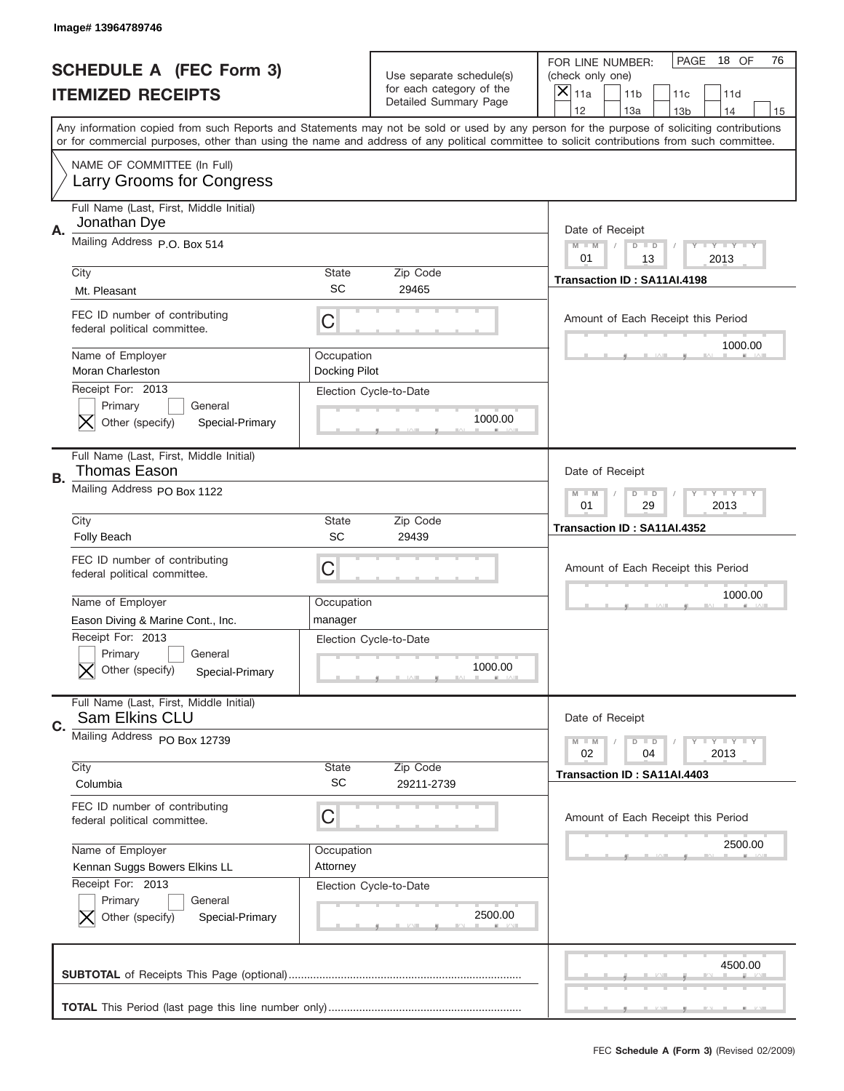|    | Image# 13964789746                                                            |                             |                                                   |                                                                                                                                                                                                                                                                                                                                     |
|----|-------------------------------------------------------------------------------|-----------------------------|---------------------------------------------------|-------------------------------------------------------------------------------------------------------------------------------------------------------------------------------------------------------------------------------------------------------------------------------------------------------------------------------------|
|    | <b>SCHEDULE A (FEC Form 3)</b>                                                |                             | Use separate schedule(s)                          | PAGE<br>18 OF<br>76<br>FOR LINE NUMBER:<br>(check only one)                                                                                                                                                                                                                                                                         |
|    | <b>ITEMIZED RECEIPTS</b>                                                      |                             | for each category of the<br>Detailed Summary Page | ×<br>11a<br>11 <sub>b</sub><br>11c<br>11d                                                                                                                                                                                                                                                                                           |
|    |                                                                               |                             |                                                   | 12<br>13a<br>14<br>13 <sub>b</sub><br>15<br>Any information copied from such Reports and Statements may not be sold or used by any person for the purpose of soliciting contributions<br>or for commercial purposes, other than using the name and address of any political committee to solicit contributions from such committee. |
|    | NAME OF COMMITTEE (In Full)<br>Larry Grooms for Congress                      |                             |                                                   |                                                                                                                                                                                                                                                                                                                                     |
| Α. | Full Name (Last, First, Middle Initial)<br>Jonathan Dye                       |                             |                                                   | Date of Receipt                                                                                                                                                                                                                                                                                                                     |
|    | Mailing Address P.O. Box 514                                                  |                             |                                                   | $M - M$<br><b>LEY LEY LEY</b><br>$D$ $D$<br>01<br>13<br>2013                                                                                                                                                                                                                                                                        |
|    | City<br>Mt. Pleasant                                                          | State<br>SC                 | Zip Code<br>29465                                 | Transaction ID: SA11AI.4198                                                                                                                                                                                                                                                                                                         |
|    | FEC ID number of contributing<br>federal political committee.                 | C                           |                                                   | Amount of Each Receipt this Period                                                                                                                                                                                                                                                                                                  |
|    | Name of Employer<br><b>Moran Charleston</b>                                   | Occupation<br>Docking Pilot |                                                   | 1000.00                                                                                                                                                                                                                                                                                                                             |
|    | Receipt For: 2013<br>Primary<br>General<br>Other (specify)<br>Special-Primary |                             | Election Cycle-to-Date<br>1000.00                 |                                                                                                                                                                                                                                                                                                                                     |
| В. | Full Name (Last, First, Middle Initial)<br><b>Thomas Eason</b>                |                             |                                                   | Date of Receipt                                                                                                                                                                                                                                                                                                                     |
|    | Mailing Address PO Box 1122                                                   |                             |                                                   | $M$ M<br><b>LYLYLY</b><br>$D$ $D$<br>01<br>29<br>2013                                                                                                                                                                                                                                                                               |
|    | City<br><b>Folly Beach</b>                                                    | State<br>SC                 | Zip Code<br>29439                                 | Transaction ID: SA11AI.4352                                                                                                                                                                                                                                                                                                         |
|    | FEC ID number of contributing                                                 |                             |                                                   |                                                                                                                                                                                                                                                                                                                                     |
|    | federal political committee.                                                  | C                           |                                                   | Amount of Each Receipt this Period                                                                                                                                                                                                                                                                                                  |
|    | Name of Employer                                                              | Occupation                  |                                                   | 1000.00                                                                                                                                                                                                                                                                                                                             |
|    | Eason Diving & Marine Cont., Inc.                                             | manager                     |                                                   |                                                                                                                                                                                                                                                                                                                                     |
|    | Receipt For: 2013<br>General<br>Primary<br>Other (specify)<br>Special-Primary |                             | Election Cycle-to-Date<br>1000.00                 |                                                                                                                                                                                                                                                                                                                                     |
|    | Full Name (Last, First, Middle Initial)<br>Sam Elkins CLU                     |                             |                                                   | Date of Receipt                                                                                                                                                                                                                                                                                                                     |
| C. | Mailing Address PO Box 12739                                                  |                             |                                                   | $I - Y - I - Y - I - Y$<br>$M - M$<br>$D$ $D$<br>02<br>2013<br>04                                                                                                                                                                                                                                                                   |
|    | City<br>Columbia                                                              | <b>State</b><br><b>SC</b>   | Zip Code<br>29211-2739                            | Transaction ID: SA11AI.4403                                                                                                                                                                                                                                                                                                         |
|    | FEC ID number of contributing<br>federal political committee.                 | C                           |                                                   | Amount of Each Receipt this Period                                                                                                                                                                                                                                                                                                  |
|    | Name of Employer                                                              | Occupation                  |                                                   | 2500.00                                                                                                                                                                                                                                                                                                                             |
|    | Kennan Suggs Bowers Elkins LL                                                 | Attorney                    |                                                   |                                                                                                                                                                                                                                                                                                                                     |
|    | Receipt For: 2013<br>Primary<br>General<br>Other (specify)<br>Special-Primary |                             | Election Cycle-to-Date<br>2500.00                 |                                                                                                                                                                                                                                                                                                                                     |
|    |                                                                               |                             |                                                   | 4500.00                                                                                                                                                                                                                                                                                                                             |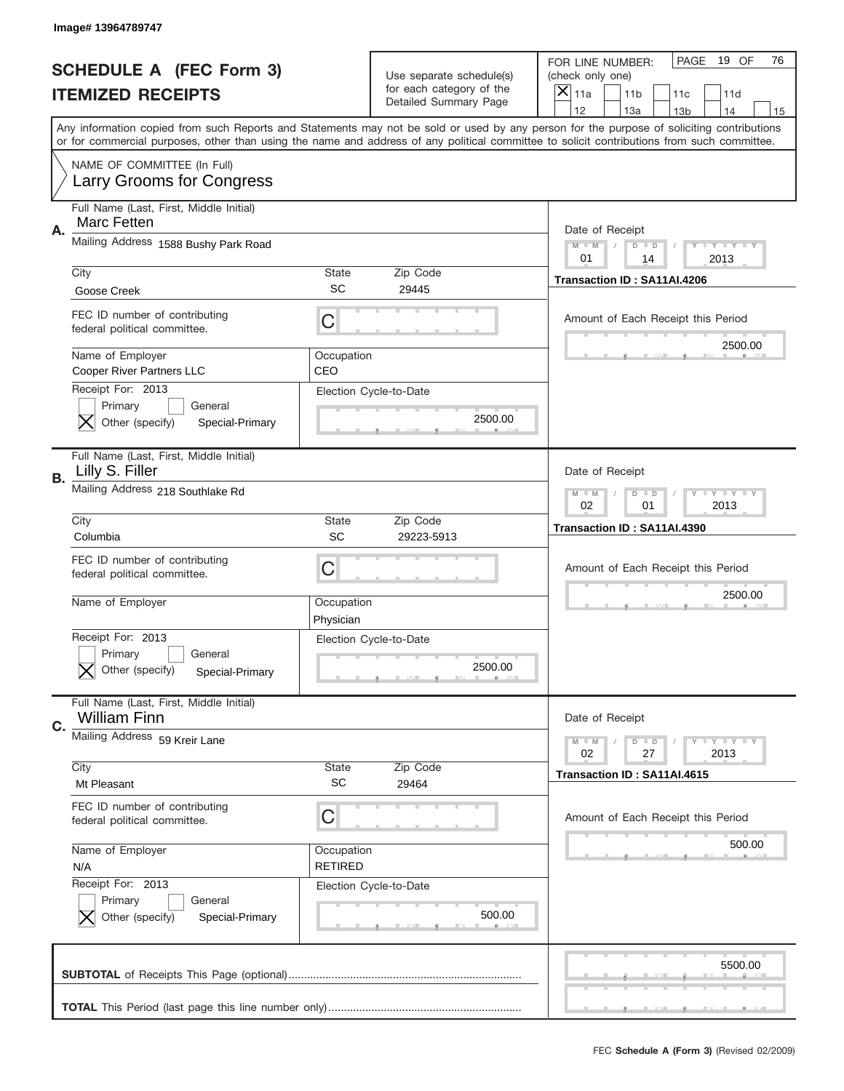|    | Image# 13964789747                                                            |                              |                                                      |                                                                                                                                                                                                                                                                                         |
|----|-------------------------------------------------------------------------------|------------------------------|------------------------------------------------------|-----------------------------------------------------------------------------------------------------------------------------------------------------------------------------------------------------------------------------------------------------------------------------------------|
|    | <b>SCHEDULE A (FEC Form 3)</b>                                                |                              |                                                      | PAGE<br>19 OF<br>76<br>FOR LINE NUMBER:                                                                                                                                                                                                                                                 |
|    | <b>ITEMIZED RECEIPTS</b>                                                      |                              | Use separate schedule(s)<br>for each category of the | (check only one)<br>$\overline{\mathsf{x}}$<br>11a<br>11 <sub>b</sub><br>11c<br>11d                                                                                                                                                                                                     |
|    |                                                                               |                              | Detailed Summary Page                                | 12<br>13a<br>14<br>13 <sub>b</sub><br>15                                                                                                                                                                                                                                                |
|    |                                                                               |                              |                                                      | Any information copied from such Reports and Statements may not be sold or used by any person for the purpose of soliciting contributions<br>or for commercial purposes, other than using the name and address of any political committee to solicit contributions from such committee. |
|    | NAME OF COMMITTEE (In Full)<br>Larry Grooms for Congress                      |                              |                                                      |                                                                                                                                                                                                                                                                                         |
| Α. | Full Name (Last, First, Middle Initial)<br><b>Marc Fetten</b>                 |                              |                                                      | Date of Receipt                                                                                                                                                                                                                                                                         |
|    | Mailing Address 1588 Bushy Park Road                                          |                              |                                                      | <b>LYLYLYLY</b><br>$M - M$<br>$D$ $D$<br>01<br>2013<br>14                                                                                                                                                                                                                               |
|    | City                                                                          | State                        | Zip Code                                             | Transaction ID: SA11AI.4206                                                                                                                                                                                                                                                             |
|    | Goose Creek                                                                   | <b>SC</b>                    | 29445                                                |                                                                                                                                                                                                                                                                                         |
|    | FEC ID number of contributing<br>federal political committee.                 | C                            |                                                      | Amount of Each Receipt this Period                                                                                                                                                                                                                                                      |
|    | Name of Employer<br>Cooper River Partners LLC                                 | Occupation<br>CEO            |                                                      | 2500.00                                                                                                                                                                                                                                                                                 |
|    | Receipt For: 2013<br>Primary<br>General<br>Other (specify)<br>Special-Primary |                              | Election Cycle-to-Date<br>2500.00                    |                                                                                                                                                                                                                                                                                         |
| В. | Full Name (Last, First, Middle Initial)<br>Lilly S. Filler                    |                              |                                                      | Date of Receipt                                                                                                                                                                                                                                                                         |
|    | Mailing Address 218 Southlake Rd                                              |                              |                                                      | <b>LY LY LY</b><br>$M$ M<br>$D$ $D$<br>02<br>01<br>2013                                                                                                                                                                                                                                 |
|    | City<br>Columbia                                                              | <b>State</b><br>SC           | Zip Code<br>29223-5913                               | Transaction ID: SA11AI.4390                                                                                                                                                                                                                                                             |
|    | FEC ID number of contributing<br>federal political committee.                 | C                            |                                                      | Amount of Each Receipt this Period                                                                                                                                                                                                                                                      |
|    | Name of Employer                                                              | Occupation                   |                                                      | 2500.00                                                                                                                                                                                                                                                                                 |
|    |                                                                               | Physician                    |                                                      |                                                                                                                                                                                                                                                                                         |
|    | Receipt For: 2013<br>General<br>Primary<br>Other (specify)<br>Special-Primary |                              | Election Cycle-to-Date<br>2500.00                    |                                                                                                                                                                                                                                                                                         |
|    | Full Name (Last, First, Middle Initial)<br><b>William Finn</b>                |                              |                                                      | Date of Receipt                                                                                                                                                                                                                                                                         |
| C. | Mailing Address 59 Kreir Lane                                                 |                              |                                                      | <b>LYLYLY</b><br>$M - M$<br>$D$ $D$                                                                                                                                                                                                                                                     |
|    |                                                                               |                              |                                                      | 02<br>27<br>2013                                                                                                                                                                                                                                                                        |
|    | City<br>Mt Pleasant                                                           | State<br>SC                  | Zip Code<br>29464                                    | Transaction ID: SA11AI.4615                                                                                                                                                                                                                                                             |
|    | FEC ID number of contributing<br>federal political committee.                 | C                            |                                                      | Amount of Each Receipt this Period                                                                                                                                                                                                                                                      |
|    | Name of Employer<br>N/A                                                       | Occupation<br><b>RETIRED</b> |                                                      | 500.00                                                                                                                                                                                                                                                                                  |
|    | Receipt For: 2013<br>Primary<br>General<br>Other (specify)<br>Special-Primary |                              | Election Cycle-to-Date<br>500.00                     |                                                                                                                                                                                                                                                                                         |
|    |                                                                               |                              |                                                      | 5500.00                                                                                                                                                                                                                                                                                 |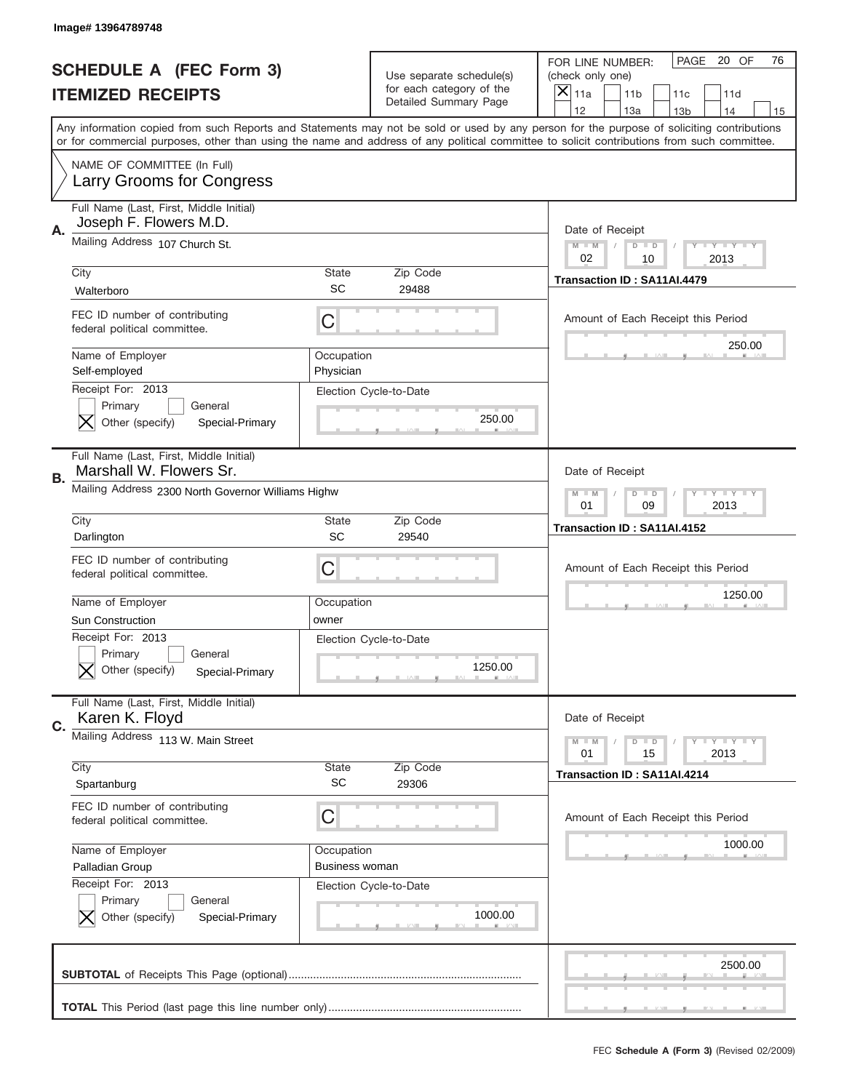|    | Image# 13964789748                                                                                       |                                     |                                                                               |                                                                                                                                                                                                                                                                                                                                     |
|----|----------------------------------------------------------------------------------------------------------|-------------------------------------|-------------------------------------------------------------------------------|-------------------------------------------------------------------------------------------------------------------------------------------------------------------------------------------------------------------------------------------------------------------------------------------------------------------------------------|
|    | <b>SCHEDULE A (FEC Form 3)</b><br><b>ITEMIZED RECEIPTS</b>                                               |                                     | Use separate schedule(s)<br>for each category of the<br>Detailed Summary Page | PAGE<br>20 OF<br>76<br>FOR LINE NUMBER:<br>(check only one)<br>×<br>11a<br>11 <sub>b</sub><br>11c<br>11d                                                                                                                                                                                                                            |
|    |                                                                                                          |                                     |                                                                               | 12<br>13a<br>13 <sub>b</sub><br>14<br>15<br>Any information copied from such Reports and Statements may not be sold or used by any person for the purpose of soliciting contributions<br>or for commercial purposes, other than using the name and address of any political committee to solicit contributions from such committee. |
|    | NAME OF COMMITTEE (In Full)<br>Larry Grooms for Congress                                                 |                                     |                                                                               |                                                                                                                                                                                                                                                                                                                                     |
| Α. | Full Name (Last, First, Middle Initial)<br>Joseph F. Flowers M.D.                                        |                                     |                                                                               | Date of Receipt                                                                                                                                                                                                                                                                                                                     |
|    | Mailing Address 107 Church St.                                                                           |                                     |                                                                               | $M - M$<br><b>LEY LEY LEY</b><br>$D$ $D$<br>02<br>10<br>2013                                                                                                                                                                                                                                                                        |
|    | City<br>Walterboro                                                                                       | State<br>SC                         | Zip Code<br>29488                                                             | Transaction ID: SA11AI.4479                                                                                                                                                                                                                                                                                                         |
|    | FEC ID number of contributing<br>federal political committee.                                            | С                                   |                                                                               | Amount of Each Receipt this Period                                                                                                                                                                                                                                                                                                  |
|    | Name of Employer<br>Self-employed                                                                        | Occupation<br>Physician             |                                                                               | 250.00                                                                                                                                                                                                                                                                                                                              |
|    | Receipt For: 2013<br>Primary<br>General<br>Other (specify)<br>Special-Primary                            |                                     | Election Cycle-to-Date<br>250.00                                              |                                                                                                                                                                                                                                                                                                                                     |
| В. | Full Name (Last, First, Middle Initial)<br>Marshall W. Flowers Sr.                                       |                                     |                                                                               | Date of Receipt                                                                                                                                                                                                                                                                                                                     |
|    | Mailing Address 2300 North Governor Williams Highw                                                       |                                     |                                                                               | <b>LEYTEY LEY</b><br>$M - M$<br>$D$ $D$<br>01<br>09<br>2013                                                                                                                                                                                                                                                                         |
|    | City<br>Darlington                                                                                       | <b>State</b><br>SC                  | Zip Code<br>29540                                                             | Transaction ID: SA11AI.4152                                                                                                                                                                                                                                                                                                         |
|    | FEC ID number of contributing                                                                            |                                     |                                                                               | Amount of Each Receipt this Period                                                                                                                                                                                                                                                                                                  |
|    | federal political committee.                                                                             | C                                   |                                                                               |                                                                                                                                                                                                                                                                                                                                     |
|    | Name of Employer                                                                                         | Occupation                          |                                                                               | 1250.00                                                                                                                                                                                                                                                                                                                             |
|    | <b>Sun Construction</b><br>Receipt For: 2013<br>General<br>Primary<br>Other (specify)<br>Special-Primary | owner                               | Election Cycle-to-Date<br>1250.00                                             |                                                                                                                                                                                                                                                                                                                                     |
|    | Full Name (Last, First, Middle Initial)<br>Karen K. Floyd                                                |                                     |                                                                               | Date of Receipt                                                                                                                                                                                                                                                                                                                     |
|    | Mailing Address 113 W. Main Street                                                                       |                                     |                                                                               | <b>LYLYLY</b><br>$M - M$<br>$D$ $D$<br>01<br>2013<br>15                                                                                                                                                                                                                                                                             |
|    | City<br>Spartanburg                                                                                      | State<br>SC                         | Zip Code<br>29306                                                             | Transaction ID: SA11AI.4214                                                                                                                                                                                                                                                                                                         |
|    | FEC ID number of contributing<br>federal political committee.                                            | С                                   |                                                                               | Amount of Each Receipt this Period                                                                                                                                                                                                                                                                                                  |
| C. | Name of Employer<br>Palladian Group                                                                      | Occupation<br><b>Business woman</b> |                                                                               | 1000.00                                                                                                                                                                                                                                                                                                                             |
|    | Receipt For: 2013<br>Primary<br>General<br>Other (specify)<br>Special-Primary                            |                                     | Election Cycle-to-Date<br>1000.00                                             |                                                                                                                                                                                                                                                                                                                                     |
|    |                                                                                                          |                                     |                                                                               | 2500.00                                                                                                                                                                                                                                                                                                                             |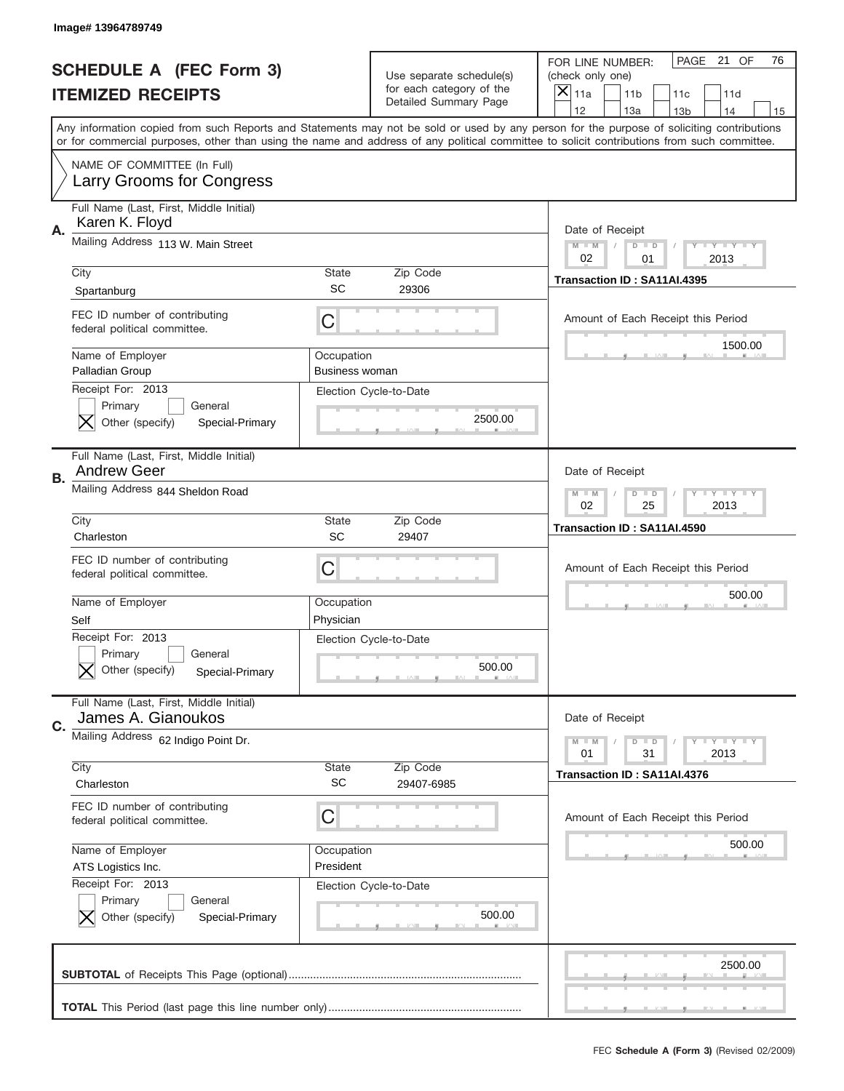|    | Image# 13964789749                                                            |                                     |                                                      |                                                                                                                                                                                                                                                                                                                  |
|----|-------------------------------------------------------------------------------|-------------------------------------|------------------------------------------------------|------------------------------------------------------------------------------------------------------------------------------------------------------------------------------------------------------------------------------------------------------------------------------------------------------------------|
|    | <b>SCHEDULE A (FEC Form 3)</b>                                                |                                     | Use separate schedule(s)<br>for each category of the | PAGE 21 OF<br>76<br>FOR LINE NUMBER:<br>(check only one)                                                                                                                                                                                                                                                         |
|    | <b>ITEMIZED RECEIPTS</b>                                                      |                                     | Detailed Summary Page                                | ×<br>11a<br>11 <sub>b</sub><br>11c<br>11d<br>12<br>13a<br>14                                                                                                                                                                                                                                                     |
|    |                                                                               |                                     |                                                      | 13 <sub>b</sub><br>15<br>Any information copied from such Reports and Statements may not be sold or used by any person for the purpose of soliciting contributions<br>or for commercial purposes, other than using the name and address of any political committee to solicit contributions from such committee. |
|    | NAME OF COMMITTEE (In Full)<br>Larry Grooms for Congress                      |                                     |                                                      |                                                                                                                                                                                                                                                                                                                  |
| Α. | Full Name (Last, First, Middle Initial)<br>Karen K. Floyd                     |                                     |                                                      | Date of Receipt                                                                                                                                                                                                                                                                                                  |
|    | Mailing Address 113 W. Main Street                                            |                                     |                                                      | $M - M$<br><b>LEY LEY LEY</b><br>$D$ $D$<br>02<br>01<br>2013                                                                                                                                                                                                                                                     |
|    | City<br>Spartanburg                                                           | State<br>SC                         | Zip Code<br>29306                                    | Transaction ID: SA11AI.4395                                                                                                                                                                                                                                                                                      |
|    | FEC ID number of contributing<br>federal political committee.                 | C                                   |                                                      | Amount of Each Receipt this Period<br>1500.00                                                                                                                                                                                                                                                                    |
|    | Name of Employer<br>Palladian Group                                           | Occupation<br><b>Business woman</b> |                                                      |                                                                                                                                                                                                                                                                                                                  |
|    | Receipt For: 2013<br>Primary<br>General<br>Other (specify)<br>Special-Primary |                                     | Election Cycle-to-Date<br>2500.00                    |                                                                                                                                                                                                                                                                                                                  |
| В. | Full Name (Last, First, Middle Initial)<br><b>Andrew Geer</b>                 |                                     |                                                      | Date of Receipt                                                                                                                                                                                                                                                                                                  |
|    | Mailing Address 844 Sheldon Road                                              |                                     |                                                      | $M$ M<br>$D$ $D$<br><b>LYLYLY</b><br>02<br>25<br>2013                                                                                                                                                                                                                                                            |
|    | City<br>Charleston                                                            | State<br>SC                         | Zip Code<br>29407                                    | Transaction ID: SA11AI.4590                                                                                                                                                                                                                                                                                      |
|    | FEC ID number of contributing<br>federal political committee.                 | C                                   |                                                      | Amount of Each Receipt this Period                                                                                                                                                                                                                                                                               |
|    | Name of Employer<br>Self                                                      | Occupation<br>Physician             |                                                      | 500.00                                                                                                                                                                                                                                                                                                           |
|    |                                                                               |                                     |                                                      |                                                                                                                                                                                                                                                                                                                  |
|    | Receipt For: 2013<br>General<br>Primary<br>Other (specify)<br>Special-Primary |                                     | Election Cycle-to-Date<br>500.00                     |                                                                                                                                                                                                                                                                                                                  |
| C. | Full Name (Last, First, Middle Initial)<br>James A. Gianoukos                 |                                     |                                                      | Date of Receipt                                                                                                                                                                                                                                                                                                  |
|    | Mailing Address 62 Indigo Point Dr.                                           |                                     |                                                      | $I - Y - I - Y - I - Y$<br>$M - M$<br>$D$ $D$<br>01<br>31<br>2013                                                                                                                                                                                                                                                |
|    | City<br>Charleston                                                            | <b>State</b><br><b>SC</b>           | Zip Code<br>29407-6985                               | Transaction ID: SA11AI.4376                                                                                                                                                                                                                                                                                      |
|    | FEC ID number of contributing<br>federal political committee.                 | C                                   |                                                      | Amount of Each Receipt this Period                                                                                                                                                                                                                                                                               |
|    | Name of Employer<br>ATS Logistics Inc.                                        | Occupation<br>President             |                                                      | 500.00                                                                                                                                                                                                                                                                                                           |
|    | Receipt For: 2013<br>Primary<br>General<br>Other (specify)<br>Special-Primary |                                     | Election Cycle-to-Date<br>500.00                     |                                                                                                                                                                                                                                                                                                                  |
|    |                                                                               |                                     |                                                      | 2500.00                                                                                                                                                                                                                                                                                                          |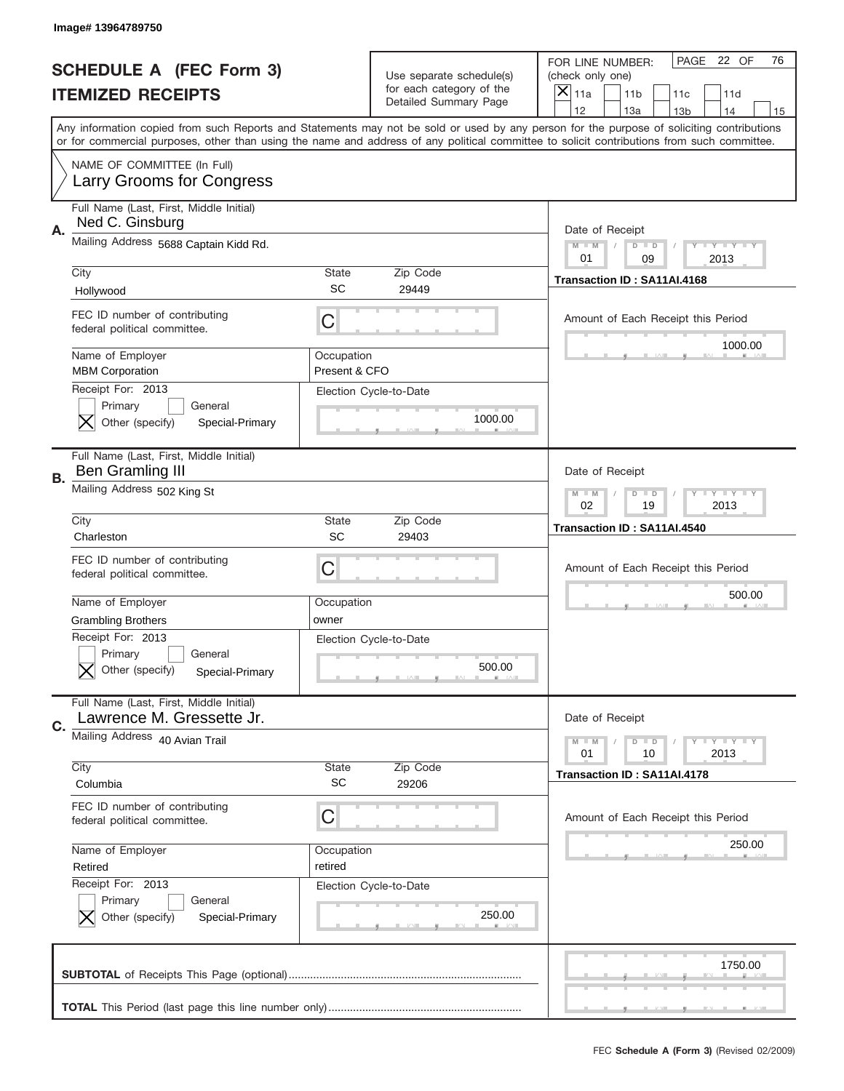|    | Image# 13964789750                                                            |                             |                                                   |                                                                                                                                                                                                                                                                                                                                     |
|----|-------------------------------------------------------------------------------|-----------------------------|---------------------------------------------------|-------------------------------------------------------------------------------------------------------------------------------------------------------------------------------------------------------------------------------------------------------------------------------------------------------------------------------------|
|    | <b>SCHEDULE A (FEC Form 3)</b>                                                |                             | Use separate schedule(s)                          | PAGE<br>22 OF<br>76<br>FOR LINE NUMBER:<br>(check only one)                                                                                                                                                                                                                                                                         |
|    | <b>ITEMIZED RECEIPTS</b>                                                      |                             | for each category of the<br>Detailed Summary Page | ×<br>11a<br>11 <sub>b</sub><br>11c<br>11d                                                                                                                                                                                                                                                                                           |
|    |                                                                               |                             |                                                   | 12<br>13a<br>14<br>13 <sub>b</sub><br>15<br>Any information copied from such Reports and Statements may not be sold or used by any person for the purpose of soliciting contributions<br>or for commercial purposes, other than using the name and address of any political committee to solicit contributions from such committee. |
|    | NAME OF COMMITTEE (In Full)<br>Larry Grooms for Congress                      |                             |                                                   |                                                                                                                                                                                                                                                                                                                                     |
| А. | Full Name (Last, First, Middle Initial)<br>Ned C. Ginsburg                    |                             |                                                   | Date of Receipt                                                                                                                                                                                                                                                                                                                     |
|    | Mailing Address 5688 Captain Kidd Rd.                                         |                             |                                                   | Y TY TY TY<br>$M - M$<br>$D$ $D$<br>01<br>2013<br>09                                                                                                                                                                                                                                                                                |
|    | City<br>Hollywood                                                             | State<br><b>SC</b>          | Zip Code<br>29449                                 | Transaction ID: SA11AI.4168                                                                                                                                                                                                                                                                                                         |
|    | FEC ID number of contributing<br>federal political committee.                 | C                           |                                                   | Amount of Each Receipt this Period<br>1000.00                                                                                                                                                                                                                                                                                       |
|    | Name of Employer<br><b>MBM Corporation</b><br>Receipt For: 2013               | Occupation<br>Present & CFO |                                                   |                                                                                                                                                                                                                                                                                                                                     |
|    | Primary<br>General<br>Other (specify)<br>Special-Primary                      |                             | Election Cycle-to-Date<br>1000.00                 |                                                                                                                                                                                                                                                                                                                                     |
| В. | Full Name (Last, First, Middle Initial)<br><b>Ben Gramling III</b>            |                             |                                                   | Date of Receipt                                                                                                                                                                                                                                                                                                                     |
|    | Mailing Address 502 King St                                                   |                             |                                                   | $T$ $Y$ $T$ $Y$ $T$ $Y$<br>$M$ M<br>$D$ $D$<br>02<br>19<br>2013                                                                                                                                                                                                                                                                     |
|    | City<br>Charleston                                                            | State<br>SC                 | Zip Code<br>29403                                 | Transaction ID: SA11AI.4540                                                                                                                                                                                                                                                                                                         |
|    | FEC ID number of contributing<br>federal political committee.                 | C                           |                                                   | Amount of Each Receipt this Period                                                                                                                                                                                                                                                                                                  |
|    | Name of Employer<br><b>Grambling Brothers</b>                                 | Occupation<br>owner         |                                                   | 500.00                                                                                                                                                                                                                                                                                                                              |
|    | Receipt For: 2013<br>General<br>Primary<br>Other (specify)<br>Special-Primary |                             | Election Cycle-to-Date<br>500.00                  |                                                                                                                                                                                                                                                                                                                                     |
|    | Full Name (Last, First, Middle Initial)<br>Lawrence M. Gressette Jr.          |                             |                                                   | Date of Receipt                                                                                                                                                                                                                                                                                                                     |
| C. | Mailing Address 40 Avian Trail                                                |                             |                                                   | Y FY FY FY<br>$M \perp M$<br>$D$ $D$<br>2013<br>01<br>10                                                                                                                                                                                                                                                                            |
|    | City                                                                          | State                       | Zip Code                                          |                                                                                                                                                                                                                                                                                                                                     |
|    | Columbia                                                                      | SC                          | 29206                                             | Transaction ID: SA11AI.4178                                                                                                                                                                                                                                                                                                         |
|    | FEC ID number of contributing<br>federal political committee.                 | C                           |                                                   | Amount of Each Receipt this Period                                                                                                                                                                                                                                                                                                  |
|    | Name of Employer<br>Retired                                                   | Occupation<br>retired       |                                                   | 250.00                                                                                                                                                                                                                                                                                                                              |
|    | Receipt For: 2013<br>Primary<br>General<br>Other (specify)<br>Special-Primary |                             | Election Cycle-to-Date<br>250.00                  |                                                                                                                                                                                                                                                                                                                                     |
|    |                                                                               |                             |                                                   | 1750.00                                                                                                                                                                                                                                                                                                                             |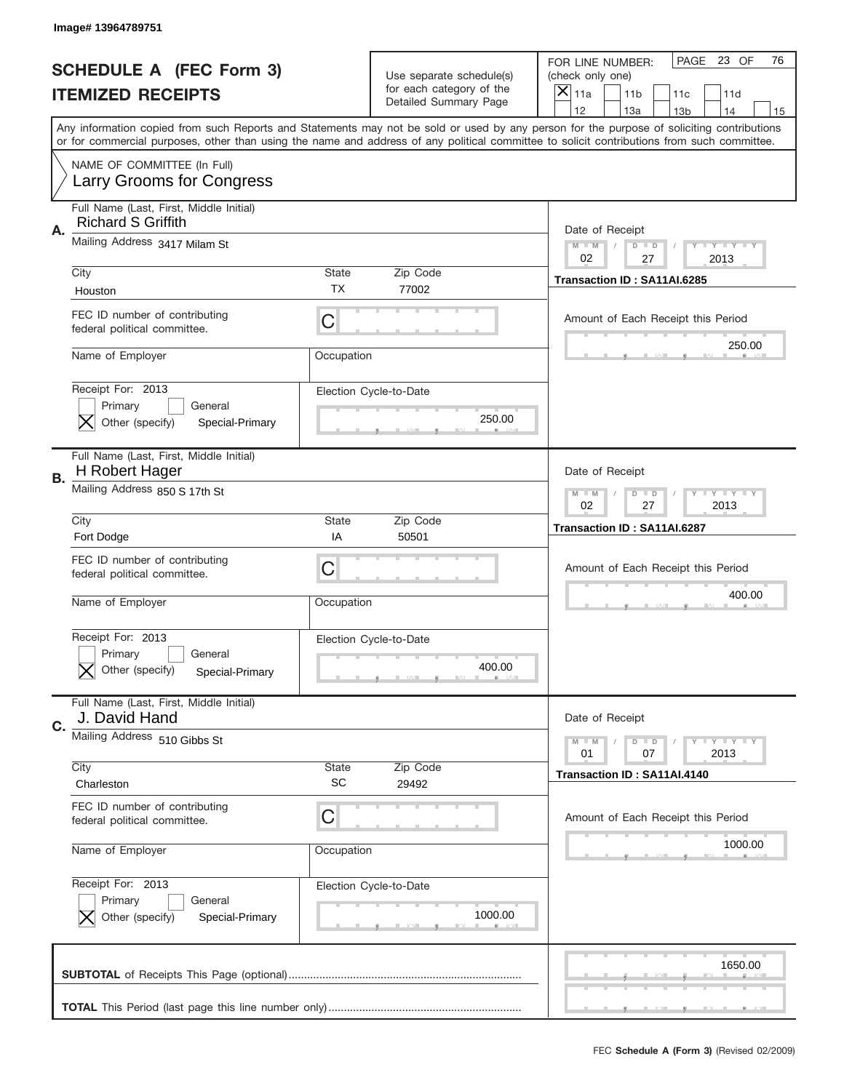|    | Image# 13964789751                                                            |                           |                                                   |                                                                                                                                                                                                                                                                                         |
|----|-------------------------------------------------------------------------------|---------------------------|---------------------------------------------------|-----------------------------------------------------------------------------------------------------------------------------------------------------------------------------------------------------------------------------------------------------------------------------------------|
|    | <b>SCHEDULE A (FEC Form 3)</b>                                                |                           | Use separate schedule(s)                          | PAGE<br>23 OF<br>76<br>FOR LINE NUMBER:<br>(check only one)                                                                                                                                                                                                                             |
|    | <b>ITEMIZED RECEIPTS</b>                                                      |                           | for each category of the<br>Detailed Summary Page | $\overline{\mathsf{x}}$<br>11a<br>11 <sub>b</sub><br>11c<br>11d<br>12<br>13a<br>14<br>13 <sub>b</sub><br>15                                                                                                                                                                             |
|    |                                                                               |                           |                                                   | Any information copied from such Reports and Statements may not be sold or used by any person for the purpose of soliciting contributions<br>or for commercial purposes, other than using the name and address of any political committee to solicit contributions from such committee. |
|    | NAME OF COMMITTEE (In Full)<br>Larry Grooms for Congress                      |                           |                                                   |                                                                                                                                                                                                                                                                                         |
| A. | Full Name (Last, First, Middle Initial)<br><b>Richard S Griffith</b>          |                           |                                                   | Date of Receipt                                                                                                                                                                                                                                                                         |
|    | Mailing Address 3417 Milam St                                                 |                           |                                                   | Y TY TY TY<br>$M - M$<br>$D$ $D$<br>02<br>27<br>2013                                                                                                                                                                                                                                    |
|    | City<br>Houston                                                               | <b>State</b><br><b>TX</b> | Zip Code<br>77002                                 | Transaction ID: SA11AI.6285                                                                                                                                                                                                                                                             |
|    | FEC ID number of contributing<br>federal political committee.                 | C                         |                                                   | Amount of Each Receipt this Period<br>250.00                                                                                                                                                                                                                                            |
|    | Name of Employer                                                              | Occupation                |                                                   |                                                                                                                                                                                                                                                                                         |
|    | Receipt For: 2013<br>Primary<br>General<br>Other (specify)<br>Special-Primary |                           | Election Cycle-to-Date<br>250.00                  |                                                                                                                                                                                                                                                                                         |
| В. | Full Name (Last, First, Middle Initial)<br>H Robert Hager                     |                           |                                                   | Date of Receipt                                                                                                                                                                                                                                                                         |
|    | Mailing Address 850 S 17th St                                                 |                           |                                                   | <b>LY LY LY</b><br>$M - M$<br>$D$ $D$<br>02<br>27<br>2013                                                                                                                                                                                                                               |
|    | City<br>Fort Dodge                                                            | <b>State</b><br>IA        | Zip Code<br>50501                                 | Transaction ID: SA11AI.6287                                                                                                                                                                                                                                                             |
|    | FEC ID number of contributing<br>federal political committee.                 | C                         |                                                   | Amount of Each Receipt this Period                                                                                                                                                                                                                                                      |
|    | Name of Employer                                                              | Occupation                |                                                   | 400.00                                                                                                                                                                                                                                                                                  |
|    |                                                                               |                           |                                                   |                                                                                                                                                                                                                                                                                         |
|    | Receipt For: 2013<br>General<br>Primary<br>Other (specify)<br>Special-Primary |                           | Election Cycle-to-Date<br>400.00                  |                                                                                                                                                                                                                                                                                         |
|    | Full Name (Last, First, Middle Initial)<br>J. David Hand                      |                           |                                                   | Date of Receipt                                                                                                                                                                                                                                                                         |
| C. | Mailing Address 510 Gibbs St                                                  |                           |                                                   | <b>TEY TEY TEY</b><br>$M - M$<br>$D$ $D$<br>2013<br>01<br>07                                                                                                                                                                                                                            |
|    | City<br>Charleston                                                            | State<br><b>SC</b>        | Zip Code<br>29492                                 | Transaction ID: SA11AI.4140                                                                                                                                                                                                                                                             |
|    | FEC ID number of contributing<br>federal political committee.                 | C                         |                                                   | Amount of Each Receipt this Period                                                                                                                                                                                                                                                      |
|    | Name of Employer                                                              | Occupation                |                                                   | 1000.00                                                                                                                                                                                                                                                                                 |
|    | Receipt For: 2013<br>Primary<br>General<br>Other (specify)<br>Special-Primary |                           | Election Cycle-to-Date<br>1000.00                 |                                                                                                                                                                                                                                                                                         |
|    |                                                                               |                           |                                                   | 1650.00                                                                                                                                                                                                                                                                                 |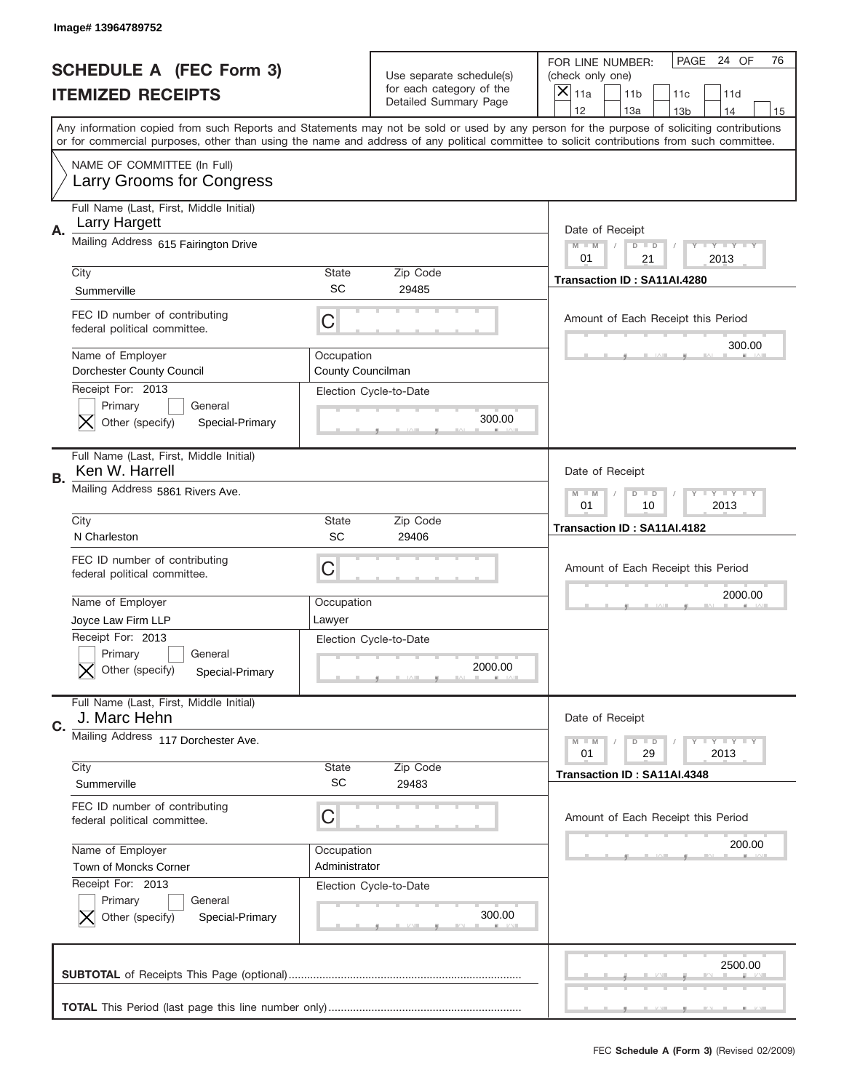|    | Image# 13964789752                                                            |                                 |                                                      |                                                                                                                                                                                                                                                                                                                                     |
|----|-------------------------------------------------------------------------------|---------------------------------|------------------------------------------------------|-------------------------------------------------------------------------------------------------------------------------------------------------------------------------------------------------------------------------------------------------------------------------------------------------------------------------------------|
|    | <b>SCHEDULE A (FEC Form 3)</b>                                                |                                 | Use separate schedule(s)<br>for each category of the | PAGE 24 OF<br>76<br>FOR LINE NUMBER:<br>(check only one)                                                                                                                                                                                                                                                                            |
|    | <b>ITEMIZED RECEIPTS</b>                                                      |                                 | Detailed Summary Page                                | ×<br>11a<br>11 <sub>b</sub><br>11c<br>11d                                                                                                                                                                                                                                                                                           |
|    |                                                                               |                                 |                                                      | 12<br>13a<br>14<br>13 <sub>b</sub><br>15<br>Any information copied from such Reports and Statements may not be sold or used by any person for the purpose of soliciting contributions<br>or for commercial purposes, other than using the name and address of any political committee to solicit contributions from such committee. |
|    | NAME OF COMMITTEE (In Full)<br>Larry Grooms for Congress                      |                                 |                                                      |                                                                                                                                                                                                                                                                                                                                     |
| Α. | Full Name (Last, First, Middle Initial)<br><b>Larry Hargett</b>               |                                 |                                                      | Date of Receipt                                                                                                                                                                                                                                                                                                                     |
|    | Mailing Address 615 Fairington Drive                                          |                                 |                                                      | $M - M$<br><b>LEY LEY LEY</b><br>$D$ $D$<br>01<br>21<br>2013                                                                                                                                                                                                                                                                        |
|    | City<br>Summerville                                                           | State<br>SC                     | Zip Code<br>29485                                    | Transaction ID: SA11AI.4280                                                                                                                                                                                                                                                                                                         |
|    | FEC ID number of contributing<br>federal political committee.                 | C                               |                                                      | Amount of Each Receipt this Period<br>300.00                                                                                                                                                                                                                                                                                        |
|    | Name of Employer<br>Dorchester County Council<br>Receipt For: 2013            | Occupation<br>County Councilman |                                                      |                                                                                                                                                                                                                                                                                                                                     |
|    | Primary<br>General<br>Other (specify)<br>Special-Primary                      |                                 | Election Cycle-to-Date<br>300.00                     |                                                                                                                                                                                                                                                                                                                                     |
| В. | Full Name (Last, First, Middle Initial)<br>Ken W. Harrell                     |                                 |                                                      | Date of Receipt                                                                                                                                                                                                                                                                                                                     |
|    | Mailing Address 5861 Rivers Ave.                                              |                                 |                                                      | <b>LYLYLY</b><br>$M - M$<br>$D$ $D$<br>01<br>10<br>2013                                                                                                                                                                                                                                                                             |
|    | City<br>N Charleston                                                          | State<br>SC                     | Zip Code<br>29406                                    | Transaction ID: SA11AI.4182                                                                                                                                                                                                                                                                                                         |
|    |                                                                               |                                 |                                                      |                                                                                                                                                                                                                                                                                                                                     |
|    | FEC ID number of contributing<br>federal political committee.                 | C                               |                                                      | Amount of Each Receipt this Period                                                                                                                                                                                                                                                                                                  |
|    | Name of Employer                                                              | Occupation                      |                                                      | 2000.00                                                                                                                                                                                                                                                                                                                             |
|    | Joyce Law Firm LLP                                                            | Lawyer                          |                                                      |                                                                                                                                                                                                                                                                                                                                     |
|    | Receipt For: 2013<br>General<br>Primary<br>Other (specify)<br>Special-Primary |                                 | Election Cycle-to-Date<br>2000.00                    |                                                                                                                                                                                                                                                                                                                                     |
| C. | Full Name (Last, First, Middle Initial)<br>J. Marc Hehn                       |                                 |                                                      | Date of Receipt                                                                                                                                                                                                                                                                                                                     |
|    | Mailing Address 117 Dorchester Ave.                                           |                                 |                                                      | <b>LYLYLY</b><br>$M - M$<br>$D$ $D$<br>01<br>29<br>2013                                                                                                                                                                                                                                                                             |
|    | City<br>Summerville                                                           | <b>State</b><br><b>SC</b>       | Zip Code<br>29483                                    | Transaction ID: SA11AI.4348                                                                                                                                                                                                                                                                                                         |
|    | FEC ID number of contributing<br>federal political committee.                 | C                               |                                                      | Amount of Each Receipt this Period                                                                                                                                                                                                                                                                                                  |
|    | Name of Employer<br>Town of Moncks Corner                                     | Occupation<br>Administrator     |                                                      | 200.00                                                                                                                                                                                                                                                                                                                              |
|    | Receipt For: 2013<br>Primary<br>General<br>Other (specify)<br>Special-Primary |                                 | Election Cycle-to-Date<br>300.00                     |                                                                                                                                                                                                                                                                                                                                     |
|    |                                                                               |                                 |                                                      | 2500.00                                                                                                                                                                                                                                                                                                                             |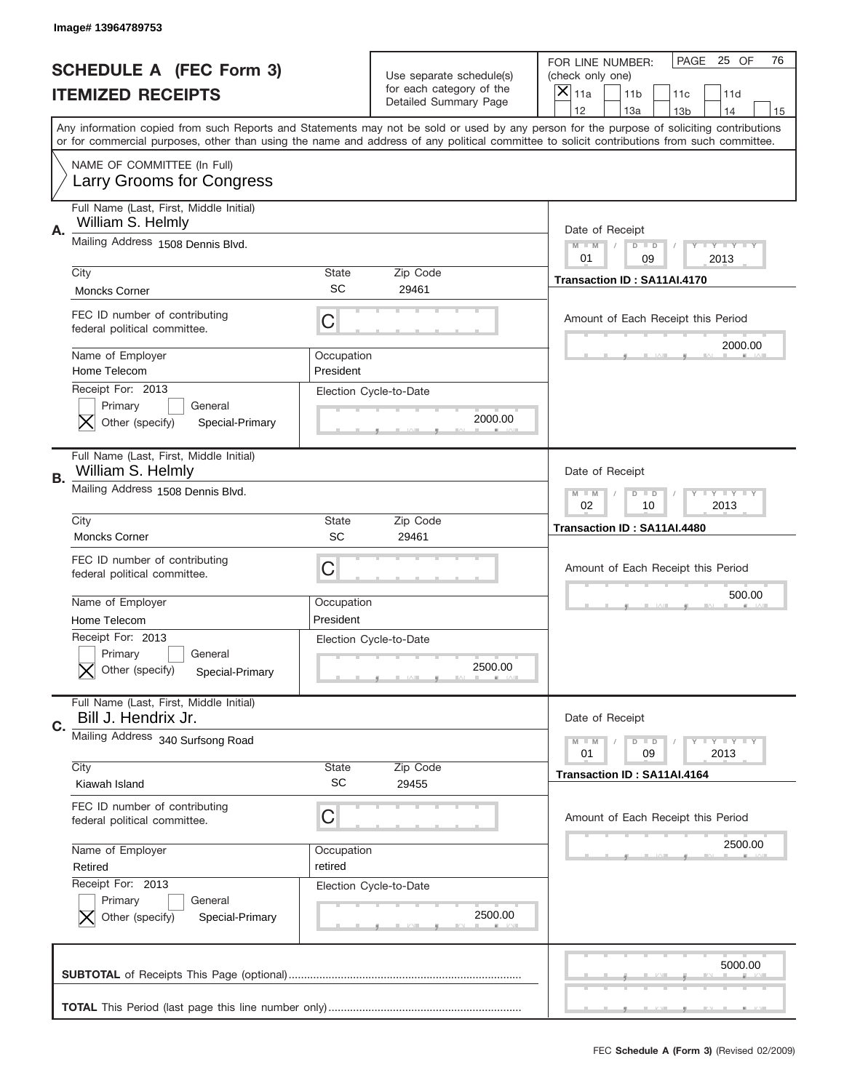|    | Image# 13964789753                                                                            |                           |                                                   |                                                                                                                                                                                                                                                                                                                                     |
|----|-----------------------------------------------------------------------------------------------|---------------------------|---------------------------------------------------|-------------------------------------------------------------------------------------------------------------------------------------------------------------------------------------------------------------------------------------------------------------------------------------------------------------------------------------|
|    | <b>SCHEDULE A (FEC Form 3)</b>                                                                |                           | Use separate schedule(s)                          | PAGE 25 OF<br>76<br>FOR LINE NUMBER:<br>(check only one)                                                                                                                                                                                                                                                                            |
|    | <b>ITEMIZED RECEIPTS</b>                                                                      |                           | for each category of the<br>Detailed Summary Page | ×<br>11a<br>11 <sub>b</sub><br>11c<br>11d                                                                                                                                                                                                                                                                                           |
|    |                                                                                               |                           |                                                   | 12<br>13a<br>14<br>13 <sub>b</sub><br>15<br>Any information copied from such Reports and Statements may not be sold or used by any person for the purpose of soliciting contributions<br>or for commercial purposes, other than using the name and address of any political committee to solicit contributions from such committee. |
|    | NAME OF COMMITTEE (In Full)<br>Larry Grooms for Congress                                      |                           |                                                   |                                                                                                                                                                                                                                                                                                                                     |
| Α. | Full Name (Last, First, Middle Initial)<br>William S. Helmly                                  |                           |                                                   | Date of Receipt                                                                                                                                                                                                                                                                                                                     |
|    | Mailing Address 1508 Dennis Blvd.                                                             |                           |                                                   | $M - M$<br><b>LEY LEY LEY</b><br>$D$ $D$<br>01<br>09<br>2013                                                                                                                                                                                                                                                                        |
|    | City<br><b>Moncks Corner</b>                                                                  | State<br>SC               | Zip Code<br>29461                                 | Transaction ID: SA11AI.4170                                                                                                                                                                                                                                                                                                         |
|    | FEC ID number of contributing<br>federal political committee.                                 | C                         |                                                   | Amount of Each Receipt this Period<br>2000.00                                                                                                                                                                                                                                                                                       |
|    | Name of Employer<br>Home Telecom                                                              | Occupation<br>President   |                                                   |                                                                                                                                                                                                                                                                                                                                     |
|    | Receipt For: 2013<br>Primary<br>General<br>Other (specify)<br>Special-Primary                 |                           | Election Cycle-to-Date<br>2000.00                 |                                                                                                                                                                                                                                                                                                                                     |
| В. | Full Name (Last, First, Middle Initial)<br>William S. Helmly                                  |                           |                                                   | Date of Receipt                                                                                                                                                                                                                                                                                                                     |
|    | Mailing Address 1508 Dennis Blvd.                                                             |                           |                                                   | $M - M$<br>$D$ $D$<br><b>LYLYLY</b><br>02<br>10<br>2013                                                                                                                                                                                                                                                                             |
|    | City<br><b>Moncks Corner</b>                                                                  | State<br>SC               | Zip Code<br>29461                                 | Transaction ID: SA11AI.4480                                                                                                                                                                                                                                                                                                         |
|    | FEC ID number of contributing<br>federal political committee.                                 | C                         |                                                   | Amount of Each Receipt this Period                                                                                                                                                                                                                                                                                                  |
|    |                                                                                               |                           |                                                   |                                                                                                                                                                                                                                                                                                                                     |
|    | Name of Employer                                                                              | Occupation                |                                                   | 500.00                                                                                                                                                                                                                                                                                                                              |
|    | Home Telecom<br>Receipt For: 2013<br>General<br>Primary<br>Other (specify)<br>Special-Primary | President                 | Election Cycle-to-Date<br>2500.00                 |                                                                                                                                                                                                                                                                                                                                     |
| C. | Full Name (Last, First, Middle Initial)<br>Bill J. Hendrix Jr.                                |                           |                                                   | Date of Receipt                                                                                                                                                                                                                                                                                                                     |
|    | Mailing Address 340 Surfsong Road                                                             |                           |                                                   | <b>LYLYLY</b><br>$M - M$<br>$D$ $D$<br>01<br>09<br>2013                                                                                                                                                                                                                                                                             |
|    | City<br>Kiawah Island                                                                         | <b>State</b><br><b>SC</b> | Zip Code<br>29455                                 | Transaction ID: SA11AI.4164                                                                                                                                                                                                                                                                                                         |
|    | FEC ID number of contributing<br>federal political committee.                                 | C                         |                                                   | Amount of Each Receipt this Period                                                                                                                                                                                                                                                                                                  |
|    | Name of Employer<br>Retired                                                                   | Occupation<br>retired     |                                                   | 2500.00                                                                                                                                                                                                                                                                                                                             |
|    | Receipt For: 2013<br>Primary<br>General<br>Other (specify)<br>Special-Primary                 |                           | Election Cycle-to-Date<br>2500.00                 |                                                                                                                                                                                                                                                                                                                                     |
|    |                                                                                               |                           |                                                   | 5000.00                                                                                                                                                                                                                                                                                                                             |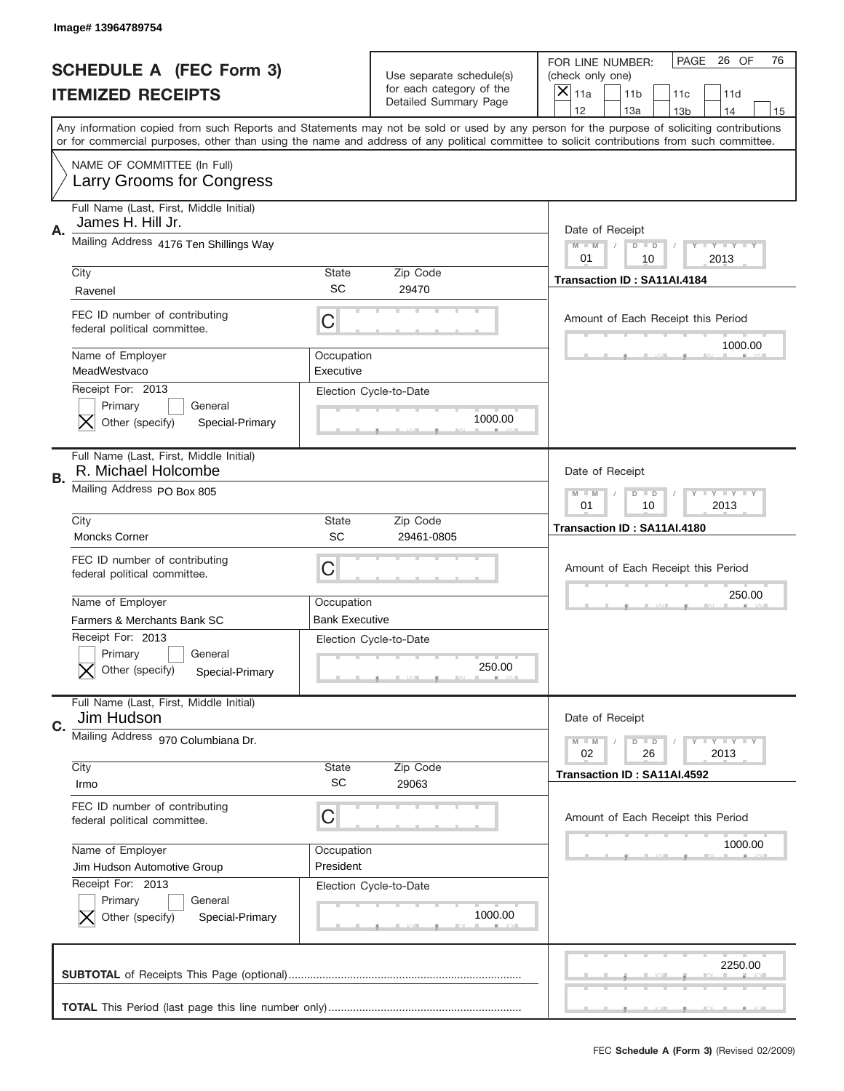|    | Image# 13964789754                                                            |                           |                                                      |                                                                                                                                                                                                                                                                                                                                     |
|----|-------------------------------------------------------------------------------|---------------------------|------------------------------------------------------|-------------------------------------------------------------------------------------------------------------------------------------------------------------------------------------------------------------------------------------------------------------------------------------------------------------------------------------|
|    | <b>SCHEDULE A (FEC Form 3)</b>                                                |                           | Use separate schedule(s)<br>for each category of the | PAGE 26 OF<br>76<br>FOR LINE NUMBER:<br>(check only one)                                                                                                                                                                                                                                                                            |
|    | <b>ITEMIZED RECEIPTS</b>                                                      |                           | Detailed Summary Page                                | ×<br>11a<br>11 <sub>b</sub><br>11c<br>11d                                                                                                                                                                                                                                                                                           |
|    |                                                                               |                           |                                                      | 12<br>13a<br>14<br>13 <sub>b</sub><br>15<br>Any information copied from such Reports and Statements may not be sold or used by any person for the purpose of soliciting contributions<br>or for commercial purposes, other than using the name and address of any political committee to solicit contributions from such committee. |
|    | NAME OF COMMITTEE (In Full)<br>Larry Grooms for Congress                      |                           |                                                      |                                                                                                                                                                                                                                                                                                                                     |
| Α. | Full Name (Last, First, Middle Initial)<br>James H. Hill Jr.                  |                           |                                                      | Date of Receipt                                                                                                                                                                                                                                                                                                                     |
|    | Mailing Address 4176 Ten Shillings Way                                        |                           |                                                      | $M - M$<br><b>LEY LEY LEY</b><br>$D$ $D$<br>01<br>10<br>2013                                                                                                                                                                                                                                                                        |
|    | City<br>Ravenel                                                               | State<br>SC               | Zip Code<br>29470                                    | Transaction ID: SA11AI.4184                                                                                                                                                                                                                                                                                                         |
|    | FEC ID number of contributing<br>federal political committee.                 | C                         |                                                      | Amount of Each Receipt this Period                                                                                                                                                                                                                                                                                                  |
|    | Name of Employer<br>MeadWestvaco                                              | Occupation<br>Executive   |                                                      | 1000.00                                                                                                                                                                                                                                                                                                                             |
|    | Receipt For: 2013<br>Primary<br>General<br>Other (specify)<br>Special-Primary |                           | Election Cycle-to-Date<br>1000.00                    |                                                                                                                                                                                                                                                                                                                                     |
| В. | Full Name (Last, First, Middle Initial)<br>R. Michael Holcombe                |                           |                                                      | Date of Receipt                                                                                                                                                                                                                                                                                                                     |
|    | Mailing Address PO Box 805                                                    |                           |                                                      | $M$ M<br>$D$ $D$<br><b>LYLYLY</b><br>01<br>10<br>2013                                                                                                                                                                                                                                                                               |
|    | City<br><b>Moncks Corner</b>                                                  | State<br>SC               | Zip Code<br>29461-0805                               | Transaction ID: SA11AI.4180                                                                                                                                                                                                                                                                                                         |
|    |                                                                               |                           |                                                      |                                                                                                                                                                                                                                                                                                                                     |
|    | FEC ID number of contributing<br>federal political committee.                 | C                         |                                                      | Amount of Each Receipt this Period                                                                                                                                                                                                                                                                                                  |
|    | Name of Employer                                                              | Occupation                |                                                      | 250.00                                                                                                                                                                                                                                                                                                                              |
|    | Farmers & Merchants Bank SC                                                   | <b>Bank Executive</b>     |                                                      |                                                                                                                                                                                                                                                                                                                                     |
|    | Receipt For: 2013<br>General<br>Primary<br>Other (specify)<br>Special-Primary |                           | Election Cycle-to-Date<br>250.00                     |                                                                                                                                                                                                                                                                                                                                     |
| C. | Full Name (Last, First, Middle Initial)<br>Jim Hudson                         |                           |                                                      | Date of Receipt                                                                                                                                                                                                                                                                                                                     |
|    | Mailing Address 970 Columbiana Dr.                                            |                           |                                                      | <b>LYLYLY</b><br>$M - M$<br>$D$ $D$<br>02<br>2013<br>26                                                                                                                                                                                                                                                                             |
|    | City<br>Irmo                                                                  | <b>State</b><br><b>SC</b> | Zip Code<br>29063                                    | Transaction ID: SA11AI.4592                                                                                                                                                                                                                                                                                                         |
|    | FEC ID number of contributing<br>federal political committee.                 | C                         |                                                      | Amount of Each Receipt this Period                                                                                                                                                                                                                                                                                                  |
|    | Name of Employer                                                              | Occupation                |                                                      | 1000.00                                                                                                                                                                                                                                                                                                                             |
|    | Jim Hudson Automotive Group                                                   | President                 |                                                      |                                                                                                                                                                                                                                                                                                                                     |
|    | Receipt For: 2013<br>Primary<br>General<br>Other (specify)<br>Special-Primary |                           | Election Cycle-to-Date<br>1000.00                    |                                                                                                                                                                                                                                                                                                                                     |
|    |                                                                               |                           |                                                      | 2250.00                                                                                                                                                                                                                                                                                                                             |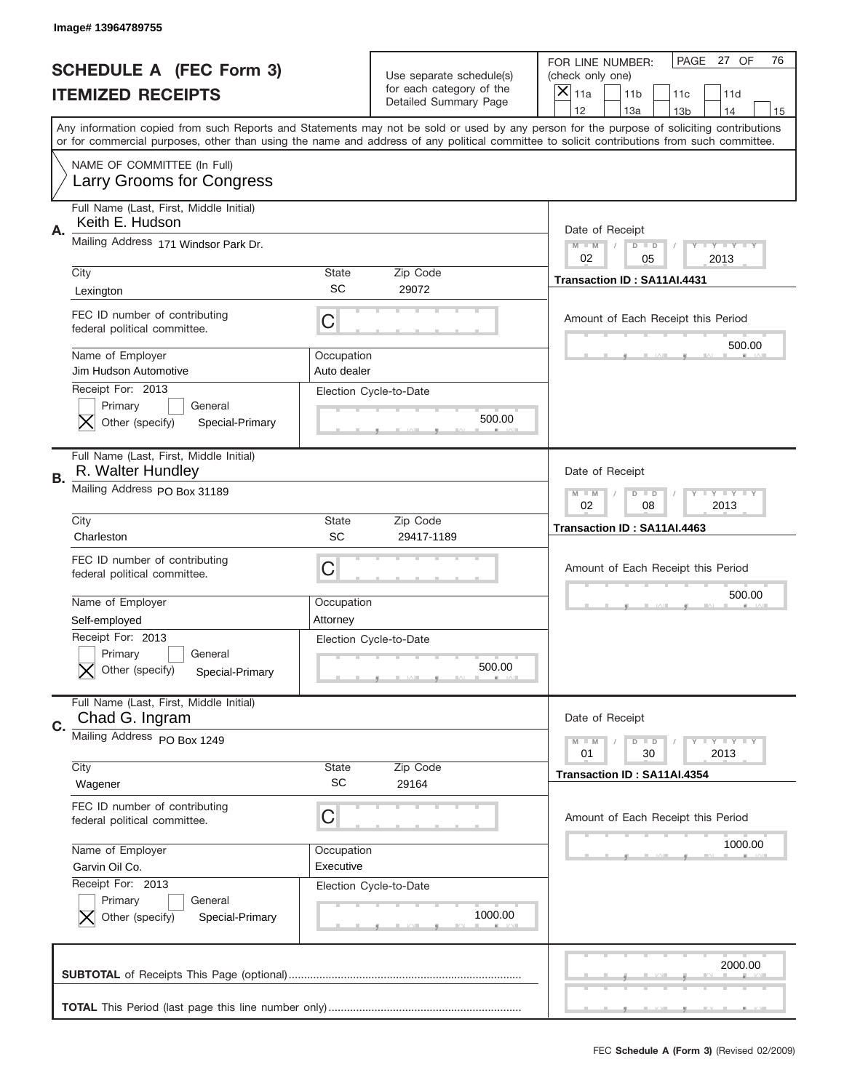|    | Image# 13964789755                                                                             |                           |                                                                                      |                                                                                                                                                                                                                                                                                                                                     |
|----|------------------------------------------------------------------------------------------------|---------------------------|--------------------------------------------------------------------------------------|-------------------------------------------------------------------------------------------------------------------------------------------------------------------------------------------------------------------------------------------------------------------------------------------------------------------------------------|
|    | <b>SCHEDULE A (FEC Form 3)</b><br><b>ITEMIZED RECEIPTS</b>                                     |                           | Use separate schedule(s)<br>for each category of the<br><b>Detailed Summary Page</b> | PAGE 27 OF<br>76<br>FOR LINE NUMBER:<br>(check only one)<br>$\boldsymbol{\times}$<br>11a<br>11 <sub>b</sub><br>11c<br>11d                                                                                                                                                                                                           |
|    |                                                                                                |                           |                                                                                      | 12<br>13a<br>14<br>13 <sub>b</sub><br>15<br>Any information copied from such Reports and Statements may not be sold or used by any person for the purpose of soliciting contributions<br>or for commercial purposes, other than using the name and address of any political committee to solicit contributions from such committee. |
|    | NAME OF COMMITTEE (In Full)<br>Larry Grooms for Congress                                       |                           |                                                                                      |                                                                                                                                                                                                                                                                                                                                     |
| Α. | Full Name (Last, First, Middle Initial)<br>Keith E. Hudson                                     |                           |                                                                                      | Date of Receipt                                                                                                                                                                                                                                                                                                                     |
|    | Mailing Address 171 Windsor Park Dr.                                                           |                           |                                                                                      | <b>LYLYLY</b><br>$M - M$<br>$D$ $D$<br>02<br>05<br>2013                                                                                                                                                                                                                                                                             |
|    | City<br>Lexington                                                                              | State<br>SC               | Zip Code<br>29072                                                                    | Transaction ID: SA11AI.4431                                                                                                                                                                                                                                                                                                         |
|    | FEC ID number of contributing<br>federal political committee.                                  | C                         |                                                                                      | Amount of Each Receipt this Period                                                                                                                                                                                                                                                                                                  |
|    | Name of Employer<br>Jim Hudson Automotive                                                      | Occupation<br>Auto dealer |                                                                                      | 500.00                                                                                                                                                                                                                                                                                                                              |
|    | Receipt For: 2013<br>Primary<br>General<br>Other (specify)<br>Special-Primary                  |                           | Election Cycle-to-Date<br>500.00                                                     |                                                                                                                                                                                                                                                                                                                                     |
| В. | Full Name (Last, First, Middle Initial)<br>R. Walter Hundley                                   |                           |                                                                                      | Date of Receipt                                                                                                                                                                                                                                                                                                                     |
|    | Mailing Address PO Box 31189                                                                   |                           |                                                                                      | <b>LY LY LY</b><br>$M - M$<br>$D$ $D$<br>02<br>08<br>2013                                                                                                                                                                                                                                                                           |
|    | City<br>Charleston                                                                             | <b>State</b><br>SC        | Zip Code<br>29417-1189                                                               | Transaction ID: SA11AI.4463                                                                                                                                                                                                                                                                                                         |
|    | FEC ID number of contributing                                                                  |                           |                                                                                      |                                                                                                                                                                                                                                                                                                                                     |
|    | federal political committee.                                                                   | C                         |                                                                                      | Amount of Each Receipt this Period                                                                                                                                                                                                                                                                                                  |
|    | Name of Employer                                                                               | Occupation                |                                                                                      | 500.00                                                                                                                                                                                                                                                                                                                              |
|    | Self-employed<br>Receipt For: 2013<br>Primary<br>General<br>Other (specify)<br>Special-Primary | Attorney                  | Election Cycle-to-Date<br>500.00                                                     |                                                                                                                                                                                                                                                                                                                                     |
|    | Full Name (Last, First, Middle Initial)<br>Chad G. Ingram                                      |                           |                                                                                      | Date of Receipt                                                                                                                                                                                                                                                                                                                     |
| C. | Mailing Address PO Box 1249                                                                    |                           |                                                                                      | <b>LY LY LY</b><br>$M \perp M$<br>$D$ $D$<br>30<br>2013<br>01                                                                                                                                                                                                                                                                       |
|    | City<br>Wagener                                                                                | <b>State</b><br><b>SC</b> | Zip Code<br>29164                                                                    | Transaction ID: SA11AI.4354                                                                                                                                                                                                                                                                                                         |
|    | FEC ID number of contributing<br>federal political committee.                                  | С                         |                                                                                      | Amount of Each Receipt this Period                                                                                                                                                                                                                                                                                                  |
|    | Name of Employer<br>Garvin Oil Co.                                                             | Occupation<br>Executive   |                                                                                      | 1000.00                                                                                                                                                                                                                                                                                                                             |
|    | Receipt For: 2013<br>Primary<br>General<br>Other (specify)<br>Special-Primary                  |                           | Election Cycle-to-Date<br>1000.00                                                    |                                                                                                                                                                                                                                                                                                                                     |
|    |                                                                                                |                           |                                                                                      | 2000.00                                                                                                                                                                                                                                                                                                                             |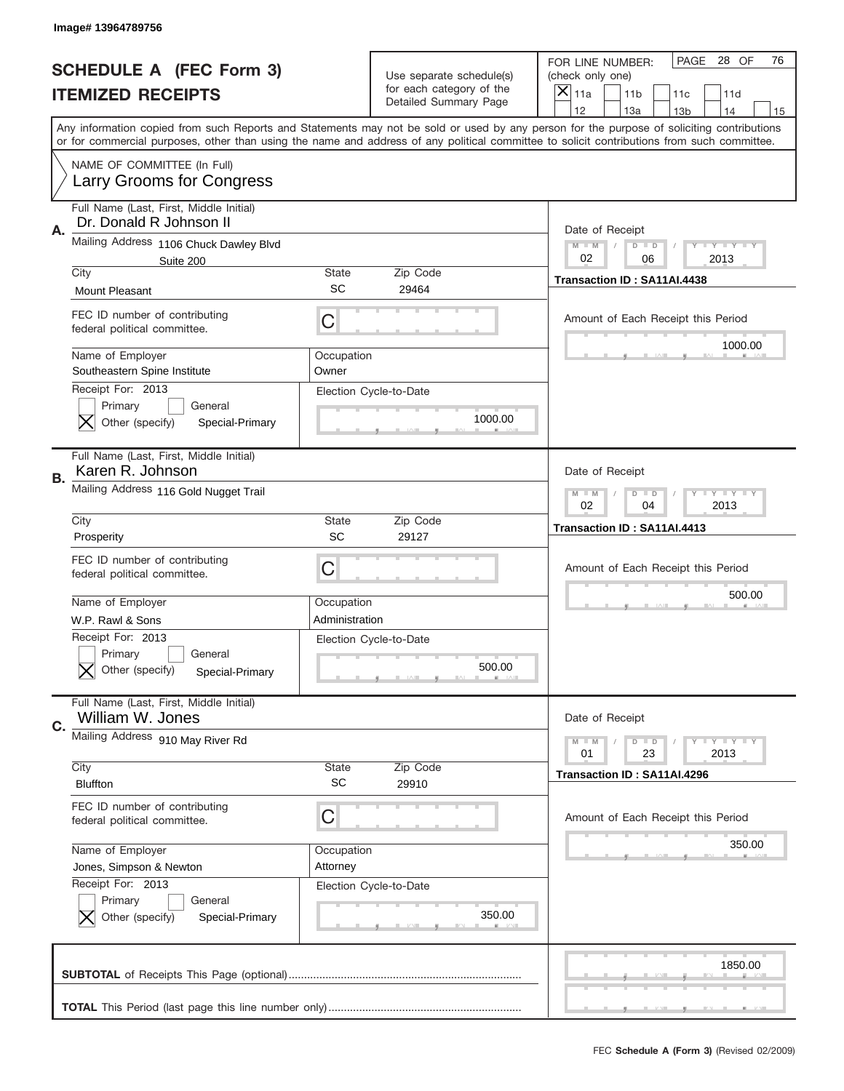|           | Image# 13964789756                                                            |                     |                                                   |                                                                                                                                                                                                                                                                                                                               |
|-----------|-------------------------------------------------------------------------------|---------------------|---------------------------------------------------|-------------------------------------------------------------------------------------------------------------------------------------------------------------------------------------------------------------------------------------------------------------------------------------------------------------------------------|
|           | <b>SCHEDULE A (FEC Form 3)</b>                                                |                     | Use separate schedule(s)                          | PAGE 28 OF<br>76<br>FOR LINE NUMBER:<br>(check only one)                                                                                                                                                                                                                                                                      |
|           | <b>ITEMIZED RECEIPTS</b>                                                      |                     | for each category of the<br>Detailed Summary Page | ×<br>11a<br>11 <sub>b</sub><br>11c<br>11d<br>12                                                                                                                                                                                                                                                                               |
|           |                                                                               |                     |                                                   | 13a<br>14<br>13 <sub>b</sub><br>15<br>Any information copied from such Reports and Statements may not be sold or used by any person for the purpose of soliciting contributions<br>or for commercial purposes, other than using the name and address of any political committee to solicit contributions from such committee. |
|           | NAME OF COMMITTEE (In Full)<br>Larry Grooms for Congress                      |                     |                                                   |                                                                                                                                                                                                                                                                                                                               |
| Α.        | Full Name (Last, First, Middle Initial)<br>Dr. Donald R Johnson II            |                     |                                                   | Date of Receipt                                                                                                                                                                                                                                                                                                               |
|           | Mailing Address 1106 Chuck Dawley Blvd<br>Suite 200<br>City                   | State               | Zip Code                                          | $M - M$<br><b>LYLYLY</b><br>$D$ $D$<br>02<br>06<br>2013                                                                                                                                                                                                                                                                       |
|           | <b>Mount Pleasant</b>                                                         | <b>SC</b>           | 29464                                             | Transaction ID: SA11AI.4438                                                                                                                                                                                                                                                                                                   |
|           | FEC ID number of contributing<br>federal political committee.                 | C                   |                                                   | Amount of Each Receipt this Period                                                                                                                                                                                                                                                                                            |
|           | Name of Employer<br>Southeastern Spine Institute                              | Occupation<br>Owner |                                                   | 1000.00                                                                                                                                                                                                                                                                                                                       |
|           | Receipt For: 2013<br>Primary<br>General<br>Other (specify)<br>Special-Primary |                     | Election Cycle-to-Date<br>1000.00                 |                                                                                                                                                                                                                                                                                                                               |
| <b>B.</b> | Full Name (Last, First, Middle Initial)<br>Karen R. Johnson                   |                     |                                                   | Date of Receipt                                                                                                                                                                                                                                                                                                               |
|           | Mailing Address 116 Gold Nugget Trail                                         |                     |                                                   | $M - M$<br><b>LYLYLY</b><br>$D$ $D$<br>02<br>04<br>2013                                                                                                                                                                                                                                                                       |
|           | City<br>Prosperity                                                            | State<br>SC         | Zip Code<br>29127                                 | Transaction ID: SA11AI.4413                                                                                                                                                                                                                                                                                                   |
|           | FEC ID number of contributing                                                 |                     |                                                   |                                                                                                                                                                                                                                                                                                                               |
|           | federal political committee.                                                  | C                   |                                                   | Amount of Each Receipt this Period                                                                                                                                                                                                                                                                                            |
|           | Name of Employer                                                              | Occupation          |                                                   | 500.00                                                                                                                                                                                                                                                                                                                        |
|           | W.P. Rawl & Sons                                                              | Administration      |                                                   |                                                                                                                                                                                                                                                                                                                               |
|           | Receipt For: 2013<br>General<br>Primary<br>Other (specify)<br>Special-Primary |                     | Election Cycle-to-Date<br>500.00                  |                                                                                                                                                                                                                                                                                                                               |
| C.        | Full Name (Last, First, Middle Initial)<br>William W. Jones                   |                     |                                                   | Date of Receipt                                                                                                                                                                                                                                                                                                               |
|           | Mailing Address 910 May River Rd                                              |                     |                                                   | $I - Y - I - Y - I - Y$<br>$M - M$<br>$D$ $D$<br>01<br>23<br>2013                                                                                                                                                                                                                                                             |
|           | City<br><b>Bluffton</b>                                                       | State<br>SC         | Zip Code<br>29910                                 | Transaction ID: SA11AI.4296                                                                                                                                                                                                                                                                                                   |
|           | FEC ID number of contributing<br>federal political committee.                 | С                   |                                                   | Amount of Each Receipt this Period                                                                                                                                                                                                                                                                                            |
|           | Name of Employer                                                              | Occupation          |                                                   | 350.00                                                                                                                                                                                                                                                                                                                        |
|           | Jones, Simpson & Newton                                                       | Attorney            |                                                   |                                                                                                                                                                                                                                                                                                                               |
|           | Receipt For: 2013<br>Primary<br>General<br>Other (specify)<br>Special-Primary |                     | Election Cycle-to-Date<br>350.00                  |                                                                                                                                                                                                                                                                                                                               |
|           |                                                                               |                     |                                                   | 1850.00                                                                                                                                                                                                                                                                                                                       |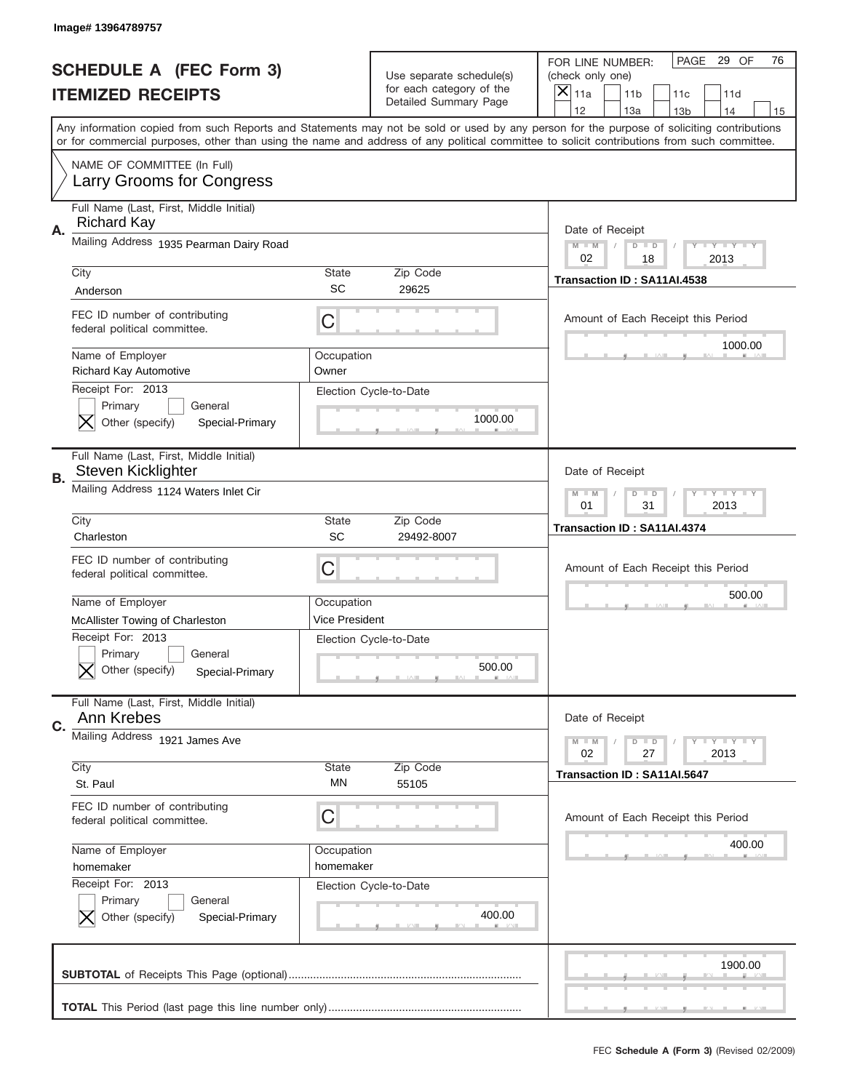|    | Image# 13964789757                                                            |                     |                                                      |                                                                                                                                                                                                                                                                                                                                     |
|----|-------------------------------------------------------------------------------|---------------------|------------------------------------------------------|-------------------------------------------------------------------------------------------------------------------------------------------------------------------------------------------------------------------------------------------------------------------------------------------------------------------------------------|
|    | <b>SCHEDULE A (FEC Form 3)</b>                                                |                     | Use separate schedule(s)<br>for each category of the | PAGE 29 OF<br>76<br>FOR LINE NUMBER:<br>(check only one)                                                                                                                                                                                                                                                                            |
|    | <b>ITEMIZED RECEIPTS</b>                                                      |                     | Detailed Summary Page                                | ×<br>11a<br>11 <sub>b</sub><br>11c<br>11d                                                                                                                                                                                                                                                                                           |
|    |                                                                               |                     |                                                      | 12<br>13a<br>14<br>13 <sub>b</sub><br>15<br>Any information copied from such Reports and Statements may not be sold or used by any person for the purpose of soliciting contributions<br>or for commercial purposes, other than using the name and address of any political committee to solicit contributions from such committee. |
|    | NAME OF COMMITTEE (In Full)<br>Larry Grooms for Congress                      |                     |                                                      |                                                                                                                                                                                                                                                                                                                                     |
| Α. | Full Name (Last, First, Middle Initial)<br><b>Richard Kay</b>                 |                     |                                                      | Date of Receipt                                                                                                                                                                                                                                                                                                                     |
|    | Mailing Address 1935 Pearman Dairy Road                                       |                     |                                                      | $M - M$<br><b>LYLYLY</b><br>$D$ $D$<br>02<br>18<br>2013                                                                                                                                                                                                                                                                             |
|    | City<br>Anderson                                                              | State<br>SC         | Zip Code<br>29625                                    | Transaction ID: SA11AI.4538                                                                                                                                                                                                                                                                                                         |
|    | FEC ID number of contributing<br>federal political committee.                 | C                   |                                                      | Amount of Each Receipt this Period                                                                                                                                                                                                                                                                                                  |
|    | Name of Employer<br><b>Richard Kay Automotive</b>                             | Occupation<br>Owner |                                                      | 1000.00                                                                                                                                                                                                                                                                                                                             |
|    | Receipt For: 2013<br>Primary<br>General<br>Other (specify)<br>Special-Primary |                     | Election Cycle-to-Date<br>1000.00                    |                                                                                                                                                                                                                                                                                                                                     |
| В. | Full Name (Last, First, Middle Initial)<br>Steven Kicklighter                 |                     |                                                      | Date of Receipt                                                                                                                                                                                                                                                                                                                     |
|    | Mailing Address 1124 Waters Inlet Cir                                         |                     |                                                      | <b>LYLYLY</b><br>$M - M$<br>$D$ $D$<br>01<br>31<br>2013                                                                                                                                                                                                                                                                             |
|    | City<br>Charleston                                                            | State<br>SC         | Zip Code<br>29492-8007                               | Transaction ID: SA11AI.4374                                                                                                                                                                                                                                                                                                         |
|    | FEC ID number of contributing<br>federal political committee.                 | C                   |                                                      | Amount of Each Receipt this Period                                                                                                                                                                                                                                                                                                  |
|    |                                                                               |                     |                                                      | 500.00                                                                                                                                                                                                                                                                                                                              |
|    | Name of Employer                                                              | Occupation          |                                                      |                                                                                                                                                                                                                                                                                                                                     |
|    | <b>McAllister Towing of Charleston</b>                                        | Vice President      |                                                      |                                                                                                                                                                                                                                                                                                                                     |
|    | Receipt For: 2013<br>General<br>Primary<br>Other (specify)<br>Special-Primary |                     | Election Cycle-to-Date<br>500.00                     |                                                                                                                                                                                                                                                                                                                                     |
| C. | Full Name (Last, First, Middle Initial)<br>Ann Krebes                         |                     |                                                      | Date of Receipt                                                                                                                                                                                                                                                                                                                     |
|    | Mailing Address 1921 James Ave                                                |                     |                                                      | <b>LY LY LY</b><br>$M - M$<br>$D$ $D$<br>02<br>2013<br>27                                                                                                                                                                                                                                                                           |
|    | City                                                                          | <b>State</b>        | Zip Code                                             | Transaction ID: SA11AI.5647                                                                                                                                                                                                                                                                                                         |
|    | St. Paul                                                                      | ΜN                  | 55105                                                |                                                                                                                                                                                                                                                                                                                                     |
|    | FEC ID number of contributing<br>federal political committee.                 | C                   |                                                      | Amount of Each Receipt this Period                                                                                                                                                                                                                                                                                                  |
|    | Name of Employer                                                              | Occupation          |                                                      | 400.00                                                                                                                                                                                                                                                                                                                              |
|    | homemaker                                                                     | homemaker           |                                                      |                                                                                                                                                                                                                                                                                                                                     |
|    | Receipt For: 2013<br>Primary<br>General<br>Other (specify)<br>Special-Primary |                     | Election Cycle-to-Date<br>400.00                     |                                                                                                                                                                                                                                                                                                                                     |
|    |                                                                               |                     |                                                      | 1900.00                                                                                                                                                                                                                                                                                                                             |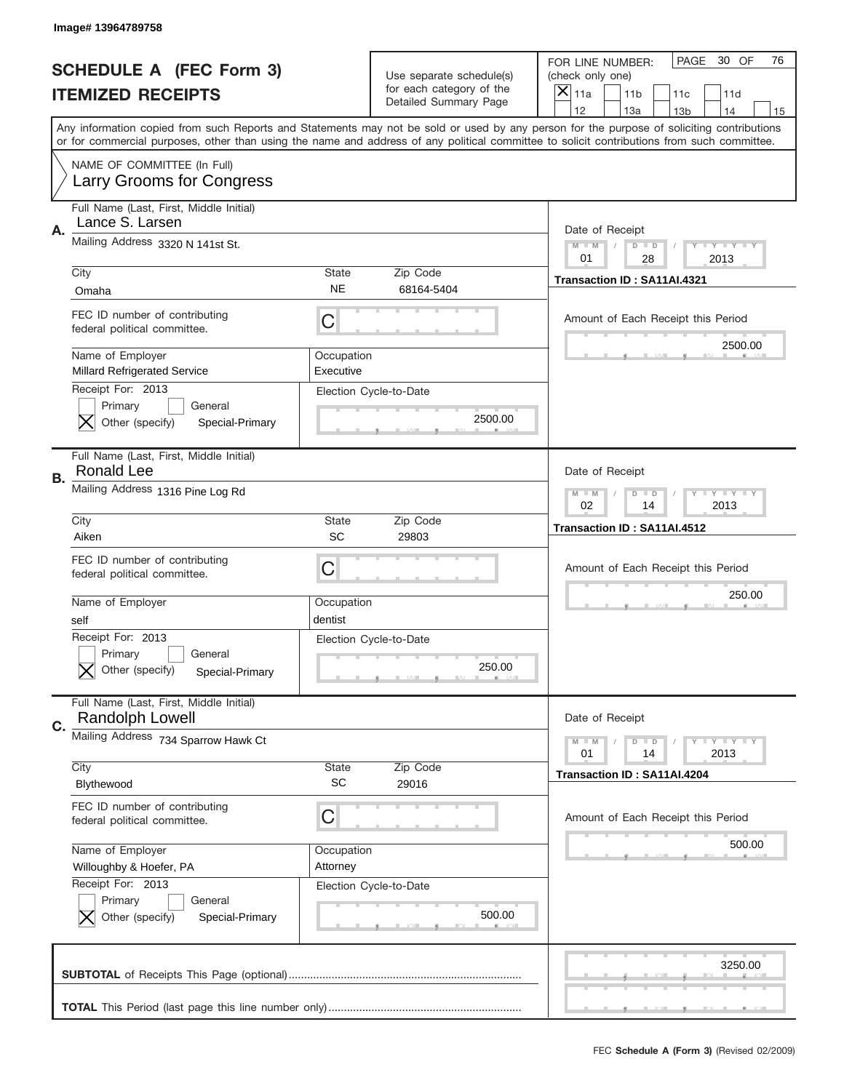|    | Image# 13964789758                                                            |                           |                                                                                      |                                                                                                                                                                                                                                                                                                                                     |
|----|-------------------------------------------------------------------------------|---------------------------|--------------------------------------------------------------------------------------|-------------------------------------------------------------------------------------------------------------------------------------------------------------------------------------------------------------------------------------------------------------------------------------------------------------------------------------|
|    | <b>SCHEDULE A (FEC Form 3)</b><br><b>ITEMIZED RECEIPTS</b>                    |                           | Use separate schedule(s)<br>for each category of the<br><b>Detailed Summary Page</b> | PAGE<br>30 OF<br>76<br>FOR LINE NUMBER:<br>(check only one)<br>$\boldsymbol{\times}$<br>11a<br>11 <sub>b</sub><br>11c<br>11d                                                                                                                                                                                                        |
|    |                                                                               |                           |                                                                                      | 12<br>13a<br>14<br>13 <sub>b</sub><br>15<br>Any information copied from such Reports and Statements may not be sold or used by any person for the purpose of soliciting contributions<br>or for commercial purposes, other than using the name and address of any political committee to solicit contributions from such committee. |
|    | NAME OF COMMITTEE (In Full)<br>Larry Grooms for Congress                      |                           |                                                                                      |                                                                                                                                                                                                                                                                                                                                     |
| Α. | Full Name (Last, First, Middle Initial)<br>Lance S. Larsen                    |                           |                                                                                      | Date of Receipt                                                                                                                                                                                                                                                                                                                     |
|    | Mailing Address 3320 N 141st St.                                              |                           |                                                                                      | <b>LY LY LY</b><br>$M - M$<br>$D$ $D$<br>01<br>28<br>2013                                                                                                                                                                                                                                                                           |
|    | City<br>Omaha                                                                 | <b>State</b><br><b>NE</b> | Zip Code<br>68164-5404                                                               | Transaction ID: SA11AI.4321                                                                                                                                                                                                                                                                                                         |
|    | FEC ID number of contributing<br>federal political committee.                 | C                         |                                                                                      | Amount of Each Receipt this Period                                                                                                                                                                                                                                                                                                  |
|    | Name of Employer<br><b>Millard Refrigerated Service</b>                       | Occupation<br>Executive   |                                                                                      | 2500.00                                                                                                                                                                                                                                                                                                                             |
|    | Receipt For: 2013<br>Primary<br>General<br>Other (specify)<br>Special-Primary |                           | Election Cycle-to-Date<br>2500.00                                                    |                                                                                                                                                                                                                                                                                                                                     |
| В. | Full Name (Last, First, Middle Initial)<br>Ronald Lee                         |                           |                                                                                      | Date of Receipt                                                                                                                                                                                                                                                                                                                     |
|    | Mailing Address 1316 Pine Log Rd                                              |                           |                                                                                      | <b>LY LY LY</b><br>$M - M$<br>$D$ $D$<br>02<br>14<br>2013                                                                                                                                                                                                                                                                           |
|    | City<br>Aiken                                                                 | <b>State</b><br>SC        | Zip Code<br>29803                                                                    | Transaction ID: SA11AI.4512                                                                                                                                                                                                                                                                                                         |
|    | FEC ID number of contributing<br>federal political committee.                 | С                         |                                                                                      | Amount of Each Receipt this Period                                                                                                                                                                                                                                                                                                  |
|    | Name of Employer<br>self                                                      | Occupation<br>dentist     |                                                                                      | 250.00                                                                                                                                                                                                                                                                                                                              |
|    | Receipt For: 2013                                                             |                           |                                                                                      |                                                                                                                                                                                                                                                                                                                                     |
|    | General<br>Primary<br>Other (specify)<br>Special-Primary                      | Election Cycle-to-Date    | 250.00                                                                               |                                                                                                                                                                                                                                                                                                                                     |
|    | Full Name (Last, First, Middle Initial)<br><b>Randolph Lowell</b>             |                           |                                                                                      | Date of Receipt                                                                                                                                                                                                                                                                                                                     |
| C. | Mailing Address 734 Sparrow Hawk Ct                                           |                           |                                                                                      | <b>LYLYLY</b><br>$M \perp M$<br>$\overline{D}$<br>$\Box$<br>2013<br>01<br>14                                                                                                                                                                                                                                                        |
|    | City<br>Blythewood                                                            | <b>State</b><br><b>SC</b> | Zip Code<br>29016                                                                    | Transaction ID: SA11AI.4204                                                                                                                                                                                                                                                                                                         |
|    | FEC ID number of contributing<br>federal political committee.                 | С                         |                                                                                      | Amount of Each Receipt this Period                                                                                                                                                                                                                                                                                                  |
|    | Name of Employer<br>Willoughby & Hoefer, PA                                   | Occupation<br>Attorney    |                                                                                      | 500.00                                                                                                                                                                                                                                                                                                                              |
|    | Receipt For: 2013<br>Primary<br>General<br>Other (specify)<br>Special-Primary |                           | Election Cycle-to-Date<br>500.00                                                     |                                                                                                                                                                                                                                                                                                                                     |
|    |                                                                               |                           |                                                                                      | 3250.00                                                                                                                                                                                                                                                                                                                             |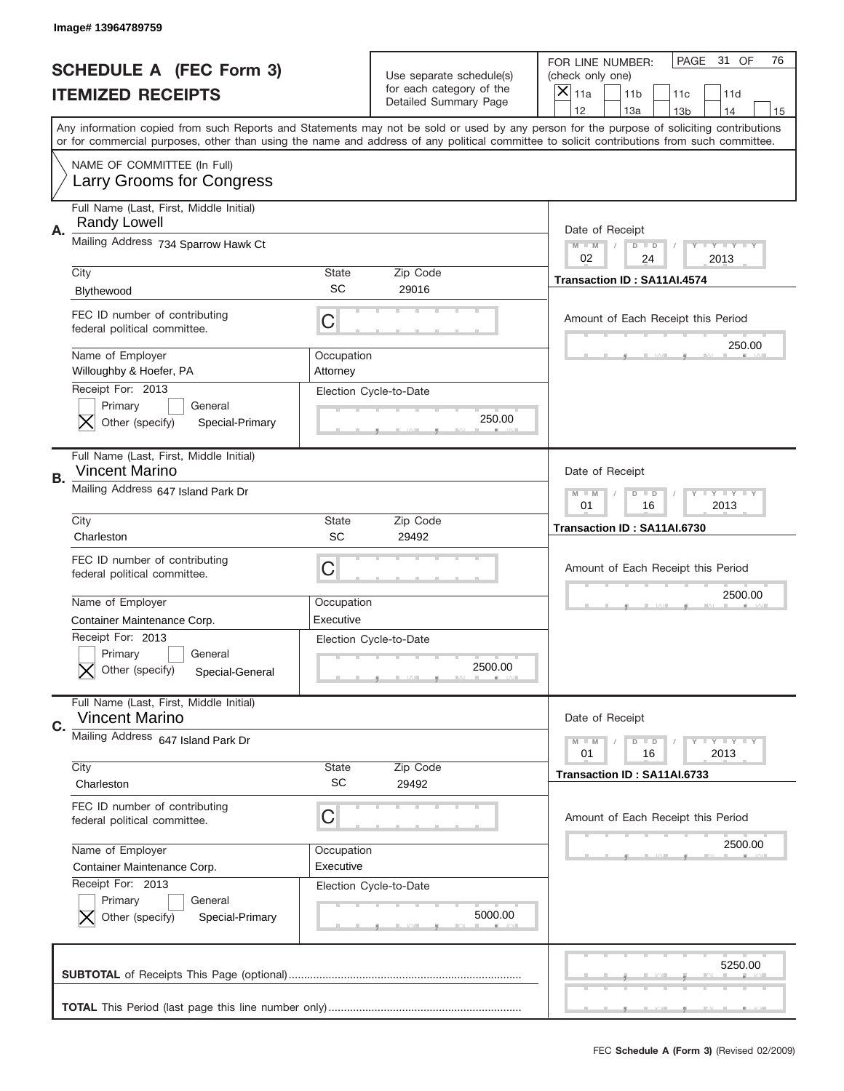|    | Image# 13964789759                                                            |                         |                                                                               |                                                                                                                                                                                                                                                                                         |
|----|-------------------------------------------------------------------------------|-------------------------|-------------------------------------------------------------------------------|-----------------------------------------------------------------------------------------------------------------------------------------------------------------------------------------------------------------------------------------------------------------------------------------|
|    | <b>SCHEDULE A (FEC Form 3)</b><br><b>ITEMIZED RECEIPTS</b>                    |                         | Use separate schedule(s)<br>for each category of the<br>Detailed Summary Page | PAGE<br>31 OF<br>76<br>FOR LINE NUMBER:<br>(check only one)<br>$\times$<br>11a<br>11 <sub>b</sub><br>11c<br>11d<br>12<br>13a<br>14<br>13 <sub>b</sub><br>15                                                                                                                             |
|    |                                                                               |                         |                                                                               | Any information copied from such Reports and Statements may not be sold or used by any person for the purpose of soliciting contributions<br>or for commercial purposes, other than using the name and address of any political committee to solicit contributions from such committee. |
|    | NAME OF COMMITTEE (In Full)<br>Larry Grooms for Congress                      |                         |                                                                               |                                                                                                                                                                                                                                                                                         |
| Α. | Full Name (Last, First, Middle Initial)<br><b>Randy Lowell</b>                |                         |                                                                               | Date of Receipt                                                                                                                                                                                                                                                                         |
|    | Mailing Address 734 Sparrow Hawk Ct                                           |                         |                                                                               | $M - M$<br><b>LEY LEY LEY</b><br>$D$ $D$<br>02<br>24<br>2013                                                                                                                                                                                                                            |
|    | City<br>Blythewood                                                            | State<br><b>SC</b>      | Zip Code<br>29016                                                             | Transaction ID: SA11AI.4574                                                                                                                                                                                                                                                             |
|    | FEC ID number of contributing<br>federal political committee.                 | C                       |                                                                               | Amount of Each Receipt this Period                                                                                                                                                                                                                                                      |
|    | Name of Employer<br>Willoughby & Hoefer, PA                                   | Occupation<br>Attorney  |                                                                               | 250.00                                                                                                                                                                                                                                                                                  |
|    | Receipt For: 2013<br>Primary<br>General<br>Other (specify)<br>Special-Primary |                         | Election Cycle-to-Date<br>250.00                                              |                                                                                                                                                                                                                                                                                         |
| В. | Full Name (Last, First, Middle Initial)<br><b>Vincent Marino</b>              |                         |                                                                               | Date of Receipt                                                                                                                                                                                                                                                                         |
|    | Mailing Address 647 Island Park Dr                                            |                         |                                                                               | <b>LYLYLY</b><br>$M - M$<br>$D$ $D$<br>01<br>16<br>2013                                                                                                                                                                                                                                 |
|    | City<br>Charleston                                                            | State<br>SC             | Zip Code<br>29492                                                             | Transaction ID: SA11AI.6730                                                                                                                                                                                                                                                             |
|    | FEC ID number of contributing<br>federal political committee.                 | C                       |                                                                               | Amount of Each Receipt this Period<br>2500.00                                                                                                                                                                                                                                           |
|    |                                                                               |                         |                                                                               |                                                                                                                                                                                                                                                                                         |
|    | Name of Employer<br>Container Maintenance Corp.                               | Occupation<br>Executive |                                                                               |                                                                                                                                                                                                                                                                                         |
|    | Receipt For: 2013<br>General<br>Primary<br>Other (specify)<br>Special-General |                         | Election Cycle-to-Date<br>2500.00                                             |                                                                                                                                                                                                                                                                                         |
|    | Full Name (Last, First, Middle Initial)<br><b>Vincent Marino</b>              |                         |                                                                               | Date of Receipt                                                                                                                                                                                                                                                                         |
| C. | Mailing Address 647 Island Park Dr                                            |                         |                                                                               | <b>LYLYLY</b><br>$M - M$<br>$D$ $D$<br>2013<br>01<br>16                                                                                                                                                                                                                                 |
|    | City<br>Charleston                                                            | State<br><b>SC</b>      | Zip Code<br>29492                                                             | Transaction ID: SA11AI.6733                                                                                                                                                                                                                                                             |
|    | FEC ID number of contributing<br>federal political committee.                 | C                       |                                                                               | Amount of Each Receipt this Period                                                                                                                                                                                                                                                      |
|    | Name of Employer<br>Container Maintenance Corp.                               | Occupation<br>Executive |                                                                               | 2500.00                                                                                                                                                                                                                                                                                 |
|    | Receipt For: 2013<br>Primary<br>General<br>Other (specify)<br>Special-Primary |                         | Election Cycle-to-Date<br>5000.00                                             |                                                                                                                                                                                                                                                                                         |
|    |                                                                               |                         |                                                                               | 5250.00                                                                                                                                                                                                                                                                                 |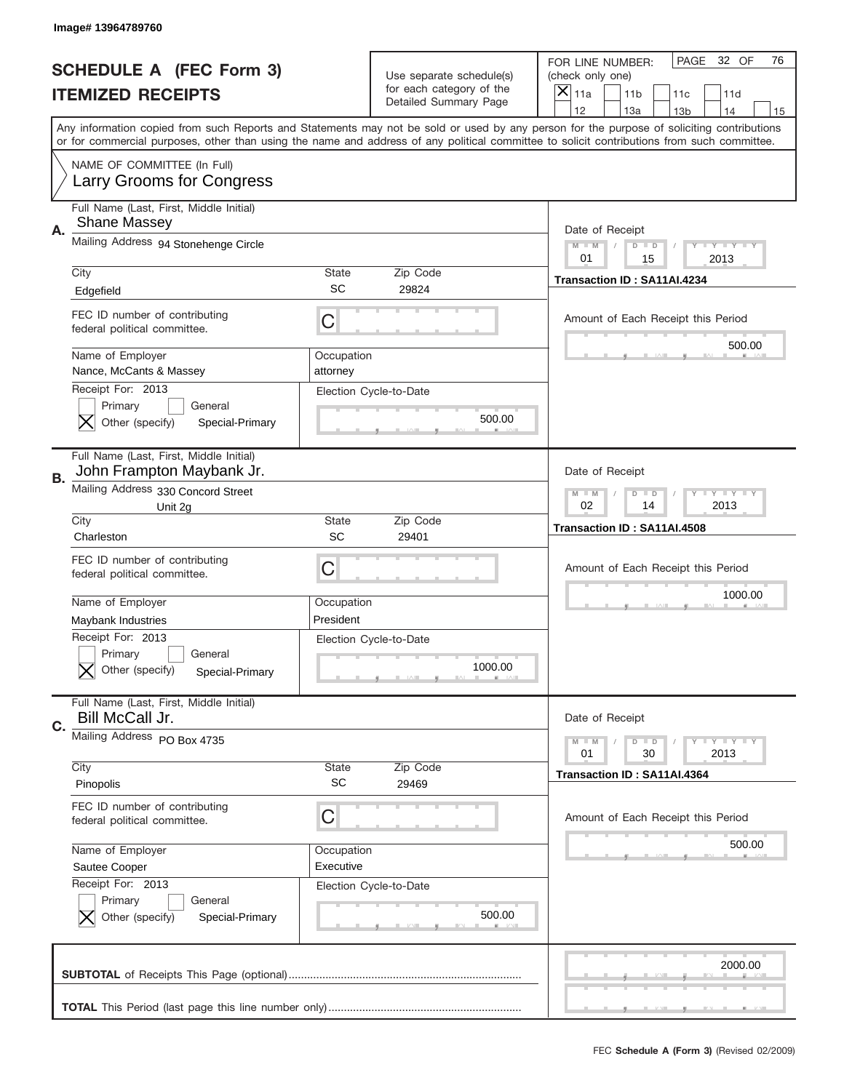|    | Image# 13964789760                                                            |                           |                                                      |                                                                                                                                                                                                                                                                                                                         |
|----|-------------------------------------------------------------------------------|---------------------------|------------------------------------------------------|-------------------------------------------------------------------------------------------------------------------------------------------------------------------------------------------------------------------------------------------------------------------------------------------------------------------------|
|    | <b>SCHEDULE A (FEC Form 3)</b>                                                |                           | Use separate schedule(s)<br>for each category of the | PAGE<br>32 OF<br>76<br>FOR LINE NUMBER:<br>(check only one)                                                                                                                                                                                                                                                             |
|    | <b>ITEMIZED RECEIPTS</b>                                                      |                           | Detailed Summary Page                                | ×<br>11a<br>11 <sub>b</sub><br>11c<br>11d<br>12<br>14                                                                                                                                                                                                                                                                   |
|    |                                                                               |                           |                                                      | 13a<br>13 <sub>b</sub><br>15<br>Any information copied from such Reports and Statements may not be sold or used by any person for the purpose of soliciting contributions<br>or for commercial purposes, other than using the name and address of any political committee to solicit contributions from such committee. |
|    | NAME OF COMMITTEE (In Full)<br>Larry Grooms for Congress                      |                           |                                                      |                                                                                                                                                                                                                                                                                                                         |
| Α. | Full Name (Last, First, Middle Initial)<br><b>Shane Massey</b>                |                           |                                                      | Date of Receipt                                                                                                                                                                                                                                                                                                         |
|    | Mailing Address 94 Stonehenge Circle                                          |                           |                                                      | $M - M$<br><b>LEY LEY LEY</b><br>$D$ $D$<br>01<br>15<br>2013                                                                                                                                                                                                                                                            |
|    | City<br>Edgefield                                                             | State<br>SC               | Zip Code<br>29824                                    | Transaction ID: SA11AI.4234                                                                                                                                                                                                                                                                                             |
|    | FEC ID number of contributing<br>federal political committee.                 | C                         |                                                      | Amount of Each Receipt this Period                                                                                                                                                                                                                                                                                      |
|    | Name of Employer<br>Nance, McCants & Massey                                   | Occupation<br>attorney    |                                                      | 500.00                                                                                                                                                                                                                                                                                                                  |
|    | Receipt For: 2013<br>Primary<br>General<br>Other (specify)<br>Special-Primary |                           | Election Cycle-to-Date<br>500.00                     |                                                                                                                                                                                                                                                                                                                         |
| В. | Full Name (Last, First, Middle Initial)<br>John Frampton Maybank Jr.          |                           |                                                      | Date of Receipt                                                                                                                                                                                                                                                                                                         |
|    | Mailing Address 330 Concord Street<br>Unit 2g                                 |                           |                                                      | $M$ M<br><b>LYLYLY</b><br>$D$ $D$<br>02<br>14<br>2013                                                                                                                                                                                                                                                                   |
|    | City<br>Charleston                                                            | State<br>SC               | Zip Code<br>29401                                    | Transaction ID: SA11AI.4508                                                                                                                                                                                                                                                                                             |
|    |                                                                               |                           |                                                      |                                                                                                                                                                                                                                                                                                                         |
|    | FEC ID number of contributing<br>federal political committee.                 | C                         |                                                      | Amount of Each Receipt this Period                                                                                                                                                                                                                                                                                      |
|    | Name of Employer                                                              | Occupation                |                                                      | 1000.00                                                                                                                                                                                                                                                                                                                 |
|    | Maybank Industries                                                            | President                 |                                                      |                                                                                                                                                                                                                                                                                                                         |
|    | Receipt For: 2013<br>General<br>Primary<br>Other (specify)<br>Special-Primary |                           | Election Cycle-to-Date<br>1000.00                    |                                                                                                                                                                                                                                                                                                                         |
| C. | Full Name (Last, First, Middle Initial)<br>Bill McCall Jr.                    |                           |                                                      | Date of Receipt                                                                                                                                                                                                                                                                                                         |
|    | Mailing Address PO Box 4735                                                   |                           |                                                      | <b>LYLYLY</b><br>$M - M$<br>$D$ $D$<br>01<br>30<br>2013                                                                                                                                                                                                                                                                 |
|    | City<br>Pinopolis                                                             | <b>State</b><br><b>SC</b> | Zip Code<br>29469                                    | Transaction ID: SA11AI.4364                                                                                                                                                                                                                                                                                             |
|    | FEC ID number of contributing<br>federal political committee.                 | C                         |                                                      | Amount of Each Receipt this Period                                                                                                                                                                                                                                                                                      |
|    | Name of Employer                                                              | Occupation                |                                                      | 500.00                                                                                                                                                                                                                                                                                                                  |
|    | Sautee Cooper<br>Receipt For: 2013                                            | Executive                 |                                                      |                                                                                                                                                                                                                                                                                                                         |
|    | Primary<br>General<br>Other (specify)<br>Special-Primary                      |                           | Election Cycle-to-Date<br>500.00                     |                                                                                                                                                                                                                                                                                                                         |
|    |                                                                               |                           |                                                      | 2000.00                                                                                                                                                                                                                                                                                                                 |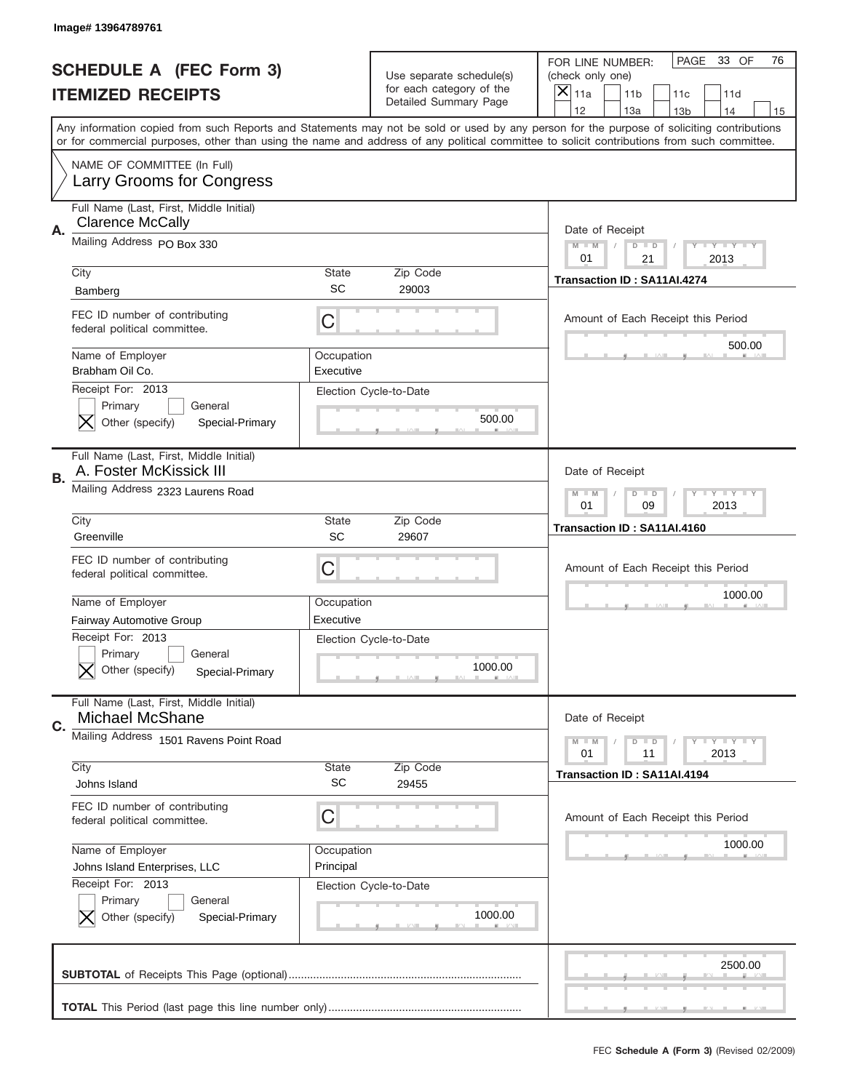|    | Image# 13964789761                                                            |                         |                                                      |                                                                                                                                                                                                                                                                                                                                     |
|----|-------------------------------------------------------------------------------|-------------------------|------------------------------------------------------|-------------------------------------------------------------------------------------------------------------------------------------------------------------------------------------------------------------------------------------------------------------------------------------------------------------------------------------|
|    | <b>SCHEDULE A (FEC Form 3)</b>                                                |                         | Use separate schedule(s)<br>for each category of the | PAGE<br>33 OF<br>76<br>FOR LINE NUMBER:<br>(check only one)                                                                                                                                                                                                                                                                         |
|    | <b>ITEMIZED RECEIPTS</b>                                                      |                         | Detailed Summary Page                                | ×<br>11a<br>11 <sub>b</sub><br>11c<br>11d                                                                                                                                                                                                                                                                                           |
|    |                                                                               |                         |                                                      | 12<br>13a<br>14<br>13 <sub>b</sub><br>15<br>Any information copied from such Reports and Statements may not be sold or used by any person for the purpose of soliciting contributions<br>or for commercial purposes, other than using the name and address of any political committee to solicit contributions from such committee. |
|    | NAME OF COMMITTEE (In Full)<br>Larry Grooms for Congress                      |                         |                                                      |                                                                                                                                                                                                                                                                                                                                     |
| Α. | Full Name (Last, First, Middle Initial)<br><b>Clarence McCally</b>            |                         |                                                      | Date of Receipt                                                                                                                                                                                                                                                                                                                     |
|    | Mailing Address PO Box 330                                                    |                         |                                                      | $M - M$<br><b>LEY LEY LEY</b><br>$D$ $D$<br>01<br>21<br>2013                                                                                                                                                                                                                                                                        |
|    | City<br>Bamberg                                                               | State<br>SC             | Zip Code<br>29003                                    | Transaction ID: SA11AI.4274                                                                                                                                                                                                                                                                                                         |
|    | FEC ID number of contributing<br>federal political committee.                 | C                       |                                                      | Amount of Each Receipt this Period<br>500.00                                                                                                                                                                                                                                                                                        |
|    | Name of Employer<br>Brabham Oil Co.                                           | Occupation<br>Executive |                                                      |                                                                                                                                                                                                                                                                                                                                     |
|    | Receipt For: 2013<br>Primary<br>General<br>Other (specify)<br>Special-Primary |                         | Election Cycle-to-Date<br>500.00                     |                                                                                                                                                                                                                                                                                                                                     |
| В. | Full Name (Last, First, Middle Initial)<br>A. Foster McKissick III            |                         |                                                      | Date of Receipt                                                                                                                                                                                                                                                                                                                     |
|    | Mailing Address 2323 Laurens Road                                             |                         |                                                      | <b>LYLYLY</b><br>$M - M$<br>$D$ $D$<br>01<br>09<br>2013                                                                                                                                                                                                                                                                             |
|    | City<br>Greenville                                                            | State<br>SC             | Zip Code<br>29607                                    | Transaction ID: SA11AI.4160                                                                                                                                                                                                                                                                                                         |
|    |                                                                               |                         |                                                      |                                                                                                                                                                                                                                                                                                                                     |
|    | FEC ID number of contributing<br>federal political committee.                 | C                       |                                                      | Amount of Each Receipt this Period                                                                                                                                                                                                                                                                                                  |
|    | Name of Employer                                                              | Occupation              |                                                      | 1000.00                                                                                                                                                                                                                                                                                                                             |
|    | Fairway Automotive Group                                                      | Executive               |                                                      |                                                                                                                                                                                                                                                                                                                                     |
|    | Receipt For: 2013<br>General<br>Primary                                       |                         | Election Cycle-to-Date                               |                                                                                                                                                                                                                                                                                                                                     |
|    | Other (specify)<br>Special-Primary                                            |                         | 1000.00                                              |                                                                                                                                                                                                                                                                                                                                     |
| C. | Full Name (Last, First, Middle Initial)<br><b>Michael McShane</b>             |                         |                                                      | Date of Receipt                                                                                                                                                                                                                                                                                                                     |
|    | Mailing Address 1501 Ravens Point Road                                        |                         |                                                      | <b>LYLYLY</b><br>$M - M$<br>$D$ $D$<br>2013<br>01<br>11                                                                                                                                                                                                                                                                             |
|    | City                                                                          | <b>State</b>            | Zip Code                                             | Transaction ID: SA11AI.4194                                                                                                                                                                                                                                                                                                         |
|    | Johns Island                                                                  | <b>SC</b>               | 29455                                                |                                                                                                                                                                                                                                                                                                                                     |
|    | FEC ID number of contributing<br>federal political committee.                 | C                       |                                                      | Amount of Each Receipt this Period                                                                                                                                                                                                                                                                                                  |
|    | Name of Employer                                                              | Occupation              |                                                      | 1000.00                                                                                                                                                                                                                                                                                                                             |
|    | Johns Island Enterprises, LLC<br>Receipt For: 2013                            | Principal               |                                                      |                                                                                                                                                                                                                                                                                                                                     |
|    | Primary<br>General<br>Other (specify)<br>Special-Primary                      |                         | Election Cycle-to-Date<br>1000.00                    |                                                                                                                                                                                                                                                                                                                                     |
|    |                                                                               |                         |                                                      | 2500.00                                                                                                                                                                                                                                                                                                                             |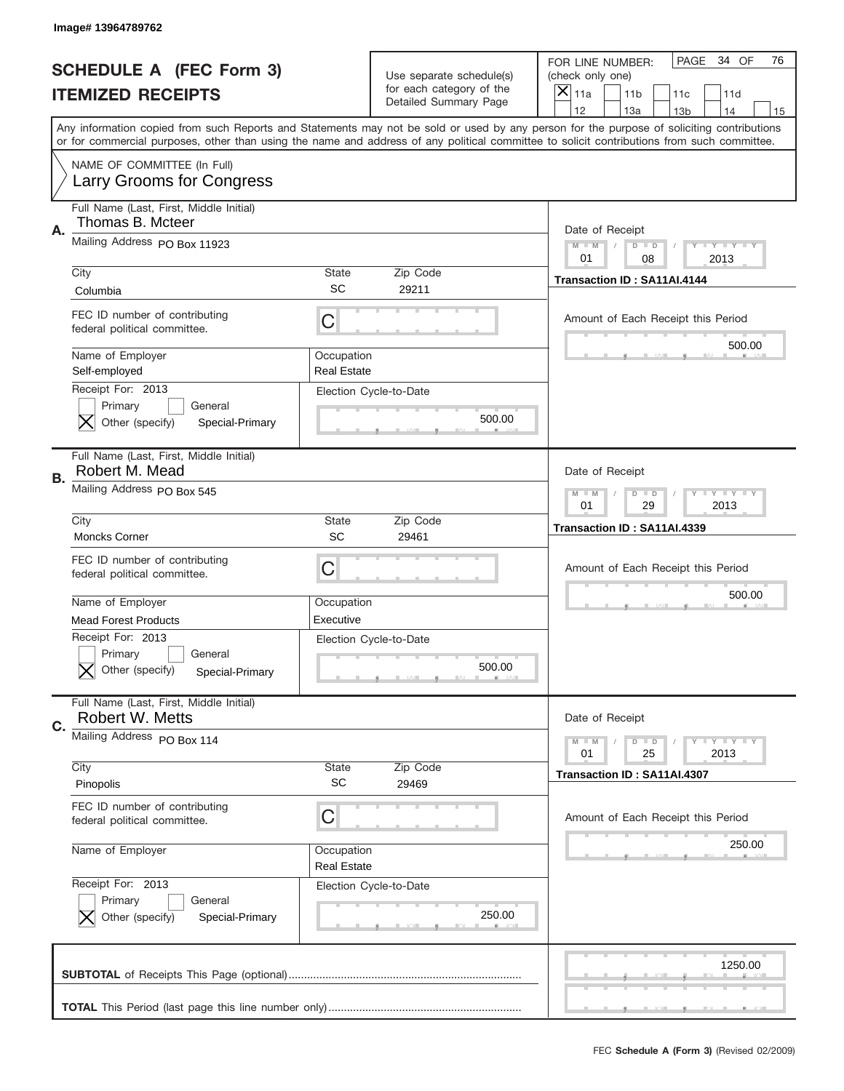|    | Image#13964789762                                                             |                                  |                                                      |                                                                                                                                                                                                                                                                                         |
|----|-------------------------------------------------------------------------------|----------------------------------|------------------------------------------------------|-----------------------------------------------------------------------------------------------------------------------------------------------------------------------------------------------------------------------------------------------------------------------------------------|
|    | <b>SCHEDULE A (FEC Form 3)</b>                                                |                                  | Use separate schedule(s)<br>for each category of the | PAGE 34 OF<br>76<br>FOR LINE NUMBER:<br>(check only one)                                                                                                                                                                                                                                |
|    | <b>ITEMIZED RECEIPTS</b>                                                      |                                  | Detailed Summary Page                                | ×<br>11a<br>11 <sub>b</sub><br>11c<br>11d<br>12<br>13a<br>14<br>13 <sub>b</sub><br>15                                                                                                                                                                                                   |
|    |                                                                               |                                  |                                                      | Any information copied from such Reports and Statements may not be sold or used by any person for the purpose of soliciting contributions<br>or for commercial purposes, other than using the name and address of any political committee to solicit contributions from such committee. |
|    | NAME OF COMMITTEE (In Full)<br>Larry Grooms for Congress                      |                                  |                                                      |                                                                                                                                                                                                                                                                                         |
| Α. | Full Name (Last, First, Middle Initial)<br>Thomas B. Mcteer                   |                                  |                                                      | Date of Receipt                                                                                                                                                                                                                                                                         |
|    | Mailing Address PO Box 11923                                                  |                                  |                                                      | $M - M$<br><b>LYLYLY</b><br>$D$ $D$<br>01<br>08<br>2013                                                                                                                                                                                                                                 |
|    | City<br>Columbia                                                              | State<br>SC                      | Zip Code<br>29211                                    | Transaction ID: SA11AI.4144                                                                                                                                                                                                                                                             |
|    | FEC ID number of contributing<br>federal political committee.                 | C                                |                                                      | Amount of Each Receipt this Period<br>500.00                                                                                                                                                                                                                                            |
|    | Name of Employer<br>Self-employed                                             | Occupation<br><b>Real Estate</b> |                                                      |                                                                                                                                                                                                                                                                                         |
|    | Receipt For: 2013<br>Primary<br>General<br>Other (specify)<br>Special-Primary |                                  | Election Cycle-to-Date<br>500.00                     |                                                                                                                                                                                                                                                                                         |
| В. | Full Name (Last, First, Middle Initial)<br>Robert M. Mead                     |                                  |                                                      | Date of Receipt                                                                                                                                                                                                                                                                         |
|    | Mailing Address PO Box 545                                                    |                                  |                                                      | <b>LY LY LY</b><br>$M$ M<br>$D$ $D$<br>01<br>29<br>2013                                                                                                                                                                                                                                 |
|    | City<br><b>Moncks Corner</b>                                                  | State<br>SC                      | Zip Code<br>29461                                    | Transaction ID: SA11AI.4339                                                                                                                                                                                                                                                             |
|    | FEC ID number of contributing<br>federal political committee.                 | C                                |                                                      | Amount of Each Receipt this Period                                                                                                                                                                                                                                                      |
|    | Name of Employer                                                              | Occupation                       |                                                      | 500.00                                                                                                                                                                                                                                                                                  |
|    | <b>Mead Forest Products</b><br>Receipt For: 2013                              | Executive                        | Election Cycle-to-Date                               |                                                                                                                                                                                                                                                                                         |
|    | General<br>Primary                                                            |                                  |                                                      |                                                                                                                                                                                                                                                                                         |
|    | Other (specify)<br>Special-Primary                                            |                                  | 500.00                                               |                                                                                                                                                                                                                                                                                         |
| C. | Full Name (Last, First, Middle Initial)<br>Robert W. Metts                    |                                  |                                                      | Date of Receipt                                                                                                                                                                                                                                                                         |
|    | Mailing Address PO Box 114                                                    |                                  |                                                      | <b>LYLYLY</b><br>$M - M$<br>$D$ $D$<br>01<br>25<br>2013                                                                                                                                                                                                                                 |
|    | City<br>Pinopolis                                                             | <b>State</b><br><b>SC</b>        | Zip Code<br>29469                                    | Transaction ID: SA11AI.4307                                                                                                                                                                                                                                                             |
|    | FEC ID number of contributing<br>federal political committee.                 | C                                |                                                      | Amount of Each Receipt this Period                                                                                                                                                                                                                                                      |
|    | Name of Employer                                                              | Occupation<br><b>Real Estate</b> |                                                      | 250.00                                                                                                                                                                                                                                                                                  |
|    | Receipt For: 2013<br>Primary<br>General<br>Other (specify)<br>Special-Primary |                                  | Election Cycle-to-Date<br>250.00                     |                                                                                                                                                                                                                                                                                         |
|    |                                                                               |                                  |                                                      | 1250.00                                                                                                                                                                                                                                                                                 |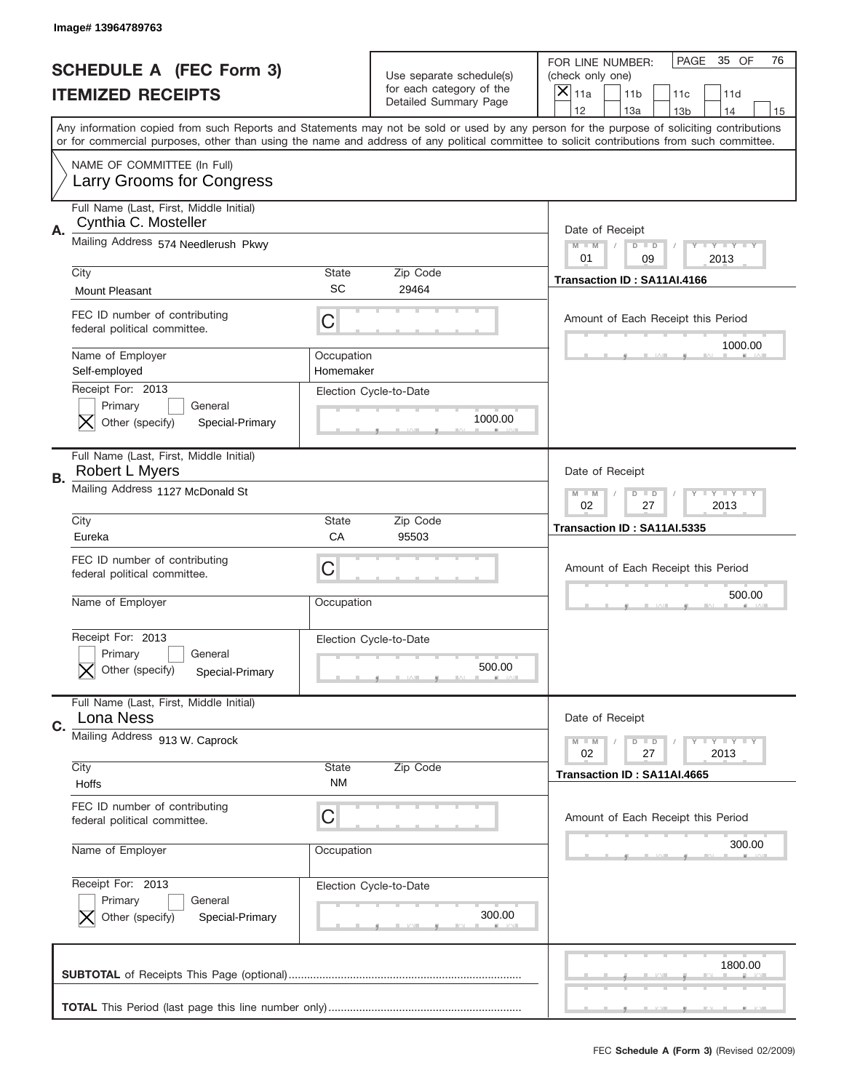|    | Image# 13964789763                                              |                           |                          |                                                                                                                                                                                                                                                                                         |
|----|-----------------------------------------------------------------|---------------------------|--------------------------|-----------------------------------------------------------------------------------------------------------------------------------------------------------------------------------------------------------------------------------------------------------------------------------------|
|    | <b>SCHEDULE A (FEC Form 3)</b>                                  |                           | Use separate schedule(s) | PAGE<br>35 OF<br>76<br>FOR LINE NUMBER:<br>(check only one)                                                                                                                                                                                                                             |
|    | <b>ITEMIZED RECEIPTS</b>                                        |                           | for each category of the | $\overline{\mathsf{x}}$<br>11a<br>11 <sub>b</sub><br>11c<br>11d                                                                                                                                                                                                                         |
|    |                                                                 |                           | Detailed Summary Page    | 12<br>13a<br>14<br>13 <sub>b</sub><br>15                                                                                                                                                                                                                                                |
|    |                                                                 |                           |                          | Any information copied from such Reports and Statements may not be sold or used by any person for the purpose of soliciting contributions<br>or for commercial purposes, other than using the name and address of any political committee to solicit contributions from such committee. |
|    | NAME OF COMMITTEE (In Full)<br><b>Larry Grooms for Congress</b> |                           |                          |                                                                                                                                                                                                                                                                                         |
| Α. | Full Name (Last, First, Middle Initial)<br>Cynthia C. Mosteller |                           |                          | Date of Receipt                                                                                                                                                                                                                                                                         |
|    | Mailing Address 574 Needlerush Pkwy                             |                           |                          | <b>LYLYLYLY</b><br>$M - M$<br>$D$ $D$<br>01<br>2013<br>09                                                                                                                                                                                                                               |
|    | City                                                            | <b>State</b><br><b>SC</b> | Zip Code                 | Transaction ID: SA11AI.4166                                                                                                                                                                                                                                                             |
|    | <b>Mount Pleasant</b>                                           |                           | 29464                    |                                                                                                                                                                                                                                                                                         |
|    | FEC ID number of contributing<br>federal political committee.   | C                         |                          | Amount of Each Receipt this Period                                                                                                                                                                                                                                                      |
|    | Name of Employer<br>Self-employed                               | Occupation<br>Homemaker   |                          | 1000.00                                                                                                                                                                                                                                                                                 |
|    | Receipt For: 2013                                               |                           | Election Cycle-to-Date   |                                                                                                                                                                                                                                                                                         |
|    | Primary<br>General<br>Other (specify)<br>Special-Primary        |                           | 1000.00                  |                                                                                                                                                                                                                                                                                         |
|    |                                                                 |                           |                          |                                                                                                                                                                                                                                                                                         |
| В. | Full Name (Last, First, Middle Initial)<br>Robert L Myers       |                           |                          | Date of Receipt                                                                                                                                                                                                                                                                         |
|    | Mailing Address 1127 McDonald St                                |                           |                          | <b>LY LY LY</b><br>$M$ M<br>$D$ $D$                                                                                                                                                                                                                                                     |
|    | City                                                            | <b>State</b>              | Zip Code                 | 02<br>27<br>2013<br>Transaction ID: SA11AI.5335                                                                                                                                                                                                                                         |
|    |                                                                 |                           |                          |                                                                                                                                                                                                                                                                                         |
|    | Eureka                                                          | CA                        | 95503                    |                                                                                                                                                                                                                                                                                         |
|    | FEC ID number of contributing                                   | C                         |                          | Amount of Each Receipt this Period                                                                                                                                                                                                                                                      |
|    | federal political committee.                                    |                           |                          | 500.00                                                                                                                                                                                                                                                                                  |
|    | Name of Employer                                                | Occupation                |                          |                                                                                                                                                                                                                                                                                         |
|    | Receipt For: 2013                                               |                           | Election Cycle-to-Date   |                                                                                                                                                                                                                                                                                         |
|    | General<br>Primary                                              |                           |                          |                                                                                                                                                                                                                                                                                         |
|    | Other (specify)<br>Special-Primary                              |                           | 500.00                   |                                                                                                                                                                                                                                                                                         |
|    | Full Name (Last, First, Middle Initial)<br>Lona Ness            |                           |                          | Date of Receipt                                                                                                                                                                                                                                                                         |
| C. | Mailing Address 913 W. Caprock                                  |                           |                          | <b>LY LY LY</b><br>$M - M$<br>$D$ $D$                                                                                                                                                                                                                                                   |
|    | City                                                            | State                     | Zip Code                 | 02<br>27<br>2013                                                                                                                                                                                                                                                                        |
|    | Hoffs                                                           | <b>NM</b>                 |                          | Transaction ID: SA11AI.4665                                                                                                                                                                                                                                                             |
|    | FEC ID number of contributing<br>federal political committee.   | C                         |                          | Amount of Each Receipt this Period                                                                                                                                                                                                                                                      |
|    | Name of Employer                                                | Occupation                |                          | 300.00                                                                                                                                                                                                                                                                                  |
|    | Receipt For: 2013                                               |                           |                          |                                                                                                                                                                                                                                                                                         |
|    | Primary<br>General                                              |                           | Election Cycle-to-Date   |                                                                                                                                                                                                                                                                                         |
|    | Other (specify)<br>Special-Primary                              |                           | 300.00                   |                                                                                                                                                                                                                                                                                         |
|    |                                                                 |                           |                          | 1800.00                                                                                                                                                                                                                                                                                 |
|    |                                                                 |                           |                          |                                                                                                                                                                                                                                                                                         |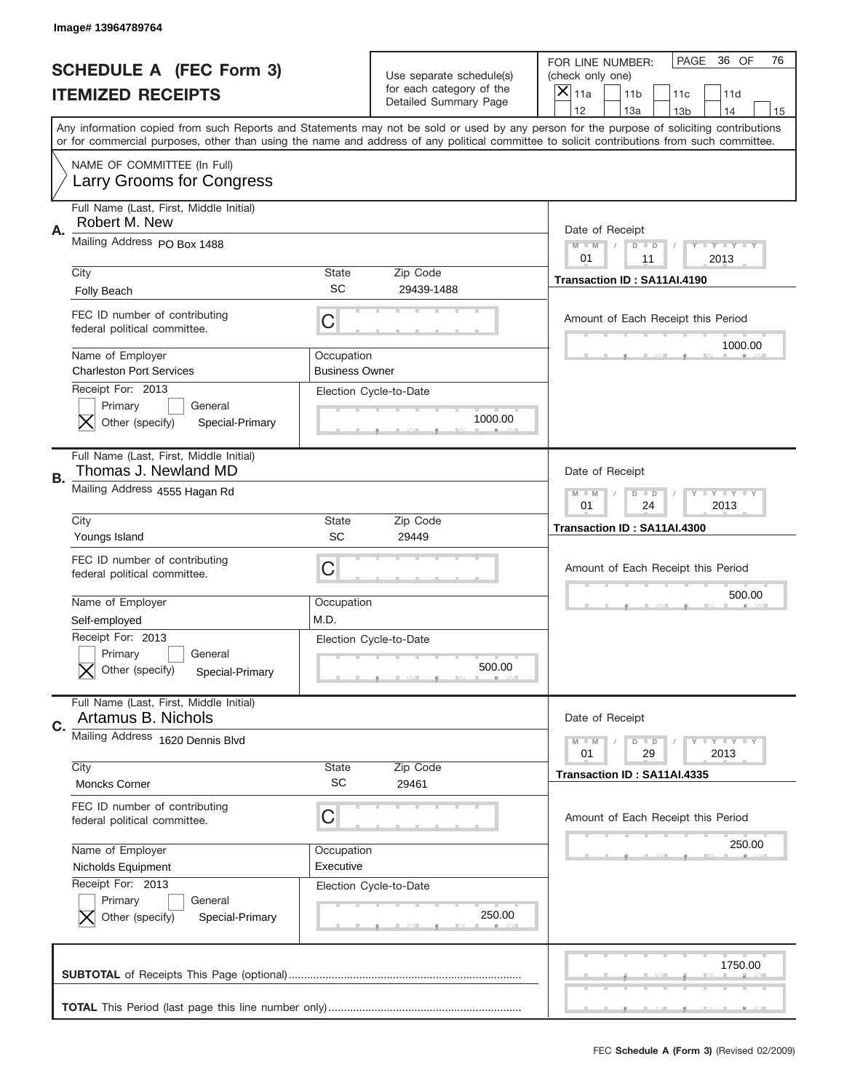|    | Image# 13964789764                                                            |                                     |                                                      |                                                                                                                                                                                                                                                                                                                         |
|----|-------------------------------------------------------------------------------|-------------------------------------|------------------------------------------------------|-------------------------------------------------------------------------------------------------------------------------------------------------------------------------------------------------------------------------------------------------------------------------------------------------------------------------|
|    | <b>SCHEDULE A (FEC Form 3)</b>                                                |                                     | Use separate schedule(s)<br>for each category of the | PAGE<br>36 OF<br>76<br>FOR LINE NUMBER:<br>(check only one)                                                                                                                                                                                                                                                             |
|    | <b>ITEMIZED RECEIPTS</b>                                                      |                                     | Detailed Summary Page                                | ×<br>11a<br>11 <sub>b</sub><br>11c<br>11d<br>12<br>14                                                                                                                                                                                                                                                                   |
|    |                                                                               |                                     |                                                      | 13a<br>13 <sub>b</sub><br>15<br>Any information copied from such Reports and Statements may not be sold or used by any person for the purpose of soliciting contributions<br>or for commercial purposes, other than using the name and address of any political committee to solicit contributions from such committee. |
|    | NAME OF COMMITTEE (In Full)<br>Larry Grooms for Congress                      |                                     |                                                      |                                                                                                                                                                                                                                                                                                                         |
| Α. | Full Name (Last, First, Middle Initial)<br>Robert M. New                      |                                     |                                                      | Date of Receipt                                                                                                                                                                                                                                                                                                         |
|    | Mailing Address PO Box 1488                                                   |                                     |                                                      | $M - M$<br><b>LEY LEY LEY</b><br>$D$ $D$<br>01<br>2013<br>11                                                                                                                                                                                                                                                            |
|    | City<br><b>Folly Beach</b>                                                    | State<br>SC                         | Zip Code<br>29439-1488                               | Transaction ID: SA11AI.4190                                                                                                                                                                                                                                                                                             |
|    | FEC ID number of contributing<br>federal political committee.                 | C                                   |                                                      | Amount of Each Receipt this Period<br>1000.00                                                                                                                                                                                                                                                                           |
|    | Name of Employer<br><b>Charleston Port Services</b><br>Receipt For: 2013      | Occupation<br><b>Business Owner</b> |                                                      |                                                                                                                                                                                                                                                                                                                         |
|    | Primary<br>General<br>Other (specify)<br>Special-Primary                      |                                     | Election Cycle-to-Date<br>1000.00                    |                                                                                                                                                                                                                                                                                                                         |
| В. | Full Name (Last, First, Middle Initial)<br>Thomas J. Newland MD               |                                     |                                                      | Date of Receipt                                                                                                                                                                                                                                                                                                         |
|    | Mailing Address 4555 Hagan Rd                                                 |                                     |                                                      | $M$ M<br><b>LYLYLY</b><br>$D$ $D$<br>01<br>24<br>2013                                                                                                                                                                                                                                                                   |
|    | City<br>Youngs Island                                                         | State<br>SC                         | Zip Code<br>29449                                    | Transaction ID: SA11AI.4300                                                                                                                                                                                                                                                                                             |
|    | FEC ID number of contributing<br>federal political committee.                 | C                                   |                                                      | Amount of Each Receipt this Period                                                                                                                                                                                                                                                                                      |
|    | Name of Employer<br>Self-employed                                             | Occupation<br>M.D.                  |                                                      | 500.00                                                                                                                                                                                                                                                                                                                  |
|    | Receipt For: 2013<br>General<br>Primary<br>Other (specify)<br>Special-Primary |                                     | Election Cycle-to-Date<br>500.00                     |                                                                                                                                                                                                                                                                                                                         |
| C. | Full Name (Last, First, Middle Initial)<br>Artamus B. Nichols                 |                                     |                                                      | Date of Receipt                                                                                                                                                                                                                                                                                                         |
|    | Mailing Address 1620 Dennis Blvd                                              |                                     |                                                      | <b>LYLYLY</b><br>$M - M$<br>$D$ $D$                                                                                                                                                                                                                                                                                     |
|    |                                                                               |                                     |                                                      | 01<br>29<br>2013                                                                                                                                                                                                                                                                                                        |
|    | City<br>Moncks Corner                                                         | <b>State</b><br><b>SC</b>           | Zip Code<br>29461                                    | Transaction ID: SA11AI.4335                                                                                                                                                                                                                                                                                             |
|    | FEC ID number of contributing<br>federal political committee.                 | C                                   |                                                      | Amount of Each Receipt this Period                                                                                                                                                                                                                                                                                      |
|    | Name of Employer<br>Nicholds Equipment                                        | Occupation<br>Executive             |                                                      | 250.00                                                                                                                                                                                                                                                                                                                  |
|    | Receipt For: 2013<br>Primary<br>General<br>Other (specify)<br>Special-Primary |                                     | Election Cycle-to-Date<br>250.00                     |                                                                                                                                                                                                                                                                                                                         |
|    |                                                                               |                                     |                                                      | 1750.00                                                                                                                                                                                                                                                                                                                 |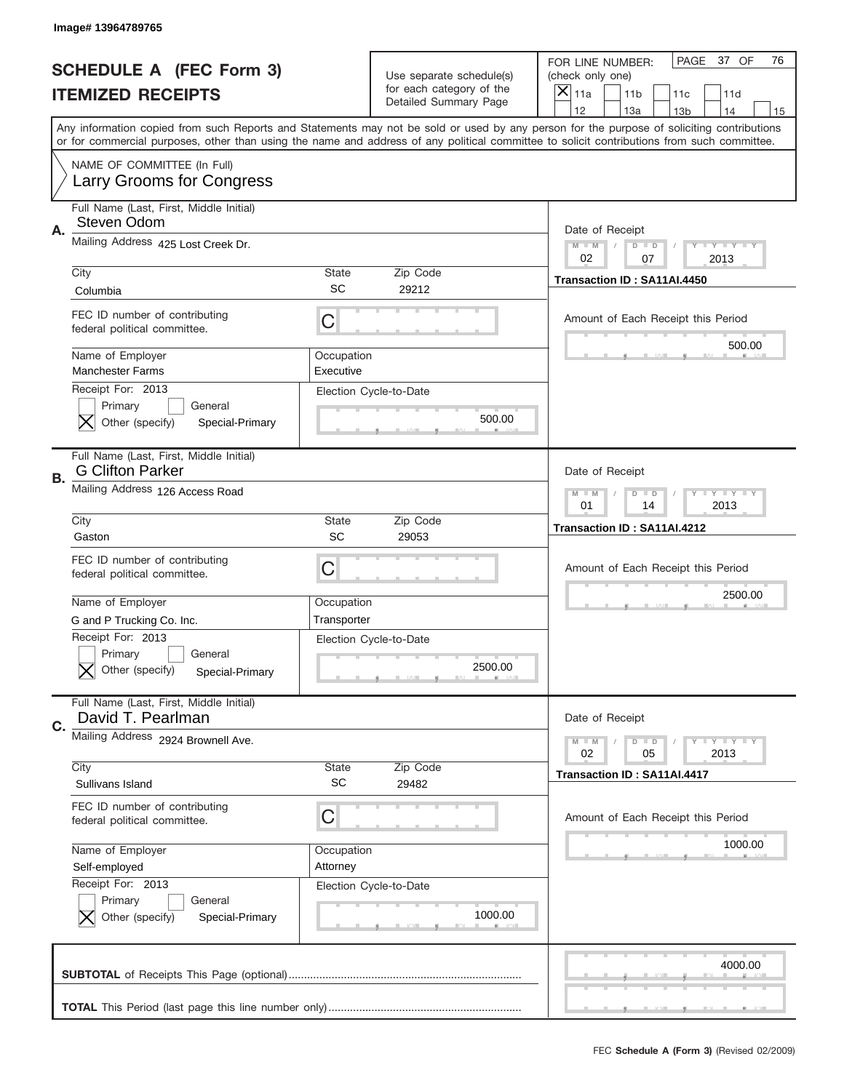|    | Image# 13964789765                                                            |                         |                                                   |                                                                                                                                                                                                                                                                                                                                     |
|----|-------------------------------------------------------------------------------|-------------------------|---------------------------------------------------|-------------------------------------------------------------------------------------------------------------------------------------------------------------------------------------------------------------------------------------------------------------------------------------------------------------------------------------|
|    | <b>SCHEDULE A (FEC Form 3)</b>                                                |                         | Use separate schedule(s)                          | PAGE 37 OF<br>76<br>FOR LINE NUMBER:<br>(check only one)                                                                                                                                                                                                                                                                            |
|    | <b>ITEMIZED RECEIPTS</b>                                                      |                         | for each category of the<br>Detailed Summary Page | $\times$<br>11a<br>11 <sub>b</sub><br>11c<br>11d                                                                                                                                                                                                                                                                                    |
|    |                                                                               |                         |                                                   | 12<br>13a<br>14<br>13 <sub>b</sub><br>15<br>Any information copied from such Reports and Statements may not be sold or used by any person for the purpose of soliciting contributions<br>or for commercial purposes, other than using the name and address of any political committee to solicit contributions from such committee. |
|    | NAME OF COMMITTEE (In Full)<br>Larry Grooms for Congress                      |                         |                                                   |                                                                                                                                                                                                                                                                                                                                     |
| Α. | Full Name (Last, First, Middle Initial)<br>Steven Odom                        |                         |                                                   | Date of Receipt                                                                                                                                                                                                                                                                                                                     |
|    | Mailing Address 425 Lost Creek Dr.                                            |                         |                                                   | $M - M$<br><b>LY LY LY</b><br>$D$ $D$<br>02<br>07<br>2013                                                                                                                                                                                                                                                                           |
|    | City<br>Columbia                                                              | State<br><b>SC</b>      | Zip Code<br>29212                                 | Transaction ID: SA11AI.4450                                                                                                                                                                                                                                                                                                         |
|    | FEC ID number of contributing<br>federal political committee.                 | C                       |                                                   | Amount of Each Receipt this Period<br>500.00                                                                                                                                                                                                                                                                                        |
|    | Name of Employer<br><b>Manchester Farms</b>                                   | Occupation<br>Executive |                                                   |                                                                                                                                                                                                                                                                                                                                     |
|    | Receipt For: 2013<br>Primary<br>General<br>Other (specify)<br>Special-Primary |                         | Election Cycle-to-Date<br>500.00                  |                                                                                                                                                                                                                                                                                                                                     |
| В. | Full Name (Last, First, Middle Initial)<br><b>G Clifton Parker</b>            |                         |                                                   | Date of Receipt                                                                                                                                                                                                                                                                                                                     |
|    | Mailing Address 126 Access Road                                               |                         |                                                   | <b>LYLYLY</b><br>$M - M$<br>$D$ $D$<br>01<br>14<br>2013                                                                                                                                                                                                                                                                             |
|    | City<br>Gaston                                                                | State<br>SC             | Zip Code<br>29053                                 | Transaction ID: SA11AI.4212                                                                                                                                                                                                                                                                                                         |
|    | FEC ID number of contributing                                                 |                         |                                                   |                                                                                                                                                                                                                                                                                                                                     |
|    | federal political committee.                                                  | C                       |                                                   | Amount of Each Receipt this Period                                                                                                                                                                                                                                                                                                  |
|    | Name of Employer                                                              | Occupation              |                                                   | 2500.00                                                                                                                                                                                                                                                                                                                             |
|    | G and P Trucking Co. Inc.                                                     | Transporter             |                                                   |                                                                                                                                                                                                                                                                                                                                     |
|    | Receipt For: 2013<br>General<br>Primary<br>Other (specify)<br>Special-Primary |                         | Election Cycle-to-Date<br>2500.00                 |                                                                                                                                                                                                                                                                                                                                     |
|    | Full Name (Last, First, Middle Initial)<br>David T. Pearlman                  |                         |                                                   | Date of Receipt                                                                                                                                                                                                                                                                                                                     |
| C. | Mailing Address 2924 Brownell Ave.                                            |                         |                                                   | <b>LYLYLY</b><br>$M - M$<br>$D$ $D$<br>02<br>05<br>2013                                                                                                                                                                                                                                                                             |
|    | City<br>Sullivans Island                                                      | State<br><b>SC</b>      | Zip Code<br>29482                                 | Transaction ID: SA11AI.4417                                                                                                                                                                                                                                                                                                         |
|    | FEC ID number of contributing<br>federal political committee.                 | C                       |                                                   | Amount of Each Receipt this Period                                                                                                                                                                                                                                                                                                  |
|    | Name of Employer                                                              | Occupation              |                                                   | 1000.00                                                                                                                                                                                                                                                                                                                             |
|    | Self-employed                                                                 | Attorney                |                                                   |                                                                                                                                                                                                                                                                                                                                     |
|    | Receipt For: 2013<br>Primary<br>General<br>Other (specify)<br>Special-Primary |                         | Election Cycle-to-Date<br>1000.00                 |                                                                                                                                                                                                                                                                                                                                     |
|    |                                                                               |                         |                                                   | 4000.00                                                                                                                                                                                                                                                                                                                             |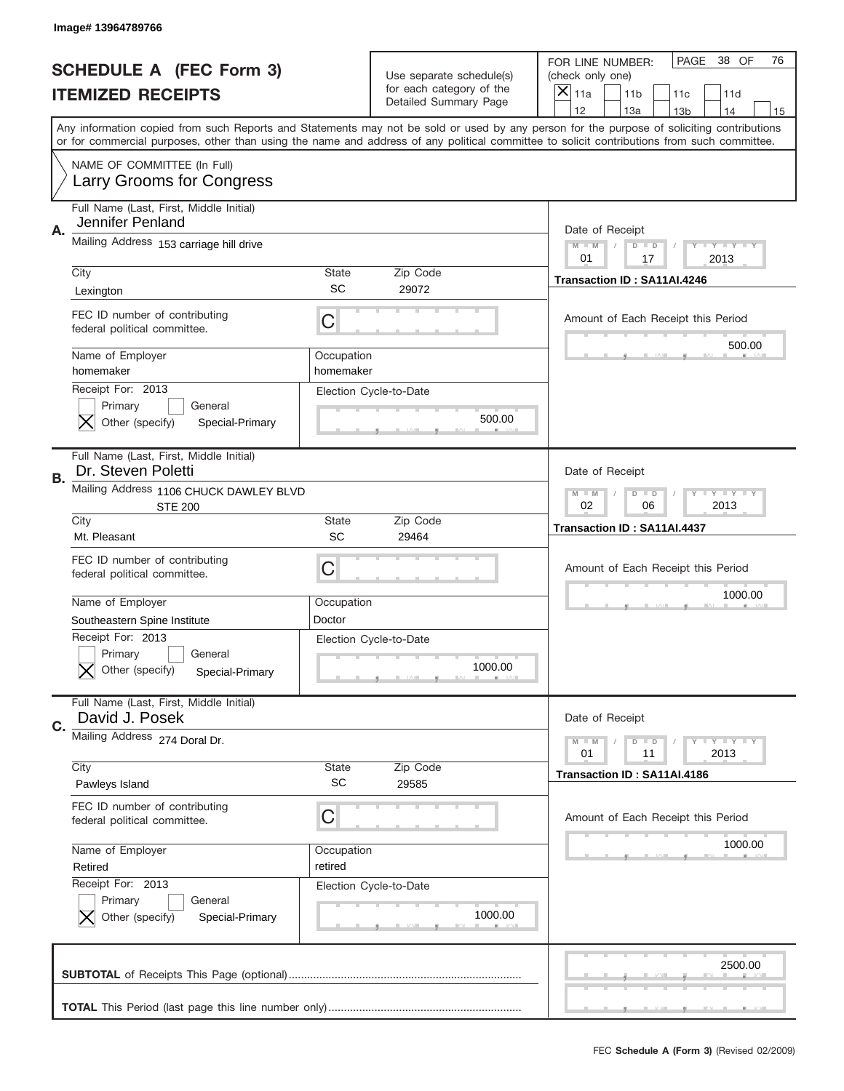|    | Image#13964789766                                                                                             |                           |                                                      |                                                                                                                                                                                                                                                                                                                         |
|----|---------------------------------------------------------------------------------------------------------------|---------------------------|------------------------------------------------------|-------------------------------------------------------------------------------------------------------------------------------------------------------------------------------------------------------------------------------------------------------------------------------------------------------------------------|
|    | <b>SCHEDULE A (FEC Form 3)</b>                                                                                |                           | Use separate schedule(s)<br>for each category of the | PAGE<br>38 OF<br>76<br>FOR LINE NUMBER:<br>(check only one)                                                                                                                                                                                                                                                             |
|    | <b>ITEMIZED RECEIPTS</b>                                                                                      |                           | Detailed Summary Page                                | ×<br>11a<br>11 <sub>b</sub><br>11c<br>11d<br>12<br>14                                                                                                                                                                                                                                                                   |
|    |                                                                                                               |                           |                                                      | 13a<br>13 <sub>b</sub><br>15<br>Any information copied from such Reports and Statements may not be sold or used by any person for the purpose of soliciting contributions<br>or for commercial purposes, other than using the name and address of any political committee to solicit contributions from such committee. |
|    | NAME OF COMMITTEE (In Full)<br>Larry Grooms for Congress                                                      |                           |                                                      |                                                                                                                                                                                                                                                                                                                         |
| Α. | Full Name (Last, First, Middle Initial)<br>Jennifer Penland                                                   |                           |                                                      | Date of Receipt                                                                                                                                                                                                                                                                                                         |
|    | Mailing Address 153 carriage hill drive                                                                       |                           |                                                      | $M - M$<br><b>LYLYLY</b><br>$D$ $D$<br>01<br>17<br>2013                                                                                                                                                                                                                                                                 |
|    | City<br>Lexington                                                                                             | State<br>SC               | Zip Code<br>29072                                    | Transaction ID: SA11AI.4246                                                                                                                                                                                                                                                                                             |
|    | FEC ID number of contributing<br>federal political committee.                                                 | C                         |                                                      | Amount of Each Receipt this Period<br>500.00                                                                                                                                                                                                                                                                            |
|    | Name of Employer<br>homemaker                                                                                 | Occupation<br>homemaker   |                                                      |                                                                                                                                                                                                                                                                                                                         |
|    | Receipt For: 2013<br>Primary<br>General<br>Other (specify)<br>Special-Primary                                 |                           | Election Cycle-to-Date<br>500.00                     |                                                                                                                                                                                                                                                                                                                         |
| В. | Full Name (Last, First, Middle Initial)<br>Dr. Steven Poletti                                                 |                           |                                                      | Date of Receipt                                                                                                                                                                                                                                                                                                         |
|    | Mailing Address 1106 CHUCK DAWLEY BLVD<br><b>STE 200</b>                                                      |                           |                                                      | $M$ M<br>$D$ $D$<br><b>LYLYLY</b><br>02<br>06<br>2013                                                                                                                                                                                                                                                                   |
|    | City<br>Mt. Pleasant                                                                                          | State<br>SC               | Zip Code<br>29464                                    | Transaction ID: SA11AI.4437                                                                                                                                                                                                                                                                                             |
|    |                                                                                                               |                           |                                                      |                                                                                                                                                                                                                                                                                                                         |
|    | FEC ID number of contributing<br>federal political committee.                                                 | C                         |                                                      | Amount of Each Receipt this Period                                                                                                                                                                                                                                                                                      |
|    | Name of Employer                                                                                              | Occupation                |                                                      | 1000.00                                                                                                                                                                                                                                                                                                                 |
|    | Southeastern Spine Institute<br>Receipt For: 2013<br>General<br>Primary<br>Other (specify)<br>Special-Primary | Doctor                    | Election Cycle-to-Date<br>1000.00                    |                                                                                                                                                                                                                                                                                                                         |
| C. | Full Name (Last, First, Middle Initial)<br>David J. Posek                                                     |                           |                                                      | Date of Receipt                                                                                                                                                                                                                                                                                                         |
|    | Mailing Address 274 Doral Dr.                                                                                 |                           |                                                      | <b>LYLYLY</b><br>$M - M$<br>$D$ $D$<br>2013<br>01<br>11                                                                                                                                                                                                                                                                 |
|    | City<br>Pawleys Island                                                                                        | <b>State</b><br><b>SC</b> | Zip Code<br>29585                                    | Transaction ID: SA11AI.4186                                                                                                                                                                                                                                                                                             |
|    | FEC ID number of contributing<br>federal political committee.                                                 | C                         |                                                      | Amount of Each Receipt this Period                                                                                                                                                                                                                                                                                      |
|    | Name of Employer<br>Retired                                                                                   | Occupation<br>retired     |                                                      | 1000.00                                                                                                                                                                                                                                                                                                                 |
|    | Receipt For: 2013<br>Primary<br>General<br>Other (specify)<br>Special-Primary                                 |                           | Election Cycle-to-Date<br>1000.00                    |                                                                                                                                                                                                                                                                                                                         |
|    |                                                                                                               |                           |                                                      | 2500.00                                                                                                                                                                                                                                                                                                                 |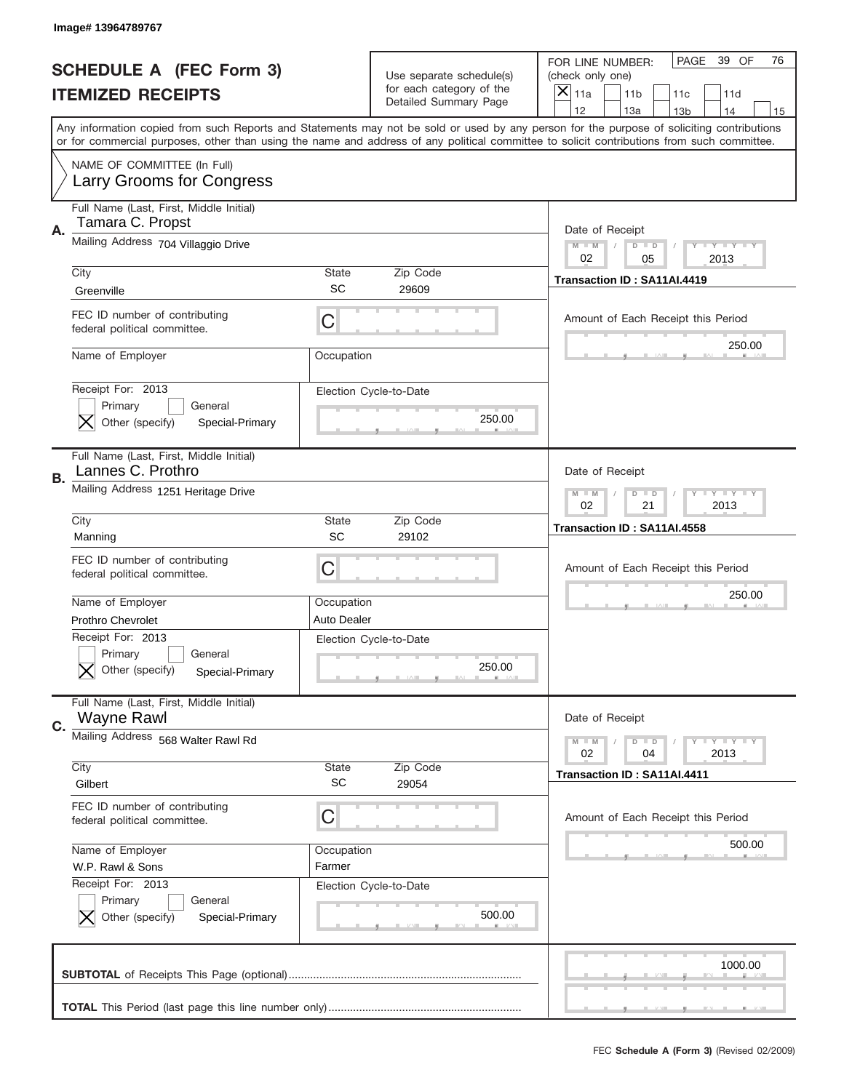|    | Image# 13964789767                                                                                 |                           |                                                   |                                                                                                                                                                                                                                                                                                                                     |
|----|----------------------------------------------------------------------------------------------------|---------------------------|---------------------------------------------------|-------------------------------------------------------------------------------------------------------------------------------------------------------------------------------------------------------------------------------------------------------------------------------------------------------------------------------------|
|    | <b>SCHEDULE A (FEC Form 3)</b>                                                                     |                           | Use separate schedule(s)                          | PAGE<br>39 OF<br>76<br>FOR LINE NUMBER:<br>(check only one)                                                                                                                                                                                                                                                                         |
|    | <b>ITEMIZED RECEIPTS</b>                                                                           |                           | for each category of the<br>Detailed Summary Page | ×<br>11a<br>11 <sub>b</sub><br>11c<br>11d                                                                                                                                                                                                                                                                                           |
|    |                                                                                                    |                           |                                                   | 12<br>13a<br>14<br>13 <sub>b</sub><br>15<br>Any information copied from such Reports and Statements may not be sold or used by any person for the purpose of soliciting contributions<br>or for commercial purposes, other than using the name and address of any political committee to solicit contributions from such committee. |
|    | NAME OF COMMITTEE (In Full)<br>Larry Grooms for Congress                                           |                           |                                                   |                                                                                                                                                                                                                                                                                                                                     |
| Α. | Full Name (Last, First, Middle Initial)<br>Tamara C. Propst                                        |                           |                                                   | Date of Receipt                                                                                                                                                                                                                                                                                                                     |
|    | Mailing Address 704 Villaggio Drive                                                                |                           |                                                   | $M - M$<br><b>LEY LEY LEY</b><br>$D$ $D$<br>02<br>05<br>2013                                                                                                                                                                                                                                                                        |
|    | City<br>Greenville                                                                                 | State<br>SC               | Zip Code<br>29609                                 | Transaction ID: SA11AI.4419                                                                                                                                                                                                                                                                                                         |
|    | FEC ID number of contributing<br>federal political committee.                                      | C                         |                                                   | Amount of Each Receipt this Period<br>250.00                                                                                                                                                                                                                                                                                        |
|    | Name of Employer                                                                                   | Occupation                |                                                   |                                                                                                                                                                                                                                                                                                                                     |
|    | Receipt For: 2013<br>Primary<br>General<br>Other (specify)<br>Special-Primary                      |                           | Election Cycle-to-Date<br>250.00                  |                                                                                                                                                                                                                                                                                                                                     |
| В. | Full Name (Last, First, Middle Initial)<br>Lannes C. Prothro                                       |                           |                                                   | Date of Receipt                                                                                                                                                                                                                                                                                                                     |
|    | Mailing Address 1251 Heritage Drive                                                                |                           |                                                   | $M$ M<br><b>LYLYLY</b><br>$D$ $D$<br>02<br>21<br>2013                                                                                                                                                                                                                                                                               |
|    | City<br>Manning                                                                                    | State<br>SC               | Zip Code<br>29102                                 | Transaction ID: SA11AI.4558                                                                                                                                                                                                                                                                                                         |
|    | FEC ID number of contributing<br>federal political committee.                                      | C                         |                                                   | Amount of Each Receipt this Period                                                                                                                                                                                                                                                                                                  |
|    | Name of Employer                                                                                   | Occupation                |                                                   | 250.00                                                                                                                                                                                                                                                                                                                              |
|    |                                                                                                    | Auto Dealer               |                                                   |                                                                                                                                                                                                                                                                                                                                     |
|    | Prothro Chevrolet<br>Receipt For: 2013<br>General<br>Primary<br>Other (specify)<br>Special-Primary |                           | Election Cycle-to-Date<br>250.00                  |                                                                                                                                                                                                                                                                                                                                     |
| C. | Full Name (Last, First, Middle Initial)<br>Wayne Rawl                                              |                           |                                                   | Date of Receipt                                                                                                                                                                                                                                                                                                                     |
|    | Mailing Address 568 Walter Rawl Rd                                                                 |                           |                                                   | <b>LYLYLY</b><br>$M - M$<br>$D$ $D$<br>02<br>2013<br>04                                                                                                                                                                                                                                                                             |
|    | City<br>Gilbert                                                                                    | <b>State</b><br><b>SC</b> | Zip Code<br>29054                                 | Transaction ID: SA11AI.4411                                                                                                                                                                                                                                                                                                         |
|    | FEC ID number of contributing<br>federal political committee.                                      | C                         |                                                   | Amount of Each Receipt this Period                                                                                                                                                                                                                                                                                                  |
|    | Name of Employer                                                                                   | Occupation<br>Farmer      |                                                   | 500.00                                                                                                                                                                                                                                                                                                                              |
|    | W.P. Rawl & Sons<br>Receipt For: 2013<br>Primary<br>General<br>Other (specify)<br>Special-Primary  |                           | Election Cycle-to-Date<br>500.00                  |                                                                                                                                                                                                                                                                                                                                     |
|    |                                                                                                    |                           |                                                   | 1000.00                                                                                                                                                                                                                                                                                                                             |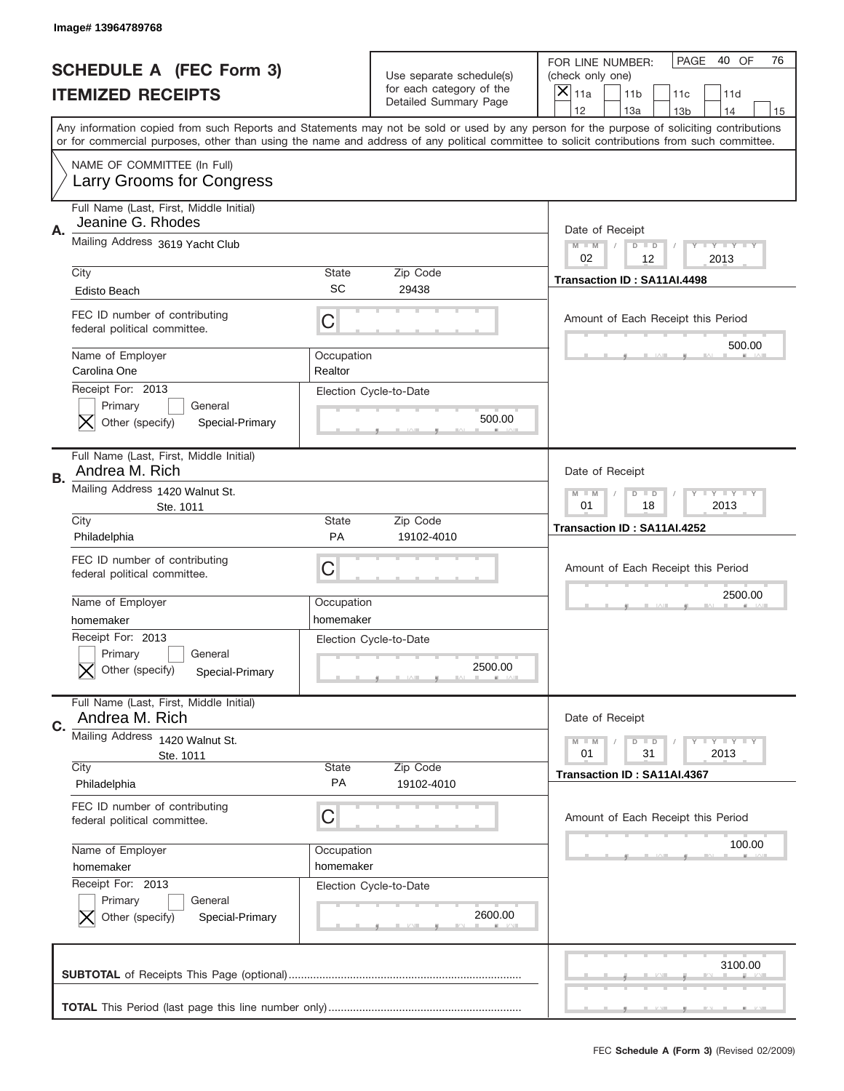|    | Image#13964789768                                                             |                         |                                                      |                                                                                                                                                                                                                                                                                                                  |
|----|-------------------------------------------------------------------------------|-------------------------|------------------------------------------------------|------------------------------------------------------------------------------------------------------------------------------------------------------------------------------------------------------------------------------------------------------------------------------------------------------------------|
|    | <b>SCHEDULE A (FEC Form 3)</b>                                                |                         | Use separate schedule(s)<br>for each category of the | PAGE<br>40 OF<br>76<br>FOR LINE NUMBER:<br>(check only one)                                                                                                                                                                                                                                                      |
|    | <b>ITEMIZED RECEIPTS</b>                                                      |                         | Detailed Summary Page                                | ×<br>11a<br>11 <sub>b</sub><br>11c<br>11d<br>12<br>13a<br>14                                                                                                                                                                                                                                                     |
|    |                                                                               |                         |                                                      | 13 <sub>b</sub><br>15<br>Any information copied from such Reports and Statements may not be sold or used by any person for the purpose of soliciting contributions<br>or for commercial purposes, other than using the name and address of any political committee to solicit contributions from such committee. |
|    | NAME OF COMMITTEE (In Full)<br>Larry Grooms for Congress                      |                         |                                                      |                                                                                                                                                                                                                                                                                                                  |
| Α. | Full Name (Last, First, Middle Initial)<br>Jeanine G. Rhodes                  |                         |                                                      | Date of Receipt                                                                                                                                                                                                                                                                                                  |
|    | Mailing Address 3619 Yacht Club                                               |                         |                                                      | $M - M$<br><b>LYLYLY</b><br>$D$ $D$<br>02<br>2013<br>12                                                                                                                                                                                                                                                          |
|    | City<br><b>Edisto Beach</b>                                                   | State<br>SC             | Zip Code<br>29438                                    | Transaction ID: SA11AI.4498                                                                                                                                                                                                                                                                                      |
|    | FEC ID number of contributing<br>federal political committee.                 | C                       |                                                      | Amount of Each Receipt this Period<br>500.00                                                                                                                                                                                                                                                                     |
|    | Name of Employer<br>Carolina One                                              | Occupation<br>Realtor   |                                                      |                                                                                                                                                                                                                                                                                                                  |
|    | Receipt For: 2013<br>Primary<br>General<br>Other (specify)<br>Special-Primary |                         | Election Cycle-to-Date<br>500.00                     |                                                                                                                                                                                                                                                                                                                  |
| В. | Full Name (Last, First, Middle Initial)<br>Andrea M. Rich                     |                         |                                                      | Date of Receipt                                                                                                                                                                                                                                                                                                  |
|    | Mailing Address 1420 Walnut St.<br>Ste. 1011                                  |                         |                                                      | <b>LY LY LY</b><br>$M$ M<br>$D$ $D$<br>01<br>18<br>2013                                                                                                                                                                                                                                                          |
|    | City<br>Philadelphia                                                          | State<br><b>PA</b>      | Zip Code<br>19102-4010                               | Transaction ID: SA11AI.4252                                                                                                                                                                                                                                                                                      |
|    | FEC ID number of contributing<br>federal political committee.                 | C                       |                                                      | Amount of Each Receipt this Period                                                                                                                                                                                                                                                                               |
|    | Name of Employer<br>homemaker                                                 | Occupation<br>homemaker |                                                      | 2500.00                                                                                                                                                                                                                                                                                                          |
|    |                                                                               |                         |                                                      |                                                                                                                                                                                                                                                                                                                  |
|    | Receipt For: 2013<br>General<br>Primary<br>Other (specify)<br>Special-Primary |                         | Election Cycle-to-Date<br>2500.00                    |                                                                                                                                                                                                                                                                                                                  |
| C. | Full Name (Last, First, Middle Initial)<br>Andrea M. Rich                     |                         |                                                      | Date of Receipt                                                                                                                                                                                                                                                                                                  |
|    | Mailing Address 1420 Walnut St.<br>Ste. 1011                                  |                         |                                                      | <b>LYLYLY</b><br>$M - M$<br>$D$ $D$<br>01<br>31<br>2013                                                                                                                                                                                                                                                          |
|    | City<br>Philadelphia                                                          | State<br>PA             | Zip Code<br>19102-4010                               | Transaction ID: SA11AI.4367                                                                                                                                                                                                                                                                                      |
|    | FEC ID number of contributing<br>federal political committee.                 | C                       |                                                      | Amount of Each Receipt this Period                                                                                                                                                                                                                                                                               |
|    | Name of Employer<br>homemaker                                                 | Occupation<br>homemaker |                                                      | 100.00                                                                                                                                                                                                                                                                                                           |
|    | Receipt For: 2013<br>Primary<br>General<br>Other (specify)<br>Special-Primary |                         | Election Cycle-to-Date<br>2600.00                    |                                                                                                                                                                                                                                                                                                                  |
|    |                                                                               |                         |                                                      | 3100.00                                                                                                                                                                                                                                                                                                          |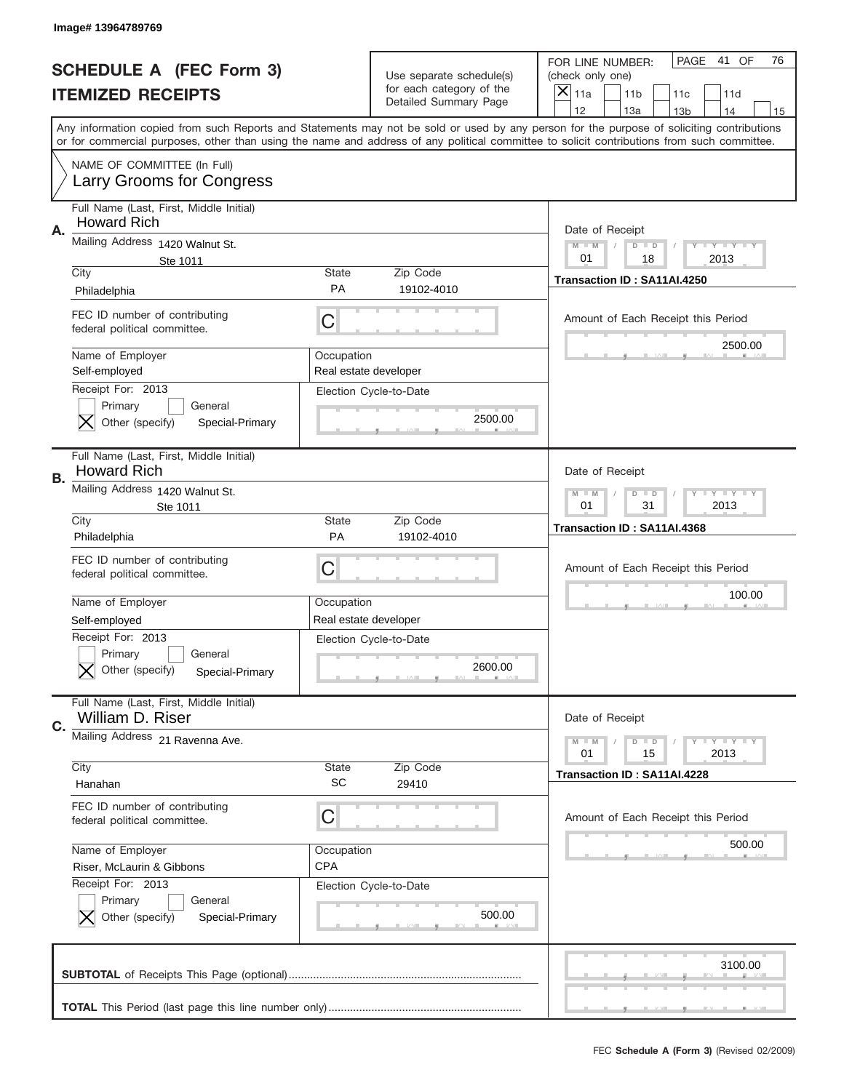|    | <b>SCHEDULE A (FEC Form 3)</b><br><b>ITEMIZED RECEIPTS</b>                                     |                                     | Use separate schedule(s)<br>for each category of the<br>Detailed Summary Page | PAGE<br>41 OF<br>76<br>FOR LINE NUMBER:<br>(check only one)<br>×<br>11a<br>11 <sub>b</sub><br>11c<br>11d<br>12<br>13a<br>14<br>13 <sub>b</sub><br>15                                                                                                                                    |
|----|------------------------------------------------------------------------------------------------|-------------------------------------|-------------------------------------------------------------------------------|-----------------------------------------------------------------------------------------------------------------------------------------------------------------------------------------------------------------------------------------------------------------------------------------|
|    |                                                                                                |                                     |                                                                               | Any information copied from such Reports and Statements may not be sold or used by any person for the purpose of soliciting contributions<br>or for commercial purposes, other than using the name and address of any political committee to solicit contributions from such committee. |
|    | NAME OF COMMITTEE (In Full)<br>Larry Grooms for Congress                                       |                                     |                                                                               |                                                                                                                                                                                                                                                                                         |
| Α. | Full Name (Last, First, Middle Initial)<br><b>Howard Rich</b>                                  |                                     |                                                                               | Date of Receipt                                                                                                                                                                                                                                                                         |
|    | Mailing Address 1420 Walnut St.<br>Ste 1011                                                    |                                     |                                                                               | $M - M$<br><b>LEY LEY LEY</b><br>$D$ $D$<br>01<br>2013<br>18                                                                                                                                                                                                                            |
|    | City<br>Philadelphia                                                                           | State<br><b>PA</b>                  | Zip Code<br>19102-4010                                                        | Transaction ID: SA11AI.4250                                                                                                                                                                                                                                                             |
|    | FEC ID number of contributing<br>federal political committee.                                  | C                                   |                                                                               | Amount of Each Receipt this Period                                                                                                                                                                                                                                                      |
|    | Name of Employer<br>Self-employed                                                              | Occupation<br>Real estate developer |                                                                               | 2500.00                                                                                                                                                                                                                                                                                 |
|    | Receipt For: 2013<br>Primary<br>General<br>Other (specify)<br>Special-Primary                  |                                     | Election Cycle-to-Date<br>2500.00                                             |                                                                                                                                                                                                                                                                                         |
| В. | Full Name (Last, First, Middle Initial)<br><b>Howard Rich</b>                                  |                                     |                                                                               | Date of Receipt                                                                                                                                                                                                                                                                         |
|    | Mailing Address 1420 Walnut St.<br>Ste 1011                                                    |                                     |                                                                               | $M$ M<br>$D$ $D$<br><b>LEYTEY LEY</b><br>01<br>31<br>2013                                                                                                                                                                                                                               |
|    | City<br>Philadelphia                                                                           | State<br><b>PA</b>                  | Zip Code<br>19102-4010                                                        | Transaction ID: SA11AI.4368                                                                                                                                                                                                                                                             |
|    | FEC ID number of contributing                                                                  |                                     |                                                                               |                                                                                                                                                                                                                                                                                         |
|    | federal political committee.                                                                   | C                                   |                                                                               | Amount of Each Receipt this Period                                                                                                                                                                                                                                                      |
|    | Name of Employer                                                                               | Occupation                          |                                                                               | 100.00                                                                                                                                                                                                                                                                                  |
|    | Self-employed<br>Receipt For: 2013<br>General<br>Primary<br>Other (specify)<br>Special-Primary | Real estate developer               | Election Cycle-to-Date<br>2600.00                                             |                                                                                                                                                                                                                                                                                         |
|    | Full Name (Last, First, Middle Initial)<br>William D. Riser                                    |                                     |                                                                               | Date of Receipt                                                                                                                                                                                                                                                                         |
|    | Mailing Address 21 Ravenna Ave.                                                                |                                     |                                                                               | <b>LYLYLY</b><br>$M - M$<br>$D$ $D$<br>2013<br>01<br>15                                                                                                                                                                                                                                 |
|    | City<br>Hanahan                                                                                | <b>State</b><br><b>SC</b>           | Zip Code<br>29410                                                             | Transaction ID: SA11AI.4228                                                                                                                                                                                                                                                             |
|    | FEC ID number of contributing<br>federal political committee.                                  | C                                   |                                                                               | Amount of Each Receipt this Period                                                                                                                                                                                                                                                      |
|    | Name of Employer<br>Riser, McLaurin & Gibbons                                                  | Occupation<br><b>CPA</b>            |                                                                               | 500.00                                                                                                                                                                                                                                                                                  |
|    | Receipt For: 2013<br>Primary<br>General<br>Other (specify)<br>Special-Primary                  |                                     | Election Cycle-to-Date<br>500.00                                              |                                                                                                                                                                                                                                                                                         |
| C. |                                                                                                |                                     |                                                                               | 3100.00                                                                                                                                                                                                                                                                                 |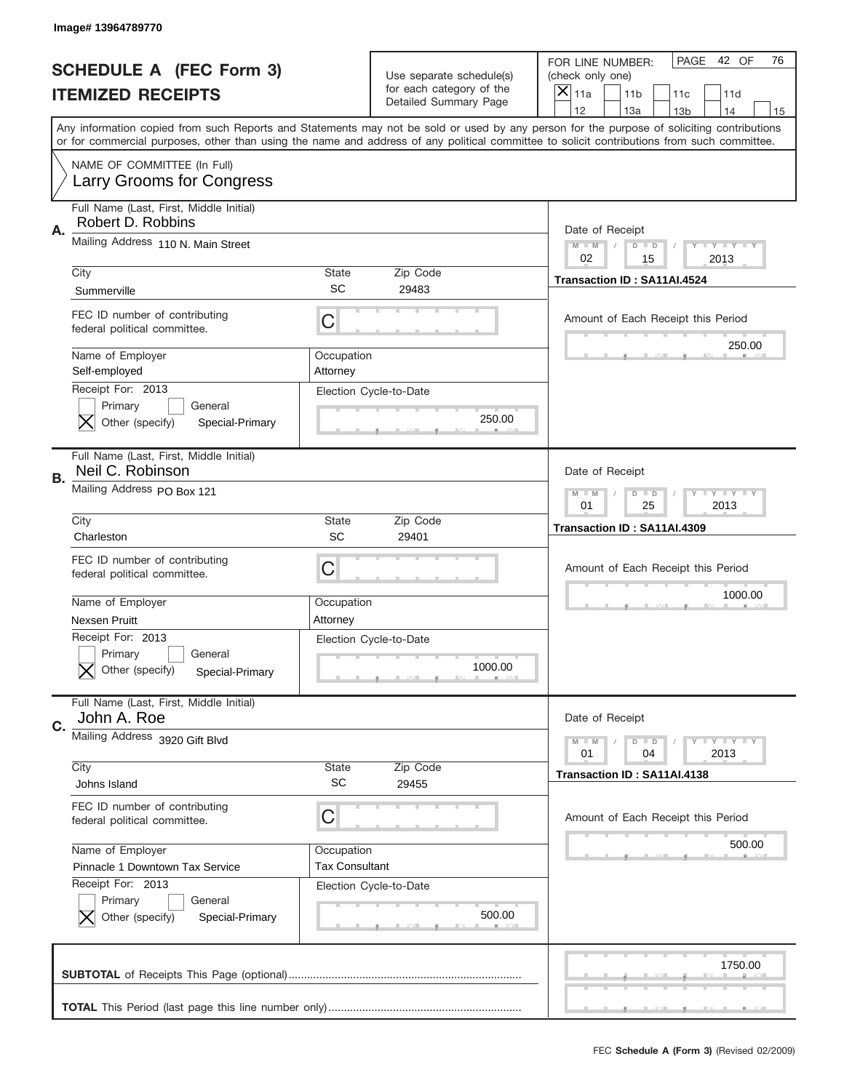|    | Image#13964789770                                                             |                           |                                                      |                                                                                                                                                                                                                                                                                                                                     |
|----|-------------------------------------------------------------------------------|---------------------------|------------------------------------------------------|-------------------------------------------------------------------------------------------------------------------------------------------------------------------------------------------------------------------------------------------------------------------------------------------------------------------------------------|
|    | <b>SCHEDULE A (FEC Form 3)</b>                                                |                           | Use separate schedule(s)<br>for each category of the | PAGE 42 OF<br>76<br>FOR LINE NUMBER:<br>(check only one)                                                                                                                                                                                                                                                                            |
|    | <b>ITEMIZED RECEIPTS</b>                                                      |                           | Detailed Summary Page                                | ×<br>11a<br>11 <sub>b</sub><br>11c<br>11d                                                                                                                                                                                                                                                                                           |
|    |                                                                               |                           |                                                      | 12<br>13a<br>14<br>13 <sub>b</sub><br>15<br>Any information copied from such Reports and Statements may not be sold or used by any person for the purpose of soliciting contributions<br>or for commercial purposes, other than using the name and address of any political committee to solicit contributions from such committee. |
|    | NAME OF COMMITTEE (In Full)<br>Larry Grooms for Congress                      |                           |                                                      |                                                                                                                                                                                                                                                                                                                                     |
| Α. | Full Name (Last, First, Middle Initial)<br>Robert D. Robbins                  |                           |                                                      | Date of Receipt                                                                                                                                                                                                                                                                                                                     |
|    | Mailing Address 110 N. Main Street                                            |                           |                                                      | $M - M$<br><b>LYLYLY</b><br>$D$ $D$<br>02<br>15<br>2013                                                                                                                                                                                                                                                                             |
|    | City<br>Summerville                                                           | State<br>SC               | Zip Code<br>29483                                    | Transaction ID: SA11AI.4524                                                                                                                                                                                                                                                                                                         |
|    | FEC ID number of contributing<br>federal political committee.                 | C                         |                                                      | Amount of Each Receipt this Period                                                                                                                                                                                                                                                                                                  |
|    | Name of Employer<br>Self-employed                                             | Occupation<br>Attorney    |                                                      | 250.00                                                                                                                                                                                                                                                                                                                              |
|    | Receipt For: 2013<br>Primary<br>General<br>Other (specify)<br>Special-Primary |                           | Election Cycle-to-Date<br>250.00                     |                                                                                                                                                                                                                                                                                                                                     |
| В. | Full Name (Last, First, Middle Initial)<br>Neil C. Robinson                   |                           |                                                      | Date of Receipt                                                                                                                                                                                                                                                                                                                     |
|    | Mailing Address PO Box 121                                                    |                           |                                                      | $M$ M<br><b>LYLYLY</b><br>$D$ $D$<br>01<br>25<br>2013                                                                                                                                                                                                                                                                               |
|    | City<br>Charleston                                                            | State<br>SC               | Zip Code<br>29401                                    | Transaction ID: SA11AI.4309                                                                                                                                                                                                                                                                                                         |
|    | FEC ID number of contributing<br>federal political committee.                 | C                         |                                                      | Amount of Each Receipt this Period                                                                                                                                                                                                                                                                                                  |
|    | Name of Employer                                                              | Occupation                |                                                      | 1000.00                                                                                                                                                                                                                                                                                                                             |
|    |                                                                               |                           |                                                      |                                                                                                                                                                                                                                                                                                                                     |
|    | <b>Nexsen Pruitt</b>                                                          | Attorney                  |                                                      |                                                                                                                                                                                                                                                                                                                                     |
|    | Receipt For: 2013<br>General<br>Primary<br>Other (specify)<br>Special-Primary |                           | Election Cycle-to-Date<br>1000.00                    |                                                                                                                                                                                                                                                                                                                                     |
| C. | Full Name (Last, First, Middle Initial)<br>John A. Roe                        |                           |                                                      | Date of Receipt                                                                                                                                                                                                                                                                                                                     |
|    | Mailing Address 3920 Gift Blvd                                                |                           |                                                      | <b>LYLYLY</b><br>$M - M$<br>$D$ $D$<br>01<br>2013<br>04                                                                                                                                                                                                                                                                             |
|    | City<br>Johns Island                                                          | <b>State</b><br><b>SC</b> | Zip Code<br>29455                                    | Transaction ID: SA11AI.4138                                                                                                                                                                                                                                                                                                         |
|    | FEC ID number of contributing<br>federal political committee.                 | C                         |                                                      | Amount of Each Receipt this Period                                                                                                                                                                                                                                                                                                  |
|    | Name of Employer                                                              | Occupation                |                                                      | 500.00                                                                                                                                                                                                                                                                                                                              |
|    | Pinnacle 1 Downtown Tax Service                                               | <b>Tax Consultant</b>     |                                                      |                                                                                                                                                                                                                                                                                                                                     |
|    | Receipt For: 2013<br>Primary<br>General<br>Other (specify)<br>Special-Primary |                           | Election Cycle-to-Date<br>500.00                     |                                                                                                                                                                                                                                                                                                                                     |
|    |                                                                               |                           |                                                      | 1750.00                                                                                                                                                                                                                                                                                                                             |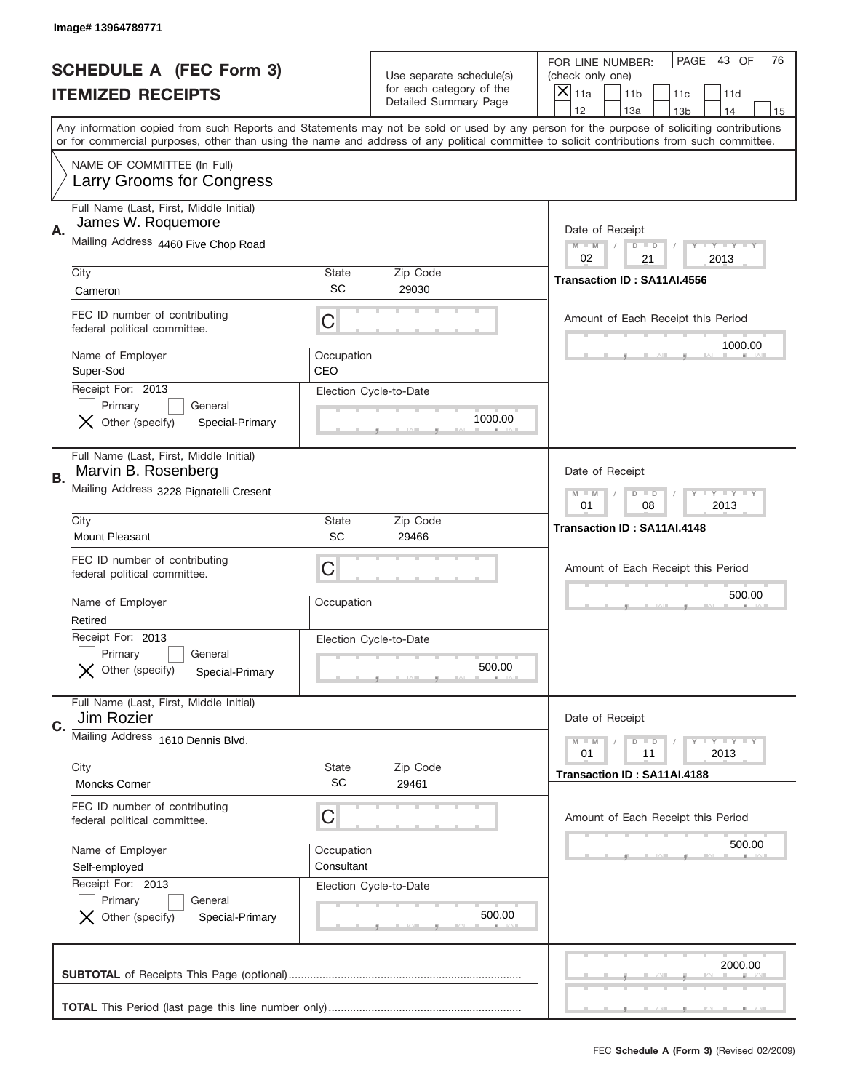|    | Image# 13964789771                                                            |                          |                                                      |                                                                                                                                                                                                                                                                                         |
|----|-------------------------------------------------------------------------------|--------------------------|------------------------------------------------------|-----------------------------------------------------------------------------------------------------------------------------------------------------------------------------------------------------------------------------------------------------------------------------------------|
|    | <b>SCHEDULE A (FEC Form 3)</b>                                                |                          | Use separate schedule(s)<br>for each category of the | PAGE<br>43 OF<br>76<br>FOR LINE NUMBER:<br>(check only one)                                                                                                                                                                                                                             |
|    | <b>ITEMIZED RECEIPTS</b>                                                      |                          | <b>Detailed Summary Page</b>                         | ×<br>11a<br>11 <sub>b</sub><br>11c<br>11d<br>12<br>13a<br>14<br>13 <sub>b</sub><br>15                                                                                                                                                                                                   |
|    |                                                                               |                          |                                                      | Any information copied from such Reports and Statements may not be sold or used by any person for the purpose of soliciting contributions<br>or for commercial purposes, other than using the name and address of any political committee to solicit contributions from such committee. |
|    | NAME OF COMMITTEE (In Full)<br>Larry Grooms for Congress                      |                          |                                                      |                                                                                                                                                                                                                                                                                         |
| Α. | Full Name (Last, First, Middle Initial)<br>James W. Roquemore                 |                          |                                                      | Date of Receipt                                                                                                                                                                                                                                                                         |
|    | Mailing Address 4460 Five Chop Road                                           |                          |                                                      | $M$ M<br><b>LEY LEY LEY</b><br>$D$ $D$<br>02<br>21<br>2013                                                                                                                                                                                                                              |
|    | City<br>Cameron                                                               | State<br>SC              | Zip Code<br>29030                                    | Transaction ID: SA11AI.4556                                                                                                                                                                                                                                                             |
|    | FEC ID number of contributing<br>federal political committee.                 | C                        |                                                      | Amount of Each Receipt this Period<br>1000.00                                                                                                                                                                                                                                           |
|    | Name of Employer<br>Super-Sod<br>Receipt For: 2013                            | Occupation<br>CEO        |                                                      |                                                                                                                                                                                                                                                                                         |
|    | Primary<br>General<br>Other (specify)<br>Special-Primary                      |                          | Election Cycle-to-Date<br>1000.00                    |                                                                                                                                                                                                                                                                                         |
| В. | Full Name (Last, First, Middle Initial)<br>Marvin B. Rosenberg                |                          |                                                      | Date of Receipt                                                                                                                                                                                                                                                                         |
|    | Mailing Address 3228 Pignatelli Cresent                                       |                          |                                                      | <b>LEYTEY LEY</b><br>$M$ M<br>$D$ $D$<br>01<br>08<br>2013                                                                                                                                                                                                                               |
|    | City<br>Mount Pleasant                                                        | State<br><b>SC</b>       | Zip Code<br>29466                                    | Transaction ID: SA11AI.4148                                                                                                                                                                                                                                                             |
|    | FEC ID number of contributing<br>federal political committee.                 | C                        |                                                      | Amount of Each Receipt this Period                                                                                                                                                                                                                                                      |
|    | Name of Employer<br>Retired                                                   | Occupation               |                                                      | 500.00                                                                                                                                                                                                                                                                                  |
|    | Receipt For: 2013<br>Primary<br>General<br>Other (specify)<br>Special-Primary |                          | Election Cycle-to-Date<br>500.00                     |                                                                                                                                                                                                                                                                                         |
| C. | Full Name (Last, First, Middle Initial)<br>Jim Rozier                         |                          |                                                      | Date of Receipt                                                                                                                                                                                                                                                                         |
|    | Mailing Address 1610 Dennis Blvd.                                             |                          |                                                      | <b>LYLYLY</b><br>$M - M$<br>$D$ $D$<br>01<br>11<br>2013                                                                                                                                                                                                                                 |
|    | City<br>Moncks Corner                                                         | <b>State</b><br>SC       | Zip Code<br>29461                                    | Transaction ID: SA11AI.4188                                                                                                                                                                                                                                                             |
|    | FEC ID number of contributing<br>federal political committee.                 | C                        |                                                      | Amount of Each Receipt this Period                                                                                                                                                                                                                                                      |
|    | Name of Employer<br>Self-employed                                             | Occupation<br>Consultant |                                                      | 500.00                                                                                                                                                                                                                                                                                  |
|    | Receipt For: 2013<br>Primary<br>General<br>Other (specify)<br>Special-Primary |                          | Election Cycle-to-Date<br>500.00                     |                                                                                                                                                                                                                                                                                         |
|    |                                                                               |                          |                                                      | 2000.00                                                                                                                                                                                                                                                                                 |
|    |                                                                               |                          |                                                      |                                                                                                                                                                                                                                                                                         |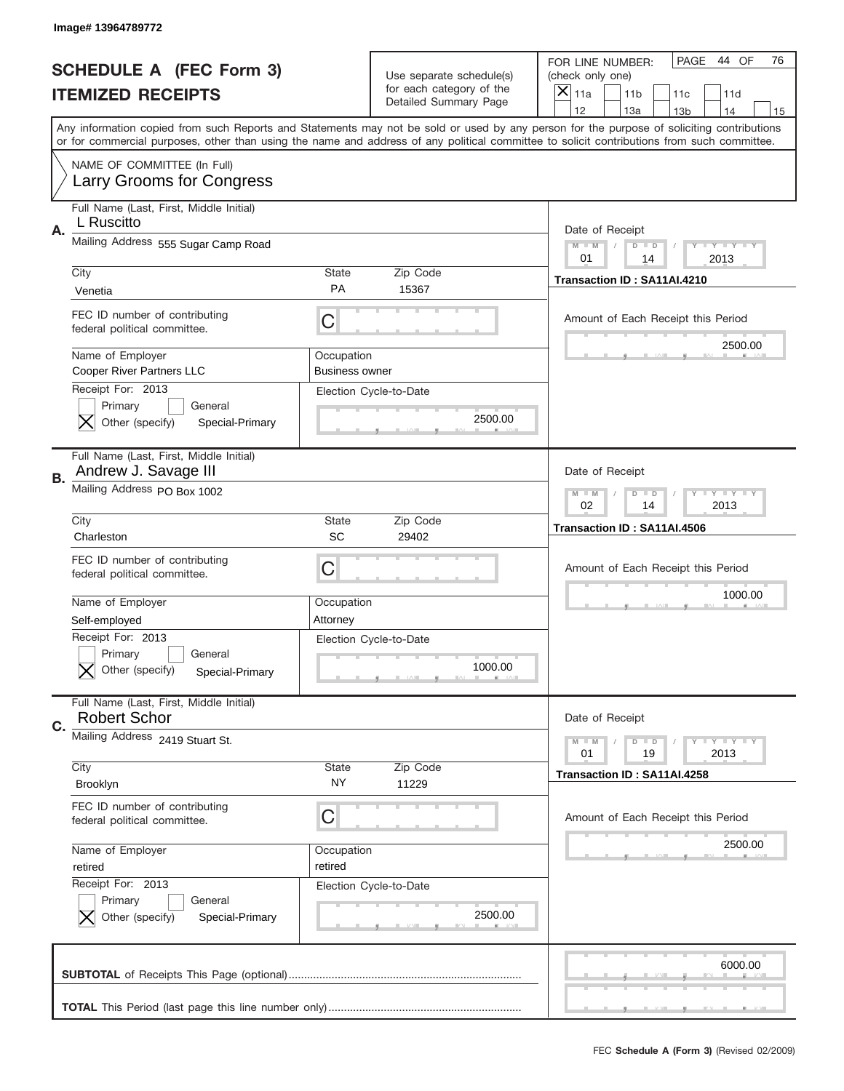|    | <b>SCHEDULE A (FEC Form 3)</b><br><b>ITEMIZED RECEIPTS</b>                                     |                                     | Use separate schedule(s)<br>for each category of the<br>Detailed Summary Page | PAGE<br>44 OF<br>76<br>FOR LINE NUMBER:<br>(check only one)<br>×<br>11a<br>11 <sub>b</sub><br>11c<br>11d<br>12<br>13a<br>14<br>13 <sub>b</sub><br>15                                                                                                                                    |
|----|------------------------------------------------------------------------------------------------|-------------------------------------|-------------------------------------------------------------------------------|-----------------------------------------------------------------------------------------------------------------------------------------------------------------------------------------------------------------------------------------------------------------------------------------|
|    |                                                                                                |                                     |                                                                               | Any information copied from such Reports and Statements may not be sold or used by any person for the purpose of soliciting contributions<br>or for commercial purposes, other than using the name and address of any political committee to solicit contributions from such committee. |
|    | NAME OF COMMITTEE (In Full)<br>Larry Grooms for Congress                                       |                                     |                                                                               |                                                                                                                                                                                                                                                                                         |
| Α. | Full Name (Last, First, Middle Initial)<br>L Ruscitto                                          |                                     |                                                                               | Date of Receipt                                                                                                                                                                                                                                                                         |
|    | Mailing Address 555 Sugar Camp Road                                                            |                                     |                                                                               | $M - M$<br><b>LEY LEY LEY</b><br>$D$ $D$<br>01<br>2013<br>14                                                                                                                                                                                                                            |
|    | City<br>Venetia                                                                                | State<br><b>PA</b>                  | Zip Code<br>15367                                                             | Transaction ID: SA11AI.4210                                                                                                                                                                                                                                                             |
|    | FEC ID number of contributing<br>federal political committee.                                  | C                                   |                                                                               | Amount of Each Receipt this Period                                                                                                                                                                                                                                                      |
|    | Name of Employer<br>Cooper River Partners LLC                                                  | Occupation<br><b>Business owner</b> |                                                                               | 2500.00                                                                                                                                                                                                                                                                                 |
|    | Receipt For: 2013<br>Primary<br>General<br>Other (specify)<br>Special-Primary                  |                                     | Election Cycle-to-Date<br>2500.00                                             |                                                                                                                                                                                                                                                                                         |
| В. | Full Name (Last, First, Middle Initial)<br>Andrew J. Savage III                                |                                     |                                                                               | Date of Receipt                                                                                                                                                                                                                                                                         |
|    | Mailing Address PO Box 1002                                                                    |                                     |                                                                               | $M$ M<br><b>LYLYLY</b><br>$D$ $D$<br>02<br>14<br>2013                                                                                                                                                                                                                                   |
|    | City<br>Charleston                                                                             | State<br>SC                         | Zip Code<br>29402                                                             | Transaction ID: SA11AI.4506                                                                                                                                                                                                                                                             |
|    | FEC ID number of contributing<br>federal political committee.                                  | C                                   |                                                                               | Amount of Each Receipt this Period                                                                                                                                                                                                                                                      |
|    |                                                                                                |                                     |                                                                               |                                                                                                                                                                                                                                                                                         |
|    | Name of Employer                                                                               | Occupation                          |                                                                               | 1000.00                                                                                                                                                                                                                                                                                 |
|    | Self-employed<br>Receipt For: 2013<br>General<br>Primary<br>Other (specify)<br>Special-Primary | Attorney                            | Election Cycle-to-Date<br>1000.00                                             |                                                                                                                                                                                                                                                                                         |
|    | Full Name (Last, First, Middle Initial)<br><b>Robert Schor</b>                                 |                                     |                                                                               | Date of Receipt                                                                                                                                                                                                                                                                         |
|    | Mailing Address 2419 Stuart St.                                                                |                                     |                                                                               | <b>LYLYLY</b><br>$M - M$<br>$D$ $D$<br>2013<br>01<br>19                                                                                                                                                                                                                                 |
|    | City<br>Brooklyn                                                                               | <b>State</b><br>NY.                 | Zip Code<br>11229                                                             | Transaction ID: SA11AI.4258                                                                                                                                                                                                                                                             |
|    | FEC ID number of contributing<br>federal political committee.                                  | C                                   |                                                                               | Amount of Each Receipt this Period                                                                                                                                                                                                                                                      |
|    | Name of Employer<br>retired                                                                    | Occupation<br>retired               |                                                                               | 2500.00                                                                                                                                                                                                                                                                                 |
|    | Receipt For: 2013<br>Primary<br>General<br>Other (specify)<br>Special-Primary                  |                                     | Election Cycle-to-Date<br>2500.00                                             |                                                                                                                                                                                                                                                                                         |
| C. |                                                                                                |                                     |                                                                               | 6000.00                                                                                                                                                                                                                                                                                 |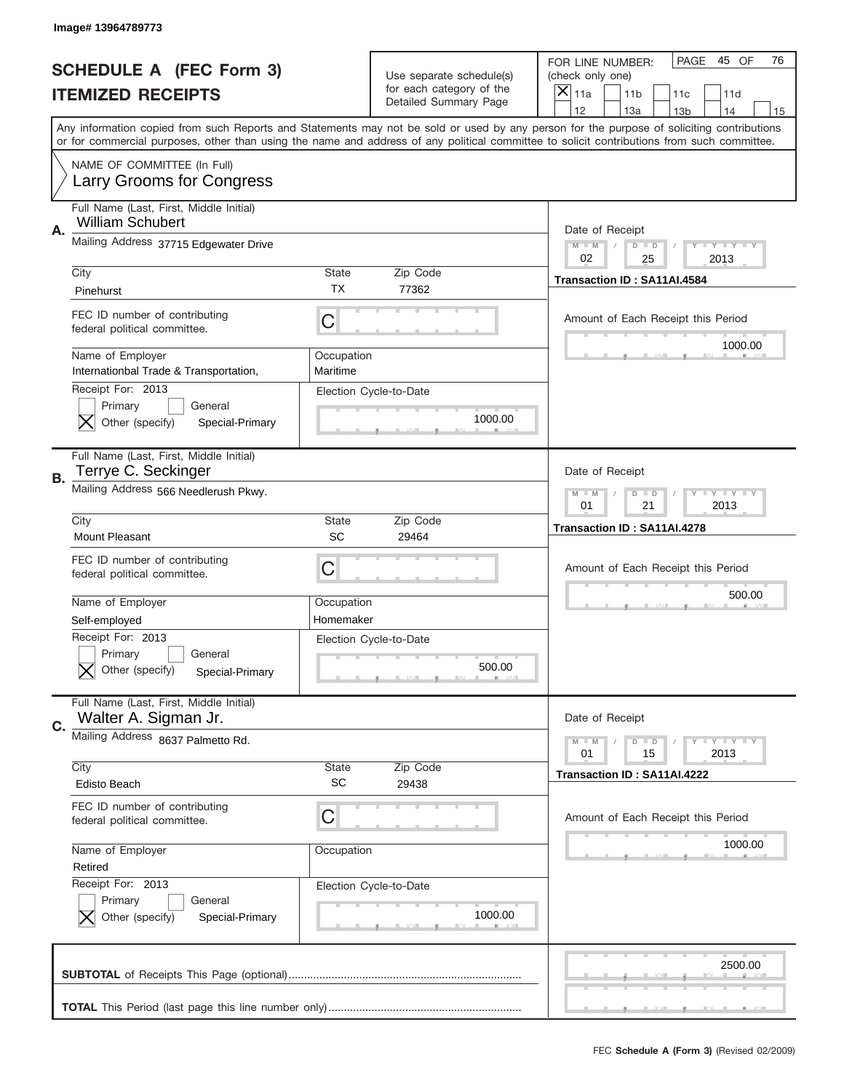|    | Image# 13964789773                                                                             |                           |                                                      |                                                                                                                                                                                                                                                                                                                  |
|----|------------------------------------------------------------------------------------------------|---------------------------|------------------------------------------------------|------------------------------------------------------------------------------------------------------------------------------------------------------------------------------------------------------------------------------------------------------------------------------------------------------------------|
|    | <b>SCHEDULE A (FEC Form 3)</b>                                                                 |                           | Use separate schedule(s)<br>for each category of the | PAGE<br>45 OF<br>76<br>FOR LINE NUMBER:<br>(check only one)                                                                                                                                                                                                                                                      |
|    | <b>ITEMIZED RECEIPTS</b>                                                                       |                           | Detailed Summary Page                                | $\boldsymbol{\times}$<br>11a<br>11 <sub>b</sub><br>11c<br>11d<br>12<br>13a<br>14                                                                                                                                                                                                                                 |
|    |                                                                                                |                           |                                                      | 13 <sub>b</sub><br>15<br>Any information copied from such Reports and Statements may not be sold or used by any person for the purpose of soliciting contributions<br>or for commercial purposes, other than using the name and address of any political committee to solicit contributions from such committee. |
|    | NAME OF COMMITTEE (In Full)<br>Larry Grooms for Congress                                       |                           |                                                      |                                                                                                                                                                                                                                                                                                                  |
| Α. | Full Name (Last, First, Middle Initial)<br><b>William Schubert</b>                             |                           |                                                      | Date of Receipt                                                                                                                                                                                                                                                                                                  |
|    | Mailing Address 37715 Edgewater Drive                                                          |                           |                                                      | <b>LEY LEY LEY</b><br>$M - M$<br>$D$ $D$<br>02<br>25<br>2013                                                                                                                                                                                                                                                     |
|    | City<br>Pinehurst                                                                              | <b>State</b><br><b>TX</b> | Zip Code<br>77362                                    | Transaction ID: SA11AI.4584                                                                                                                                                                                                                                                                                      |
|    | FEC ID number of contributing<br>federal political committee.                                  | C                         |                                                      | Amount of Each Receipt this Period<br>1000.00                                                                                                                                                                                                                                                                    |
|    | Name of Employer<br>Internationbal Trade & Transportation,                                     | Occupation<br>Maritime    |                                                      |                                                                                                                                                                                                                                                                                                                  |
|    | Receipt For: 2013<br>Primary<br>General<br>Other (specify)<br>Special-Primary                  |                           | Election Cycle-to-Date<br>1000.00                    |                                                                                                                                                                                                                                                                                                                  |
| В. | Full Name (Last, First, Middle Initial)<br>Terrye C. Seckinger                                 |                           |                                                      | Date of Receipt                                                                                                                                                                                                                                                                                                  |
|    | Mailing Address 566 Needlerush Pkwy.                                                           |                           |                                                      | <b>LY LY LY</b><br>$M - M$<br>$D$ $D$<br>01<br>21<br>2013                                                                                                                                                                                                                                                        |
|    | City<br>Mount Pleasant                                                                         | <b>State</b><br>SC        | Zip Code<br>29464                                    | Transaction ID: SA11AI.4278                                                                                                                                                                                                                                                                                      |
|    | FEC ID number of contributing<br>federal political committee.                                  | С                         |                                                      | Amount of Each Receipt this Period                                                                                                                                                                                                                                                                               |
|    |                                                                                                |                           |                                                      |                                                                                                                                                                                                                                                                                                                  |
|    | Name of Employer                                                                               | Occupation<br>Homemaker   |                                                      | 500.00                                                                                                                                                                                                                                                                                                           |
|    | Self-employed<br>Receipt For: 2013<br>General<br>Primary<br>Other (specify)<br>Special-Primary |                           | Election Cycle-to-Date<br>500.00                     |                                                                                                                                                                                                                                                                                                                  |
| C. | Full Name (Last, First, Middle Initial)<br>Walter A. Sigman Jr.                                |                           |                                                      | Date of Receipt                                                                                                                                                                                                                                                                                                  |
|    | Mailing Address 8637 Palmetto Rd.                                                              |                           |                                                      | <b>LY LY LY</b><br>$M \perp M$<br>$D$ $D$<br>2013<br>01<br>15                                                                                                                                                                                                                                                    |
|    | City<br><b>Edisto Beach</b>                                                                    | <b>State</b><br><b>SC</b> | Zip Code<br>29438                                    | Transaction ID: SA11AI.4222                                                                                                                                                                                                                                                                                      |
|    | FEC ID number of contributing<br>federal political committee.                                  | С                         |                                                      | Amount of Each Receipt this Period                                                                                                                                                                                                                                                                               |
|    | Name of Employer<br>Retired                                                                    | Occupation                |                                                      | 1000.00                                                                                                                                                                                                                                                                                                          |
|    | Receipt For: 2013<br>Primary<br>General<br>Other (specify)<br>Special-Primary                  |                           | Election Cycle-to-Date<br>1000.00                    |                                                                                                                                                                                                                                                                                                                  |
|    |                                                                                                |                           |                                                      | 2500.00                                                                                                                                                                                                                                                                                                          |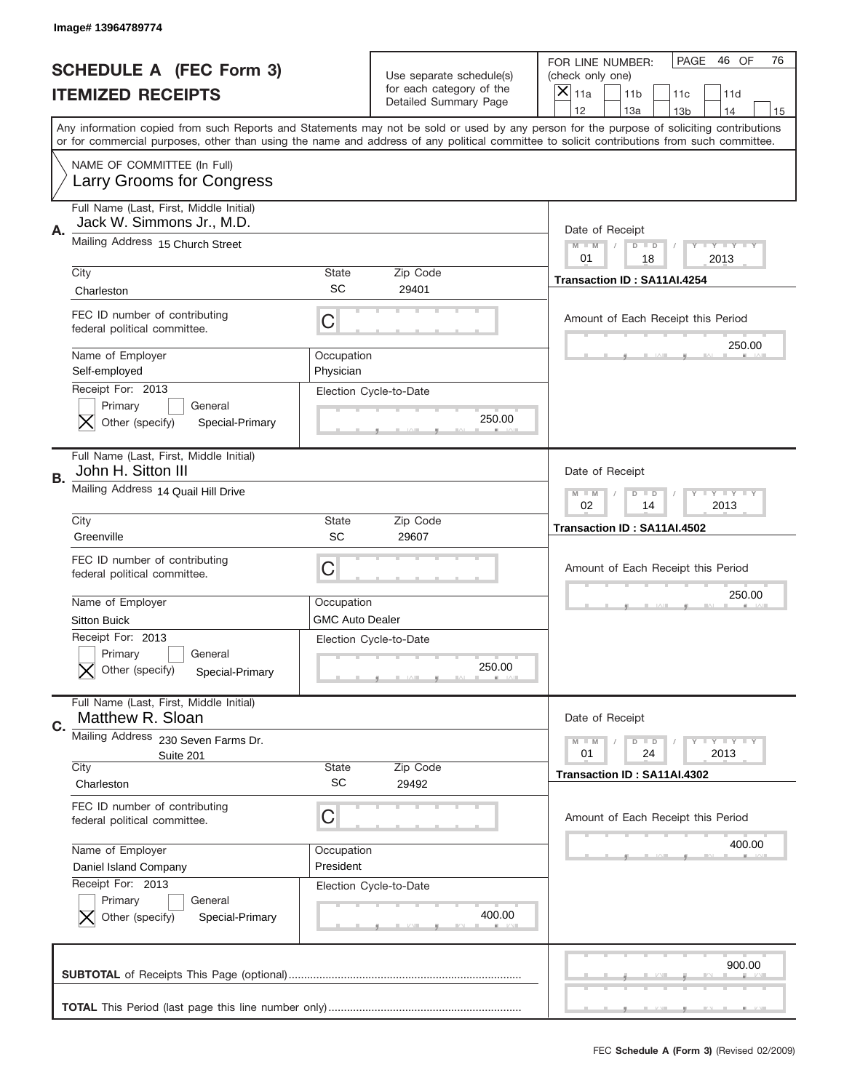|    | Image# 13964789774                                                            |                                      |                                                                               |                                                                                                                                                                                                                                                                                                                                     |
|----|-------------------------------------------------------------------------------|--------------------------------------|-------------------------------------------------------------------------------|-------------------------------------------------------------------------------------------------------------------------------------------------------------------------------------------------------------------------------------------------------------------------------------------------------------------------------------|
|    | <b>SCHEDULE A (FEC Form 3)</b><br><b>ITEMIZED RECEIPTS</b>                    |                                      | Use separate schedule(s)<br>for each category of the<br>Detailed Summary Page | PAGE<br>46 OF<br>76<br>FOR LINE NUMBER:<br>(check only one)<br>×<br>11a<br>11 <sub>b</sub><br>11c<br>11d                                                                                                                                                                                                                            |
|    |                                                                               |                                      |                                                                               | 12<br>13a<br>14<br>13 <sub>b</sub><br>15<br>Any information copied from such Reports and Statements may not be sold or used by any person for the purpose of soliciting contributions<br>or for commercial purposes, other than using the name and address of any political committee to solicit contributions from such committee. |
|    | NAME OF COMMITTEE (In Full)<br>Larry Grooms for Congress                      |                                      |                                                                               |                                                                                                                                                                                                                                                                                                                                     |
| Α. | Full Name (Last, First, Middle Initial)<br>Jack W. Simmons Jr., M.D.          |                                      |                                                                               | Date of Receipt                                                                                                                                                                                                                                                                                                                     |
|    | Mailing Address 15 Church Street                                              |                                      |                                                                               | $M - M$<br><b>LEY LEY LEY</b><br>$D$ $D$<br>01<br>18<br>2013                                                                                                                                                                                                                                                                        |
|    | City<br>Charleston                                                            | State<br>SC                          | Zip Code<br>29401                                                             | Transaction ID: SA11AI.4254                                                                                                                                                                                                                                                                                                         |
|    | FEC ID number of contributing<br>federal political committee.                 | C                                    |                                                                               | Amount of Each Receipt this Period                                                                                                                                                                                                                                                                                                  |
|    | Name of Employer<br>Self-employed                                             | Occupation<br>Physician              |                                                                               | 250.00                                                                                                                                                                                                                                                                                                                              |
|    | Receipt For: 2013<br>Primary<br>General<br>Other (specify)<br>Special-Primary |                                      | Election Cycle-to-Date<br>250.00                                              |                                                                                                                                                                                                                                                                                                                                     |
| В. | Full Name (Last, First, Middle Initial)<br>John H. Sitton III                 |                                      |                                                                               | Date of Receipt                                                                                                                                                                                                                                                                                                                     |
|    | Mailing Address 14 Quail Hill Drive                                           |                                      |                                                                               | $M$ M<br><b>LYLYLY</b><br>$D$ $D$<br>02<br>14<br>2013                                                                                                                                                                                                                                                                               |
|    | City<br>Greenville                                                            | State<br>SC                          | Zip Code<br>29607                                                             | Transaction ID: SA11AI.4502                                                                                                                                                                                                                                                                                                         |
|    | FEC ID number of contributing                                                 |                                      |                                                                               |                                                                                                                                                                                                                                                                                                                                     |
|    | federal political committee.                                                  | C                                    |                                                                               | Amount of Each Receipt this Period                                                                                                                                                                                                                                                                                                  |
|    | Name of Employer<br>Sitton Buick                                              | Occupation<br><b>GMC Auto Dealer</b> |                                                                               | 250.00                                                                                                                                                                                                                                                                                                                              |
|    | Receipt For: 2013<br>General<br>Primary<br>Other (specify)<br>Special-Primary |                                      | Election Cycle-to-Date<br>250.00                                              |                                                                                                                                                                                                                                                                                                                                     |
|    | Full Name (Last, First, Middle Initial)<br>Matthew R. Sloan                   |                                      |                                                                               | Date of Receipt                                                                                                                                                                                                                                                                                                                     |
| C. | Mailing Address 230 Seven Farms Dr.<br>Suite 201                              |                                      |                                                                               | $I - Y - I - Y - I - Y$<br>$M - M$<br>$\overline{D}$<br>$\Box$<br>01<br>24<br>2013                                                                                                                                                                                                                                                  |
|    | City<br>Charleston                                                            | <b>State</b><br><b>SC</b>            | Zip Code<br>29492                                                             | Transaction ID: SA11AI.4302                                                                                                                                                                                                                                                                                                         |
|    | FEC ID number of contributing<br>federal political committee.                 | C                                    |                                                                               | Amount of Each Receipt this Period                                                                                                                                                                                                                                                                                                  |
|    | Name of Employer<br>Daniel Island Company                                     | Occupation<br>President              |                                                                               | 400.00                                                                                                                                                                                                                                                                                                                              |
|    | Receipt For: 2013<br>Primary<br>General<br>Other (specify)<br>Special-Primary |                                      | Election Cycle-to-Date<br>400.00                                              |                                                                                                                                                                                                                                                                                                                                     |
|    |                                                                               |                                      |                                                                               | 900.00                                                                                                                                                                                                                                                                                                                              |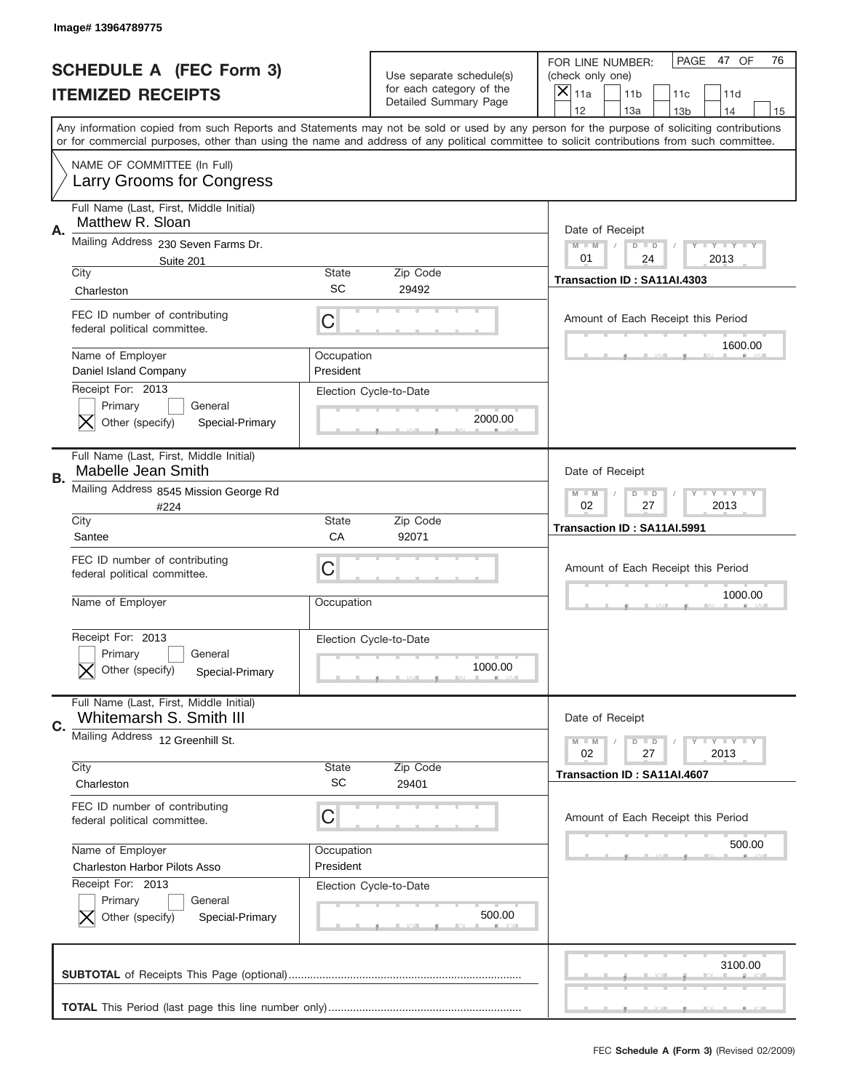|    | Image# 13964789775                                                            |                         |                                                      |                                                                                                                                                                                                                                                                                                                  |
|----|-------------------------------------------------------------------------------|-------------------------|------------------------------------------------------|------------------------------------------------------------------------------------------------------------------------------------------------------------------------------------------------------------------------------------------------------------------------------------------------------------------|
|    | <b>SCHEDULE A (FEC Form 3)</b>                                                |                         | Use separate schedule(s)<br>for each category of the | PAGE 47 OF<br>76<br>FOR LINE NUMBER:<br>(check only one)                                                                                                                                                                                                                                                         |
|    | <b>ITEMIZED RECEIPTS</b>                                                      |                         | Detailed Summary Page                                | ×<br>11a<br>11 <sub>b</sub><br>11c<br>11d<br>12<br>13a<br>14                                                                                                                                                                                                                                                     |
|    |                                                                               |                         |                                                      | 13 <sub>b</sub><br>15<br>Any information copied from such Reports and Statements may not be sold or used by any person for the purpose of soliciting contributions<br>or for commercial purposes, other than using the name and address of any political committee to solicit contributions from such committee. |
|    | NAME OF COMMITTEE (In Full)<br>Larry Grooms for Congress                      |                         |                                                      |                                                                                                                                                                                                                                                                                                                  |
| Α. | Full Name (Last, First, Middle Initial)<br>Matthew R. Sloan                   |                         |                                                      | Date of Receipt                                                                                                                                                                                                                                                                                                  |
|    | Mailing Address 230 Seven Farms Dr.<br>Suite 201                              |                         |                                                      | $M - M$<br><b>LEY LEY LEY</b><br>$D$ $D$<br>01<br>24<br>2013                                                                                                                                                                                                                                                     |
|    | City<br>Charleston                                                            | State<br>SC             | Zip Code<br>29492                                    | Transaction ID: SA11AI.4303                                                                                                                                                                                                                                                                                      |
|    | FEC ID number of contributing<br>federal political committee.                 | C                       |                                                      | Amount of Each Receipt this Period                                                                                                                                                                                                                                                                               |
|    | Name of Employer<br>Daniel Island Company                                     | Occupation<br>President |                                                      | 1600.00                                                                                                                                                                                                                                                                                                          |
|    | Receipt For: 2013<br>Primary<br>General<br>Other (specify)<br>Special-Primary |                         | Election Cycle-to-Date<br>2000.00                    |                                                                                                                                                                                                                                                                                                                  |
| В. | Full Name (Last, First, Middle Initial)<br><b>Mabelle Jean Smith</b>          |                         |                                                      | Date of Receipt                                                                                                                                                                                                                                                                                                  |
|    | Mailing Address 8545 Mission George Rd<br>#224                                |                         |                                                      | $M - M$<br>$D$ $D$<br><b>LYLYLY</b><br>02<br>27<br>2013                                                                                                                                                                                                                                                          |
|    | City<br>Santee                                                                | State<br>CA             | Zip Code<br>92071                                    | Transaction ID: SA11AI.5991                                                                                                                                                                                                                                                                                      |
|    | FEC ID number of contributing<br>federal political committee.                 | C                       |                                                      | Amount of Each Receipt this Period                                                                                                                                                                                                                                                                               |
|    | Name of Employer                                                              | Occupation              |                                                      | 1000.00                                                                                                                                                                                                                                                                                                          |
|    | Receipt For: 2013<br>General<br>Primary<br>Other (specify)<br>Special-Primary |                         | Election Cycle-to-Date<br>1000.00                    |                                                                                                                                                                                                                                                                                                                  |
| C. | Full Name (Last, First, Middle Initial)<br>Whitemarsh S. Smith III            |                         |                                                      | Date of Receipt                                                                                                                                                                                                                                                                                                  |
|    | Mailing Address 12 Greenhill St.                                              |                         | Zip Code                                             | <b>LYLYLY</b><br>$M - M$<br>$D$ $D$<br>02<br>27<br>2013                                                                                                                                                                                                                                                          |
|    | City<br>Charleston                                                            | State<br><b>SC</b>      | 29401                                                | Transaction ID: SA11AI.4607                                                                                                                                                                                                                                                                                      |
|    | FEC ID number of contributing<br>federal political committee.                 | C                       |                                                      | Amount of Each Receipt this Period                                                                                                                                                                                                                                                                               |
|    | Name of Employer<br>Charleston Harbor Pilots Asso                             | Occupation<br>President |                                                      | 500.00                                                                                                                                                                                                                                                                                                           |
|    | Receipt For: 2013                                                             |                         | Election Cycle-to-Date                               |                                                                                                                                                                                                                                                                                                                  |
|    | Primary<br>General<br>Other (specify)<br>Special-Primary                      |                         | 500.00                                               |                                                                                                                                                                                                                                                                                                                  |
|    |                                                                               |                         |                                                      | 3100.00                                                                                                                                                                                                                                                                                                          |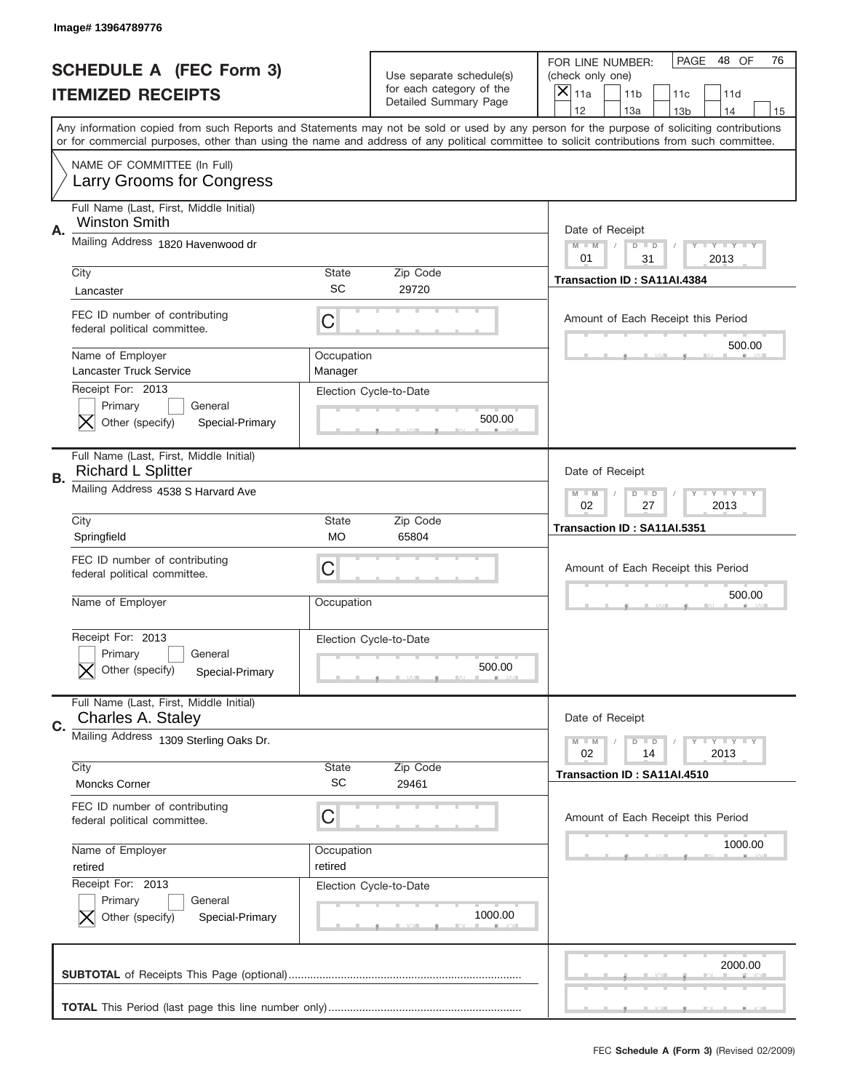|    | Image# 13964789776                                              |                       |                                                   |                                                                                                                                                                                                                                                                                                                                     |
|----|-----------------------------------------------------------------|-----------------------|---------------------------------------------------|-------------------------------------------------------------------------------------------------------------------------------------------------------------------------------------------------------------------------------------------------------------------------------------------------------------------------------------|
|    | <b>SCHEDULE A (FEC Form 3)</b>                                  |                       | Use separate schedule(s)                          | PAGE<br>48 OF<br>76<br>FOR LINE NUMBER:<br>(check only one)                                                                                                                                                                                                                                                                         |
|    | <b>ITEMIZED RECEIPTS</b>                                        |                       | for each category of the<br>Detailed Summary Page | ×<br>11a<br>11 <sub>b</sub><br>11c<br>11d                                                                                                                                                                                                                                                                                           |
|    |                                                                 |                       |                                                   | 12<br>13a<br>13 <sub>b</sub><br>14<br>15<br>Any information copied from such Reports and Statements may not be sold or used by any person for the purpose of soliciting contributions<br>or for commercial purposes, other than using the name and address of any political committee to solicit contributions from such committee. |
|    | NAME OF COMMITTEE (In Full)                                     |                       |                                                   |                                                                                                                                                                                                                                                                                                                                     |
|    | <b>Larry Grooms for Congress</b>                                |                       |                                                   |                                                                                                                                                                                                                                                                                                                                     |
| Α. | Full Name (Last, First, Middle Initial)<br><b>Winston Smith</b> |                       |                                                   | Date of Receipt                                                                                                                                                                                                                                                                                                                     |
|    | Mailing Address 1820 Havenwood dr                               |                       |                                                   | Y TY TY TY<br>$M$ $M$<br>$D$ $D$<br>01<br>2013<br>31                                                                                                                                                                                                                                                                                |
|    | City                                                            | State<br><b>SC</b>    | Zip Code<br>29720                                 | Transaction ID: SA11AI.4384                                                                                                                                                                                                                                                                                                         |
|    | Lancaster                                                       |                       |                                                   |                                                                                                                                                                                                                                                                                                                                     |
|    | FEC ID number of contributing<br>federal political committee.   | C                     |                                                   | Amount of Each Receipt this Period<br>500.00                                                                                                                                                                                                                                                                                        |
|    | Name of Employer<br>Lancaster Truck Service                     | Occupation<br>Manager |                                                   |                                                                                                                                                                                                                                                                                                                                     |
|    | Receipt For: 2013                                               |                       | Election Cycle-to-Date                            |                                                                                                                                                                                                                                                                                                                                     |
|    | Primary<br>General<br>Other (specify)<br>Special-Primary        |                       | 500.00                                            |                                                                                                                                                                                                                                                                                                                                     |
|    | Full Name (Last, First, Middle Initial)                         |                       |                                                   |                                                                                                                                                                                                                                                                                                                                     |
| В. | <b>Richard L Splitter</b><br>Mailing Address 4538 S Harvard Ave |                       |                                                   | Date of Receipt                                                                                                                                                                                                                                                                                                                     |
|    | City                                                            | State                 | Zip Code                                          | $T$ $Y$ $T$ $Y$ $T$ $Y$<br>$M - M$<br>$D$ $D$<br>02<br>27<br>2013                                                                                                                                                                                                                                                                   |
|    | Springfield                                                     | <b>MO</b>             | 65804                                             | Transaction ID: SA11AI.5351                                                                                                                                                                                                                                                                                                         |
|    | FEC ID number of contributing                                   | C                     |                                                   | Amount of Each Receipt this Period                                                                                                                                                                                                                                                                                                  |
|    | federal political committee.                                    |                       |                                                   |                                                                                                                                                                                                                                                                                                                                     |
|    | Name of Employer                                                | Occupation            |                                                   | 500.00                                                                                                                                                                                                                                                                                                                              |
|    | Receipt For: 2013                                               |                       | Election Cycle-to-Date                            |                                                                                                                                                                                                                                                                                                                                     |
|    | General<br>Primary                                              |                       |                                                   |                                                                                                                                                                                                                                                                                                                                     |
|    | Other (specify)<br>Special-Primary                              |                       | 500.00                                            |                                                                                                                                                                                                                                                                                                                                     |
|    | Full Name (Last, First, Middle Initial)<br>Charles A. Staley    |                       |                                                   | Date of Receipt                                                                                                                                                                                                                                                                                                                     |
| C. | Mailing Address 1309 Sterling Oaks Dr.                          |                       |                                                   | $T$ $Y$ $Y$ $Y$ $Y$<br>$M - M$<br>$D$ $D$<br>02<br>2013<br>14                                                                                                                                                                                                                                                                       |
|    | City                                                            | State                 | Zip Code                                          | Transaction ID: SA11AI.4510                                                                                                                                                                                                                                                                                                         |
|    | Moncks Corner                                                   | SC                    | 29461                                             |                                                                                                                                                                                                                                                                                                                                     |
|    | FEC ID number of contributing<br>federal political committee.   | C                     |                                                   | Amount of Each Receipt this Period                                                                                                                                                                                                                                                                                                  |
|    | Name of Employer                                                | Occupation            |                                                   | 1000.00                                                                                                                                                                                                                                                                                                                             |
|    | retired                                                         | retired               |                                                   |                                                                                                                                                                                                                                                                                                                                     |
|    | Receipt For: 2013                                               |                       | Election Cycle-to-Date                            |                                                                                                                                                                                                                                                                                                                                     |
|    | Primary<br>General<br>Other (specify)<br>Special-Primary        |                       | 1000.00                                           |                                                                                                                                                                                                                                                                                                                                     |
|    |                                                                 |                       |                                                   | 2000.00                                                                                                                                                                                                                                                                                                                             |
|    |                                                                 |                       |                                                   |                                                                                                                                                                                                                                                                                                                                     |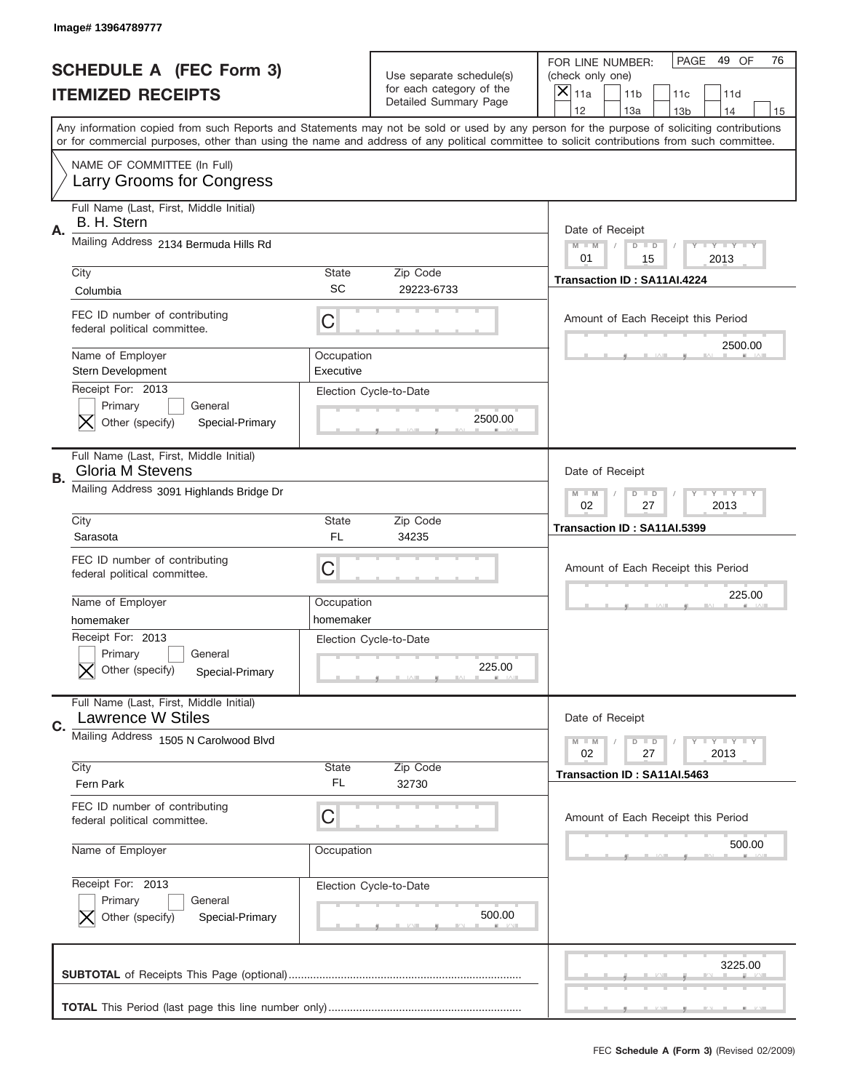|    | Image# 13964789777                                                            |                         |                                                                               |                                                                                                                                                                                                                                                                                                                                     |
|----|-------------------------------------------------------------------------------|-------------------------|-------------------------------------------------------------------------------|-------------------------------------------------------------------------------------------------------------------------------------------------------------------------------------------------------------------------------------------------------------------------------------------------------------------------------------|
|    | <b>SCHEDULE A (FEC Form 3)</b><br><b>ITEMIZED RECEIPTS</b>                    |                         | Use separate schedule(s)<br>for each category of the<br>Detailed Summary Page | PAGE<br>49 OF<br>76<br>FOR LINE NUMBER:<br>(check only one)<br>×<br>11a<br>11 <sub>b</sub><br>11c<br>11d                                                                                                                                                                                                                            |
|    |                                                                               |                         |                                                                               | 12<br>13a<br>14<br>13 <sub>b</sub><br>15<br>Any information copied from such Reports and Statements may not be sold or used by any person for the purpose of soliciting contributions<br>or for commercial purposes, other than using the name and address of any political committee to solicit contributions from such committee. |
|    | NAME OF COMMITTEE (In Full)<br>Larry Grooms for Congress                      |                         |                                                                               |                                                                                                                                                                                                                                                                                                                                     |
| Α. | Full Name (Last, First, Middle Initial)<br>B. H. Stern                        |                         |                                                                               | Date of Receipt                                                                                                                                                                                                                                                                                                                     |
|    | Mailing Address 2134 Bermuda Hills Rd                                         |                         |                                                                               | $M - M$<br><b>LEY LEY LEY</b><br>$D$ $D$<br>01<br>15<br>2013                                                                                                                                                                                                                                                                        |
|    | City<br>Columbia                                                              | State<br>SC             | Zip Code<br>29223-6733                                                        | Transaction ID: SA11AI.4224                                                                                                                                                                                                                                                                                                         |
|    | FEC ID number of contributing<br>federal political committee.                 | C                       |                                                                               | Amount of Each Receipt this Period                                                                                                                                                                                                                                                                                                  |
|    | Name of Employer<br>Stern Development                                         | Occupation<br>Executive |                                                                               | 2500.00                                                                                                                                                                                                                                                                                                                             |
|    | Receipt For: 2013<br>Primary<br>General<br>Other (specify)<br>Special-Primary |                         | Election Cycle-to-Date<br>2500.00                                             |                                                                                                                                                                                                                                                                                                                                     |
| В. | Full Name (Last, First, Middle Initial)<br><b>Gloria M Stevens</b>            |                         |                                                                               | Date of Receipt                                                                                                                                                                                                                                                                                                                     |
|    | Mailing Address 3091 Highlands Bridge Dr                                      |                         |                                                                               | $M$ M<br>$D$ $D$<br><b>LYLYLY</b><br>02<br>27<br>2013                                                                                                                                                                                                                                                                               |
|    | City<br>Sarasota                                                              | State<br>FL             | Zip Code<br>34235                                                             | Transaction ID: SA11AI.5399                                                                                                                                                                                                                                                                                                         |
|    |                                                                               |                         |                                                                               |                                                                                                                                                                                                                                                                                                                                     |
|    | FEC ID number of contributing<br>federal political committee.                 | C                       |                                                                               | Amount of Each Receipt this Period                                                                                                                                                                                                                                                                                                  |
|    | Name of Employer<br>homemaker                                                 | Occupation<br>homemaker |                                                                               | 225.00                                                                                                                                                                                                                                                                                                                              |
|    | Receipt For: 2013<br>General<br>Primary<br>Other (specify)<br>Special-Primary |                         | Election Cycle-to-Date<br>225.00                                              |                                                                                                                                                                                                                                                                                                                                     |
|    | Full Name (Last, First, Middle Initial)<br><b>Lawrence W Stiles</b>           |                         |                                                                               | Date of Receipt                                                                                                                                                                                                                                                                                                                     |
| C. | Mailing Address 1505 N Carolwood Blvd                                         |                         |                                                                               | <b>LYLYLY</b><br>$M - M$<br>$D$ $D$<br>02<br>2013<br>27                                                                                                                                                                                                                                                                             |
|    | City<br>Fern Park                                                             | <b>State</b><br>FL      | Zip Code<br>32730                                                             | Transaction ID: SA11AI.5463                                                                                                                                                                                                                                                                                                         |
|    | FEC ID number of contributing<br>federal political committee.                 | C                       |                                                                               | Amount of Each Receipt this Period                                                                                                                                                                                                                                                                                                  |
|    | Name of Employer                                                              | Occupation              |                                                                               | 500.00                                                                                                                                                                                                                                                                                                                              |
|    | Receipt For: 2013<br>Primary<br>General<br>Other (specify)<br>Special-Primary |                         | Election Cycle-to-Date<br>500.00                                              |                                                                                                                                                                                                                                                                                                                                     |
|    |                                                                               |                         |                                                                               | 3225.00                                                                                                                                                                                                                                                                                                                             |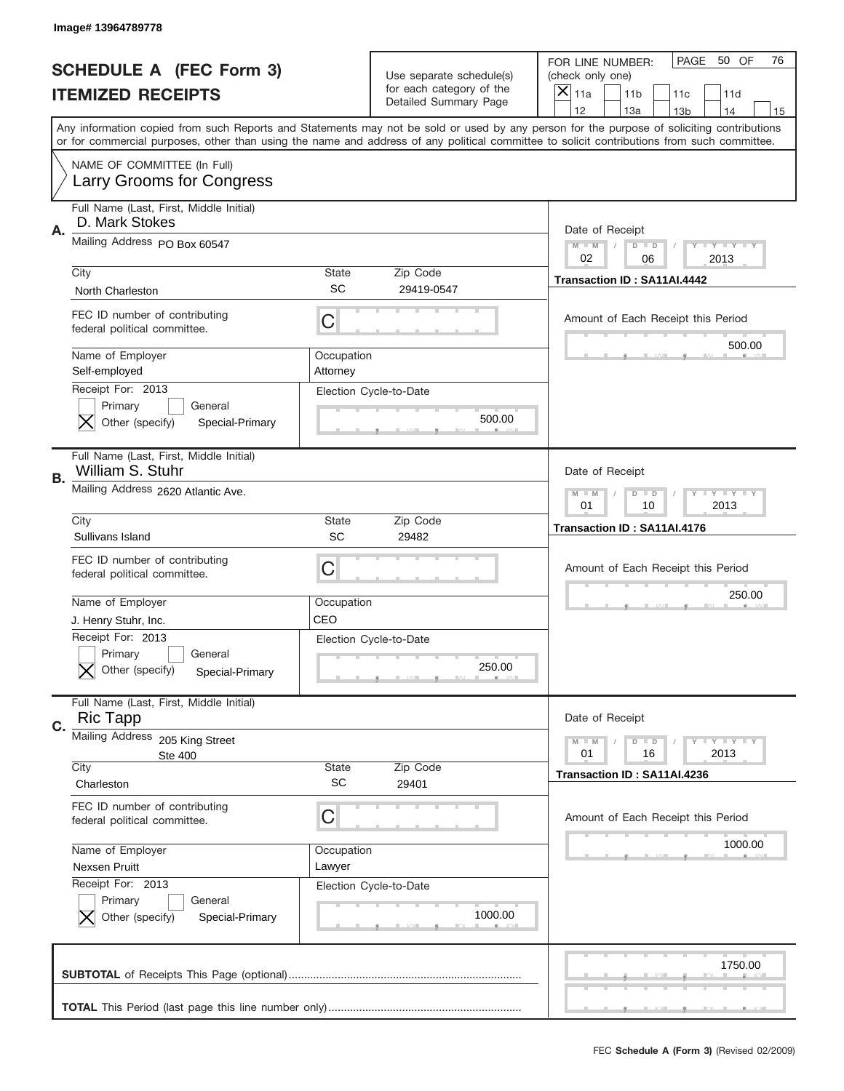|    | Image# 13964789778                                                                                    |                        |                                                      |                                                                                                                                                                                                                                                                                                                                     |
|----|-------------------------------------------------------------------------------------------------------|------------------------|------------------------------------------------------|-------------------------------------------------------------------------------------------------------------------------------------------------------------------------------------------------------------------------------------------------------------------------------------------------------------------------------------|
|    | <b>SCHEDULE A (FEC Form 3)</b>                                                                        |                        | Use separate schedule(s)<br>for each category of the | PAGE<br>50 OF<br>76<br>FOR LINE NUMBER:<br>(check only one)                                                                                                                                                                                                                                                                         |
|    | <b>ITEMIZED RECEIPTS</b>                                                                              |                        | Detailed Summary Page                                | ×<br>11a<br>11 <sub>b</sub><br>11c<br>11d                                                                                                                                                                                                                                                                                           |
|    |                                                                                                       |                        |                                                      | 12<br>13a<br>14<br>13 <sub>b</sub><br>15<br>Any information copied from such Reports and Statements may not be sold or used by any person for the purpose of soliciting contributions<br>or for commercial purposes, other than using the name and address of any political committee to solicit contributions from such committee. |
|    | NAME OF COMMITTEE (In Full)<br>Larry Grooms for Congress                                              |                        |                                                      |                                                                                                                                                                                                                                                                                                                                     |
| Α. | Full Name (Last, First, Middle Initial)<br>D. Mark Stokes                                             |                        |                                                      | Date of Receipt                                                                                                                                                                                                                                                                                                                     |
|    | Mailing Address PO Box 60547                                                                          |                        |                                                      | $M - M$<br><b>LEY LEY LEY</b><br>$D$ $D$<br>02<br>06<br>2013                                                                                                                                                                                                                                                                        |
|    | City<br><b>North Charleston</b>                                                                       | State<br><b>SC</b>     | Zip Code<br>29419-0547                               | Transaction ID: SA11AI.4442                                                                                                                                                                                                                                                                                                         |
|    | FEC ID number of contributing<br>federal political committee.                                         | C                      |                                                      | Amount of Each Receipt this Period                                                                                                                                                                                                                                                                                                  |
|    | Name of Employer<br>Self-employed                                                                     | Occupation<br>Attorney |                                                      | 500.00                                                                                                                                                                                                                                                                                                                              |
|    | Receipt For: 2013<br>Primary<br>General<br>Other (specify)<br>Special-Primary                         |                        | Election Cycle-to-Date<br>500.00                     |                                                                                                                                                                                                                                                                                                                                     |
| В. | Full Name (Last, First, Middle Initial)<br>William S. Stuhr                                           |                        |                                                      | Date of Receipt                                                                                                                                                                                                                                                                                                                     |
|    | Mailing Address 2620 Atlantic Ave.                                                                    |                        |                                                      | <b>LY LY LY</b><br>$M$ M<br>$D$ $D$<br>01<br>10<br>2013                                                                                                                                                                                                                                                                             |
|    | City<br>Sullivans Island                                                                              | State<br>SC            | Zip Code<br>29482                                    | Transaction ID: SA11AI.4176                                                                                                                                                                                                                                                                                                         |
|    | FEC ID number of contributing                                                                         | C                      |                                                      | Amount of Each Receipt this Period                                                                                                                                                                                                                                                                                                  |
|    | federal political committee.                                                                          |                        |                                                      |                                                                                                                                                                                                                                                                                                                                     |
|    | Name of Employer                                                                                      | Occupation             |                                                      | 250.00                                                                                                                                                                                                                                                                                                                              |
|    | J. Henry Stuhr, Inc.<br>Receipt For: 2013<br>General<br>Primary<br>Other (specify)<br>Special-Primary | CEO                    | Election Cycle-to-Date<br>250.00                     |                                                                                                                                                                                                                                                                                                                                     |
| C. | Full Name (Last, First, Middle Initial)<br><b>Ric Tapp</b>                                            |                        |                                                      | Date of Receipt                                                                                                                                                                                                                                                                                                                     |
|    | Mailing Address<br>205 King Street<br><b>Ste 400</b><br>City                                          | State                  | Zip Code                                             | <b>LYLYLY</b><br>$M - M$<br>$D$ $D$<br>01<br>2013<br>16                                                                                                                                                                                                                                                                             |
|    | Charleston                                                                                            | <b>SC</b>              | 29401                                                | Transaction ID: SA11AI.4236                                                                                                                                                                                                                                                                                                         |
|    | FEC ID number of contributing<br>federal political committee.                                         | C                      |                                                      | Amount of Each Receipt this Period                                                                                                                                                                                                                                                                                                  |
|    | Name of Employer<br>Nexsen Pruitt                                                                     | Occupation<br>Lawyer   |                                                      | 1000.00                                                                                                                                                                                                                                                                                                                             |
|    | Receipt For: 2013<br>Primary<br>General<br>Other (specify)<br>Special-Primary                         |                        | Election Cycle-to-Date<br>1000.00                    |                                                                                                                                                                                                                                                                                                                                     |
|    |                                                                                                       |                        |                                                      | 1750.00                                                                                                                                                                                                                                                                                                                             |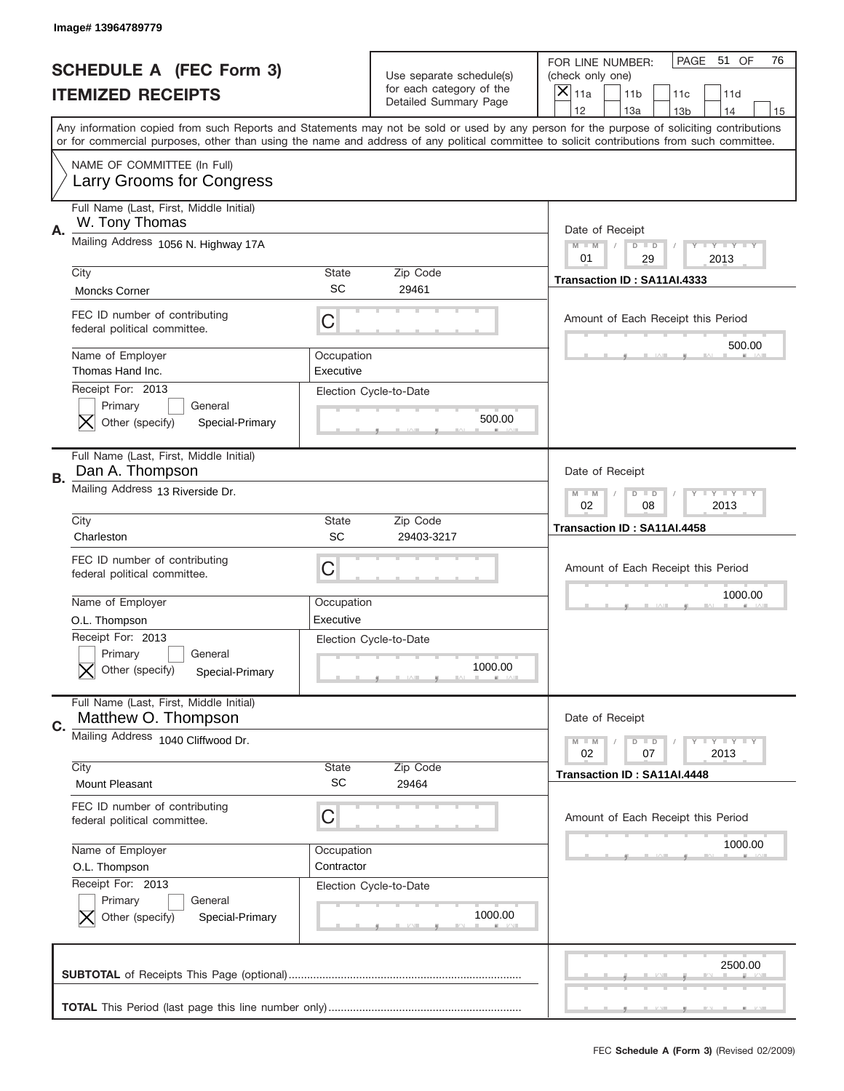|    | Image# 13964789779                                                                             |                           |                                                                               |                                                                                                                                                                                                                                                                                         |
|----|------------------------------------------------------------------------------------------------|---------------------------|-------------------------------------------------------------------------------|-----------------------------------------------------------------------------------------------------------------------------------------------------------------------------------------------------------------------------------------------------------------------------------------|
|    | <b>SCHEDULE A (FEC Form 3)</b><br><b>ITEMIZED RECEIPTS</b>                                     |                           | Use separate schedule(s)<br>for each category of the<br>Detailed Summary Page | PAGE 51 OF<br>76<br>FOR LINE NUMBER:<br>(check only one)<br>×<br>11a<br>11 <sub>b</sub><br>11c<br>11d<br>12<br>13a<br>14<br>13 <sub>b</sub><br>15                                                                                                                                       |
|    |                                                                                                |                           |                                                                               | Any information copied from such Reports and Statements may not be sold or used by any person for the purpose of soliciting contributions<br>or for commercial purposes, other than using the name and address of any political committee to solicit contributions from such committee. |
|    | NAME OF COMMITTEE (In Full)<br>Larry Grooms for Congress                                       |                           |                                                                               |                                                                                                                                                                                                                                                                                         |
| Α. | Full Name (Last, First, Middle Initial)<br>W. Tony Thomas                                      |                           |                                                                               | Date of Receipt                                                                                                                                                                                                                                                                         |
|    | Mailing Address 1056 N. Highway 17A                                                            |                           |                                                                               | $M - M$<br><b>LEY LEY LEY</b><br>$D$ $D$<br>01<br>29<br>2013                                                                                                                                                                                                                            |
|    | City<br><b>Moncks Corner</b>                                                                   | State<br>SC               | Zip Code<br>29461                                                             | Transaction ID: SA11AI.4333                                                                                                                                                                                                                                                             |
|    | FEC ID number of contributing<br>federal political committee.                                  | C                         |                                                                               | Amount of Each Receipt this Period                                                                                                                                                                                                                                                      |
|    | Name of Employer<br>Thomas Hand Inc.                                                           | Occupation<br>Executive   |                                                                               | 500.00                                                                                                                                                                                                                                                                                  |
|    | Receipt For: 2013<br>Primary<br>General<br>Other (specify)<br>Special-Primary                  |                           | Election Cycle-to-Date<br>500.00                                              |                                                                                                                                                                                                                                                                                         |
| В. | Full Name (Last, First, Middle Initial)<br>Dan A. Thompson                                     |                           |                                                                               | Date of Receipt                                                                                                                                                                                                                                                                         |
|    | Mailing Address 13 Riverside Dr.                                                               |                           | $M$ M<br><b>LYLYLY</b><br>$D$ $D$<br>02<br>08<br>2013                         |                                                                                                                                                                                                                                                                                         |
|    | City<br>Charleston                                                                             | State<br>SC               | Zip Code<br>29403-3217                                                        | Transaction ID: SA11AI.4458                                                                                                                                                                                                                                                             |
|    | FEC ID number of contributing<br>federal political committee.                                  | C                         |                                                                               | Amount of Each Receipt this Period                                                                                                                                                                                                                                                      |
|    |                                                                                                |                           |                                                                               |                                                                                                                                                                                                                                                                                         |
|    | Name of Employer                                                                               | Occupation                |                                                                               | 1000.00                                                                                                                                                                                                                                                                                 |
|    | O.L. Thompson<br>Receipt For: 2013<br>General<br>Primary<br>Other (specify)<br>Special-Primary | Executive                 | Election Cycle-to-Date<br>1000.00                                             |                                                                                                                                                                                                                                                                                         |
|    | Full Name (Last, First, Middle Initial)<br>Matthew O. Thompson                                 |                           |                                                                               | Date of Receipt                                                                                                                                                                                                                                                                         |
|    | Mailing Address 1040 Cliffwood Dr.                                                             |                           |                                                                               | <b>LYLYLY</b><br>$M - M$<br>$D$ $D$<br>02<br>07<br>2013                                                                                                                                                                                                                                 |
|    | City<br><b>Mount Pleasant</b>                                                                  | <b>State</b><br><b>SC</b> | Zip Code<br>29464                                                             | Transaction ID: SA11AI.4448                                                                                                                                                                                                                                                             |
|    | FEC ID number of contributing<br>federal political committee.                                  | C                         |                                                                               | Amount of Each Receipt this Period                                                                                                                                                                                                                                                      |
|    | Name of Employer<br>O.L. Thompson                                                              | Occupation<br>Contractor  |                                                                               | 1000.00                                                                                                                                                                                                                                                                                 |
| C. | Receipt For: 2013<br>Primary<br>General<br>Other (specify)<br>Special-Primary                  |                           | Election Cycle-to-Date<br>1000.00                                             |                                                                                                                                                                                                                                                                                         |
|    |                                                                                                |                           |                                                                               | 2500.00                                                                                                                                                                                                                                                                                 |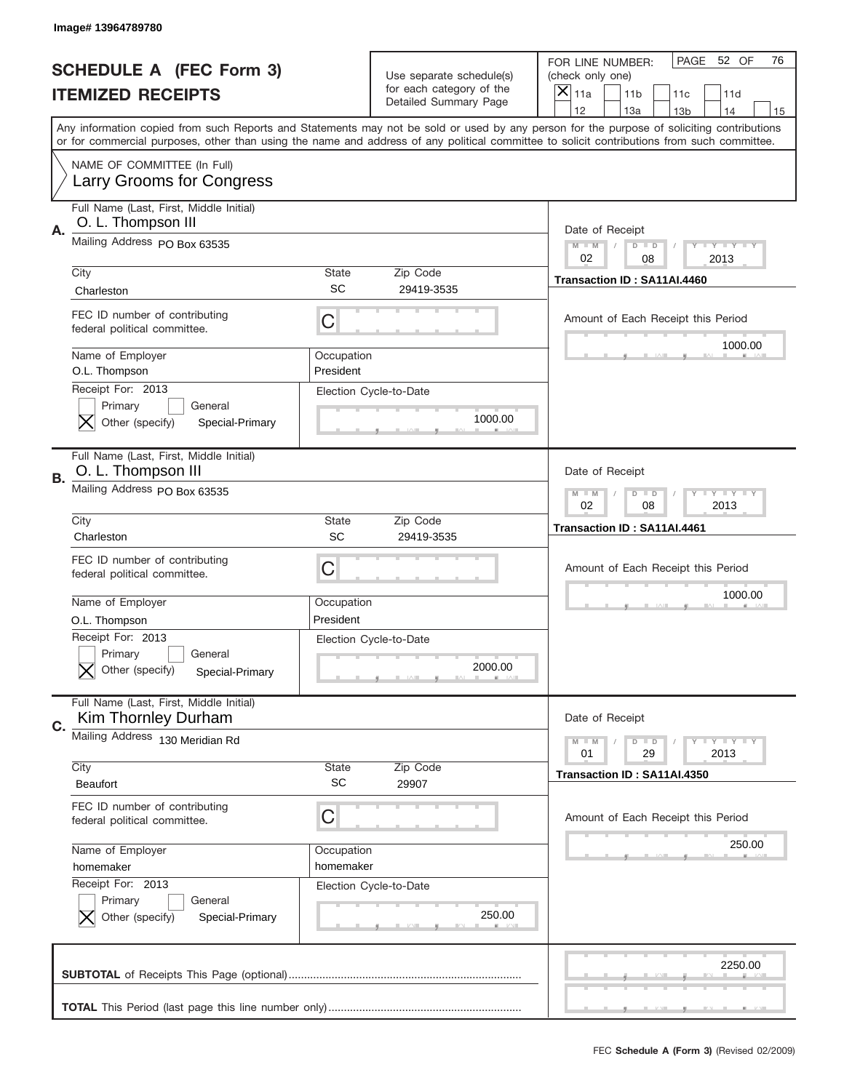|    | Image# 13964789780                                                            |                           |                                                          |                                                                                                                                                                                                                                                                                                                                     |
|----|-------------------------------------------------------------------------------|---------------------------|----------------------------------------------------------|-------------------------------------------------------------------------------------------------------------------------------------------------------------------------------------------------------------------------------------------------------------------------------------------------------------------------------------|
|    | <b>SCHEDULE A (FEC Form 3)</b>                                                |                           | Use separate schedule(s)                                 | PAGE<br>52 OF<br>76<br>FOR LINE NUMBER:<br>(check only one)                                                                                                                                                                                                                                                                         |
|    | <b>ITEMIZED RECEIPTS</b>                                                      |                           | for each category of the<br><b>Detailed Summary Page</b> | $\boldsymbol{\times}$<br>11a<br>11 <sub>b</sub><br>11c<br>11d                                                                                                                                                                                                                                                                       |
|    |                                                                               |                           |                                                          | 12<br>13a<br>14<br>13 <sub>b</sub><br>15<br>Any information copied from such Reports and Statements may not be sold or used by any person for the purpose of soliciting contributions<br>or for commercial purposes, other than using the name and address of any political committee to solicit contributions from such committee. |
|    | NAME OF COMMITTEE (In Full)<br>Larry Grooms for Congress                      |                           |                                                          |                                                                                                                                                                                                                                                                                                                                     |
| Α. | Full Name (Last, First, Middle Initial)<br>O. L. Thompson III                 |                           |                                                          | Date of Receipt                                                                                                                                                                                                                                                                                                                     |
|    | Mailing Address PO Box 63535                                                  |                           |                                                          | <b>LY LY LY</b><br>$M - M$<br>$D$ $D$<br>02<br>08<br>2013                                                                                                                                                                                                                                                                           |
|    | City<br>Charleston                                                            | State<br><b>SC</b>        | Zip Code<br>29419-3535                                   | Transaction ID: SA11AI.4460                                                                                                                                                                                                                                                                                                         |
|    | FEC ID number of contributing<br>federal political committee.                 | C                         |                                                          | Amount of Each Receipt this Period<br>1000.00                                                                                                                                                                                                                                                                                       |
|    | Name of Employer<br>O.L. Thompson                                             | Occupation<br>President   |                                                          |                                                                                                                                                                                                                                                                                                                                     |
|    | Receipt For: 2013<br>Primary<br>General<br>Other (specify)<br>Special-Primary |                           | Election Cycle-to-Date<br>1000.00                        |                                                                                                                                                                                                                                                                                                                                     |
| В. | Full Name (Last, First, Middle Initial)<br>O. L. Thompson III                 |                           |                                                          | Date of Receipt                                                                                                                                                                                                                                                                                                                     |
|    | Mailing Address PO Box 63535                                                  |                           |                                                          | <b>LY LY LY</b><br>$M - M$<br>$D$ $D$<br>02<br>08<br>2013                                                                                                                                                                                                                                                                           |
|    | City<br>Charleston                                                            | <b>State</b><br>SC        | Zip Code<br>29419-3535                                   | Transaction ID: SA11AI.4461                                                                                                                                                                                                                                                                                                         |
|    | FEC ID number of contributing<br>federal political committee.                 | С                         |                                                          | Amount of Each Receipt this Period                                                                                                                                                                                                                                                                                                  |
|    | Name of Employer<br>O.L. Thompson                                             | Occupation<br>President   |                                                          | 1000.00                                                                                                                                                                                                                                                                                                                             |
|    | Receipt For: 2013<br>General<br>Primary<br>Other (specify)<br>Special-Primary |                           | Election Cycle-to-Date<br>2000.00                        |                                                                                                                                                                                                                                                                                                                                     |
| C. | Full Name (Last, First, Middle Initial)<br>Kim Thornley Durham                |                           |                                                          | Date of Receipt                                                                                                                                                                                                                                                                                                                     |
|    | Mailing Address 130 Meridian Rd                                               |                           |                                                          | <b>LY LY LY</b><br>$M \perp M$<br>$D$ $D$<br>29<br>2013<br>01                                                                                                                                                                                                                                                                       |
|    | City<br>Beaufort                                                              | <b>State</b><br><b>SC</b> | Zip Code<br>29907                                        | Transaction ID: SA11AI.4350                                                                                                                                                                                                                                                                                                         |
|    | FEC ID number of contributing<br>federal political committee.                 | С                         |                                                          | Amount of Each Receipt this Period                                                                                                                                                                                                                                                                                                  |
|    | Name of Employer<br>homemaker                                                 | Occupation<br>homemaker   |                                                          | 250.00                                                                                                                                                                                                                                                                                                                              |
|    | Receipt For: 2013<br>Primary<br>General<br>Other (specify)<br>Special-Primary |                           | Election Cycle-to-Date<br>250.00                         |                                                                                                                                                                                                                                                                                                                                     |
|    |                                                                               |                           |                                                          | 2250.00                                                                                                                                                                                                                                                                                                                             |
|    |                                                                               |                           |                                                          |                                                                                                                                                                                                                                                                                                                                     |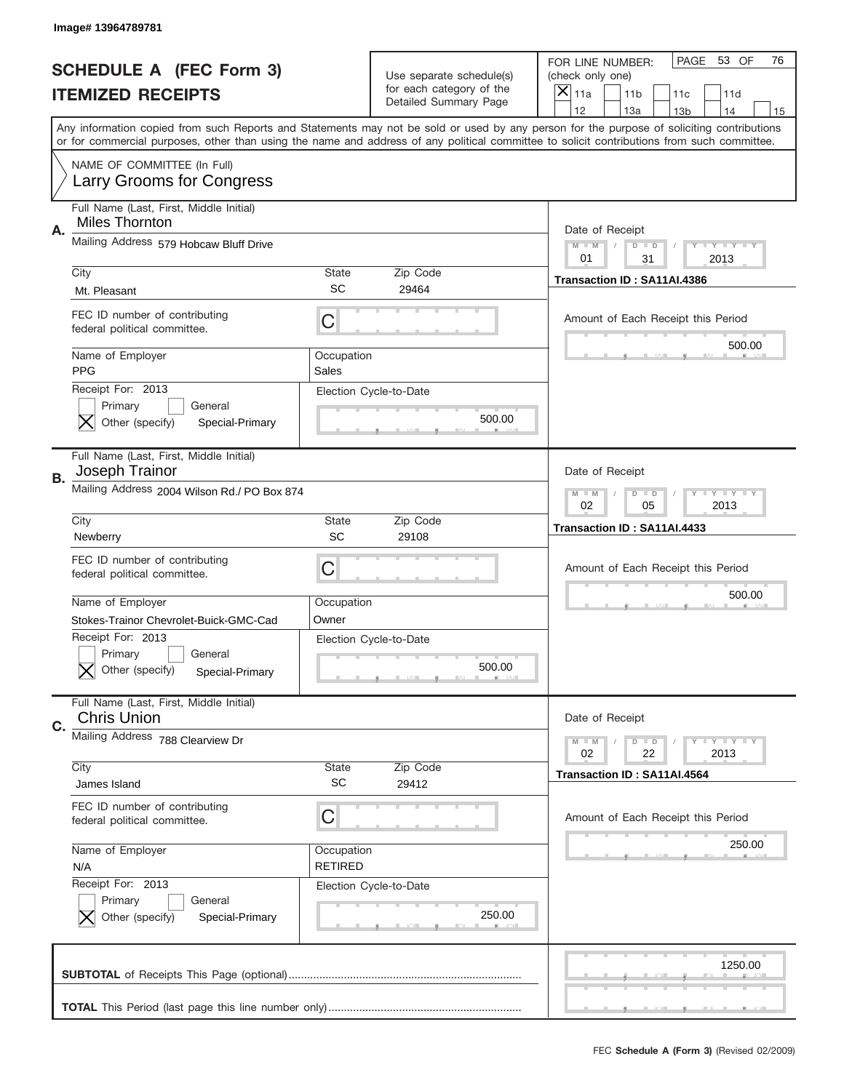|           | Image# 13964789781                                                                                                      |                              |                                                   |                                                                                                                                                                                                                                                                                                                         |
|-----------|-------------------------------------------------------------------------------------------------------------------------|------------------------------|---------------------------------------------------|-------------------------------------------------------------------------------------------------------------------------------------------------------------------------------------------------------------------------------------------------------------------------------------------------------------------------|
|           | <b>SCHEDULE A (FEC Form 3)</b>                                                                                          |                              | Use separate schedule(s)                          | PAGE 53 OF<br>76<br>FOR LINE NUMBER:<br>(check only one)                                                                                                                                                                                                                                                                |
|           | <b>ITEMIZED RECEIPTS</b>                                                                                                |                              | for each category of the<br>Detailed Summary Page | ×<br>11a<br>11 <sub>b</sub><br>11c<br>11d<br>12<br>14                                                                                                                                                                                                                                                                   |
|           |                                                                                                                         |                              |                                                   | 13a<br>13 <sub>b</sub><br>15<br>Any information copied from such Reports and Statements may not be sold or used by any person for the purpose of soliciting contributions<br>or for commercial purposes, other than using the name and address of any political committee to solicit contributions from such committee. |
|           | NAME OF COMMITTEE (In Full)<br>Larry Grooms for Congress                                                                |                              |                                                   |                                                                                                                                                                                                                                                                                                                         |
| Α.        | Full Name (Last, First, Middle Initial)<br><b>Miles Thornton</b>                                                        |                              |                                                   | Date of Receipt                                                                                                                                                                                                                                                                                                         |
|           | Mailing Address 579 Hobcaw Bluff Drive                                                                                  |                              |                                                   | $M - M$<br><b>LYLYLY</b><br>$D$ $D$<br>01<br>31<br>2013                                                                                                                                                                                                                                                                 |
|           | City<br>Mt. Pleasant                                                                                                    | State<br><b>SC</b>           | Zip Code<br>29464                                 | Transaction ID: SA11AI.4386                                                                                                                                                                                                                                                                                             |
|           | FEC ID number of contributing<br>federal political committee.                                                           | C                            |                                                   | Amount of Each Receipt this Period                                                                                                                                                                                                                                                                                      |
|           | Name of Employer<br><b>PPG</b>                                                                                          | Occupation<br>Sales          |                                                   | 500.00                                                                                                                                                                                                                                                                                                                  |
|           | Receipt For: 2013<br>Primary<br>General<br>Other (specify)<br>Special-Primary                                           |                              | Election Cycle-to-Date<br>500.00                  |                                                                                                                                                                                                                                                                                                                         |
| <b>B.</b> | Full Name (Last, First, Middle Initial)<br>Joseph Trainor                                                               |                              |                                                   | Date of Receipt                                                                                                                                                                                                                                                                                                         |
|           | Mailing Address 2004 Wilson Rd./ PO Box 874                                                                             |                              |                                                   | $M - M$<br>$D$ $D$<br><b>LYLYLY</b><br>02<br>05<br>2013                                                                                                                                                                                                                                                                 |
|           | City<br>Newberry                                                                                                        | State<br>SC                  | Zip Code<br>29108                                 | Transaction ID: SA11AI.4433                                                                                                                                                                                                                                                                                             |
|           |                                                                                                                         |                              |                                                   |                                                                                                                                                                                                                                                                                                                         |
|           | FEC ID number of contributing<br>federal political committee.                                                           | C                            |                                                   | Amount of Each Receipt this Period                                                                                                                                                                                                                                                                                      |
|           | Name of Employer                                                                                                        | Occupation                   |                                                   | 500.00                                                                                                                                                                                                                                                                                                                  |
|           | Stokes-Trainor Chevrolet-Buick-GMC-Cad<br>Receipt For: 2013<br>General<br>Primary<br>Other (specify)<br>Special-Primary | Owner                        | Election Cycle-to-Date<br>500.00                  |                                                                                                                                                                                                                                                                                                                         |
| C.        | Full Name (Last, First, Middle Initial)<br><b>Chris Union</b>                                                           |                              |                                                   | Date of Receipt                                                                                                                                                                                                                                                                                                         |
|           | Mailing Address 788 Clearview Dr                                                                                        |                              |                                                   | <b>LYLYLY</b><br>$M - M$<br>$D$ $D$<br>02<br>22<br>2013                                                                                                                                                                                                                                                                 |
|           | City<br>James Island                                                                                                    | State<br>SC                  | Zip Code<br>29412                                 | Transaction ID: SA11AI.4564                                                                                                                                                                                                                                                                                             |
|           | FEC ID number of contributing<br>federal political committee.                                                           | С                            |                                                   | Amount of Each Receipt this Period                                                                                                                                                                                                                                                                                      |
|           | Name of Employer<br>N/A                                                                                                 | Occupation<br><b>RETIRED</b> |                                                   | 250.00                                                                                                                                                                                                                                                                                                                  |
|           | Receipt For: 2013<br>Primary<br>General<br>Other (specify)<br>Special-Primary                                           |                              | Election Cycle-to-Date<br>250.00                  |                                                                                                                                                                                                                                                                                                                         |
|           |                                                                                                                         |                              |                                                   | 1250.00                                                                                                                                                                                                                                                                                                                 |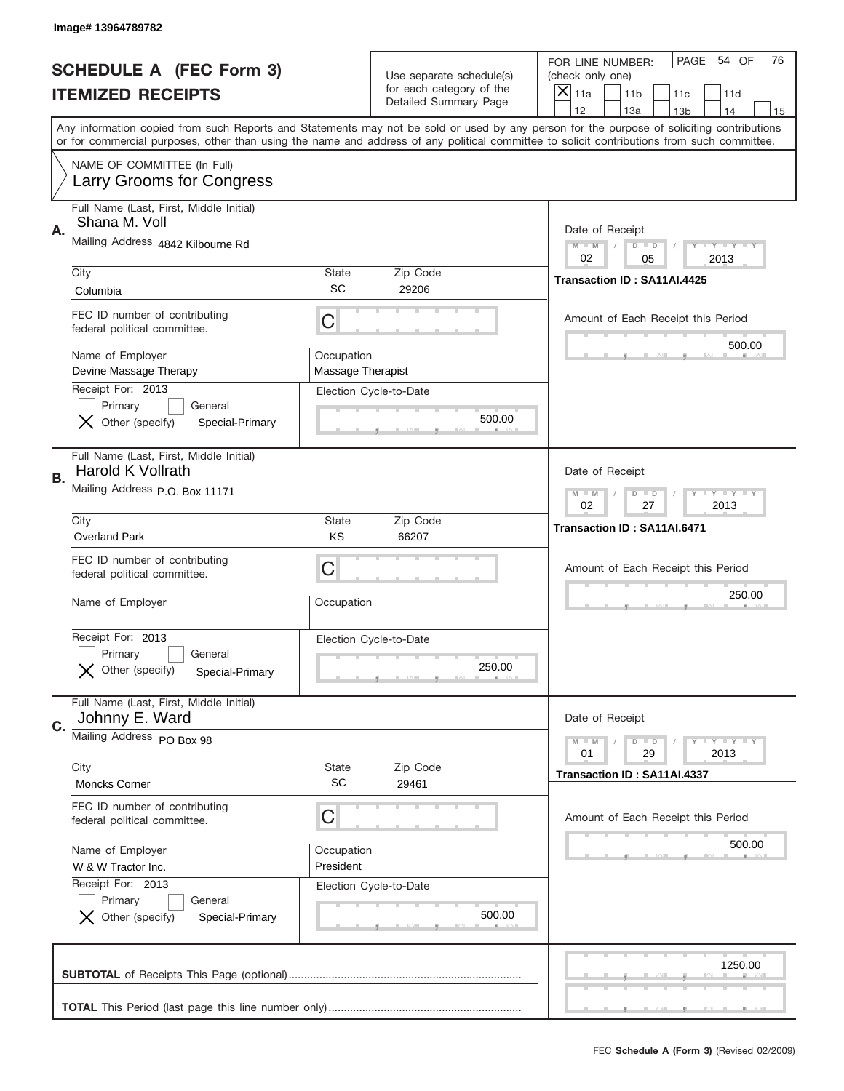|    | Image#13964789782                                                             |                                        |                                                      |                                                                                                                                                                                                                                                                                         |
|----|-------------------------------------------------------------------------------|----------------------------------------|------------------------------------------------------|-----------------------------------------------------------------------------------------------------------------------------------------------------------------------------------------------------------------------------------------------------------------------------------------|
|    | <b>SCHEDULE A (FEC Form 3)</b>                                                |                                        | Use separate schedule(s)<br>for each category of the | PAGE 54 OF<br>76<br>FOR LINE NUMBER:<br>(check only one)                                                                                                                                                                                                                                |
|    | <b>ITEMIZED RECEIPTS</b>                                                      |                                        | Detailed Summary Page                                | ×<br>11a<br>11 <sub>b</sub><br>11c<br>11d<br>12<br>13a<br>14<br>13 <sub>b</sub><br>15                                                                                                                                                                                                   |
|    |                                                                               |                                        |                                                      | Any information copied from such Reports and Statements may not be sold or used by any person for the purpose of soliciting contributions<br>or for commercial purposes, other than using the name and address of any political committee to solicit contributions from such committee. |
|    | NAME OF COMMITTEE (In Full)<br>Larry Grooms for Congress                      |                                        |                                                      |                                                                                                                                                                                                                                                                                         |
| Α. | Full Name (Last, First, Middle Initial)<br>Shana M. Voll                      |                                        |                                                      | Date of Receipt                                                                                                                                                                                                                                                                         |
|    | Mailing Address 4842 Kilbourne Rd                                             |                                        |                                                      | $M - M$<br><b>LEY LEY LEY</b><br>$D$ $D$<br>02<br>05<br>2013                                                                                                                                                                                                                            |
|    | City<br>Columbia                                                              | State<br>SC                            | Zip Code<br>29206                                    | Transaction ID: SA11AI.4425                                                                                                                                                                                                                                                             |
|    | FEC ID number of contributing<br>federal political committee.                 | C                                      |                                                      | Amount of Each Receipt this Period<br>500.00                                                                                                                                                                                                                                            |
|    | Name of Employer<br>Devine Massage Therapy                                    | Occupation<br><b>Massage Therapist</b> |                                                      |                                                                                                                                                                                                                                                                                         |
|    | Receipt For: 2013<br>Primary<br>General<br>Other (specify)<br>Special-Primary |                                        | Election Cycle-to-Date<br>500.00                     |                                                                                                                                                                                                                                                                                         |
| В. | Full Name (Last, First, Middle Initial)<br>Harold K Vollrath                  |                                        |                                                      | Date of Receipt                                                                                                                                                                                                                                                                         |
|    | Mailing Address P.O. Box 11171                                                |                                        |                                                      | $M$ M<br>$D$ $D$<br><b>LYLYLY</b><br>02<br>27<br>2013                                                                                                                                                                                                                                   |
|    | City<br><b>Overland Park</b>                                                  | State<br>KS                            | Zip Code<br>66207                                    | Transaction ID: SA11AI.6471                                                                                                                                                                                                                                                             |
|    | FEC ID number of contributing<br>federal political committee.                 | C                                      |                                                      | Amount of Each Receipt this Period                                                                                                                                                                                                                                                      |
|    | Name of Employer                                                              | Occupation                             |                                                      | 250.00                                                                                                                                                                                                                                                                                  |
|    | Receipt For: 2013<br>General<br>Primary                                       |                                        | Election Cycle-to-Date                               |                                                                                                                                                                                                                                                                                         |
|    | Other (specify)<br>Special-Primary                                            |                                        | 250.00                                               |                                                                                                                                                                                                                                                                                         |
| C. | Full Name (Last, First, Middle Initial)<br>Johnny E. Ward                     |                                        |                                                      | Date of Receipt                                                                                                                                                                                                                                                                         |
|    | Mailing Address PO Box 98<br>City                                             | <b>State</b>                           | Zip Code                                             | <b>LYLYLY</b><br>$M - M$<br>$D$ $D$<br>01<br>29<br>2013                                                                                                                                                                                                                                 |
|    | <b>Moncks Corner</b>                                                          | <b>SC</b>                              | 29461                                                | Transaction ID: SA11AI.4337                                                                                                                                                                                                                                                             |
|    | FEC ID number of contributing<br>federal political committee.                 | C                                      |                                                      | Amount of Each Receipt this Period<br>500.00                                                                                                                                                                                                                                            |
|    | Name of Employer<br>W & W Tractor Inc.                                        | Occupation<br>President                |                                                      |                                                                                                                                                                                                                                                                                         |
|    | Receipt For: 2013<br>Primary<br>General<br>Other (specify)<br>Special-Primary |                                        | Election Cycle-to-Date<br>500.00                     |                                                                                                                                                                                                                                                                                         |
|    |                                                                               |                                        |                                                      | 1250.00                                                                                                                                                                                                                                                                                 |
|    |                                                                               |                                        |                                                      |                                                                                                                                                                                                                                                                                         |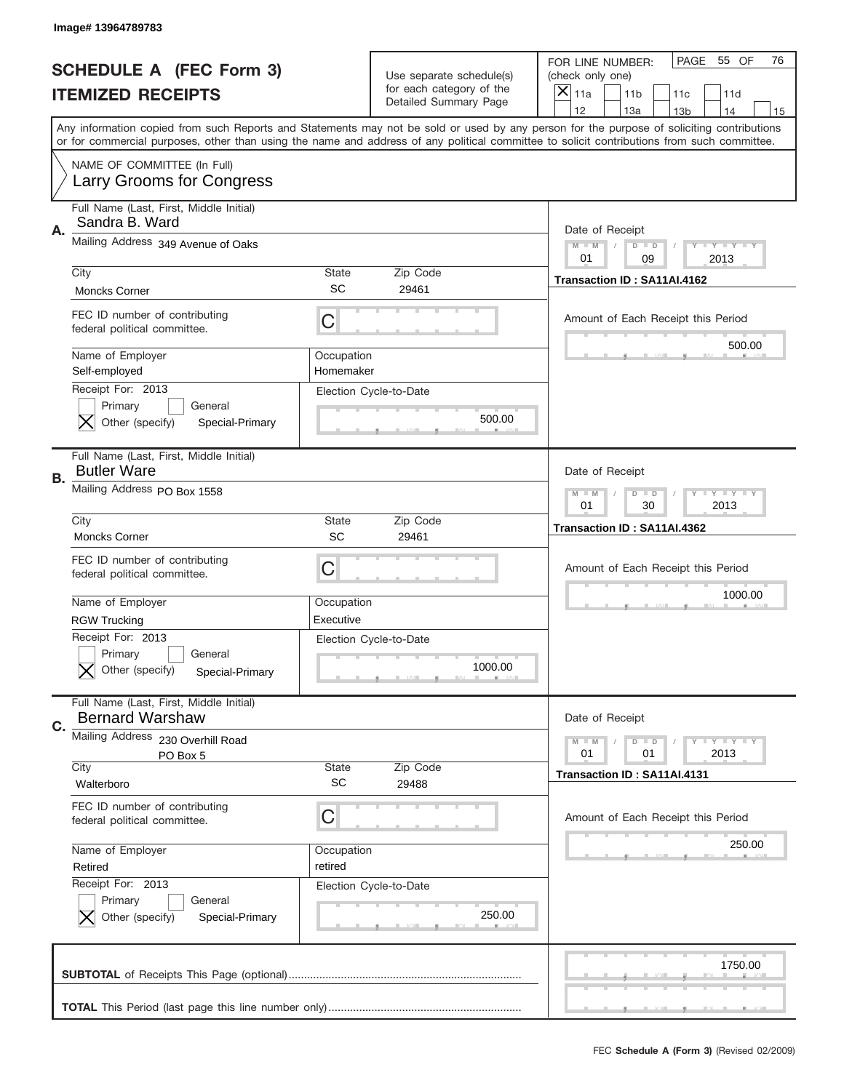|    | Image# 13964789783                                                                                   |                           |                                                   |                                                                                                                                                                                                                                                                                                                                     |
|----|------------------------------------------------------------------------------------------------------|---------------------------|---------------------------------------------------|-------------------------------------------------------------------------------------------------------------------------------------------------------------------------------------------------------------------------------------------------------------------------------------------------------------------------------------|
|    | <b>SCHEDULE A (FEC Form 3)</b>                                                                       |                           | Use separate schedule(s)                          | PAGE 55 OF<br>76<br>FOR LINE NUMBER:<br>(check only one)                                                                                                                                                                                                                                                                            |
|    | <b>ITEMIZED RECEIPTS</b>                                                                             |                           | for each category of the<br>Detailed Summary Page | ×<br>11a<br>11 <sub>b</sub><br>11c<br>11d                                                                                                                                                                                                                                                                                           |
|    |                                                                                                      |                           |                                                   | 12<br>13a<br>14<br>13 <sub>b</sub><br>15<br>Any information copied from such Reports and Statements may not be sold or used by any person for the purpose of soliciting contributions<br>or for commercial purposes, other than using the name and address of any political committee to solicit contributions from such committee. |
|    | NAME OF COMMITTEE (In Full)<br>Larry Grooms for Congress                                             |                           |                                                   |                                                                                                                                                                                                                                                                                                                                     |
| Α. | Full Name (Last, First, Middle Initial)<br>Sandra B. Ward                                            |                           |                                                   | Date of Receipt                                                                                                                                                                                                                                                                                                                     |
|    | Mailing Address 349 Avenue of Oaks                                                                   |                           |                                                   | $M - M$<br><b>LEY LEY LEY</b><br>$D$ $D$<br>01<br>09<br>2013                                                                                                                                                                                                                                                                        |
|    | City<br><b>Moncks Corner</b>                                                                         | State<br>SC               | Zip Code<br>29461                                 | Transaction ID: SA11AI.4162                                                                                                                                                                                                                                                                                                         |
|    | FEC ID number of contributing<br>federal political committee.                                        | C                         |                                                   | Amount of Each Receipt this Period<br>500.00                                                                                                                                                                                                                                                                                        |
|    | Name of Employer<br>Self-employed<br>Receipt For: 2013                                               | Occupation<br>Homemaker   |                                                   |                                                                                                                                                                                                                                                                                                                                     |
|    | Primary<br>General<br>Other (specify)<br>Special-Primary                                             |                           | Election Cycle-to-Date<br>500.00                  |                                                                                                                                                                                                                                                                                                                                     |
| В. | Full Name (Last, First, Middle Initial)<br><b>Butler Ware</b>                                        |                           |                                                   | Date of Receipt                                                                                                                                                                                                                                                                                                                     |
|    | Mailing Address PO Box 1558                                                                          |                           |                                                   | $M$ M<br><b>LYLYLY</b><br>$D$ $D$<br>01<br>30<br>2013                                                                                                                                                                                                                                                                               |
|    | City<br><b>Moncks Corner</b>                                                                         | State<br>SC               | Zip Code<br>29461                                 | Transaction ID: SA11AI.4362                                                                                                                                                                                                                                                                                                         |
|    |                                                                                                      |                           |                                                   |                                                                                                                                                                                                                                                                                                                                     |
|    | FEC ID number of contributing<br>federal political committee.                                        | C                         |                                                   | Amount of Each Receipt this Period                                                                                                                                                                                                                                                                                                  |
|    | Name of Employer                                                                                     | Occupation<br>Executive   |                                                   | 1000.00                                                                                                                                                                                                                                                                                                                             |
|    | <b>RGW Trucking</b><br>Receipt For: 2013<br>General<br>Primary<br>Other (specify)<br>Special-Primary |                           | Election Cycle-to-Date<br>1000.00                 |                                                                                                                                                                                                                                                                                                                                     |
|    | Full Name (Last, First, Middle Initial)<br><b>Bernard Warshaw</b>                                    |                           |                                                   | Date of Receipt                                                                                                                                                                                                                                                                                                                     |
| C. | Mailing Address 230 Overhill Road<br>PO Box 5                                                        |                           |                                                   | <b>LYLYLY</b><br>$M - M$<br>$D$ $D$<br>01<br>2013<br>01                                                                                                                                                                                                                                                                             |
|    | City<br>Walterboro                                                                                   | <b>State</b><br><b>SC</b> | Zip Code<br>29488                                 | Transaction ID: SA11AI.4131                                                                                                                                                                                                                                                                                                         |
|    | FEC ID number of contributing<br>federal political committee.                                        | C                         |                                                   | Amount of Each Receipt this Period                                                                                                                                                                                                                                                                                                  |
|    | Name of Employer<br>Retired                                                                          | Occupation<br>retired     |                                                   | 250.00                                                                                                                                                                                                                                                                                                                              |
|    | Receipt For: 2013<br>Primary<br>General<br>Other (specify)<br>Special-Primary                        |                           | Election Cycle-to-Date<br>250.00                  |                                                                                                                                                                                                                                                                                                                                     |
|    |                                                                                                      |                           |                                                   | 1750.00                                                                                                                                                                                                                                                                                                                             |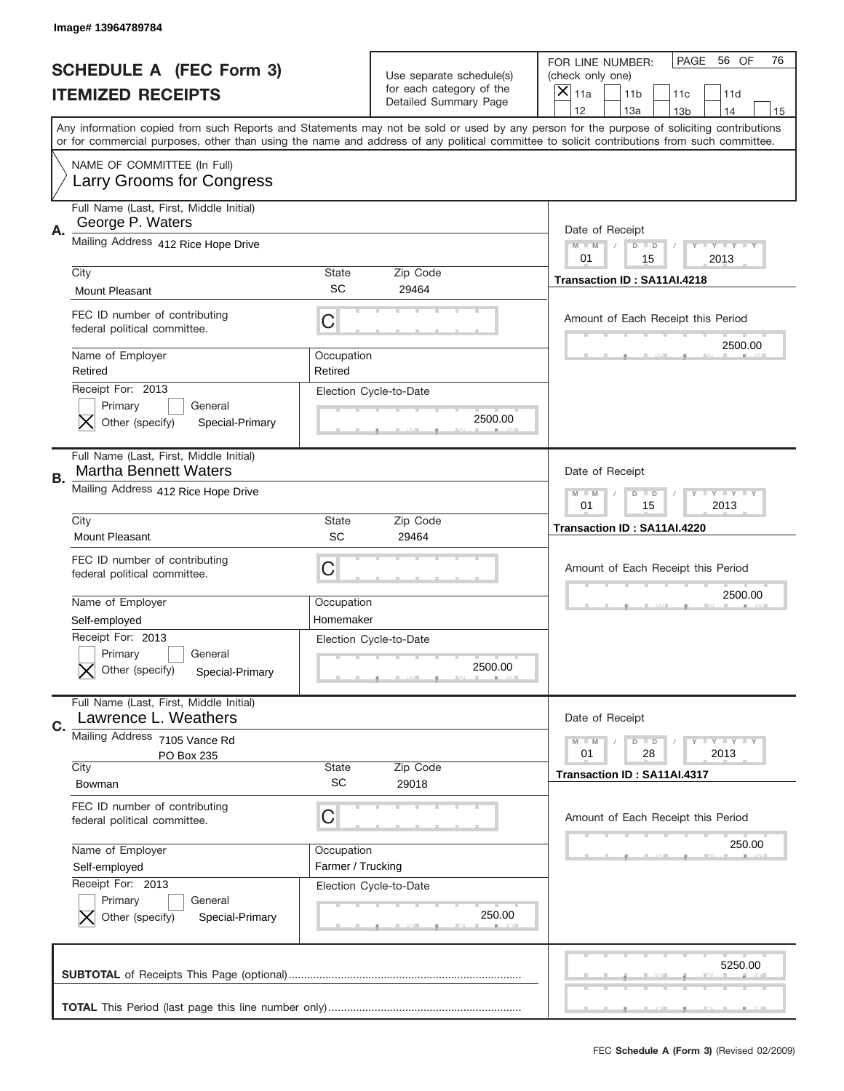|    | Image# 13964789784                                                            |                                 |                                                   |                                                                                                                                                                                                                                                                                                                                     |
|----|-------------------------------------------------------------------------------|---------------------------------|---------------------------------------------------|-------------------------------------------------------------------------------------------------------------------------------------------------------------------------------------------------------------------------------------------------------------------------------------------------------------------------------------|
|    | <b>SCHEDULE A (FEC Form 3)</b>                                                |                                 | Use separate schedule(s)                          | PAGE<br>56 OF<br>76<br>FOR LINE NUMBER:<br>(check only one)                                                                                                                                                                                                                                                                         |
|    | <b>ITEMIZED RECEIPTS</b>                                                      |                                 | for each category of the<br>Detailed Summary Page | ×<br>11a<br>11 <sub>b</sub><br>11c<br>11d                                                                                                                                                                                                                                                                                           |
|    |                                                                               |                                 |                                                   | 12<br>13a<br>14<br>13 <sub>b</sub><br>15<br>Any information copied from such Reports and Statements may not be sold or used by any person for the purpose of soliciting contributions<br>or for commercial purposes, other than using the name and address of any political committee to solicit contributions from such committee. |
|    | NAME OF COMMITTEE (In Full)<br>Larry Grooms for Congress                      |                                 |                                                   |                                                                                                                                                                                                                                                                                                                                     |
| Α. | Full Name (Last, First, Middle Initial)<br>George P. Waters                   |                                 |                                                   | Date of Receipt                                                                                                                                                                                                                                                                                                                     |
|    | Mailing Address 412 Rice Hope Drive                                           |                                 |                                                   | $M - M$<br><b>LEY LEY LEY</b><br>$D$ $D$<br>01<br>15<br>2013                                                                                                                                                                                                                                                                        |
|    | City<br><b>Mount Pleasant</b>                                                 | State<br>SC                     | Zip Code<br>29464                                 | Transaction ID: SA11AI.4218                                                                                                                                                                                                                                                                                                         |
|    | FEC ID number of contributing<br>federal political committee.                 | C                               |                                                   | Amount of Each Receipt this Period<br>2500.00                                                                                                                                                                                                                                                                                       |
|    | Name of Employer<br>Retired                                                   | Occupation<br>Retired           |                                                   |                                                                                                                                                                                                                                                                                                                                     |
|    | Receipt For: 2013<br>Primary<br>General<br>Other (specify)<br>Special-Primary |                                 | Election Cycle-to-Date<br>2500.00                 |                                                                                                                                                                                                                                                                                                                                     |
| В. | Full Name (Last, First, Middle Initial)<br><b>Martha Bennett Waters</b>       |                                 |                                                   | Date of Receipt                                                                                                                                                                                                                                                                                                                     |
|    | Mailing Address 412 Rice Hope Drive                                           |                                 |                                                   | $M$ M<br><b>LYLYLY</b><br>$D$ $D$<br>01<br>15<br>2013                                                                                                                                                                                                                                                                               |
|    | City<br>Mount Pleasant                                                        | State<br>SC                     | Zip Code<br>29464                                 | Transaction ID: SA11AI.4220                                                                                                                                                                                                                                                                                                         |
|    | FEC ID number of contributing<br>federal political committee.                 | C                               |                                                   | Amount of Each Receipt this Period                                                                                                                                                                                                                                                                                                  |
|    | Name of Employer<br>Self-employed                                             | Occupation<br>Homemaker         |                                                   | 2500.00                                                                                                                                                                                                                                                                                                                             |
|    | Receipt For: 2013                                                             |                                 | Election Cycle-to-Date                            |                                                                                                                                                                                                                                                                                                                                     |
|    | General<br>Primary<br>Other (specify)<br>Special-Primary                      |                                 | 2500.00                                           |                                                                                                                                                                                                                                                                                                                                     |
| C. | Full Name (Last, First, Middle Initial)<br>Lawrence L. Weathers               |                                 |                                                   | Date of Receipt                                                                                                                                                                                                                                                                                                                     |
|    | Mailing Address 7105 Vance Rd<br>PO Box 235                                   |                                 |                                                   | $I - Y - I - Y - I - Y$<br>$M - M$<br>$D$ $D$<br>01<br>28<br>2013                                                                                                                                                                                                                                                                   |
|    | City<br>Bowman                                                                | <b>State</b><br><b>SC</b>       | Zip Code<br>29018                                 | Transaction ID: SA11AI.4317                                                                                                                                                                                                                                                                                                         |
|    | FEC ID number of contributing<br>federal political committee.                 | C                               |                                                   | Amount of Each Receipt this Period                                                                                                                                                                                                                                                                                                  |
|    | Name of Employer<br>Self-employed                                             | Occupation<br>Farmer / Trucking |                                                   | 250.00                                                                                                                                                                                                                                                                                                                              |
|    | Receipt For: 2013<br>Primary<br>General<br>Other (specify)<br>Special-Primary |                                 | Election Cycle-to-Date<br>250.00                  |                                                                                                                                                                                                                                                                                                                                     |
|    |                                                                               |                                 |                                                   | 5250.00                                                                                                                                                                                                                                                                                                                             |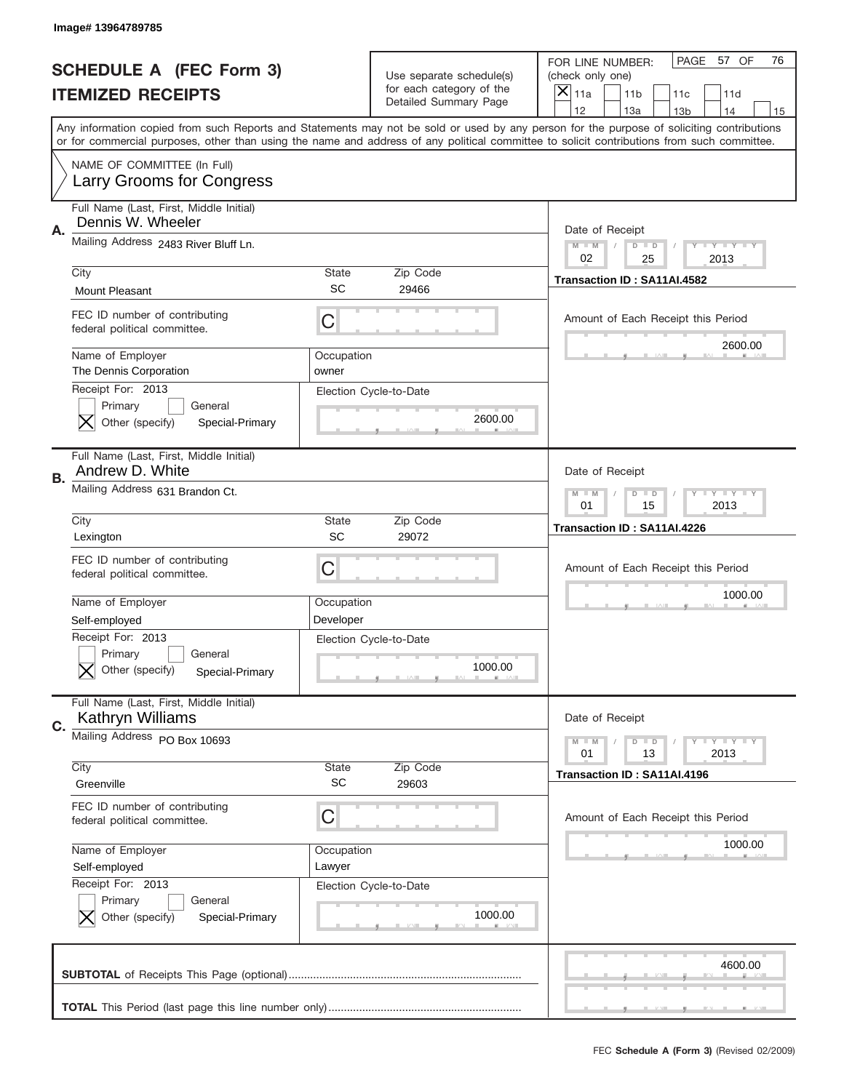|    | Image# 13964789785                                                                             |                      |                                                   |                                                                                                                                                                                                                                                                                                                                     |
|----|------------------------------------------------------------------------------------------------|----------------------|---------------------------------------------------|-------------------------------------------------------------------------------------------------------------------------------------------------------------------------------------------------------------------------------------------------------------------------------------------------------------------------------------|
|    | <b>SCHEDULE A (FEC Form 3)</b>                                                                 |                      | Use separate schedule(s)                          | PAGE<br>57 OF<br>76<br>FOR LINE NUMBER:<br>(check only one)                                                                                                                                                                                                                                                                         |
|    | <b>ITEMIZED RECEIPTS</b>                                                                       |                      | for each category of the<br>Detailed Summary Page | $\boldsymbol{\times}$<br>11a<br>11 <sub>b</sub><br>11c<br>11d                                                                                                                                                                                                                                                                       |
|    |                                                                                                |                      |                                                   | 12<br>13a<br>14<br>13 <sub>b</sub><br>15<br>Any information copied from such Reports and Statements may not be sold or used by any person for the purpose of soliciting contributions<br>or for commercial purposes, other than using the name and address of any political committee to solicit contributions from such committee. |
|    | NAME OF COMMITTEE (In Full)<br>Larry Grooms for Congress                                       |                      |                                                   |                                                                                                                                                                                                                                                                                                                                     |
| Α. | Full Name (Last, First, Middle Initial)<br>Dennis W. Wheeler                                   |                      |                                                   | Date of Receipt                                                                                                                                                                                                                                                                                                                     |
|    | Mailing Address 2483 River Bluff Ln.                                                           |                      |                                                   | <b>LYLYLY</b><br>$M - M$<br>$D$ $D$<br>02<br>25<br>2013                                                                                                                                                                                                                                                                             |
|    | City<br><b>Mount Pleasant</b>                                                                  | <b>State</b><br>SC   | Zip Code<br>29466                                 | Transaction ID: SA11AI.4582                                                                                                                                                                                                                                                                                                         |
|    | FEC ID number of contributing<br>federal political committee.                                  | C                    |                                                   | Amount of Each Receipt this Period                                                                                                                                                                                                                                                                                                  |
|    | Name of Employer<br>The Dennis Corporation                                                     | Occupation<br>owner  |                                                   | 2600.00                                                                                                                                                                                                                                                                                                                             |
|    | Receipt For: 2013<br>Primary<br>General<br>Other (specify)<br>Special-Primary                  |                      | Election Cycle-to-Date<br>2600.00                 |                                                                                                                                                                                                                                                                                                                                     |
|    | Full Name (Last, First, Middle Initial)<br>Andrew D. White                                     |                      |                                                   | Date of Receipt                                                                                                                                                                                                                                                                                                                     |
| В. | Mailing Address 631 Brandon Ct.                                                                |                      |                                                   | <b>LY LY LY</b><br>$M - M$<br>$D$ $D$<br>01<br>15<br>2013                                                                                                                                                                                                                                                                           |
|    | City<br>Lexington                                                                              | <b>State</b><br>SC   | Zip Code<br>29072                                 | Transaction ID: SA11AI.4226                                                                                                                                                                                                                                                                                                         |
|    | FEC ID number of contributing<br>federal political committee.                                  | С                    |                                                   | Amount of Each Receipt this Period                                                                                                                                                                                                                                                                                                  |
|    | Name of Employer                                                                               | Occupation           |                                                   | 1000.00                                                                                                                                                                                                                                                                                                                             |
|    | Self-employed<br>Receipt For: 2013<br>General<br>Primary<br>Other (specify)<br>Special-Primary | Developer            | Election Cycle-to-Date<br>1000.00                 |                                                                                                                                                                                                                                                                                                                                     |
| C. | Full Name (Last, First, Middle Initial)<br>Kathryn Williams                                    |                      |                                                   | Date of Receipt                                                                                                                                                                                                                                                                                                                     |
|    | Mailing Address PO Box 10693                                                                   |                      |                                                   | <b>LY LY LY</b><br>$M \perp M$<br>$D$ $D$<br>13<br>2013<br>01                                                                                                                                                                                                                                                                       |
|    | City                                                                                           | <b>State</b>         | Zip Code                                          |                                                                                                                                                                                                                                                                                                                                     |
|    | Greenville                                                                                     | <b>SC</b>            | 29603                                             | Transaction ID: SA11AI.4196                                                                                                                                                                                                                                                                                                         |
|    | FEC ID number of contributing<br>federal political committee.                                  | С                    |                                                   | Amount of Each Receipt this Period                                                                                                                                                                                                                                                                                                  |
|    | Name of Employer<br>Self-employed                                                              | Occupation<br>Lawyer |                                                   | 1000.00                                                                                                                                                                                                                                                                                                                             |
|    | Receipt For: 2013<br>Primary<br>General<br>Other (specify)<br>Special-Primary                  |                      | Election Cycle-to-Date<br>1000.00                 |                                                                                                                                                                                                                                                                                                                                     |
|    |                                                                                                |                      |                                                   | 4600.00                                                                                                                                                                                                                                                                                                                             |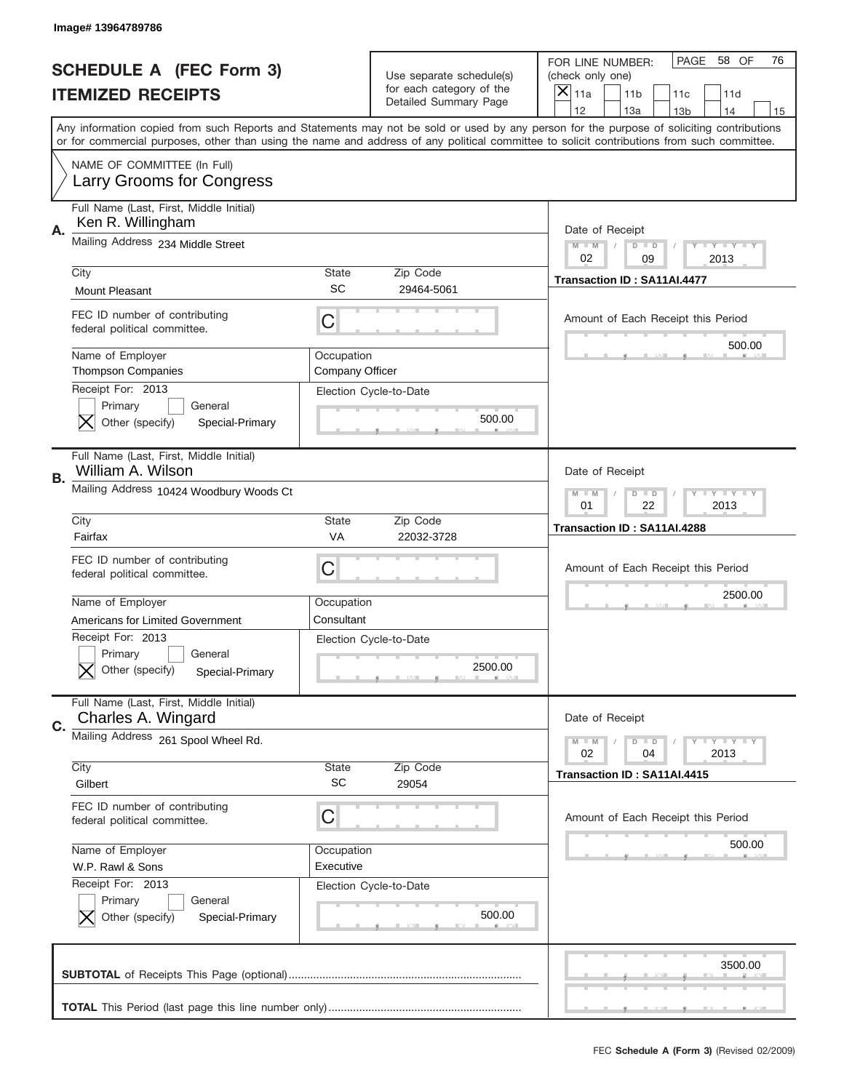|    | Image# 13964789786                                                            |                               |                                                      |                                                                                                                                                                                                                                                                                         |
|----|-------------------------------------------------------------------------------|-------------------------------|------------------------------------------------------|-----------------------------------------------------------------------------------------------------------------------------------------------------------------------------------------------------------------------------------------------------------------------------------------|
|    | <b>SCHEDULE A (FEC Form 3)</b>                                                |                               | Use separate schedule(s)<br>for each category of the | PAGE 58 OF<br>76<br>FOR LINE NUMBER:<br>(check only one)                                                                                                                                                                                                                                |
|    | <b>ITEMIZED RECEIPTS</b>                                                      |                               | Detailed Summary Page                                | ×<br>11a<br>11 <sub>b</sub><br>11c<br>11d<br>12<br>13a<br>14<br>13 <sub>b</sub><br>15                                                                                                                                                                                                   |
|    |                                                                               |                               |                                                      | Any information copied from such Reports and Statements may not be sold or used by any person for the purpose of soliciting contributions<br>or for commercial purposes, other than using the name and address of any political committee to solicit contributions from such committee. |
|    | NAME OF COMMITTEE (In Full)<br>Larry Grooms for Congress                      |                               |                                                      |                                                                                                                                                                                                                                                                                         |
| Α. | Full Name (Last, First, Middle Initial)<br>Ken R. Willingham                  |                               |                                                      | Date of Receipt                                                                                                                                                                                                                                                                         |
|    | Mailing Address 234 Middle Street                                             |                               |                                                      | $M - M$<br><b>LEY LEY LEY</b><br>$D$ $D$<br>02<br>09<br>2013                                                                                                                                                                                                                            |
|    | City<br><b>Mount Pleasant</b>                                                 | State<br>SC                   | Zip Code<br>29464-5061                               | Transaction ID: SA11AI.4477                                                                                                                                                                                                                                                             |
|    | FEC ID number of contributing<br>federal political committee.                 | C                             |                                                      | Amount of Each Receipt this Period<br>500.00                                                                                                                                                                                                                                            |
|    | Name of Employer<br><b>Thompson Companies</b><br>Receipt For: 2013            | Occupation<br>Company Officer |                                                      |                                                                                                                                                                                                                                                                                         |
|    | Primary<br>General<br>Other (specify)<br>Special-Primary                      |                               | Election Cycle-to-Date<br>500.00                     |                                                                                                                                                                                                                                                                                         |
| В. | Full Name (Last, First, Middle Initial)<br>William A. Wilson                  |                               |                                                      | Date of Receipt                                                                                                                                                                                                                                                                         |
|    | Mailing Address 10424 Woodbury Woods Ct                                       |                               |                                                      | $M$ M<br>$D$ $D$<br><b>LYLYLY</b><br>01<br>22<br>2013                                                                                                                                                                                                                                   |
|    | City<br>Fairfax                                                               | State<br>VA                   | Zip Code<br>22032-3728                               | Transaction ID: SA11AI.4288                                                                                                                                                                                                                                                             |
|    | FEC ID number of contributing<br>federal political committee.                 | C                             |                                                      | Amount of Each Receipt this Period                                                                                                                                                                                                                                                      |
|    | Name of Employer<br><b>Americans for Limited Government</b>                   | Occupation<br>Consultant      |                                                      | 2500.00                                                                                                                                                                                                                                                                                 |
|    | Receipt For: 2013<br>General<br>Primary<br>Other (specify)<br>Special-Primary |                               | Election Cycle-to-Date<br>2500.00                    |                                                                                                                                                                                                                                                                                         |
| C. | Full Name (Last, First, Middle Initial)<br>Charles A. Wingard                 |                               |                                                      | Date of Receipt                                                                                                                                                                                                                                                                         |
|    | Mailing Address 261 Spool Wheel Rd.                                           |                               | Zip Code                                             | <b>LYLYLY</b><br>$M - M$<br>$D$ $D$<br>02<br>2013<br>04                                                                                                                                                                                                                                 |
|    | City<br>Gilbert                                                               | <b>State</b><br><b>SC</b>     | 29054                                                | Transaction ID: SA11AI.4415                                                                                                                                                                                                                                                             |
|    | FEC ID number of contributing<br>federal political committee.                 | C                             |                                                      | Amount of Each Receipt this Period                                                                                                                                                                                                                                                      |
|    | Name of Employer<br>W.P. Rawl & Sons                                          | Occupation<br>Executive       |                                                      | 500.00                                                                                                                                                                                                                                                                                  |
|    | Receipt For: 2013<br>Primary<br>General<br>Other (specify)<br>Special-Primary |                               | Election Cycle-to-Date<br>500.00                     |                                                                                                                                                                                                                                                                                         |
|    |                                                                               |                               |                                                      | 3500.00                                                                                                                                                                                                                                                                                 |
|    |                                                                               |                               |                                                      |                                                                                                                                                                                                                                                                                         |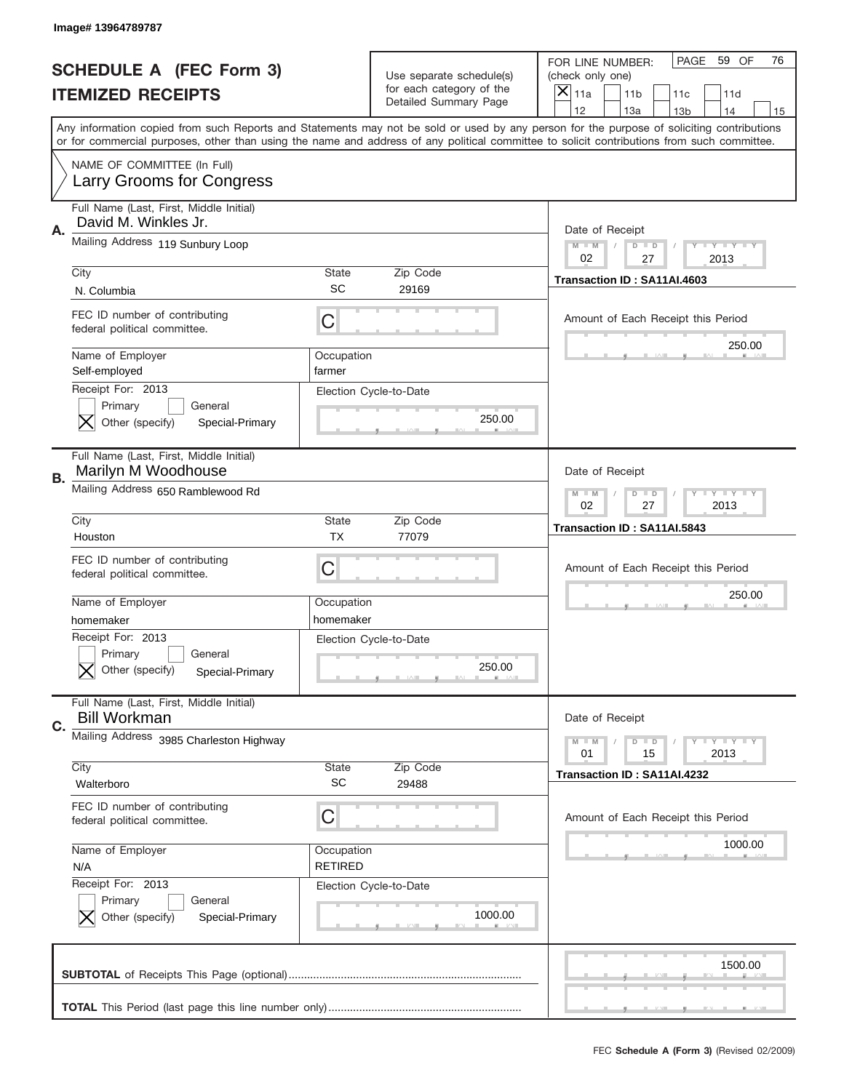|    | Image# 13964789787                                                            |                              |                                                      |                                                                                                                                                                                                                                                                                         |
|----|-------------------------------------------------------------------------------|------------------------------|------------------------------------------------------|-----------------------------------------------------------------------------------------------------------------------------------------------------------------------------------------------------------------------------------------------------------------------------------------|
|    | <b>SCHEDULE A (FEC Form 3)</b>                                                |                              | Use separate schedule(s)<br>for each category of the | PAGE<br>59 OF<br>76<br>FOR LINE NUMBER:<br>(check only one)                                                                                                                                                                                                                             |
|    | <b>ITEMIZED RECEIPTS</b>                                                      |                              | Detailed Summary Page                                | $\boldsymbol{\times}$<br>11a<br>11 <sub>b</sub><br>11c<br>11d<br>12<br>13a<br>14<br>13 <sub>b</sub><br>15                                                                                                                                                                               |
|    |                                                                               |                              |                                                      | Any information copied from such Reports and Statements may not be sold or used by any person for the purpose of soliciting contributions<br>or for commercial purposes, other than using the name and address of any political committee to solicit contributions from such committee. |
|    | NAME OF COMMITTEE (In Full)<br>Larry Grooms for Congress                      |                              |                                                      |                                                                                                                                                                                                                                                                                         |
| Α. | Full Name (Last, First, Middle Initial)<br>David M. Winkles Jr.               |                              |                                                      | Date of Receipt                                                                                                                                                                                                                                                                         |
|    | Mailing Address 119 Sunbury Loop                                              |                              |                                                      | <b>LYLYLY</b><br>$M - M$<br>$D$ $D$<br>02<br>27<br>2013                                                                                                                                                                                                                                 |
|    | City<br>N. Columbia                                                           | <b>State</b><br>SC           | Zip Code<br>29169                                    | Transaction ID: SA11AI.4603                                                                                                                                                                                                                                                             |
|    | FEC ID number of contributing<br>federal political committee.                 | С                            |                                                      | Amount of Each Receipt this Period<br>250.00                                                                                                                                                                                                                                            |
|    | Name of Employer<br>Self-employed                                             | Occupation<br>farmer         |                                                      |                                                                                                                                                                                                                                                                                         |
|    | Receipt For: 2013<br>Primary<br>General<br>Other (specify)<br>Special-Primary |                              | Election Cycle-to-Date<br>250.00                     |                                                                                                                                                                                                                                                                                         |
| В. | Full Name (Last, First, Middle Initial)<br>Marilyn M Woodhouse                |                              |                                                      | Date of Receipt                                                                                                                                                                                                                                                                         |
|    | Mailing Address 650 Ramblewood Rd                                             |                              |                                                      | <b>LY LY LY</b><br>$M - M$<br>$D$ $D$<br>02<br>27<br>2013                                                                                                                                                                                                                               |
|    | City<br>Houston                                                               | <b>State</b><br><b>TX</b>    | Zip Code<br>77079                                    | Transaction ID: SA11AI.5843                                                                                                                                                                                                                                                             |
|    | FEC ID number of contributing<br>federal political committee.                 | С                            |                                                      | Amount of Each Receipt this Period                                                                                                                                                                                                                                                      |
|    | Name of Employer<br>homemaker                                                 | Occupation<br>homemaker      |                                                      | 250.00                                                                                                                                                                                                                                                                                  |
|    | Receipt For: 2013<br>Primary<br>General                                       |                              | Election Cycle-to-Date                               |                                                                                                                                                                                                                                                                                         |
|    | Other (specify)<br>Special-Primary                                            |                              | 250.00                                               |                                                                                                                                                                                                                                                                                         |
| C. | Full Name (Last, First, Middle Initial)<br><b>Bill Workman</b>                |                              |                                                      | Date of Receipt                                                                                                                                                                                                                                                                         |
|    | Mailing Address 3985 Charleston Highway                                       |                              |                                                      | <b>LYLYLY</b><br>$M \perp M$<br>$D$ $D$<br>15<br>2013<br>01                                                                                                                                                                                                                             |
|    | City<br>Walterboro                                                            | State<br><b>SC</b>           | Zip Code<br>29488                                    | Transaction ID: SA11AI.4232                                                                                                                                                                                                                                                             |
|    | FEC ID number of contributing<br>federal political committee.                 | С                            |                                                      | Amount of Each Receipt this Period                                                                                                                                                                                                                                                      |
|    | Name of Employer<br>N/A                                                       | Occupation<br><b>RETIRED</b> |                                                      | 1000.00                                                                                                                                                                                                                                                                                 |
|    | Receipt For: 2013<br>Primary<br>General<br>Other (specify)<br>Special-Primary |                              | Election Cycle-to-Date<br>1000.00                    |                                                                                                                                                                                                                                                                                         |
|    |                                                                               |                              |                                                      | 1500.00                                                                                                                                                                                                                                                                                 |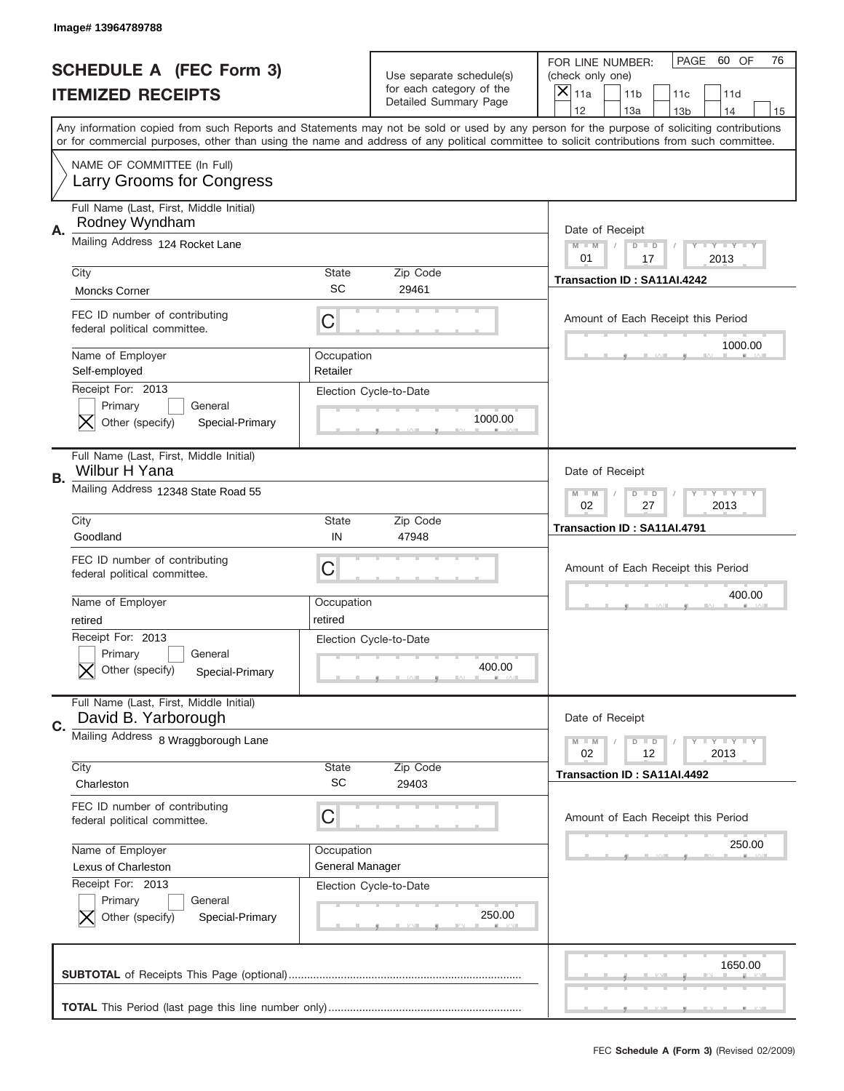|    | Image#13964789788                                                             |                               |                                                      |                                                                                                                                                                                                                                                                                                                               |
|----|-------------------------------------------------------------------------------|-------------------------------|------------------------------------------------------|-------------------------------------------------------------------------------------------------------------------------------------------------------------------------------------------------------------------------------------------------------------------------------------------------------------------------------|
|    | <b>SCHEDULE A (FEC Form 3)</b>                                                |                               | Use separate schedule(s)<br>for each category of the | PAGE<br>60 OF<br>76<br>FOR LINE NUMBER:<br>(check only one)                                                                                                                                                                                                                                                                   |
|    | <b>ITEMIZED RECEIPTS</b>                                                      |                               | Detailed Summary Page                                | ×<br>11a<br>11 <sub>b</sub><br>11c<br>11d<br>12                                                                                                                                                                                                                                                                               |
|    |                                                                               |                               |                                                      | 13a<br>14<br>13 <sub>b</sub><br>15<br>Any information copied from such Reports and Statements may not be sold or used by any person for the purpose of soliciting contributions<br>or for commercial purposes, other than using the name and address of any political committee to solicit contributions from such committee. |
|    | NAME OF COMMITTEE (In Full)<br>Larry Grooms for Congress                      |                               |                                                      |                                                                                                                                                                                                                                                                                                                               |
| Α. | Full Name (Last, First, Middle Initial)<br>Rodney Wyndham                     |                               |                                                      | Date of Receipt                                                                                                                                                                                                                                                                                                               |
|    | Mailing Address 124 Rocket Lane                                               |                               |                                                      | $M - M$<br><b>LEY LEY LEY</b><br>$D$ $D$<br>01<br>17<br>2013                                                                                                                                                                                                                                                                  |
|    | City<br><b>Moncks Corner</b>                                                  | State<br>SC                   | Zip Code<br>29461                                    | Transaction ID: SA11AI.4242                                                                                                                                                                                                                                                                                                   |
|    | FEC ID number of contributing<br>federal political committee.                 | C                             |                                                      | Amount of Each Receipt this Period<br>1000.00                                                                                                                                                                                                                                                                                 |
|    | Name of Employer<br>Self-employed<br>Receipt For: 2013                        | Occupation<br>Retailer        |                                                      |                                                                                                                                                                                                                                                                                                                               |
|    | Primary<br>General<br>Other (specify)<br>Special-Primary                      |                               | Election Cycle-to-Date<br>1000.00                    |                                                                                                                                                                                                                                                                                                                               |
| В. | Full Name (Last, First, Middle Initial)<br>Wilbur H Yana                      |                               |                                                      | Date of Receipt                                                                                                                                                                                                                                                                                                               |
|    | Mailing Address 12348 State Road 55                                           |                               |                                                      | $M$ M<br>$D$ $D$<br><b>LYLYLY</b><br>02<br>27<br>2013                                                                                                                                                                                                                                                                         |
|    | City<br>Goodland                                                              | State<br>IN                   | Zip Code<br>47948                                    | Transaction ID: SA11AI.4791                                                                                                                                                                                                                                                                                                   |
|    | FEC ID number of contributing<br>federal political committee.                 | C                             |                                                      | Amount of Each Receipt this Period                                                                                                                                                                                                                                                                                            |
|    | Name of Employer<br>retired                                                   | Occupation<br>retired         |                                                      | 400.00                                                                                                                                                                                                                                                                                                                        |
|    | Receipt For: 2013<br>General<br>Primary<br>Other (specify)<br>Special-Primary |                               | Election Cycle-to-Date<br>400.00                     |                                                                                                                                                                                                                                                                                                                               |
| C. | Full Name (Last, First, Middle Initial)<br>David B. Yarborough                |                               |                                                      | Date of Receipt                                                                                                                                                                                                                                                                                                               |
|    | Mailing Address 8 Wraggborough Lane                                           |                               |                                                      | <b>LYLYLY</b><br>$M - M$<br>$D$ $D$<br>02<br>12<br>2013                                                                                                                                                                                                                                                                       |
|    | City<br>Charleston                                                            | <b>State</b><br><b>SC</b>     | Zip Code<br>29403                                    | Transaction ID: SA11AI.4492                                                                                                                                                                                                                                                                                                   |
|    | FEC ID number of contributing<br>federal political committee.                 | C                             |                                                      | Amount of Each Receipt this Period                                                                                                                                                                                                                                                                                            |
|    | Name of Employer<br>Lexus of Charleston                                       | Occupation<br>General Manager |                                                      | 250.00                                                                                                                                                                                                                                                                                                                        |
|    | Receipt For: 2013<br>Primary<br>General<br>Other (specify)<br>Special-Primary |                               | Election Cycle-to-Date<br>250.00                     |                                                                                                                                                                                                                                                                                                                               |
|    |                                                                               |                               |                                                      | 1650.00                                                                                                                                                                                                                                                                                                                       |
|    |                                                                               |                               |                                                      |                                                                                                                                                                                                                                                                                                                               |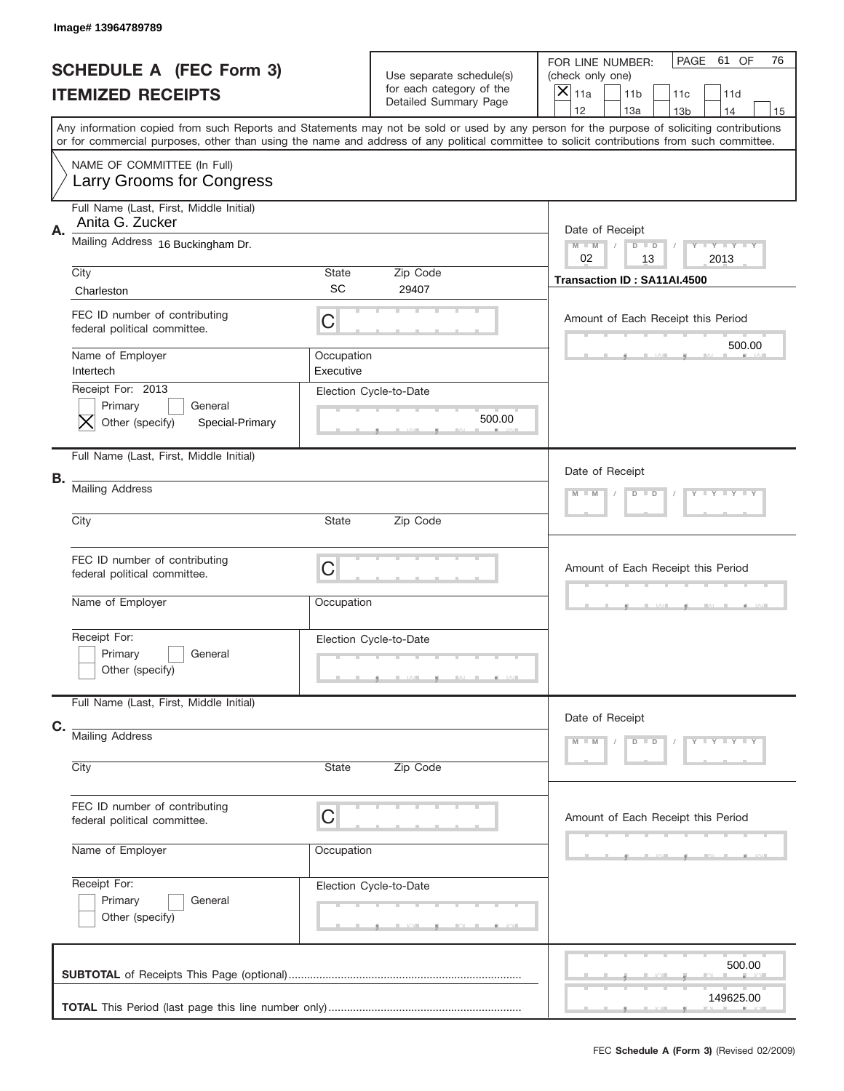|    | Image# 13964789789                                                            |                                                    |                                                                               |                                                                                                                                                                                                                                                                                         |
|----|-------------------------------------------------------------------------------|----------------------------------------------------|-------------------------------------------------------------------------------|-----------------------------------------------------------------------------------------------------------------------------------------------------------------------------------------------------------------------------------------------------------------------------------------|
|    | <b>SCHEDULE A (FEC Form 3)</b><br><b>ITEMIZED RECEIPTS</b>                    |                                                    | Use separate schedule(s)<br>for each category of the<br>Detailed Summary Page | PAGE<br>61 OF<br>76<br>FOR LINE NUMBER:<br>(check only one)<br>$\overline{\mathsf{x}}$<br>11a<br>11 <sub>b</sub><br>11c<br>11d<br>12<br>13a<br>14<br>13 <sub>b</sub><br>15                                                                                                              |
|    |                                                                               |                                                    |                                                                               | Any information copied from such Reports and Statements may not be sold or used by any person for the purpose of soliciting contributions<br>or for commercial purposes, other than using the name and address of any political committee to solicit contributions from such committee. |
|    | NAME OF COMMITTEE (In Full)<br><b>Larry Grooms for Congress</b>               |                                                    |                                                                               |                                                                                                                                                                                                                                                                                         |
| Α. | Full Name (Last, First, Middle Initial)<br>Anita G. Zucker                    |                                                    |                                                                               | Date of Receipt                                                                                                                                                                                                                                                                         |
|    | Mailing Address 16 Buckingham Dr.                                             | Y TY TY TY<br>$M$ M<br>$D$ $D$<br>02<br>13<br>2013 |                                                                               |                                                                                                                                                                                                                                                                                         |
|    | City<br>Charleston                                                            | State<br>SC                                        | Zip Code<br>29407                                                             | Transaction ID: SA11AI.4500                                                                                                                                                                                                                                                             |
|    | FEC ID number of contributing<br>federal political committee.                 | C                                                  |                                                                               | Amount of Each Receipt this Period                                                                                                                                                                                                                                                      |
|    | Name of Employer<br>Intertech                                                 | Occupation<br>Executive                            |                                                                               | 500.00                                                                                                                                                                                                                                                                                  |
|    | Receipt For: 2013<br>Primary<br>General<br>Other (specify)<br>Special-Primary |                                                    | Election Cycle-to-Date<br>500.00                                              |                                                                                                                                                                                                                                                                                         |
|    | Full Name (Last, First, Middle Initial)                                       |                                                    |                                                                               | Date of Receipt                                                                                                                                                                                                                                                                         |
| В. | <b>Mailing Address</b>                                                        |                                                    |                                                                               | Y TY TY TY<br>$M - M$<br>$D$ $D$                                                                                                                                                                                                                                                        |
|    | City                                                                          | State                                              | Zip Code                                                                      |                                                                                                                                                                                                                                                                                         |
|    | FEC ID number of contributing<br>federal political committee.                 | C                                                  |                                                                               | Amount of Each Receipt this Period                                                                                                                                                                                                                                                      |
|    | Name of Employer                                                              | Occupation                                         |                                                                               |                                                                                                                                                                                                                                                                                         |
|    | Receipt For:<br>Primary<br>General<br>Other (specify)                         |                                                    | Election Cycle-to-Date                                                        |                                                                                                                                                                                                                                                                                         |
| C. | Full Name (Last, First, Middle Initial)                                       |                                                    |                                                                               | Date of Receipt                                                                                                                                                                                                                                                                         |
|    | <b>Mailing Address</b><br>City                                                | State                                              | Zip Code                                                                      | $Y - Y - Y - Y - Y$<br>$M - M$<br>$D$ $D$                                                                                                                                                                                                                                               |
|    |                                                                               |                                                    |                                                                               |                                                                                                                                                                                                                                                                                         |
|    | FEC ID number of contributing<br>federal political committee.                 | C                                                  |                                                                               | Amount of Each Receipt this Period                                                                                                                                                                                                                                                      |
|    | Name of Employer                                                              | Occupation                                         |                                                                               |                                                                                                                                                                                                                                                                                         |
|    | Receipt For:<br>Primary<br>General<br>Other (specify)                         |                                                    | Election Cycle-to-Date                                                        |                                                                                                                                                                                                                                                                                         |
|    |                                                                               |                                                    |                                                                               | 500.00                                                                                                                                                                                                                                                                                  |
|    |                                                                               |                                                    |                                                                               | 149625.00                                                                                                                                                                                                                                                                               |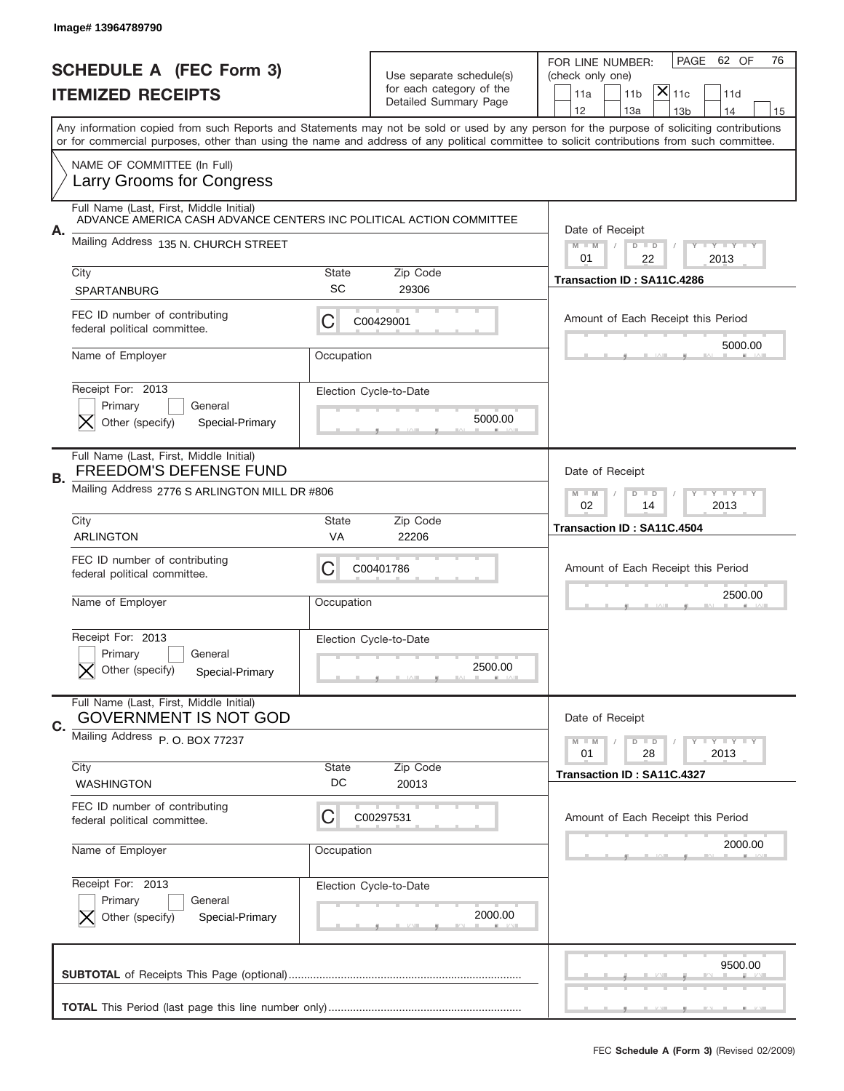|    | Image# 13964789790                                                                                             |                                                           |                                                                               |                                                                                                                                                                                                                                                                                                                                     |
|----|----------------------------------------------------------------------------------------------------------------|-----------------------------------------------------------|-------------------------------------------------------------------------------|-------------------------------------------------------------------------------------------------------------------------------------------------------------------------------------------------------------------------------------------------------------------------------------------------------------------------------------|
|    | <b>SCHEDULE A (FEC Form 3)</b><br><b>ITEMIZED RECEIPTS</b>                                                     |                                                           | Use separate schedule(s)<br>for each category of the<br>Detailed Summary Page | 62 OF<br>PAGE<br>76<br>FOR LINE NUMBER:<br>(check only one)<br>$ \overline{\mathsf{X}} _{\mathsf{11c}}$<br>11 <sub>b</sub><br>11a<br>11d                                                                                                                                                                                            |
|    |                                                                                                                |                                                           |                                                                               | 12<br>13a<br>13 <sub>b</sub><br>14<br>15<br>Any information copied from such Reports and Statements may not be sold or used by any person for the purpose of soliciting contributions<br>or for commercial purposes, other than using the name and address of any political committee to solicit contributions from such committee. |
|    | NAME OF COMMITTEE (In Full)<br>Larry Grooms for Congress                                                       |                                                           |                                                                               |                                                                                                                                                                                                                                                                                                                                     |
|    | Full Name (Last, First, Middle Initial)<br>ADVANCE AMERICA CASH ADVANCE CENTERS INC POLITICAL ACTION COMMITTEE |                                                           |                                                                               |                                                                                                                                                                                                                                                                                                                                     |
| А. | Mailing Address 135 N. CHURCH STREET                                                                           |                                                           |                                                                               | Date of Receipt<br>$M - M$<br><b>LEY LEY LEY</b><br>$D$ $D$<br>01<br>22<br>2013                                                                                                                                                                                                                                                     |
|    | City<br><b>SPARTANBURG</b>                                                                                     | State<br><b>SC</b>                                        | Zip Code<br>29306                                                             | Transaction ID: SA11C.4286                                                                                                                                                                                                                                                                                                          |
|    | FEC ID number of contributing<br>federal political committee.                                                  | C                                                         | C00429001                                                                     | Amount of Each Receipt this Period                                                                                                                                                                                                                                                                                                  |
|    | Name of Employer                                                                                               | Occupation                                                |                                                                               | 5000.00                                                                                                                                                                                                                                                                                                                             |
|    | Receipt For: 2013<br>Primary<br>General<br>Other (specify)<br>Special-Primary                                  |                                                           | Election Cycle-to-Date<br>5000.00                                             |                                                                                                                                                                                                                                                                                                                                     |
| В. | Full Name (Last, First, Middle Initial)<br><b>FREEDOM'S DEFENSE FUND</b>                                       |                                                           |                                                                               | Date of Receipt                                                                                                                                                                                                                                                                                                                     |
|    | Mailing Address 2776 S ARLINGTON MILL DR #806                                                                  | <b>LY LY LY</b><br>$M - M$<br>$D$ $D$<br>02<br>2013<br>14 |                                                                               |                                                                                                                                                                                                                                                                                                                                     |
|    | City<br><b>ARLINGTON</b>                                                                                       | State<br>VA                                               | Zip Code<br>22206                                                             | Transaction ID: SA11C.4504                                                                                                                                                                                                                                                                                                          |
|    | FEC ID number of contributing                                                                                  |                                                           |                                                                               | Amount of Each Receipt this Period                                                                                                                                                                                                                                                                                                  |
|    | federal political committee.                                                                                   | C                                                         | C00401786                                                                     |                                                                                                                                                                                                                                                                                                                                     |
|    | Name of Employer                                                                                               | Occupation                                                |                                                                               | 2500.00                                                                                                                                                                                                                                                                                                                             |
|    | Receipt For: 2013<br>General<br>Primary<br>Other (specify)<br>Special-Primary                                  |                                                           | Election Cycle-to-Date<br>2500.00                                             |                                                                                                                                                                                                                                                                                                                                     |
|    | Full Name (Last, First, Middle Initial)<br><b>GOVERNMENT IS NOT GOD</b>                                        |                                                           |                                                                               | Date of Receipt                                                                                                                                                                                                                                                                                                                     |
| C. | Mailing Address P.O. BOX 77237                                                                                 |                                                           |                                                                               | <b>LY LY LY</b><br>$M - M$<br>$D$ $D$<br>2013<br>01<br>28                                                                                                                                                                                                                                                                           |
|    | City<br><b>WASHINGTON</b>                                                                                      | State<br>DC                                               | Zip Code<br>20013                                                             | Transaction ID: SA11C.4327                                                                                                                                                                                                                                                                                                          |
|    | FEC ID number of contributing<br>federal political committee.                                                  | C                                                         | C00297531                                                                     | Amount of Each Receipt this Period                                                                                                                                                                                                                                                                                                  |
|    | Name of Employer                                                                                               | Occupation                                                |                                                                               | 2000.00                                                                                                                                                                                                                                                                                                                             |
|    | Receipt For: 2013<br>Primary<br>General<br>Other (specify)<br>Special-Primary                                  |                                                           | Election Cycle-to-Date<br>2000.00                                             |                                                                                                                                                                                                                                                                                                                                     |
|    |                                                                                                                |                                                           |                                                                               | 9500.00                                                                                                                                                                                                                                                                                                                             |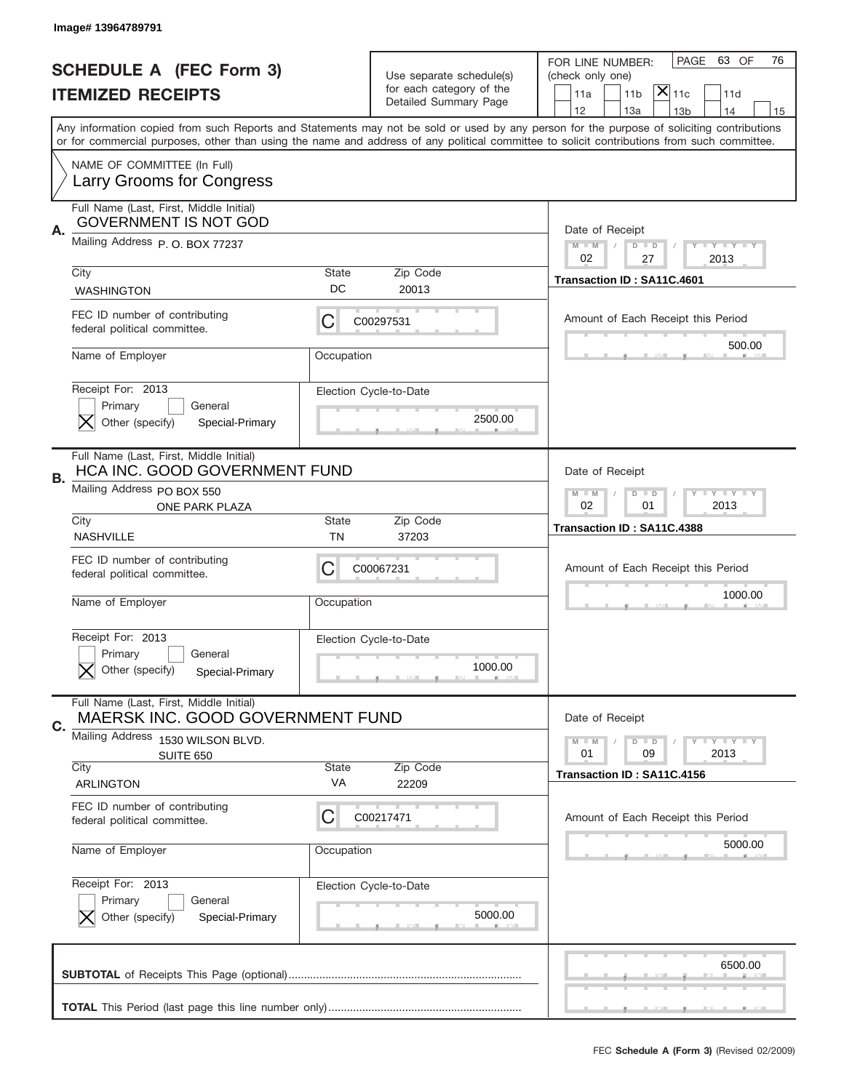|    | Image# 13964789791                                                                                                       |                    |                                                                               |                                                                                                                                                                                                                                                                                                                                     |
|----|--------------------------------------------------------------------------------------------------------------------------|--------------------|-------------------------------------------------------------------------------|-------------------------------------------------------------------------------------------------------------------------------------------------------------------------------------------------------------------------------------------------------------------------------------------------------------------------------------|
|    | <b>SCHEDULE A (FEC Form 3)</b><br><b>ITEMIZED RECEIPTS</b>                                                               |                    | Use separate schedule(s)<br>for each category of the<br>Detailed Summary Page | 63 OF<br>PAGE<br>76<br>FOR LINE NUMBER:<br>(check only one)<br>$ \overline{\mathsf{X}} _{\mathsf{11c}}$<br>11 <sub>b</sub><br>11d<br>11a                                                                                                                                                                                            |
|    |                                                                                                                          |                    |                                                                               | 12<br>13a<br>14<br>13 <sub>b</sub><br>15<br>Any information copied from such Reports and Statements may not be sold or used by any person for the purpose of soliciting contributions<br>or for commercial purposes, other than using the name and address of any political committee to solicit contributions from such committee. |
|    | NAME OF COMMITTEE (In Full)<br>Larry Grooms for Congress                                                                 |                    |                                                                               |                                                                                                                                                                                                                                                                                                                                     |
| Α. | Full Name (Last, First, Middle Initial)<br><b>GOVERNMENT IS NOT GOD</b><br>Mailing Address P. O. BOX 77237               |                    |                                                                               | Date of Receipt<br>$M$ M<br><b>LYLYLY</b><br>$D$ $D$<br>02<br>27<br>2013                                                                                                                                                                                                                                                            |
|    | City<br><b>WASHINGTON</b>                                                                                                | State<br>DC        | Zip Code<br>20013                                                             | Transaction ID: SA11C.4601                                                                                                                                                                                                                                                                                                          |
|    | FEC ID number of contributing<br>federal political committee.                                                            | C                  | C00297531                                                                     | Amount of Each Receipt this Period<br>500.00                                                                                                                                                                                                                                                                                        |
|    | Name of Employer<br>Receipt For: 2013<br>Primary<br>General<br>Other (specify)<br>Special-Primary                        | Occupation         | Election Cycle-to-Date<br>2500.00                                             |                                                                                                                                                                                                                                                                                                                                     |
| В. | Full Name (Last, First, Middle Initial)<br>HCA INC. GOOD GOVERNMENT FUND<br>Mailing Address PO BOX 550<br>ONE PARK PLAZA |                    |                                                                               | Date of Receipt<br>$D$ $D$<br><b>THEY THEY</b><br>$M - M$<br>02<br>01<br>2013                                                                                                                                                                                                                                                       |
|    | City<br><b>NASHVILLE</b>                                                                                                 | State<br>ΤN        | Zip Code<br>37203                                                             | Transaction ID: SA11C.4388                                                                                                                                                                                                                                                                                                          |
|    | FEC ID number of contributing<br>federal political committee.<br>Name of Employer                                        | С<br>Occupation    | C00067231                                                                     | Amount of Each Receipt this Period<br>1000.00                                                                                                                                                                                                                                                                                       |
|    | Receipt For: 2013<br>Primary<br>General<br>Other (specify)<br>Special-Primary                                            |                    | Election Cycle-to-Date<br>1000.00                                             |                                                                                                                                                                                                                                                                                                                                     |
| C. | Full Name (Last, First, Middle Initial)<br>MAERSK INC. GOOD GOVERNMENT FUND                                              |                    |                                                                               | Date of Receipt                                                                                                                                                                                                                                                                                                                     |
|    | Mailing Address<br>1530 WILSON BLVD.<br><b>SUITE 650</b><br>City<br><b>ARLINGTON</b>                                     | <b>State</b><br>VA | Zip Code<br>22209                                                             | $D$ $D$<br><b>LY LY LY</b><br>$M - M$<br>09<br>2013<br>01<br>Transaction ID: SA11C.4156                                                                                                                                                                                                                                             |
|    | FEC ID number of contributing<br>federal political committee.                                                            | C                  | C00217471                                                                     | Amount of Each Receipt this Period                                                                                                                                                                                                                                                                                                  |
|    | Name of Employer                                                                                                         | Occupation         |                                                                               | 5000.00                                                                                                                                                                                                                                                                                                                             |
|    | Receipt For: 2013<br>Primary<br>General<br>Other (specify)<br>Special-Primary                                            |                    | Election Cycle-to-Date<br>5000.00                                             |                                                                                                                                                                                                                                                                                                                                     |
|    |                                                                                                                          |                    |                                                                               | 6500.00                                                                                                                                                                                                                                                                                                                             |
|    |                                                                                                                          |                    |                                                                               |                                                                                                                                                                                                                                                                                                                                     |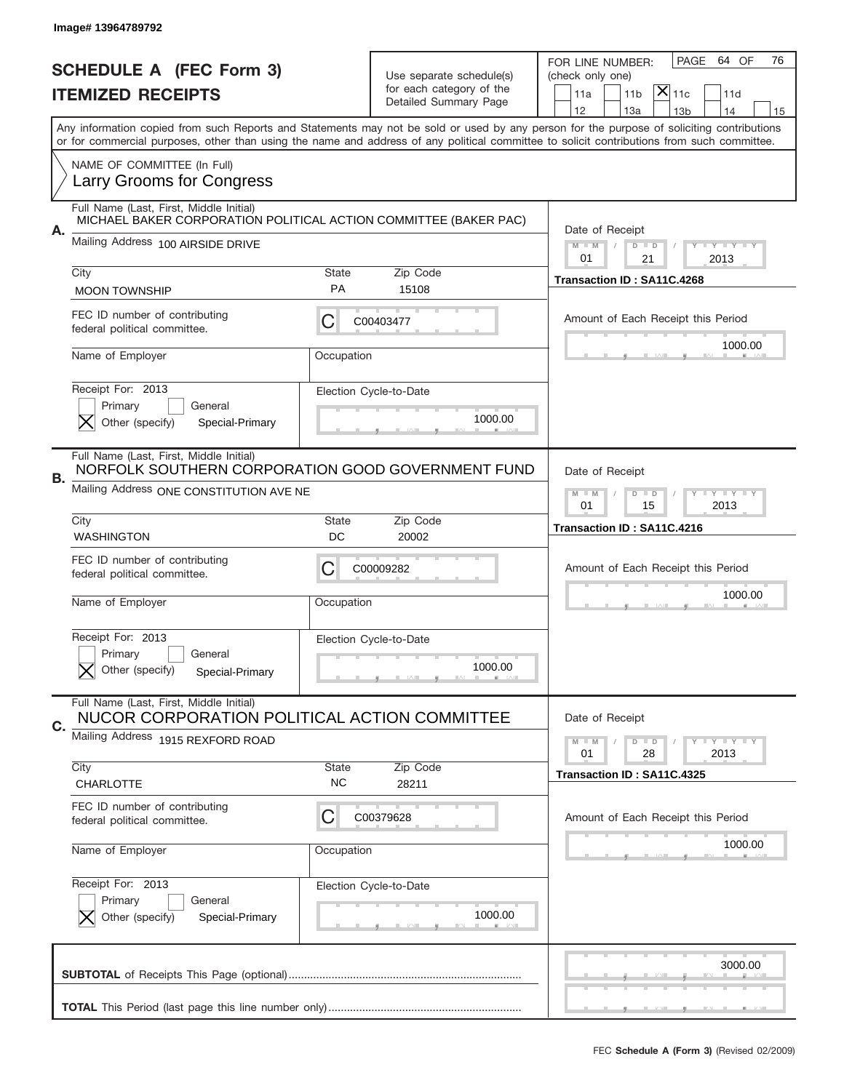|    | Image# 13964789792                                                                                          |                    |                                                   |                                                                                                                                                                                                                                                                                         |
|----|-------------------------------------------------------------------------------------------------------------|--------------------|---------------------------------------------------|-----------------------------------------------------------------------------------------------------------------------------------------------------------------------------------------------------------------------------------------------------------------------------------------|
|    | <b>SCHEDULE A (FEC Form 3)</b>                                                                              |                    | Use separate schedule(s)                          | PAGE<br>64 OF<br>76<br>FOR LINE NUMBER:<br>(check only one)                                                                                                                                                                                                                             |
|    | <b>ITEMIZED RECEIPTS</b>                                                                                    |                    | for each category of the<br>Detailed Summary Page | $ \mathsf{\overline{X}} _{\mathsf{11c}}$<br>11a<br>11 <sub>b</sub><br>11d<br>12<br>13a<br>14<br>13 <sub>b</sub><br>15                                                                                                                                                                   |
|    |                                                                                                             |                    |                                                   | Any information copied from such Reports and Statements may not be sold or used by any person for the purpose of soliciting contributions<br>or for commercial purposes, other than using the name and address of any political committee to solicit contributions from such committee. |
|    | NAME OF COMMITTEE (In Full)<br>Larry Grooms for Congress                                                    |                    |                                                   |                                                                                                                                                                                                                                                                                         |
|    | Full Name (Last, First, Middle Initial)<br>MICHAEL BAKER CORPORATION POLITICAL ACTION COMMITTEE (BAKER PAC) |                    |                                                   |                                                                                                                                                                                                                                                                                         |
| А. | Mailing Address 100 AIRSIDE DRIVE                                                                           |                    |                                                   | Date of Receipt<br>$M$ M<br><b>LY LY LY</b><br>$D$ $D$<br>01<br>21<br>2013                                                                                                                                                                                                              |
|    | City<br><b>MOON TOWNSHIP</b>                                                                                | State<br><b>PA</b> | Zip Code<br>15108                                 | Transaction ID: SA11C.4268                                                                                                                                                                                                                                                              |
|    | FEC ID number of contributing<br>federal political committee.                                               | С                  | C00403477                                         | Amount of Each Receipt this Period                                                                                                                                                                                                                                                      |
|    | Name of Employer                                                                                            | Occupation         |                                                   | 1000.00                                                                                                                                                                                                                                                                                 |
|    | Receipt For: 2013<br>Primary<br>General<br>Other (specify)<br>Special-Primary                               |                    | Election Cycle-to-Date<br>1000.00                 |                                                                                                                                                                                                                                                                                         |
| В. | Full Name (Last, First, Middle Initial)<br>NORFOLK SOUTHERN CORPORATION GOOD GOVERNMENT FUND                |                    |                                                   | Date of Receipt                                                                                                                                                                                                                                                                         |
|    | Mailing Address ONE CONSTITUTION AVE NE                                                                     |                    |                                                   | $M$ M<br>$D$ $D$<br><b>LEYTEY LEY</b><br>01<br>15<br>2013                                                                                                                                                                                                                               |
|    | City<br><b>WASHINGTON</b>                                                                                   | State<br>DC        | Zip Code<br>20002                                 | Transaction ID: SA11C.4216                                                                                                                                                                                                                                                              |
|    | FEC ID number of contributing<br>federal political committee.                                               | C                  | C00009282                                         | Amount of Each Receipt this Period                                                                                                                                                                                                                                                      |
|    | Name of Employer                                                                                            | Occupation         |                                                   | 1000.00                                                                                                                                                                                                                                                                                 |
|    | Receipt For: 2013<br>General<br>Primary<br>Other (specify)<br>Special-Primary                               |                    | Election Cycle-to-Date<br>1000.00                 |                                                                                                                                                                                                                                                                                         |
| C. | Full Name (Last, First, Middle Initial)<br>NUCOR CORPORATION POLITICAL ACTION COMMITTEE                     |                    |                                                   | Date of Receipt                                                                                                                                                                                                                                                                         |
|    | Mailing Address 1915 REXFORD ROAD                                                                           |                    |                                                   | $I - Y - I - Y - I - Y$<br>$M \perp M$<br>$D$ $D$<br>2013<br>01<br>28                                                                                                                                                                                                                   |
|    | City<br>CHARLOTTE                                                                                           | State<br><b>NC</b> | Zip Code<br>28211                                 | Transaction ID: SA11C.4325                                                                                                                                                                                                                                                              |
|    | FEC ID number of contributing<br>federal political committee.                                               | С                  | C00379628                                         | Amount of Each Receipt this Period                                                                                                                                                                                                                                                      |
|    | Name of Employer                                                                                            | Occupation         |                                                   | 1000.00                                                                                                                                                                                                                                                                                 |
|    | Receipt For: 2013<br>Primary<br>General<br>Other (specify)<br>Special-Primary                               |                    | Election Cycle-to-Date<br>1000.00                 |                                                                                                                                                                                                                                                                                         |
|    |                                                                                                             |                    |                                                   | 3000.00                                                                                                                                                                                                                                                                                 |
|    |                                                                                                             |                    |                                                   |                                                                                                                                                                                                                                                                                         |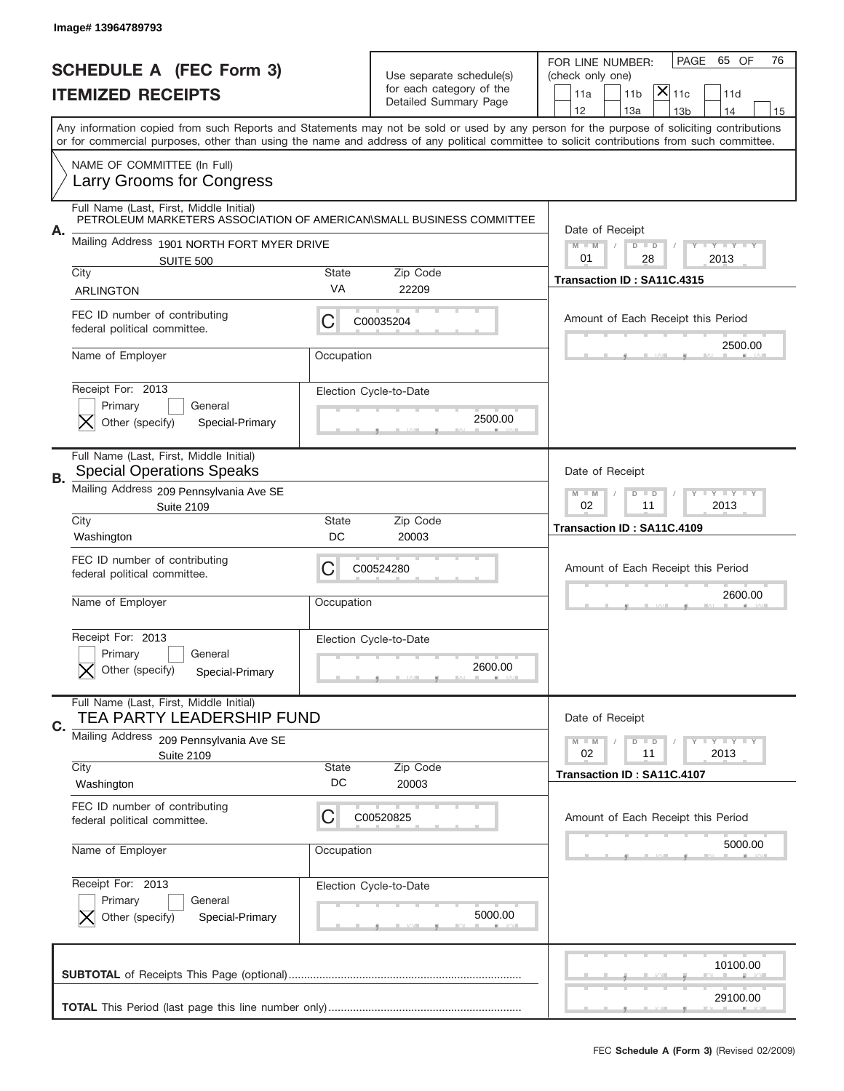|    | Image# 13964789793                                                                                              |                                                           |                                                                               |                                                                                                                                                                                                                                                                                         |
|----|-----------------------------------------------------------------------------------------------------------------|-----------------------------------------------------------|-------------------------------------------------------------------------------|-----------------------------------------------------------------------------------------------------------------------------------------------------------------------------------------------------------------------------------------------------------------------------------------|
|    | <b>SCHEDULE A (FEC Form 3)</b><br><b>ITEMIZED RECEIPTS</b>                                                      |                                                           | Use separate schedule(s)<br>for each category of the<br>Detailed Summary Page | 65 OF<br>PAGE<br>76<br>FOR LINE NUMBER:<br>(check only one)<br>$ \mathsf{X} _{\mathsf{11c}}$<br>11 <sub>b</sub><br>11a<br>11d<br>12<br>13a<br>14<br>13 <sub>b</sub><br>15                                                                                                               |
|    |                                                                                                                 |                                                           |                                                                               | Any information copied from such Reports and Statements may not be sold or used by any person for the purpose of soliciting contributions<br>or for commercial purposes, other than using the name and address of any political committee to solicit contributions from such committee. |
|    | NAME OF COMMITTEE (In Full)<br>Larry Grooms for Congress                                                        |                                                           |                                                                               |                                                                                                                                                                                                                                                                                         |
|    | Full Name (Last, First, Middle Initial)<br>PETROLEUM MARKETERS ASSOCIATION OF AMERICAN SMALL BUSINESS COMMITTEE |                                                           |                                                                               | Date of Receipt                                                                                                                                                                                                                                                                         |
| А. | Mailing Address 1901 NORTH FORT MYER DRIVE<br>SUITE 500                                                         |                                                           |                                                                               | $M$ $M$<br><b>LEY LEY LEY</b><br>$D$ $D$<br>01<br>28<br>2013                                                                                                                                                                                                                            |
|    | City<br><b>ARLINGTON</b>                                                                                        | <b>State</b><br>VA                                        | Zip Code<br>22209                                                             | Transaction ID: SA11C.4315                                                                                                                                                                                                                                                              |
|    | FEC ID number of contributing<br>federal political committee.                                                   | С                                                         | C00035204                                                                     | Amount of Each Receipt this Period                                                                                                                                                                                                                                                      |
|    | Name of Employer                                                                                                | Occupation                                                |                                                                               | 2500.00                                                                                                                                                                                                                                                                                 |
|    | Receipt For: 2013<br>Primary<br>General<br>Other (specify)<br>Special-Primary                                   |                                                           | Election Cycle-to-Date<br>2500.00                                             |                                                                                                                                                                                                                                                                                         |
| В. | Full Name (Last, First, Middle Initial)<br><b>Special Operations Speaks</b>                                     |                                                           |                                                                               | Date of Receipt                                                                                                                                                                                                                                                                         |
|    | Mailing Address 209 Pennsylvania Ave SE<br><b>Suite 2109</b>                                                    | <b>LY LY LY</b><br>$M - M$<br>$D$ $D$<br>02<br>11<br>2013 |                                                                               |                                                                                                                                                                                                                                                                                         |
|    | City<br>Washington                                                                                              | <b>State</b><br>DC                                        | Zip Code<br>20003                                                             | Transaction ID: SA11C.4109                                                                                                                                                                                                                                                              |
|    | FEC ID number of contributing<br>federal political committee.                                                   | C                                                         | C00524280                                                                     | Amount of Each Receipt this Period                                                                                                                                                                                                                                                      |
|    | Name of Employer                                                                                                | Occupation                                                |                                                                               | 2600.00                                                                                                                                                                                                                                                                                 |
|    | Receipt For: 2013<br>General<br>Primary<br>Other (specify)<br>Special-Primary                                   |                                                           | Election Cycle-to-Date<br>2600.00                                             |                                                                                                                                                                                                                                                                                         |
|    | Full Name (Last, First, Middle Initial)<br>TEA PARTY LEADERSHIP FUND                                            |                                                           |                                                                               | Date of Receipt                                                                                                                                                                                                                                                                         |
| C. | Mailing Address<br>209 Pennsylvania Ave SE<br><b>Suite 2109</b>                                                 |                                                           |                                                                               | $I - Y - I - Y - I - Y$<br>$M - M$<br>$D$ $D$<br>02<br>2013<br>11                                                                                                                                                                                                                       |
|    | City<br>Washington                                                                                              | <b>State</b><br>DC                                        | Zip Code<br>20003                                                             | Transaction ID: SA11C.4107                                                                                                                                                                                                                                                              |
|    | FEC ID number of contributing<br>federal political committee.                                                   | С                                                         | C00520825                                                                     | Amount of Each Receipt this Period                                                                                                                                                                                                                                                      |
|    | Name of Employer                                                                                                | Occupation                                                |                                                                               | 5000.00                                                                                                                                                                                                                                                                                 |
|    | Receipt For: 2013<br>Primary<br>General<br>Other (specify)<br>Special-Primary                                   |                                                           | Election Cycle-to-Date<br>5000.00                                             |                                                                                                                                                                                                                                                                                         |
|    |                                                                                                                 |                                                           |                                                                               | 10100.00                                                                                                                                                                                                                                                                                |
|    |                                                                                                                 |                                                           |                                                                               | 29100.00                                                                                                                                                                                                                                                                                |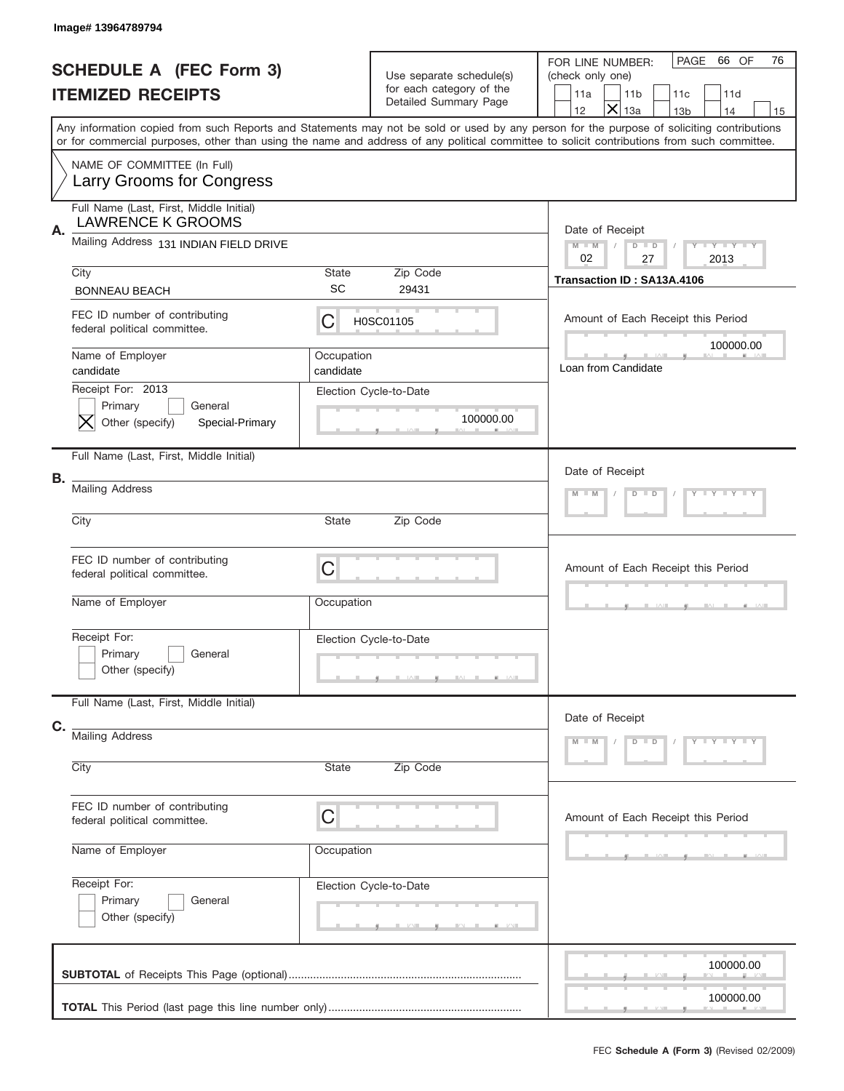|    | Image# 13964789794                                                            |                         |                                                                               |                                                                                                                                                                                                                                                                                         |
|----|-------------------------------------------------------------------------------|-------------------------|-------------------------------------------------------------------------------|-----------------------------------------------------------------------------------------------------------------------------------------------------------------------------------------------------------------------------------------------------------------------------------------|
|    | <b>SCHEDULE A (FEC Form 3)</b><br><b>ITEMIZED RECEIPTS</b>                    |                         | Use separate schedule(s)<br>for each category of the<br>Detailed Summary Page | PAGE<br>66 OF<br>76<br>FOR LINE NUMBER:<br>(check only one)<br>11a<br>11 <sub>b</sub><br>11c<br>11d<br>$\times$<br>12<br>13a<br>14<br>13 <sub>b</sub><br>15                                                                                                                             |
|    |                                                                               |                         |                                                                               | Any information copied from such Reports and Statements may not be sold or used by any person for the purpose of soliciting contributions<br>or for commercial purposes, other than using the name and address of any political committee to solicit contributions from such committee. |
|    | NAME OF COMMITTEE (In Full)<br>Larry Grooms for Congress                      |                         |                                                                               |                                                                                                                                                                                                                                                                                         |
| Α. | Full Name (Last, First, Middle Initial)<br><b>LAWRENCE K GROOMS</b>           |                         |                                                                               | Date of Receipt                                                                                                                                                                                                                                                                         |
|    | Mailing Address 131 INDIAN FIELD DRIVE                                        |                         |                                                                               | <b>TEY TEY TEY</b><br>$M - M$<br>$D$ $D$<br>02<br>27<br>2013                                                                                                                                                                                                                            |
|    | City<br><b>BONNEAU BEACH</b>                                                  | State<br><b>SC</b>      | Zip Code<br>29431                                                             | Transaction ID: SA13A.4106                                                                                                                                                                                                                                                              |
|    | FEC ID number of contributing<br>federal political committee.                 | С                       | H0SC01105                                                                     | Amount of Each Receipt this Period                                                                                                                                                                                                                                                      |
|    | Name of Employer<br>candidate                                                 | Occupation<br>candidate |                                                                               | 100000.00<br>Loan from Candidate                                                                                                                                                                                                                                                        |
|    | Receipt For: 2013<br>Primary<br>General<br>Other (specify)<br>Special-Primary |                         | Election Cycle-to-Date<br>100000.00                                           |                                                                                                                                                                                                                                                                                         |
|    | Full Name (Last, First, Middle Initial)                                       |                         |                                                                               | Date of Receipt                                                                                                                                                                                                                                                                         |
| В. | <b>Mailing Address</b>                                                        |                         |                                                                               | Y LY LY LY<br>$M$ M<br>$D$ $D$                                                                                                                                                                                                                                                          |
|    | City                                                                          | State                   | Zip Code                                                                      |                                                                                                                                                                                                                                                                                         |
|    | FEC ID number of contributing<br>federal political committee.                 | C                       |                                                                               | Amount of Each Receipt this Period                                                                                                                                                                                                                                                      |
|    | Name of Employer                                                              | Occupation              |                                                                               |                                                                                                                                                                                                                                                                                         |
|    | Receipt For:<br>Primary<br>General<br>Other (specify)                         |                         | Election Cycle-to-Date                                                        |                                                                                                                                                                                                                                                                                         |
| C. | Full Name (Last, First, Middle Initial)                                       |                         |                                                                               | Date of Receipt                                                                                                                                                                                                                                                                         |
|    | <b>Mailing Address</b><br>City                                                | <b>State</b>            | Zip Code                                                                      | Y TY TY TY<br>$M - M$<br>$D$ $D$                                                                                                                                                                                                                                                        |
|    | FEC ID number of contributing                                                 |                         |                                                                               |                                                                                                                                                                                                                                                                                         |
|    | federal political committee.                                                  | C                       |                                                                               | Amount of Each Receipt this Period                                                                                                                                                                                                                                                      |
|    | Name of Employer                                                              | Occupation              |                                                                               |                                                                                                                                                                                                                                                                                         |
|    | Receipt For:<br>Primary<br>General<br>Other (specify)                         |                         | Election Cycle-to-Date                                                        |                                                                                                                                                                                                                                                                                         |
|    |                                                                               |                         |                                                                               | 100000.00                                                                                                                                                                                                                                                                               |
|    |                                                                               |                         |                                                                               | 100000.00                                                                                                                                                                                                                                                                               |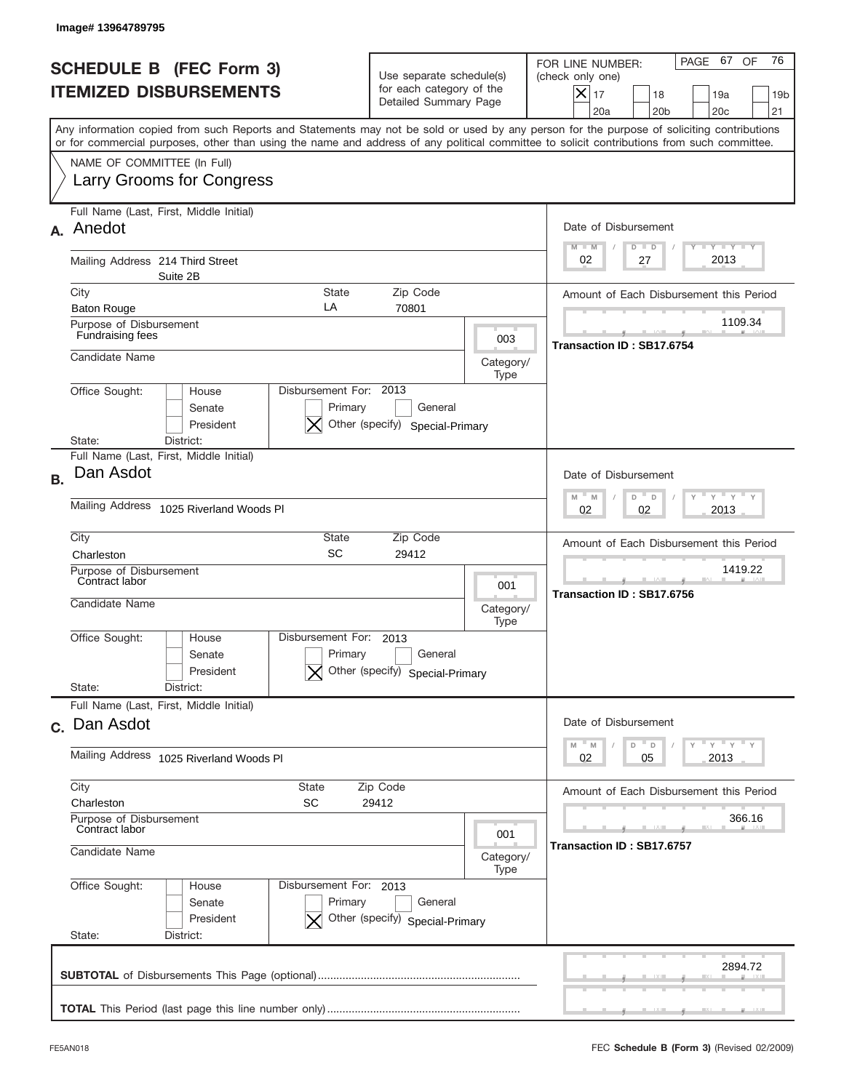|                                                                 | Image# 13964789795                                                                                                                                                                                                                                                                      |                                                                                                |                   |                                                                                                                                                          |
|-----------------------------------------------------------------|-----------------------------------------------------------------------------------------------------------------------------------------------------------------------------------------------------------------------------------------------------------------------------------------|------------------------------------------------------------------------------------------------|-------------------|----------------------------------------------------------------------------------------------------------------------------------------------------------|
| <b>SCHEDULE B (FEC Form 3)</b><br><b>ITEMIZED DISBURSEMENTS</b> |                                                                                                                                                                                                                                                                                         | Use separate schedule(s)<br>for each category of the<br>Detailed Summary Page                  |                   | 76<br>PAGE 67 OF<br>FOR LINE NUMBER:<br>(check only one)<br>$X _{17}$<br>18<br>19a<br>19 <sub>b</sub><br>20a<br>20 <sub>b</sub><br>20 <sub>c</sub><br>21 |
|                                                                 | Any information copied from such Reports and Statements may not be sold or used by any person for the purpose of soliciting contributions<br>or for commercial purposes, other than using the name and address of any political committee to solicit contributions from such committee. |                                                                                                |                   |                                                                                                                                                          |
|                                                                 | NAME OF COMMITTEE (In Full)<br><b>Larry Grooms for Congress</b>                                                                                                                                                                                                                         |                                                                                                |                   |                                                                                                                                                          |
| <b>A.</b>                                                       | Full Name (Last, First, Middle Initial)<br>Anedot                                                                                                                                                                                                                                       |                                                                                                |                   | Date of Disbursement<br>Y TY TY TY<br>$M - M$<br>$D$ $D$                                                                                                 |
|                                                                 | Mailing Address 214 Third Street<br>Suite 2B                                                                                                                                                                                                                                            |                                                                                                |                   | 2013<br>02<br>27                                                                                                                                         |
|                                                                 | City<br><b>State</b><br>LA<br><b>Baton Rouge</b>                                                                                                                                                                                                                                        | Zip Code<br>70801                                                                              |                   | Amount of Each Disbursement this Period                                                                                                                  |
|                                                                 | Purpose of Disbursement<br>Fundraising fees                                                                                                                                                                                                                                             |                                                                                                | 003               | 1109.34<br>Transaction ID: SB17.6754                                                                                                                     |
|                                                                 | Candidate Name                                                                                                                                                                                                                                                                          |                                                                                                | Category/<br>Type |                                                                                                                                                          |
|                                                                 | Disbursement For: 2013<br>Office Sought:<br>House<br>Senate<br>Primary<br>President<br>District:<br>State:                                                                                                                                                                              | General<br>Other (specify) Special-Primary                                                     |                   |                                                                                                                                                          |
| <b>B.</b>                                                       | Full Name (Last, First, Middle Initial)<br>Dan Asdot                                                                                                                                                                                                                                    |                                                                                                |                   | Date of Disbursement                                                                                                                                     |
|                                                                 | <b>Mailing Address</b><br>1025 Riverland Woods Pl                                                                                                                                                                                                                                       | $\cdots$ $\gamma$ $\cdots$ $\gamma$ $\cdots$ $\gamma$<br>$M - M$<br>D<br>D<br>2013<br>02<br>02 |                   |                                                                                                                                                          |
|                                                                 | City<br>State<br>SC<br>Charleston                                                                                                                                                                                                                                                       | Zip Code<br>29412                                                                              |                   | Amount of Each Disbursement this Period                                                                                                                  |
|                                                                 | Purpose of Disbursement<br>Contract labor<br>Candidate Name                                                                                                                                                                                                                             | 001<br>Category/<br>Type                                                                       |                   | 1419.22<br>Transaction ID: SB17.6756                                                                                                                     |
|                                                                 | Disbursement For:<br>Office Sought:<br>House<br>Primary<br>Senate<br>President<br>State:<br>District:                                                                                                                                                                                   | 2013<br>General<br>Other (specify) Special-Primary                                             |                   |                                                                                                                                                          |
|                                                                 | Full Name (Last, First, Middle Initial)                                                                                                                                                                                                                                                 |                                                                                                |                   |                                                                                                                                                          |
|                                                                 | c. Dan Asdot                                                                                                                                                                                                                                                                            |                                                                                                |                   | Date of Disbursement                                                                                                                                     |
|                                                                 | Mailing Address 1025 Riverland Woods Pl                                                                                                                                                                                                                                                 | $\gamma$ $\gamma$ $\gamma$ $\gamma$ $\gamma$<br>$-M$<br>M<br>D<br>D<br>2013<br>02<br>05        |                   |                                                                                                                                                          |
|                                                                 | City<br>State<br>Zip Code<br>SC<br>Charleston<br>29412                                                                                                                                                                                                                                  | Amount of Each Disbursement this Period                                                        |                   |                                                                                                                                                          |
|                                                                 | Purpose of Disbursement<br>Contract labor<br>Candidate Name                                                                                                                                                                                                                             | 366.16<br>Transaction ID: SB17.6757                                                            |                   |                                                                                                                                                          |
|                                                                 |                                                                                                                                                                                                                                                                                         |                                                                                                |                   |                                                                                                                                                          |
|                                                                 | Office Sought:<br>Disbursement For: 2013<br>House<br>Senate<br>Primary<br>President<br>Other (specify) Special-Primary                                                                                                                                                                  |                                                                                                |                   |                                                                                                                                                          |
|                                                                 | State:<br>District:                                                                                                                                                                                                                                                                     | 2894.72                                                                                        |                   |                                                                                                                                                          |
|                                                                 |                                                                                                                                                                                                                                                                                         |                                                                                                |                   |                                                                                                                                                          |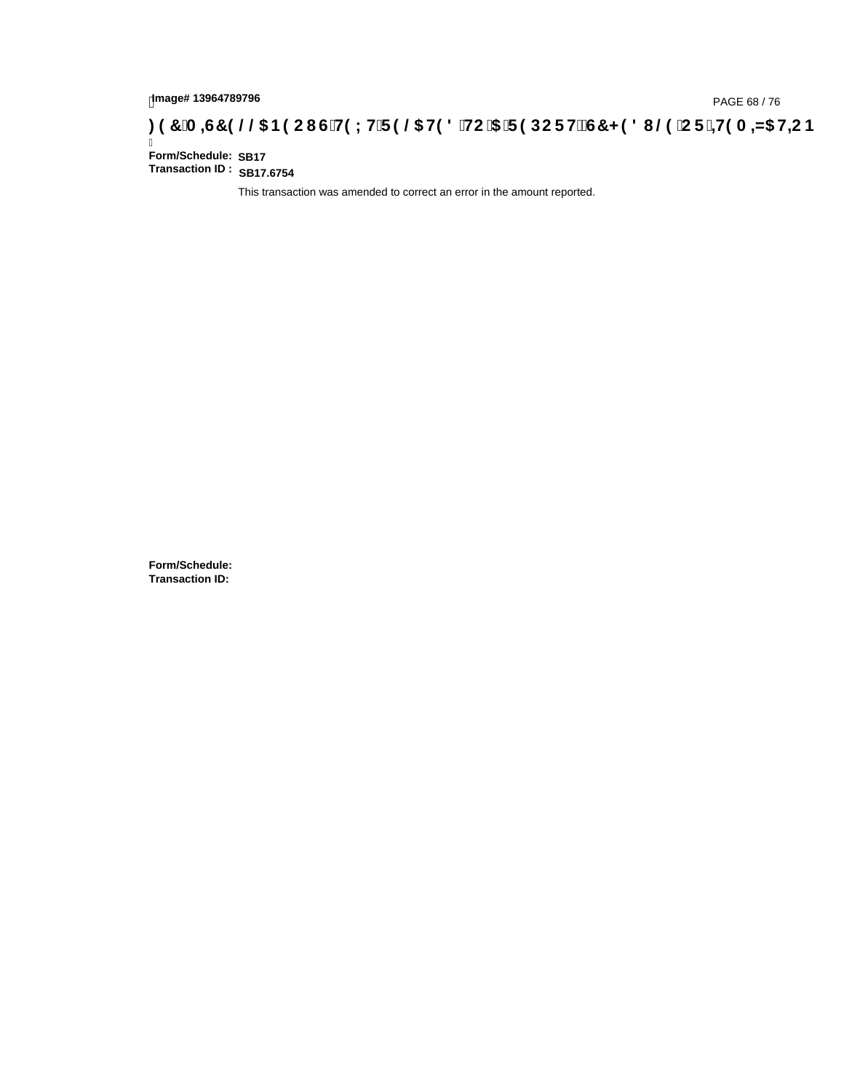## lmage#13964789796<br>DAGE 68 / 76, PAGE 68 / 76<br>**DAGE 7 OO B9 CI G`H9 LH`F 9 @ H9 8 `HC`5 `F 9 DC F Hž G7 < 9 8 I @ `C F `<del>J I</del>9 A <del>A</del>5 H<del>C</del> B .**

Ī **Form/Schedule: Transaction ID : SB17.6754 SB17**

This transaction was amended to correct an error in the amount reported.

**Form/Schedule: Transaction ID:**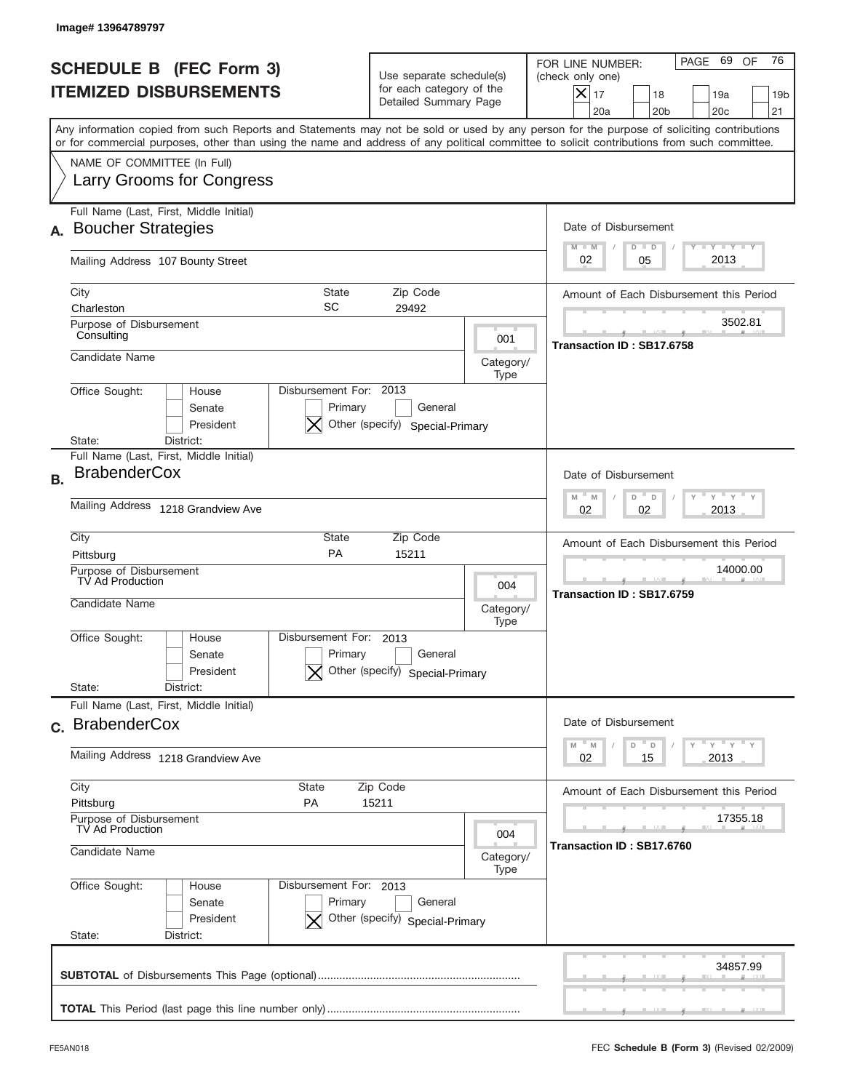|           | Image# 13964789797                                                                                                                                                                                                                                                                      |                                                                               |                           |                                                                                                                                                           |  |
|-----------|-----------------------------------------------------------------------------------------------------------------------------------------------------------------------------------------------------------------------------------------------------------------------------------------|-------------------------------------------------------------------------------|---------------------------|-----------------------------------------------------------------------------------------------------------------------------------------------------------|--|
|           | <b>SCHEDULE B (FEC Form 3)</b><br><b>ITEMIZED DISBURSEMENTS</b>                                                                                                                                                                                                                         | Use separate schedule(s)<br>for each category of the<br>Detailed Summary Page |                           | 76<br>PAGE 69<br>OF<br>FOR LINE NUMBER:<br>(check only one)<br>X<br>17<br>18<br>19a<br>19 <sub>b</sub><br>20a<br>20 <sub>b</sub><br>20 <sub>c</sub><br>21 |  |
|           | Any information copied from such Reports and Statements may not be sold or used by any person for the purpose of soliciting contributions<br>or for commercial purposes, other than using the name and address of any political committee to solicit contributions from such committee. |                                                                               |                           |                                                                                                                                                           |  |
|           | NAME OF COMMITTEE (In Full)<br>Larry Grooms for Congress                                                                                                                                                                                                                                |                                                                               |                           |                                                                                                                                                           |  |
|           | Full Name (Last, First, Middle Initial)<br><b>Boucher Strategies</b>                                                                                                                                                                                                                    |                                                                               |                           | Date of Disbursement<br>$T - Y$ $T - Y$<br>$M - M$<br>$D$ $D$                                                                                             |  |
|           | Mailing Address 107 Bounty Street                                                                                                                                                                                                                                                       |                                                                               |                           | 2013<br>02<br>05                                                                                                                                          |  |
|           | City<br><b>State</b><br>SC<br>Charleston                                                                                                                                                                                                                                                | Zip Code<br>29492                                                             |                           | Amount of Each Disbursement this Period                                                                                                                   |  |
|           | Purpose of Disbursement<br>Consulting                                                                                                                                                                                                                                                   |                                                                               | 001                       | 3502.81<br>Transaction ID: SB17.6758                                                                                                                      |  |
|           | Candidate Name                                                                                                                                                                                                                                                                          |                                                                               | Category/<br>Type         |                                                                                                                                                           |  |
|           | Disbursement For: 2013<br>Office Sought:<br>House<br>Primary<br>Senate<br>President<br>District:<br>State:                                                                                                                                                                              | General<br>Other (specify) Special-Primary                                    |                           |                                                                                                                                                           |  |
| <b>B.</b> | Full Name (Last, First, Middle Initial)<br><b>BrabenderCox</b><br>Mailing Address 1218 Grandview Ave                                                                                                                                                                                    |                                                                               |                           | Date of Disbursement<br>$M - M$<br>$Y = Y$<br>D<br>D<br>2013<br>02<br>02                                                                                  |  |
|           | City<br>State                                                                                                                                                                                                                                                                           | Amount of Each Disbursement this Period                                       |                           |                                                                                                                                                           |  |
|           | PA<br>Pittsburg<br>Purpose of Disbursement<br>TV Ad Production                                                                                                                                                                                                                          | 14000.00                                                                      |                           |                                                                                                                                                           |  |
|           | Candidate Name                                                                                                                                                                                                                                                                          | 004<br>Category/<br>Type                                                      | Transaction ID: SB17.6759 |                                                                                                                                                           |  |
|           | Disbursement For: 2013<br>Office Sought:<br>House<br>Primary<br>Senate<br>President                                                                                                                                                                                                     | General<br>Other (specify) Special-Primary                                    |                           |                                                                                                                                                           |  |
|           | State:<br>District:<br>Full Name (Last, First, Middle Initial)                                                                                                                                                                                                                          |                                                                               |                           |                                                                                                                                                           |  |
|           | c. BrabenderCox                                                                                                                                                                                                                                                                         |                                                                               |                           | Date of Disbursement<br>$\vdash$ $\vdash$ $\vdash$ $\vdash$ $\vdash$ $\vdash$ $\vdash$<br>$M - M$<br>D                                                    |  |
|           | Mailing Address 1218 Grandview Ave                                                                                                                                                                                                                                                      |                                                                               |                           | D<br>02<br>2013<br>15                                                                                                                                     |  |
|           | City<br>State<br>Pittsburg<br>PA                                                                                                                                                                                                                                                        | Zip Code<br>15211                                                             |                           | Amount of Each Disbursement this Period<br>17355.18                                                                                                       |  |
|           | Purpose of Disbursement<br>TV Ad Production<br>Candidate Name                                                                                                                                                                                                                           | Transaction ID: SB17.6760                                                     |                           |                                                                                                                                                           |  |
|           | Office Sought:<br>Disbursement For: 2013<br>House<br>Primary<br>Senate<br>President<br>Other (specify) Special-Primary<br>State:<br>District:                                                                                                                                           | Type                                                                          |                           |                                                                                                                                                           |  |
|           |                                                                                                                                                                                                                                                                                         |                                                                               |                           | 34857.99                                                                                                                                                  |  |
|           |                                                                                                                                                                                                                                                                                         |                                                                               |                           |                                                                                                                                                           |  |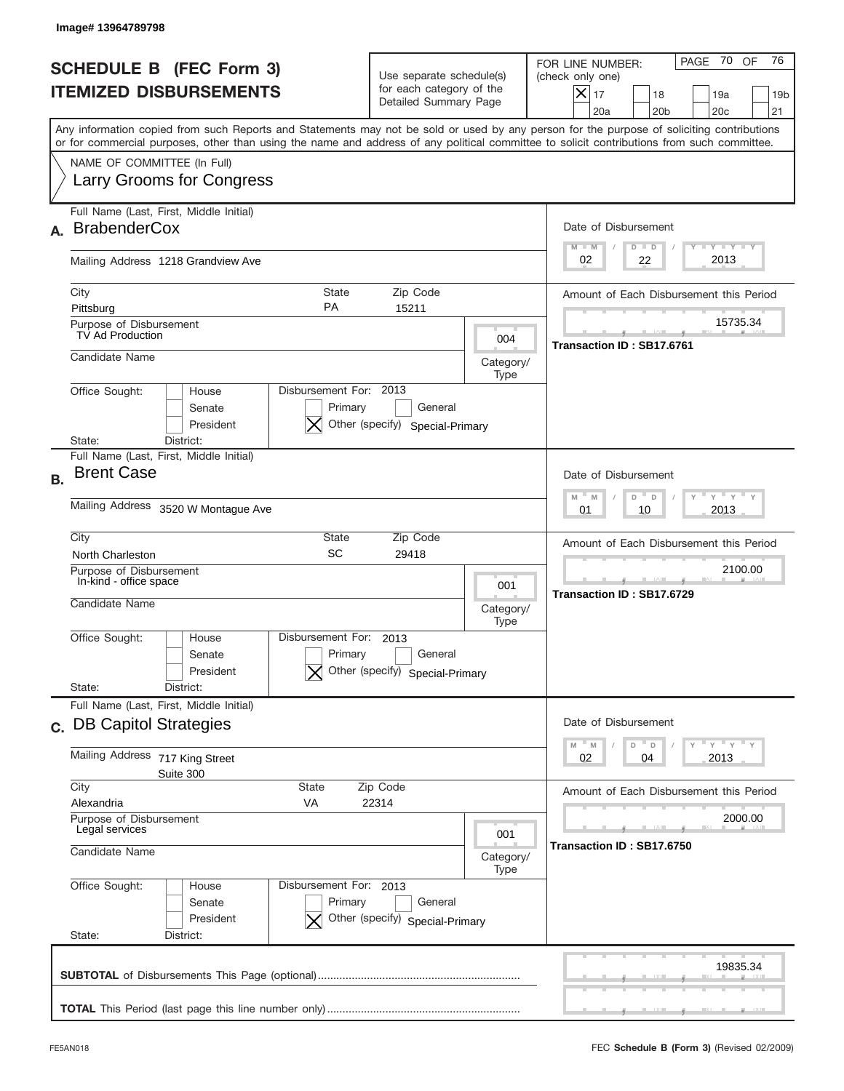|           | Image# 13964789798                                                                                                                                                                                                                                                                      |                                                                               |                   |                                                                                                                                                                    |
|-----------|-----------------------------------------------------------------------------------------------------------------------------------------------------------------------------------------------------------------------------------------------------------------------------------------|-------------------------------------------------------------------------------|-------------------|--------------------------------------------------------------------------------------------------------------------------------------------------------------------|
|           | <b>SCHEDULE B (FEC Form 3)</b><br><b>ITEMIZED DISBURSEMENTS</b>                                                                                                                                                                                                                         | Use separate schedule(s)<br>for each category of the<br>Detailed Summary Page |                   | PAGE 70 OF<br>76<br>FOR LINE NUMBER:<br>(check only one)<br>$ \mathsf{X} _{17}$<br>18<br>19a<br>19 <sub>b</sub><br>20a<br>20 <sub>b</sub><br>20 <sub>c</sub><br>21 |
|           | Any information copied from such Reports and Statements may not be sold or used by any person for the purpose of soliciting contributions<br>or for commercial purposes, other than using the name and address of any political committee to solicit contributions from such committee. |                                                                               |                   |                                                                                                                                                                    |
|           | NAME OF COMMITTEE (In Full)<br>Larry Grooms for Congress                                                                                                                                                                                                                                |                                                                               |                   |                                                                                                                                                                    |
|           | Full Name (Last, First, Middle Initial)<br><b>BrabenderCox</b>                                                                                                                                                                                                                          |                                                                               |                   | Date of Disbursement<br>Y TY TY TY<br>$M - M$<br>$D$ $D$                                                                                                           |
|           | Mailing Address 1218 Grandview Ave                                                                                                                                                                                                                                                      |                                                                               |                   | 2013<br>02<br>22                                                                                                                                                   |
|           | City<br><b>State</b><br><b>PA</b><br>Pittsburg                                                                                                                                                                                                                                          | Zip Code<br>15211                                                             |                   | Amount of Each Disbursement this Period                                                                                                                            |
|           | Purpose of Disbursement<br>TV Ad Production                                                                                                                                                                                                                                             |                                                                               | 004               | 15735.34                                                                                                                                                           |
|           | Candidate Name                                                                                                                                                                                                                                                                          |                                                                               | Category/<br>Type | Transaction ID: SB17.6761                                                                                                                                          |
|           | Disbursement For: 2013<br>Office Sought:<br>House<br>Primary<br>Senate<br>President                                                                                                                                                                                                     | General<br>Other (specify) Special-Primary                                    |                   |                                                                                                                                                                    |
| <b>B.</b> | District:<br>State:<br>Full Name (Last, First, Middle Initial)<br><b>Brent Case</b>                                                                                                                                                                                                     |                                                                               |                   | Date of Disbursement<br>$\cdots$ $\gamma$ $\cdots$ $\gamma$ $\cdots$<br>$-$ M<br>M<br>D<br>D                                                                       |
|           | Mailing Address 3520 W Montague Ave                                                                                                                                                                                                                                                     | 2013<br>01<br>10                                                              |                   |                                                                                                                                                                    |
|           | City<br>State<br>SC<br>North Charleston                                                                                                                                                                                                                                                 | Zip Code<br>29418                                                             |                   | Amount of Each Disbursement this Period                                                                                                                            |
|           | Purpose of Disbursement<br>In-kind - office space<br>Candidate Name                                                                                                                                                                                                                     |                                                                               | 001<br>Category/  | 2100.00<br>Transaction ID: SB17.6729                                                                                                                               |
|           | Disbursement For:<br>Office Sought:<br>House<br>Primary<br>Senate<br>President<br>State:<br>District:                                                                                                                                                                                   | 2013<br>General<br>Other (specify) Special-Primary                            | Type              |                                                                                                                                                                    |
|           | Full Name (Last, First, Middle Initial)<br>c. DB Capitol Strategies                                                                                                                                                                                                                     |                                                                               |                   | Date of Disbursement                                                                                                                                               |
|           | Mailing Address<br>717 King Street<br>Suite 300                                                                                                                                                                                                                                         |                                                                               |                   | $Y$ $Y$ $Y$ $Y$ $Y$<br>M<br>D<br>M<br>D<br>02<br>2013<br>04                                                                                                        |
|           | City<br>State<br>Zip Code<br>Alexandria<br>VA<br>22314                                                                                                                                                                                                                                  | Amount of Each Disbursement this Period                                       |                   |                                                                                                                                                                    |
|           | Purpose of Disbursement<br>Legal services<br>001<br>Candidate Name<br>Category/                                                                                                                                                                                                         |                                                                               |                   | 2000.00<br>Transaction ID: SB17.6750                                                                                                                               |
|           | Office Sought:<br>Disbursement For: 2013<br>House<br>Senate<br>Primary<br>President<br>State:<br>District:                                                                                                                                                                              | General<br>Other (specify) Special-Primary                                    | Type              |                                                                                                                                                                    |
|           |                                                                                                                                                                                                                                                                                         |                                                                               |                   | 19835.34                                                                                                                                                           |
|           |                                                                                                                                                                                                                                                                                         |                                                                               |                   |                                                                                                                                                                    |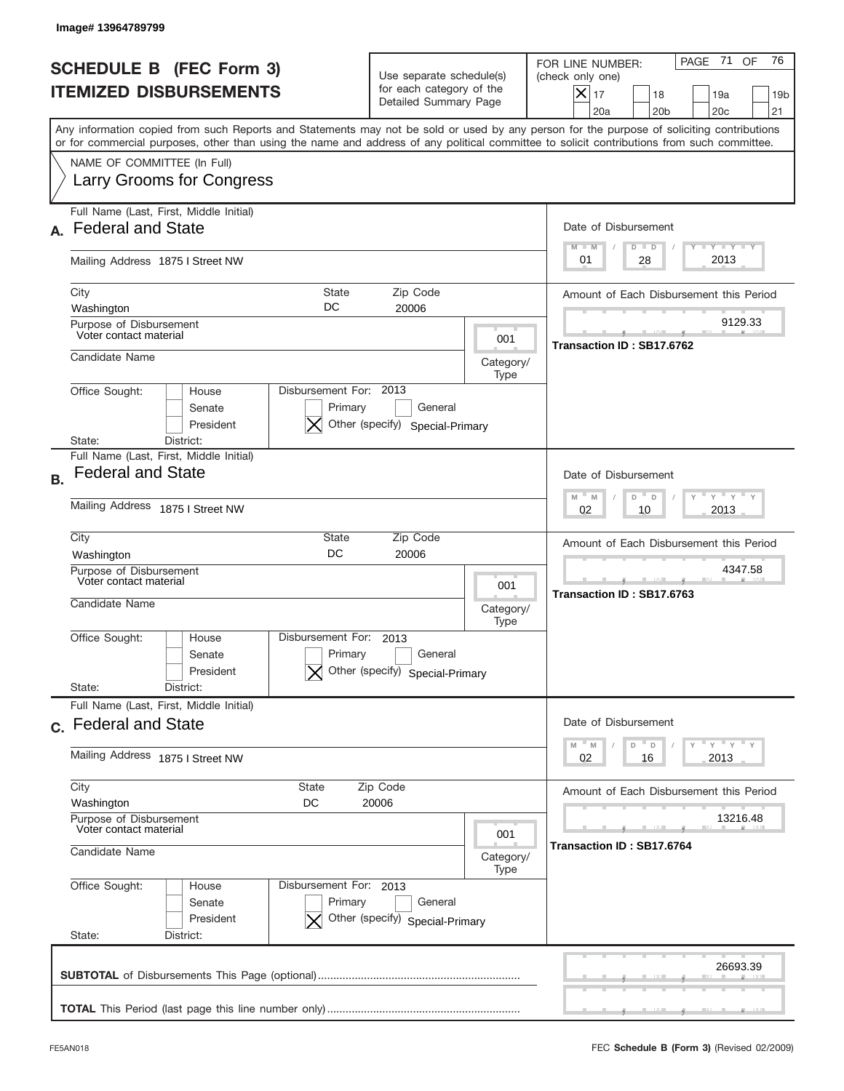|                                                                 | Image# 13964789799                                                                                                                                                                                                                                                                      |                                                                                                |                          |                                                                                                                                                                       |
|-----------------------------------------------------------------|-----------------------------------------------------------------------------------------------------------------------------------------------------------------------------------------------------------------------------------------------------------------------------------------|------------------------------------------------------------------------------------------------|--------------------------|-----------------------------------------------------------------------------------------------------------------------------------------------------------------------|
| <b>SCHEDULE B (FEC Form 3)</b><br><b>ITEMIZED DISBURSEMENTS</b> |                                                                                                                                                                                                                                                                                         | Use separate schedule(s)<br>for each category of the<br>Detailed Summary Page                  |                          | PAGE 71<br>76<br>OF<br>FOR LINE NUMBER:<br>(check only one)<br>$ \mathsf{X} _{17}$<br>18<br>19a<br>19 <sub>b</sub><br>20a<br>20 <sub>b</sub><br>20 <sub>c</sub><br>21 |
|                                                                 | Any information copied from such Reports and Statements may not be sold or used by any person for the purpose of soliciting contributions<br>or for commercial purposes, other than using the name and address of any political committee to solicit contributions from such committee. |                                                                                                |                          |                                                                                                                                                                       |
|                                                                 | NAME OF COMMITTEE (In Full)<br>Larry Grooms for Congress                                                                                                                                                                                                                                |                                                                                                |                          |                                                                                                                                                                       |
|                                                                 | Full Name (Last, First, Middle Initial)<br><b>Federal and State</b>                                                                                                                                                                                                                     |                                                                                                |                          | Date of Disbursement<br>Y TY TY TY<br>$M - M$<br>$D$ $D$                                                                                                              |
|                                                                 | Mailing Address 1875 I Street NW                                                                                                                                                                                                                                                        |                                                                                                |                          | 2013<br>01<br>28                                                                                                                                                      |
|                                                                 | City<br><b>State</b><br>DC<br>Washington                                                                                                                                                                                                                                                | Zip Code<br>20006                                                                              |                          | Amount of Each Disbursement this Period                                                                                                                               |
|                                                                 | Purpose of Disbursement<br>Voter contact material                                                                                                                                                                                                                                       |                                                                                                | 001                      | 9129.33<br>Transaction ID: SB17.6762                                                                                                                                  |
|                                                                 | Candidate Name                                                                                                                                                                                                                                                                          |                                                                                                | Category/<br>Type        |                                                                                                                                                                       |
|                                                                 | Disbursement For: 2013<br>Office Sought:<br>House<br>Senate<br>Primary<br>President<br>State:<br>District:                                                                                                                                                                              | General<br>Other (specify) Special-Primary                                                     |                          |                                                                                                                                                                       |
| <b>B.</b>                                                       | Full Name (Last, First, Middle Initial)<br><b>Federal and State</b>                                                                                                                                                                                                                     |                                                                                                |                          | Date of Disbursement                                                                                                                                                  |
|                                                                 | Mailing Address 1875   Street NW                                                                                                                                                                                                                                                        | $\cdots$ $\gamma$ $\cdots$ $\gamma$ $\cdots$ $\gamma$<br>$M - M$<br>D<br>D<br>2013<br>02<br>10 |                          |                                                                                                                                                                       |
|                                                                 | City<br>State<br>DC<br>Washington                                                                                                                                                                                                                                                       | Zip Code<br>20006                                                                              |                          | Amount of Each Disbursement this Period                                                                                                                               |
|                                                                 | Purpose of Disbursement<br>Voter contact material<br>Candidate Name                                                                                                                                                                                                                     |                                                                                                | 001<br>Category/<br>Type | 4347.58<br>Transaction ID: SB17.6763                                                                                                                                  |
|                                                                 | Disbursement For:<br>Office Sought:<br>House<br>Primary<br>Senate<br>President                                                                                                                                                                                                          | 2013<br>General<br>Other (specify) Special-Primary                                             |                          |                                                                                                                                                                       |
|                                                                 | State:<br>District:<br>Full Name (Last, First, Middle Initial)                                                                                                                                                                                                                          |                                                                                                |                          |                                                                                                                                                                       |
|                                                                 | c. Federal and State                                                                                                                                                                                                                                                                    |                                                                                                |                          | Date of Disbursement<br>γ " γ " γ " γ<br>M<br>M<br>D<br>D                                                                                                             |
|                                                                 | Mailing Address 1875 I Street NW                                                                                                                                                                                                                                                        | 02<br>2013<br>16                                                                               |                          |                                                                                                                                                                       |
|                                                                 | City<br>Zip Code<br>State<br>Washington<br>DC<br>20006<br>Purpose of Disbursement                                                                                                                                                                                                       | Amount of Each Disbursement this Period                                                        |                          |                                                                                                                                                                       |
| Voter contact material<br>Candidate Name                        |                                                                                                                                                                                                                                                                                         | 001<br>Category/                                                                               |                          | 13216.48<br>Transaction ID: SB17.6764                                                                                                                                 |
|                                                                 | Office Sought:<br>Disbursement For: 2013<br>House<br>Senate<br>Primary<br>President<br>State:<br>District:                                                                                                                                                                              | General<br>Other (specify) Special-Primary                                                     | Type                     |                                                                                                                                                                       |
|                                                                 |                                                                                                                                                                                                                                                                                         |                                                                                                |                          | 26693.39                                                                                                                                                              |
|                                                                 |                                                                                                                                                                                                                                                                                         |                                                                                                |                          |                                                                                                                                                                       |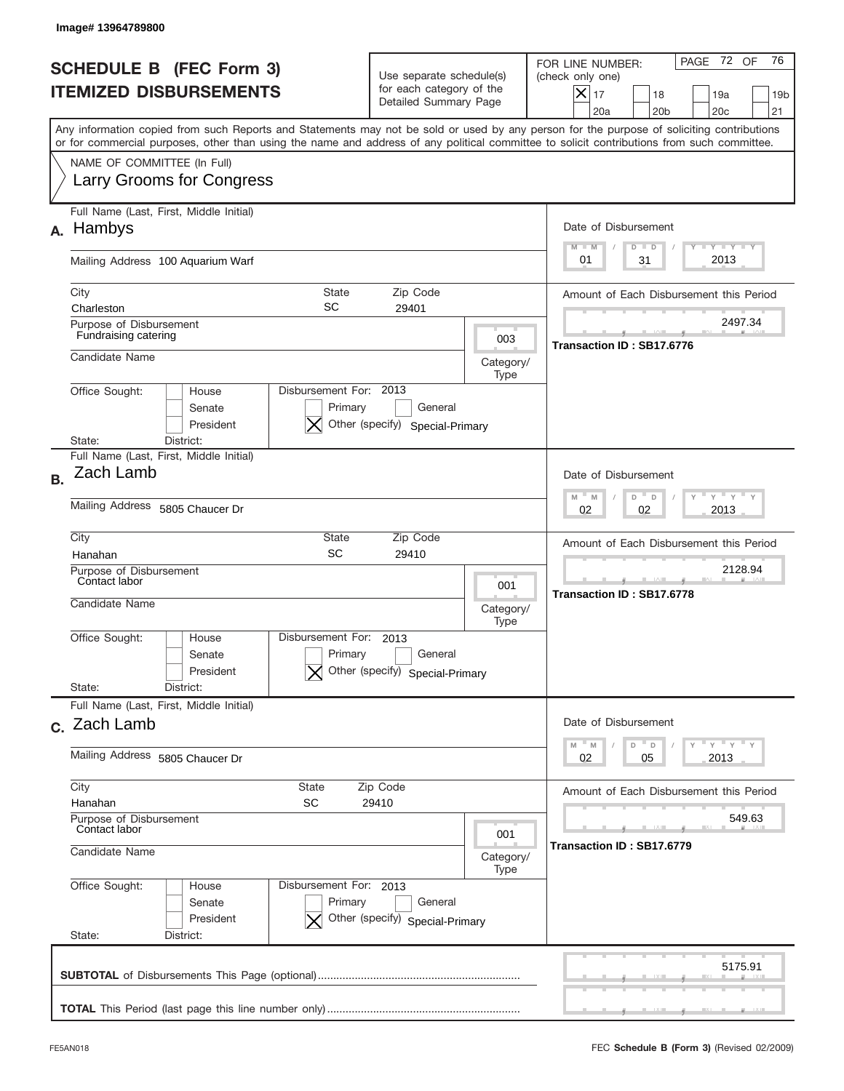|                                                                 | Image#13964789800                                                                                                                                                                                                                                                                       |                                                                                                     |                          |                                                                                                                                                               |  |
|-----------------------------------------------------------------|-----------------------------------------------------------------------------------------------------------------------------------------------------------------------------------------------------------------------------------------------------------------------------------------|-----------------------------------------------------------------------------------------------------|--------------------------|---------------------------------------------------------------------------------------------------------------------------------------------------------------|--|
| <b>SCHEDULE B (FEC Form 3)</b><br><b>ITEMIZED DISBURSEMENTS</b> |                                                                                                                                                                                                                                                                                         | Use separate schedule(s)<br>for each category of the<br>Detailed Summary Page                       |                          | PAGE 72 OF<br>76<br>FOR LINE NUMBER:<br>(check only one)<br>$\times$<br>17<br>18<br>19a<br>19 <sub>b</sub><br>20a<br>20 <sub>b</sub><br>20 <sub>c</sub><br>21 |  |
|                                                                 | Any information copied from such Reports and Statements may not be sold or used by any person for the purpose of soliciting contributions<br>or for commercial purposes, other than using the name and address of any political committee to solicit contributions from such committee. |                                                                                                     |                          |                                                                                                                                                               |  |
|                                                                 | NAME OF COMMITTEE (In Full)<br><b>Larry Grooms for Congress</b>                                                                                                                                                                                                                         |                                                                                                     |                          |                                                                                                                                                               |  |
| А.                                                              | Full Name (Last, First, Middle Initial)<br>Hambys                                                                                                                                                                                                                                       |                                                                                                     |                          | Date of Disbursement<br>Y TY TY TY<br>$M - M$<br>$D$ $D$                                                                                                      |  |
|                                                                 | Mailing Address 100 Aquarium Warf                                                                                                                                                                                                                                                       |                                                                                                     |                          | 2013<br>31<br>01                                                                                                                                              |  |
|                                                                 | City<br><b>State</b><br><b>SC</b><br>Charleston                                                                                                                                                                                                                                         | Zip Code<br>29401                                                                                   |                          | Amount of Each Disbursement this Period                                                                                                                       |  |
|                                                                 | Purpose of Disbursement<br>Fundraising catering                                                                                                                                                                                                                                         |                                                                                                     | 003                      | 2497.34<br>Transaction ID: SB17.6776                                                                                                                          |  |
|                                                                 | Candidate Name                                                                                                                                                                                                                                                                          |                                                                                                     | Category/<br>Type        |                                                                                                                                                               |  |
|                                                                 | Disbursement For: 2013<br>Office Sought:<br>House<br>Senate<br>Primary<br>President<br>State:<br>District:                                                                                                                                                                              | General<br>Other (specify) Special-Primary                                                          |                          |                                                                                                                                                               |  |
| <b>B.</b>                                                       | Full Name (Last, First, Middle Initial)<br>Zach Lamb                                                                                                                                                                                                                                    |                                                                                                     |                          | Date of Disbursement                                                                                                                                          |  |
|                                                                 | Mailing Address 5805 Chaucer Dr                                                                                                                                                                                                                                                         | $\cdots$ $\gamma$ $\cdots$ $\gamma$ $\cdots$ $\gamma$<br>$M - M$<br>D<br>$\Box$<br>02<br>2013<br>02 |                          |                                                                                                                                                               |  |
|                                                                 | City<br>State<br>SC<br>Hanahan                                                                                                                                                                                                                                                          | Zip Code<br>29410                                                                                   |                          | Amount of Each Disbursement this Period                                                                                                                       |  |
|                                                                 | Purpose of Disbursement<br>Contact labor<br>Candidate Name                                                                                                                                                                                                                              |                                                                                                     | 001<br>Category/<br>Type | 2128.94<br>Transaction ID: SB17.6778                                                                                                                          |  |
|                                                                 | Disbursement For:<br>Office Sought:<br>House<br>Primary<br>Senate<br>President<br>State:<br>District:                                                                                                                                                                                   | 2013<br>General<br>Other (specify) Special-Primary                                                  |                          |                                                                                                                                                               |  |
|                                                                 | Full Name (Last, First, Middle Initial)<br>c. Zach Lamb                                                                                                                                                                                                                                 |                                                                                                     |                          | Date of Disbursement                                                                                                                                          |  |
|                                                                 | Mailing Address 5805 Chaucer Dr                                                                                                                                                                                                                                                         | $\gamma$ $\pi$ $\gamma$ $\pi$ $\gamma$ $\pi$ $\gamma$<br>M<br>M<br>D<br>D<br>02<br>2013<br>05       |                          |                                                                                                                                                               |  |
|                                                                 | City<br>State<br>Zip Code<br>SC<br>Hanahan<br>29410<br>Purpose of Disbursement                                                                                                                                                                                                          | Amount of Each Disbursement this Period<br>549.63                                                   |                          |                                                                                                                                                               |  |
|                                                                 | Contact labor<br>001<br>Candidate Name<br>Category/                                                                                                                                                                                                                                     |                                                                                                     |                          | Transaction ID: SB17.6779                                                                                                                                     |  |
|                                                                 | Office Sought:<br>Disbursement For: 2013<br>House<br>Senate<br>Primary<br>President<br>State:<br>District:                                                                                                                                                                              | General<br>Other (specify) Special-Primary                                                          | Type                     |                                                                                                                                                               |  |
|                                                                 |                                                                                                                                                                                                                                                                                         |                                                                                                     |                          | 5175.91                                                                                                                                                       |  |
|                                                                 |                                                                                                                                                                                                                                                                                         |                                                                                                     |                          |                                                                                                                                                               |  |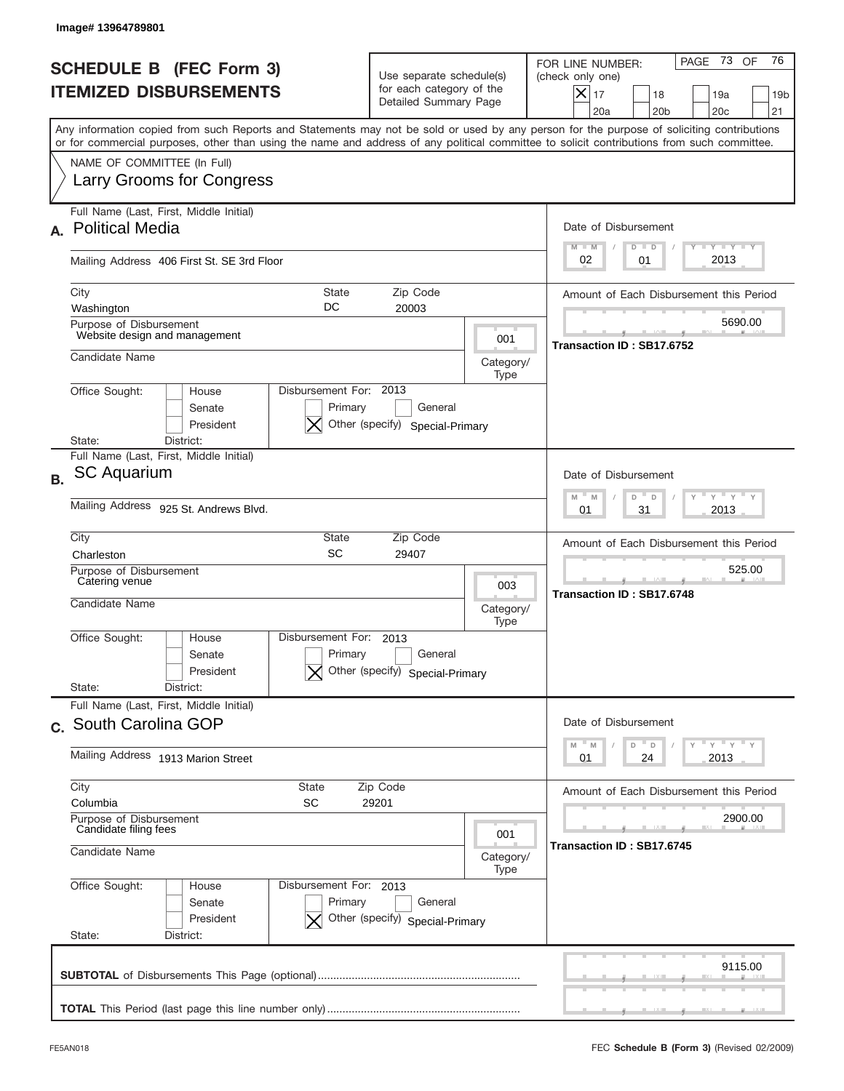|           | Image# 13964789801                                                                                                                                                                                                                                                                      |                                                                                                                             |                                         |                                                                                                                                                           |  |  |
|-----------|-----------------------------------------------------------------------------------------------------------------------------------------------------------------------------------------------------------------------------------------------------------------------------------------|-----------------------------------------------------------------------------------------------------------------------------|-----------------------------------------|-----------------------------------------------------------------------------------------------------------------------------------------------------------|--|--|
|           | <b>SCHEDULE B (FEC Form 3)</b><br><b>ITEMIZED DISBURSEMENTS</b>                                                                                                                                                                                                                         | Use separate schedule(s)<br>for each category of the<br>Detailed Summary Page                                               |                                         | PAGE 73<br>76<br>OF<br>FOR LINE NUMBER:<br>(check only one)<br>X<br>17<br>18<br>19a<br>19 <sub>b</sub><br>21<br>20a<br>20 <sub>b</sub><br>20 <sub>c</sub> |  |  |
|           | Any information copied from such Reports and Statements may not be sold or used by any person for the purpose of soliciting contributions<br>or for commercial purposes, other than using the name and address of any political committee to solicit contributions from such committee. |                                                                                                                             |                                         |                                                                                                                                                           |  |  |
|           | NAME OF COMMITTEE (In Full)<br>Larry Grooms for Congress                                                                                                                                                                                                                                |                                                                                                                             |                                         |                                                                                                                                                           |  |  |
| А.        | Full Name (Last, First, Middle Initial)<br><b>Political Media</b>                                                                                                                                                                                                                       | Date of Disbursement<br>$\mathbf{I}$ $\mathbf{Y}$ $\mathbf{I}$ $\mathbf{Y}$ $\mathbf{I}$ $\mathbf{Y}$<br>$M - M$<br>$D$ $D$ |                                         |                                                                                                                                                           |  |  |
|           | Mailing Address 406 First St. SE 3rd Floor                                                                                                                                                                                                                                              | 2013<br>02<br>01                                                                                                            |                                         |                                                                                                                                                           |  |  |
|           | City<br>State<br>DC<br>Washington                                                                                                                                                                                                                                                       | Zip Code<br>20003                                                                                                           | Amount of Each Disbursement this Period |                                                                                                                                                           |  |  |
|           | Purpose of Disbursement<br>Website design and management                                                                                                                                                                                                                                | 5690.00<br>Transaction ID: SB17.6752                                                                                        |                                         |                                                                                                                                                           |  |  |
|           | Candidate Name                                                                                                                                                                                                                                                                          |                                                                                                                             |                                         |                                                                                                                                                           |  |  |
|           | Disbursement For: 2013<br>Office Sought:<br>House<br>Primary<br>Senate<br>Other (specify) Special-Primary<br>President<br>District:<br>State:                                                                                                                                           |                                                                                                                             |                                         |                                                                                                                                                           |  |  |
| <b>B.</b> | Full Name (Last, First, Middle Initial)<br><b>SC Aquarium</b><br>Mailing Address 925 St. Andrews Blvd.                                                                                                                                                                                  | Date of Disbursement<br>$\cdots$ $\gamma$ $\cdots$ $\gamma$ $\cdots$ $\gamma$<br>$M - M$<br>D<br>D<br>31<br>2013<br>01      |                                         |                                                                                                                                                           |  |  |
|           | City<br>State                                                                                                                                                                                                                                                                           |                                                                                                                             |                                         |                                                                                                                                                           |  |  |
|           | SC<br>Charleston<br>Purpose of Disbursement                                                                                                                                                                                                                                             | Amount of Each Disbursement this Period<br>525.00                                                                           |                                         |                                                                                                                                                           |  |  |
|           | Catering venue<br>Candidate Name                                                                                                                                                                                                                                                        |                                                                                                                             | 003<br>Category/                        | Transaction ID: SB17.6748                                                                                                                                 |  |  |
|           | Disbursement For:<br>Office Sought:<br>House<br>Primary<br>Senate<br>Other (specify)<br>President                                                                                                                                                                                       | 2013<br>General<br>Special-Primary                                                                                          | Type                                    |                                                                                                                                                           |  |  |
|           | State:<br>District:<br>Full Name (Last, First, Middle Initial)                                                                                                                                                                                                                          |                                                                                                                             |                                         |                                                                                                                                                           |  |  |
|           | c. South Carolina GOP                                                                                                                                                                                                                                                                   | Date of Disbursement<br>$=\frac{1}{\gamma}+\frac{1}{\gamma}+\frac{1}{\gamma}+\frac{1}{\gamma}$<br>$-M$<br>D<br>M<br>D       |                                         |                                                                                                                                                           |  |  |
|           | Mailing Address 1913 Marion Street                                                                                                                                                                                                                                                      | 24<br>2013<br>01                                                                                                            |                                         |                                                                                                                                                           |  |  |
|           | City<br>Zip Code<br>State<br><b>SC</b><br>Columbia<br>29201<br>Purpose of Disbursement                                                                                                                                                                                                  | Amount of Each Disbursement this Period<br>2900.00<br>Transaction ID: SB17.6745                                             |                                         |                                                                                                                                                           |  |  |
|           | Candidate filing fees<br>Candidate Name                                                                                                                                                                                                                                                 |                                                                                                                             |                                         |                                                                                                                                                           |  |  |
|           | Office Sought:<br>House<br>Senate<br>Primary<br>President<br>State:<br>District:                                                                                                                                                                                                        | Type<br>Disbursement For: 2013<br>General<br>Other (specify) Special-Primary                                                |                                         |                                                                                                                                                           |  |  |
|           |                                                                                                                                                                                                                                                                                         |                                                                                                                             |                                         | 9115.00                                                                                                                                                   |  |  |
|           |                                                                                                                                                                                                                                                                                         |                                                                                                                             |                                         |                                                                                                                                                           |  |  |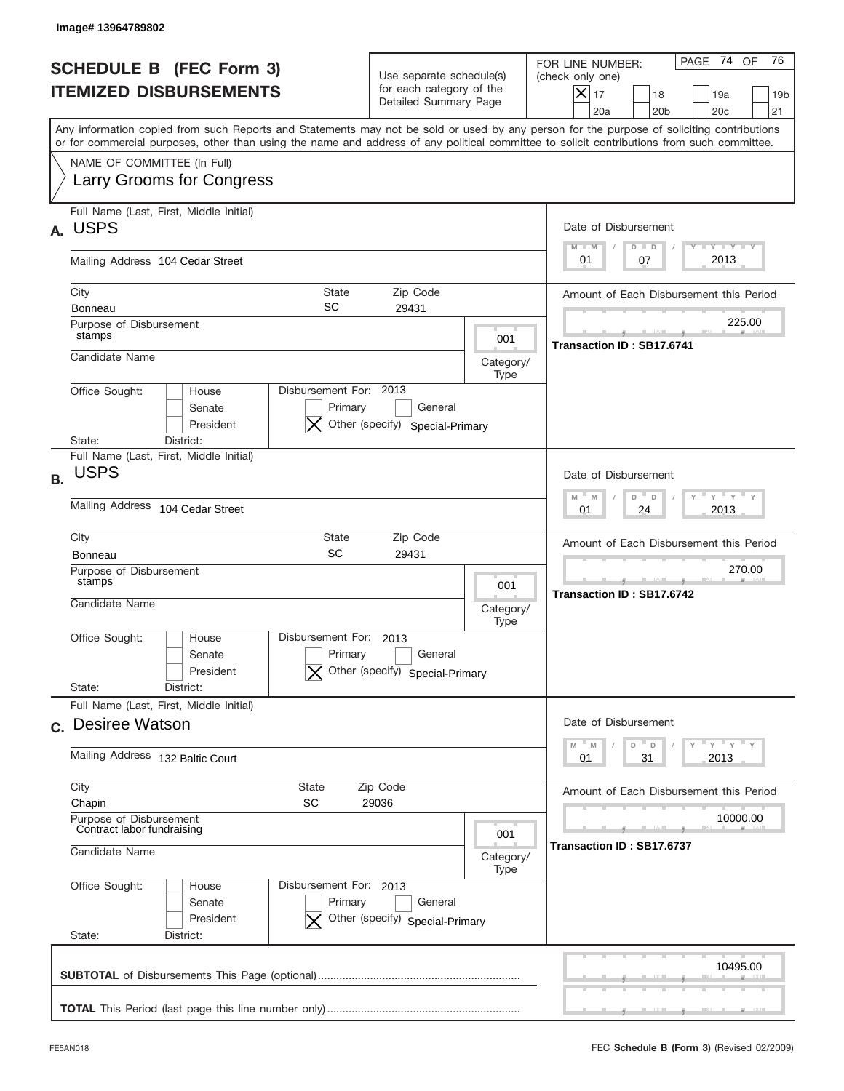|           | Image# 13964789802                                                                                                                                                                                                                                                                      |                                                                                                                        |                   |                                                                                                                                                          |  |  |
|-----------|-----------------------------------------------------------------------------------------------------------------------------------------------------------------------------------------------------------------------------------------------------------------------------------------|------------------------------------------------------------------------------------------------------------------------|-------------------|----------------------------------------------------------------------------------------------------------------------------------------------------------|--|--|
|           | <b>SCHEDULE B (FEC Form 3)</b><br><b>ITEMIZED DISBURSEMENTS</b>                                                                                                                                                                                                                         | Use separate schedule(s)<br>for each category of the<br>Detailed Summary Page                                          |                   | PAGE 74 OF<br>76<br>FOR LINE NUMBER:<br>(check only one)<br>$X _{17}$<br>18<br>19a<br>19 <sub>b</sub><br>21<br>20a<br>20 <sub>b</sub><br>20 <sub>c</sub> |  |  |
|           | Any information copied from such Reports and Statements may not be sold or used by any person for the purpose of soliciting contributions<br>or for commercial purposes, other than using the name and address of any political committee to solicit contributions from such committee. |                                                                                                                        |                   |                                                                                                                                                          |  |  |
|           | NAME OF COMMITTEE (In Full)<br>Larry Grooms for Congress                                                                                                                                                                                                                                |                                                                                                                        |                   |                                                                                                                                                          |  |  |
| А.        | Full Name (Last, First, Middle Initial)<br><b>USPS</b>                                                                                                                                                                                                                                  | Date of Disbursement<br><b>TANK TANK</b><br>$M - M$<br>$D$ $D$                                                         |                   |                                                                                                                                                          |  |  |
|           | Mailing Address 104 Cedar Street                                                                                                                                                                                                                                                        | 2013<br>01<br>07                                                                                                       |                   |                                                                                                                                                          |  |  |
|           | City<br><b>State</b><br>SC<br><b>Bonneau</b>                                                                                                                                                                                                                                            | Amount of Each Disbursement this Period<br>225.00<br>Transaction ID: SB17.6741                                         |                   |                                                                                                                                                          |  |  |
|           | Purpose of Disbursement<br>stamps                                                                                                                                                                                                                                                       |                                                                                                                        |                   |                                                                                                                                                          |  |  |
|           | Candidate Name                                                                                                                                                                                                                                                                          | Category/                                                                                                              |                   |                                                                                                                                                          |  |  |
|           | Disbursement For: 2013<br>Office Sought:<br>House<br>Senate<br>Primary<br>President<br>Other (specify) Special-Primary<br>State:<br>District:                                                                                                                                           |                                                                                                                        |                   |                                                                                                                                                          |  |  |
| <b>B.</b> | Full Name (Last, First, Middle Initial)<br><b>USPS</b>                                                                                                                                                                                                                                  | Date of Disbursement<br>$\cdots$ $\gamma$ $\cdots$ $\gamma$ $\cdots$ $\gamma$<br>$M - M$<br>D<br>D<br>2013<br>01<br>24 |                   |                                                                                                                                                          |  |  |
|           | Mailing Address 104 Cedar Street                                                                                                                                                                                                                                                        |                                                                                                                        |                   |                                                                                                                                                          |  |  |
|           | City<br>State<br>SC<br><b>Bonneau</b>                                                                                                                                                                                                                                                   | Amount of Each Disbursement this Period<br>270.00<br>Transaction ID: SB17.6742                                         |                   |                                                                                                                                                          |  |  |
|           | Purpose of Disbursement<br>stamps<br>Candidate Name                                                                                                                                                                                                                                     |                                                                                                                        |                   |                                                                                                                                                          |  |  |
|           | Disbursement For: 2013<br>Office Sought:<br>House<br>Primary<br>Senate<br>President                                                                                                                                                                                                     | General<br>Other (specify) Special-Primary                                                                             | Category/<br>Type |                                                                                                                                                          |  |  |
|           | State:<br>District:<br>Full Name (Last, First, Middle Initial)                                                                                                                                                                                                                          |                                                                                                                        |                   |                                                                                                                                                          |  |  |
|           | c. Desiree Watson                                                                                                                                                                                                                                                                       | Date of Disbursement<br>≡ γ ≡ γ ≡ γ<br>$- M$<br>D<br>M<br>$\mathsf D$                                                  |                   |                                                                                                                                                          |  |  |
|           | Mailing Address 132 Baltic Court                                                                                                                                                                                                                                                        | 2013<br>01<br>31                                                                                                       |                   |                                                                                                                                                          |  |  |
|           | City<br><b>State</b><br>Zip Code<br><b>SC</b><br>Chapin<br>29036<br>Purpose of Disbursement                                                                                                                                                                                             | Amount of Each Disbursement this Period<br>10000.00                                                                    |                   |                                                                                                                                                          |  |  |
|           | Contract labor fundraising<br>Candidate Name                                                                                                                                                                                                                                            | Transaction ID: SB17.6737<br>Category/                                                                                 |                   |                                                                                                                                                          |  |  |
|           | Office Sought:<br>Disbursement For: 2013<br>House<br>Primary<br>Senate<br>President<br>State:<br>District:                                                                                                                                                                              | General<br>Other (specify) Special-Primary                                                                             | Type              |                                                                                                                                                          |  |  |
|           |                                                                                                                                                                                                                                                                                         |                                                                                                                        |                   | 10495.00                                                                                                                                                 |  |  |
|           |                                                                                                                                                                                                                                                                                         |                                                                                                                        |                   |                                                                                                                                                          |  |  |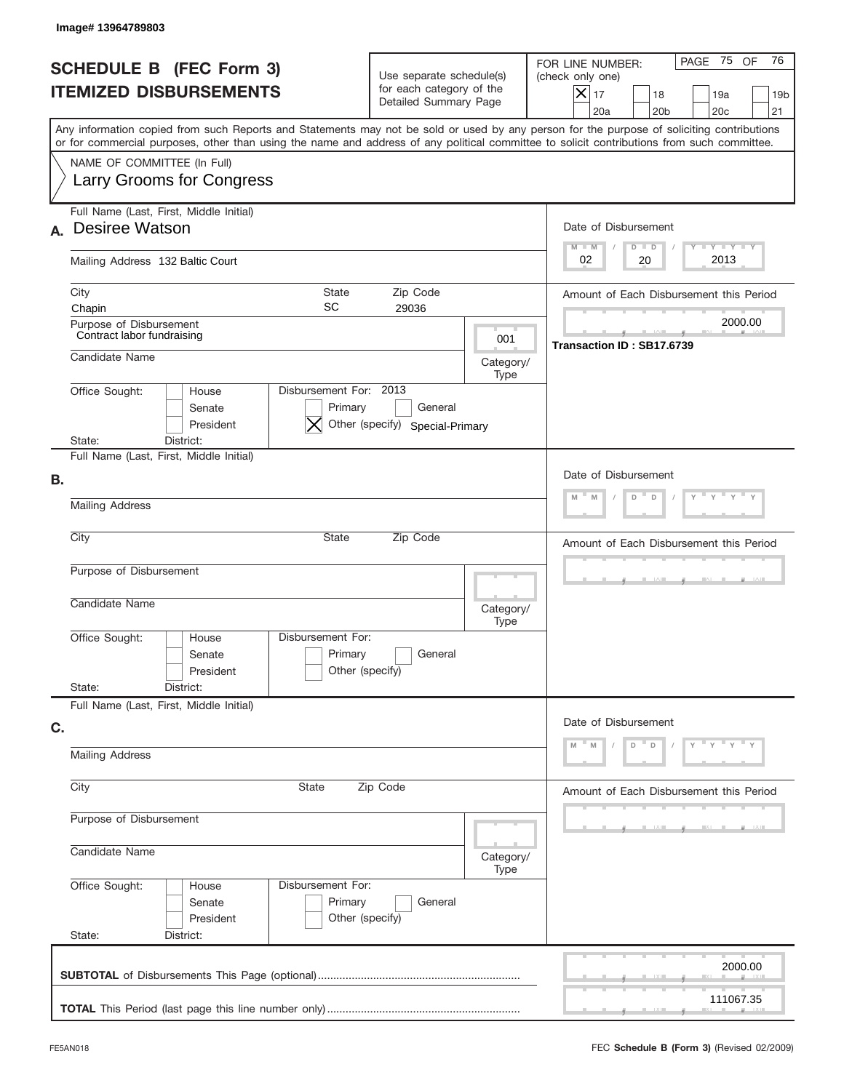| PAGE 75 OF<br>FOR LINE NUMBER:<br><b>SCHEDULE B (FEC Form 3)</b><br>Use separate schedule(s)<br>(check only one)<br>for each category of the<br><b>ITEMIZED DISBURSEMENTS</b><br>$\overline{\mathsf{x}}$ 17<br>18<br>19a<br>Detailed Summary Page<br>20a<br>20 <sub>b</sub><br>20 <sub>c</sub><br>Any information copied from such Reports and Statements may not be sold or used by any person for the purpose of soliciting contributions<br>or for commercial purposes, other than using the name and address of any political committee to solicit contributions from such committee.<br>NAME OF COMMITTEE (In Full)<br><b>Larry Grooms for Congress</b><br>Full Name (Last, First, Middle Initial)<br><b>Desiree Watson</b><br>Date of Disbursement<br>Y TY TY TY<br>$M - M$<br>$D$ $D$<br>2013<br>02<br>20<br>Mailing Address 132 Baltic Court | 76<br>19 <sub>b</sub><br>21             |  |  |
|------------------------------------------------------------------------------------------------------------------------------------------------------------------------------------------------------------------------------------------------------------------------------------------------------------------------------------------------------------------------------------------------------------------------------------------------------------------------------------------------------------------------------------------------------------------------------------------------------------------------------------------------------------------------------------------------------------------------------------------------------------------------------------------------------------------------------------------------------|-----------------------------------------|--|--|
|                                                                                                                                                                                                                                                                                                                                                                                                                                                                                                                                                                                                                                                                                                                                                                                                                                                      |                                         |  |  |
| А.                                                                                                                                                                                                                                                                                                                                                                                                                                                                                                                                                                                                                                                                                                                                                                                                                                                   |                                         |  |  |
|                                                                                                                                                                                                                                                                                                                                                                                                                                                                                                                                                                                                                                                                                                                                                                                                                                                      |                                         |  |  |
|                                                                                                                                                                                                                                                                                                                                                                                                                                                                                                                                                                                                                                                                                                                                                                                                                                                      |                                         |  |  |
|                                                                                                                                                                                                                                                                                                                                                                                                                                                                                                                                                                                                                                                                                                                                                                                                                                                      |                                         |  |  |
| City<br><b>State</b><br>Zip Code<br>Amount of Each Disbursement this Period<br>SC<br>29036<br>Chapin                                                                                                                                                                                                                                                                                                                                                                                                                                                                                                                                                                                                                                                                                                                                                 |                                         |  |  |
| Purpose of Disbursement<br>Contract labor fundraising<br>001<br>Transaction ID: SB17.6739                                                                                                                                                                                                                                                                                                                                                                                                                                                                                                                                                                                                                                                                                                                                                            | 2000.00                                 |  |  |
| Candidate Name<br>Category/<br>Type                                                                                                                                                                                                                                                                                                                                                                                                                                                                                                                                                                                                                                                                                                                                                                                                                  |                                         |  |  |
| Disbursement For: 2013<br>Office Sought:<br>House<br>General<br>Senate<br>Primary<br>Other (specify) Special-Primary<br>President<br>State:<br>District:                                                                                                                                                                                                                                                                                                                                                                                                                                                                                                                                                                                                                                                                                             |                                         |  |  |
| Full Name (Last, First, Middle Initial)                                                                                                                                                                                                                                                                                                                                                                                                                                                                                                                                                                                                                                                                                                                                                                                                              |                                         |  |  |
| В.<br>M<br>D<br>D<br>M<br><b>Mailing Address</b>                                                                                                                                                                                                                                                                                                                                                                                                                                                                                                                                                                                                                                                                                                                                                                                                     | Date of Disbursement                    |  |  |
| City<br><b>State</b><br>Zip Code                                                                                                                                                                                                                                                                                                                                                                                                                                                                                                                                                                                                                                                                                                                                                                                                                     |                                         |  |  |
|                                                                                                                                                                                                                                                                                                                                                                                                                                                                                                                                                                                                                                                                                                                                                                                                                                                      | Amount of Each Disbursement this Period |  |  |
| Purpose of Disbursement                                                                                                                                                                                                                                                                                                                                                                                                                                                                                                                                                                                                                                                                                                                                                                                                                              |                                         |  |  |
| Candidate Name<br>Category/<br>Type                                                                                                                                                                                                                                                                                                                                                                                                                                                                                                                                                                                                                                                                                                                                                                                                                  |                                         |  |  |
| Disbursement For:<br>Office Sought:<br>House<br>Primary<br>General<br>Senate<br>Other (specify)<br>President                                                                                                                                                                                                                                                                                                                                                                                                                                                                                                                                                                                                                                                                                                                                         |                                         |  |  |
| State:<br>District:                                                                                                                                                                                                                                                                                                                                                                                                                                                                                                                                                                                                                                                                                                                                                                                                                                  |                                         |  |  |
| Full Name (Last, First, Middle Initial)<br>Date of Disbursement<br>C.<br>$Y = Y = Y$                                                                                                                                                                                                                                                                                                                                                                                                                                                                                                                                                                                                                                                                                                                                                                 |                                         |  |  |
| D<br>D<br><b>Mailing Address</b>                                                                                                                                                                                                                                                                                                                                                                                                                                                                                                                                                                                                                                                                                                                                                                                                                     |                                         |  |  |
| City<br>State<br>Zip Code<br>Amount of Each Disbursement this Period                                                                                                                                                                                                                                                                                                                                                                                                                                                                                                                                                                                                                                                                                                                                                                                 |                                         |  |  |
| Purpose of Disbursement                                                                                                                                                                                                                                                                                                                                                                                                                                                                                                                                                                                                                                                                                                                                                                                                                              |                                         |  |  |
| Candidate Name<br>Category/<br>Type                                                                                                                                                                                                                                                                                                                                                                                                                                                                                                                                                                                                                                                                                                                                                                                                                  |                                         |  |  |
| Office Sought:<br>Disbursement For:<br>House<br>Primary<br>Senate<br>General<br>Other (specify)<br>President<br>State:<br>District:                                                                                                                                                                                                                                                                                                                                                                                                                                                                                                                                                                                                                                                                                                                  |                                         |  |  |
|                                                                                                                                                                                                                                                                                                                                                                                                                                                                                                                                                                                                                                                                                                                                                                                                                                                      | 2000.00                                 |  |  |
|                                                                                                                                                                                                                                                                                                                                                                                                                                                                                                                                                                                                                                                                                                                                                                                                                                                      | 111067.35                               |  |  |